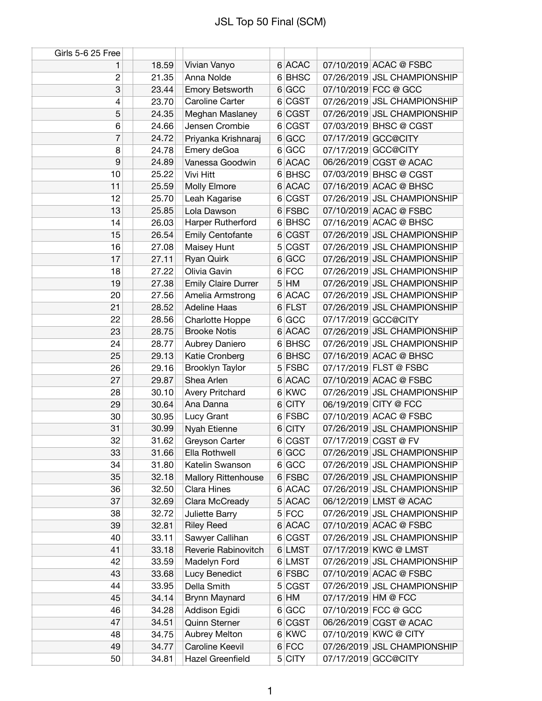| Girls 5-6 25 Free |       |                            |          |                             |
|-------------------|-------|----------------------------|----------|-----------------------------|
| 1                 | 18.59 | Vivian Vanyo               | 6 ACAC   | 07/10/2019 ACAC @ FSBC      |
| 2                 | 21.35 | Anna Nolde                 | 6 BHSC   | 07/26/2019 JSL CHAMPIONSHIP |
| 3                 | 23.44 | Emory Betsworth            | 6 GCC    | 07/10/2019 FCC @ GCC        |
| 4                 | 23.70 | Caroline Carter            | 6 CGST   | 07/26/2019 JSL CHAMPIONSHIP |
| 5                 | 24.35 | Meghan Maslaney            | 6 CGST   | 07/26/2019 JSL CHAMPIONSHIP |
| 6                 | 24.66 | Jensen Crombie             | 6 CGST   | 07/03/2019 BHSC @ CGST      |
| 7                 | 24.72 | Priyanka Krishnaraj        | 6 GCC    | 07/17/2019 GCC@CITY         |
| 8                 | 24.78 | Emery deGoa                | 6 GCC    | 07/17/2019 GCC@CITY         |
| 9                 | 24.89 | Vanessa Goodwin            | 6 ACAC   | 06/26/2019 CGST @ ACAC      |
| 10                | 25.22 | Vivi Hitt                  | 6 BHSC   | 07/03/2019 BHSC @ CGST      |
| 11                | 25.59 | Molly Elmore               | 6 ACAC   | 07/16/2019 ACAC @ BHSC      |
| 12                | 25.70 | Leah Kagarise              | 6 CGST   | 07/26/2019 JSL CHAMPIONSHIP |
| 13                | 25.85 | Lola Dawson                | 6 FSBC   | 07/10/2019 ACAC @ FSBC      |
| 14                | 26.03 | Harper Rutherford          | 6 BHSC   | 07/16/2019 ACAC @ BHSC      |
| 15                | 26.54 | <b>Emily Centofante</b>    | 6 CGST   | 07/26/2019 JSL CHAMPIONSHIP |
| 16                | 27.08 | Maisey Hunt                | 5 CGST   | 07/26/2019 JSL CHAMPIONSHIP |
| 17                | 27.11 | Ryan Quirk                 | 6 GCC    | 07/26/2019 JSL CHAMPIONSHIP |
| 18                | 27.22 | Olivia Gavin               | 6 FCC    | 07/26/2019 JSL CHAMPIONSHIP |
| 19                | 27.38 | <b>Emily Claire Durrer</b> | $5$ HM   | 07/26/2019 JSL CHAMPIONSHIP |
| 20                | 27.56 | Amelia Armstrong           | 6 ACAC   | 07/26/2019 JSL CHAMPIONSHIP |
| 21                | 28.52 | <b>Adeline Haas</b>        | 6 FLST   | 07/26/2019 JSL CHAMPIONSHIP |
| 22                | 28.56 | Charlotte Hoppe            | 6 GCC    | 07/17/2019 GCC@CITY         |
| 23                | 28.75 | <b>Brooke Notis</b>        | 6 ACAC   | 07/26/2019 JSL CHAMPIONSHIP |
| 24                | 28.77 | Aubrey Daniero             | 6 BHSC   | 07/26/2019 JSL CHAMPIONSHIP |
| 25                | 29.13 | Katie Cronberg             | 6 BHSC   | 07/16/2019 ACAC @ BHSC      |
| 26                | 29.16 | Brooklyn Taylor            | $5$ FSBC | 07/17/2019 FLST @ FSBC      |
| 27                | 29.87 | Shea Arlen                 | 6 ACAC   | 07/10/2019 ACAC @ FSBC      |
| 28                | 30.10 | <b>Avery Pritchard</b>     | 6 KWC    | 07/26/2019 JSL CHAMPIONSHIP |
| 29                | 30.64 | Ana Danna                  | 6 CITY   | 06/19/2019 CITY @ FCC       |
| 30                | 30.95 | Lucy Grant                 | 6 FSBC   | 07/10/2019 ACAC @ FSBC      |
| 31                | 30.99 | Nyah Etienne               | 6 CITY   | 07/26/2019 JSL CHAMPIONSHIP |
| 32                | 31.62 | Greyson Carter             | 6 CGST   | 07/17/2019 CGST @ FV        |
| 33                | 31.66 | Ella Rothwell              | 6 GCC    | 07/26/2019 JSL CHAMPIONSHIP |
| 34                | 31.80 | Katelin Swanson            | 6 GCC    | 07/26/2019 JSL CHAMPIONSHIP |
| 35                | 32.18 | <b>Mallory Rittenhouse</b> | 6 FSBC   | 07/26/2019 JSL CHAMPIONSHIP |
| 36                | 32.50 | Clara Hines                | 6 ACAC   | 07/26/2019 JSL CHAMPIONSHIP |
| 37                | 32.69 | Clara McCready             | 5 ACAC   | 06/12/2019 LMST @ ACAC      |
| 38                | 32.72 | Juliette Barry             | $5$ FCC  | 07/26/2019 JSL CHAMPIONSHIP |
| 39                | 32.81 | <b>Riley Reed</b>          | 6 ACAC   | 07/10/2019 ACAC @ FSBC      |
| 40                | 33.11 | Sawyer Callihan            | 6 CGST   | 07/26/2019 JSL CHAMPIONSHIP |
| 41                | 33.18 | Reverie Rabinovitch        | 6 LMST   | 07/17/2019 KWC @ LMST       |
| 42                | 33.59 | Madelyn Ford               | 6 LMST   | 07/26/2019 JSL CHAMPIONSHIP |
| 43                | 33.68 | Lucy Benedict              | 6 FSBC   | 07/10/2019 ACAC @ FSBC      |
| 44                | 33.95 | Della Smith                | 5 CGST   | 07/26/2019 JSL CHAMPIONSHIP |
| 45                | 34.14 | Brynn Maynard              | $6$ HM   | 07/17/2019 HM @ FCC         |
| 46                | 34.28 | Addison Egidi              | 6 GCC    | 07/10/2019 FCC @ GCC        |
| 47                | 34.51 | Quinn Sterner              | 6 CGST   | 06/26/2019 CGST @ ACAC      |
| 48                | 34.75 | Aubrey Melton              | 6 KWC    | 07/10/2019 KWC @ CITY       |
| 49                | 34.77 | Caroline Keevil            | 6 FCC    | 07/26/2019 JSL CHAMPIONSHIP |
| 50                | 34.81 | Hazel Greenfield           | 5 CITY   | 07/17/2019 GCC@CITY         |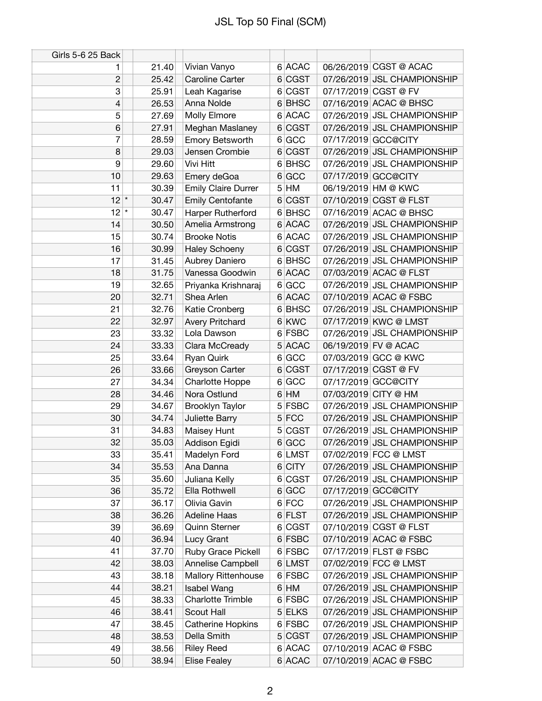| Girls 5-6 25 Back |       |                            |          |                      |                             |
|-------------------|-------|----------------------------|----------|----------------------|-----------------------------|
| 1                 | 21.40 | Vivian Vanyo               | 6 ACAC   |                      | 06/26/2019 CGST @ ACAC      |
| $\overline{c}$    | 25.42 | Caroline Carter            | 6 CGST   |                      | 07/26/2019 JSL CHAMPIONSHIP |
| 3                 | 25.91 | Leah Kagarise              | 6 CGST   | 07/17/2019 CGST @ FV |                             |
| 4                 | 26.53 | Anna Nolde                 | 6 BHSC   |                      | 07/16/2019 ACAC @ BHSC      |
| 5                 | 27.69 | Molly Elmore               | 6 ACAC   |                      | 07/26/2019 JSL CHAMPIONSHIP |
| 6                 | 27.91 | Meghan Maslaney            | 6 CGST   |                      | 07/26/2019 JSL CHAMPIONSHIP |
| 7                 | 28.59 | Emory Betsworth            | 6 GCC    | 07/17/2019 GCC@CITY  |                             |
| 8                 | 29.03 | Jensen Crombie             | 6 CGST   |                      | 07/26/2019 JSL CHAMPIONSHIP |
| 9                 | 29.60 | Vivi Hitt                  | 6 BHSC   |                      | 07/26/2019 JSL CHAMPIONSHIP |
| 10                | 29.63 | Emery deGoa                | 6 GCC    | 07/17/2019 GCC@CITY  |                             |
| 11                | 30.39 | <b>Emily Claire Durrer</b> | $5$ HM   | 06/19/2019 HM @ KWC  |                             |
| 12<br>$\star$     | 30.47 | <b>Emily Centofante</b>    | 6 CGST   |                      | 07/10/2019 CGST @ FLST      |
| 12<br>$\star$     | 30.47 | Harper Rutherford          | 6 BHSC   |                      | 07/16/2019 ACAC @ BHSC      |
| 14                | 30.50 | Amelia Armstrong           | 6 ACAC   |                      | 07/26/2019 JSL CHAMPIONSHIP |
| 15                | 30.74 | <b>Brooke Notis</b>        | 6 ACAC   |                      | 07/26/2019 JSL CHAMPIONSHIP |
| 16                | 30.99 | <b>Haley Schoeny</b>       | 6 CGST   |                      | 07/26/2019 JSL CHAMPIONSHIP |
| 17                | 31.45 | Aubrey Daniero             | 6 BHSC   |                      | 07/26/2019 JSL CHAMPIONSHIP |
| 18                | 31.75 | Vanessa Goodwin            | 6 ACAC   |                      | 07/03/2019 ACAC @ FLST      |
| 19                | 32.65 | Priyanka Krishnaraj        | 6 GCC    |                      | 07/26/2019 JSL CHAMPIONSHIP |
| 20                | 32.71 | Shea Arlen                 | 6 ACAC   |                      | 07/10/2019 ACAC @ FSBC      |
| 21                | 32.76 | Katie Cronberg             | 6 BHSC   |                      | 07/26/2019 JSL CHAMPIONSHIP |
| 22                | 32.97 | <b>Avery Pritchard</b>     | 6 KWC    |                      | 07/17/2019 KWC @ LMST       |
| 23                | 33.32 | Lola Dawson                | 6 FSBC   |                      | 07/26/2019 JSL CHAMPIONSHIP |
| 24                | 33.33 | Clara McCready             | 5 ACAC   | 06/19/2019 FV @ ACAC |                             |
| 25                | 33.64 | Ryan Quirk                 | 6 GCC    |                      | 07/03/2019 GCC @ KWC        |
| 26                | 33.66 | Greyson Carter             | 6 CGST   | 07/17/2019 CGST @ FV |                             |
| 27                | 34.34 | <b>Charlotte Hoppe</b>     | 6 GCC    | 07/17/2019 GCC@CITY  |                             |
| 28                | 34.46 | Nora Ostlund               | $6$ HM   | 07/03/2019 CITY @ HM |                             |
| 29                | 34.67 | Brooklyn Taylor            | $5$ FSBC |                      | 07/26/2019 JSL CHAMPIONSHIP |
| 30                | 34.74 | Juliette Barry             | $5$ FCC  |                      | 07/26/2019 JSL CHAMPIONSHIP |
| 31                | 34.83 | Maisey Hunt                | 5 CGST   |                      | 07/26/2019 JSL CHAMPIONSHIP |
| 32                | 35.03 | Addison Egidi              | 6 GCC    |                      | 07/26/2019 JSL CHAMPIONSHIP |
| 33                | 35.41 | Madelyn Ford               | 6 LMST   |                      | 07/02/2019 FCC @ LMST       |
| 34                | 35.53 | Ana Danna                  | 6 CITY   |                      | 07/26/2019 JSL CHAMPIONSHIP |
| 35                | 35.60 | Juliana Kelly              | 6 CGST   |                      | 07/26/2019 JSL CHAMPIONSHIP |
| 36                | 35.72 | Ella Rothwell              | 6 GCC    | 07/17/2019 GCC@CITY  |                             |
| 37                | 36.17 | Olivia Gavin               | 6 FCC    |                      | 07/26/2019 JSL CHAMPIONSHIP |
| 38                | 36.26 | <b>Adeline Haas</b>        | 6 FLST   |                      | 07/26/2019 JSL CHAMPIONSHIP |
| 39                | 36.69 | Quinn Sterner              | 6 CGST   |                      | 07/10/2019 CGST @ FLST      |
| 40                | 36.94 | Lucy Grant                 | 6 FSBC   |                      | 07/10/2019 ACAC @ FSBC      |
| 41                | 37.70 | Ruby Grace Pickell         | 6 FSBC   |                      | 07/17/2019 FLST @ FSBC      |
| 42                | 38.03 | Annelise Campbell          | 6 LMST   |                      | 07/02/2019 FCC @ LMST       |
| 43                | 38.18 | <b>Mallory Rittenhouse</b> | 6 FSBC   |                      | 07/26/2019 JSL CHAMPIONSHIP |
| 44                | 38.21 | <b>Isabel Wang</b>         | $6$ HM   |                      | 07/26/2019 JSL CHAMPIONSHIP |
| 45                | 38.33 | Charlotte Trimble          | 6 FSBC   |                      | 07/26/2019 JSL CHAMPIONSHIP |
| 46                | 38.41 | Scout Hall                 | 5 ELKS   |                      | 07/26/2019 JSL CHAMPIONSHIP |
| 47                | 38.45 | Catherine Hopkins          | 6 FSBC   |                      | 07/26/2019 JSL CHAMPIONSHIP |
| 48                | 38.53 | Della Smith                | 5 CGST   |                      | 07/26/2019 JSL CHAMPIONSHIP |
| 49                | 38.56 | <b>Riley Reed</b>          | 6 ACAC   |                      | 07/10/2019 ACAC @ FSBC      |
| 50                | 38.94 | <b>Elise Fealey</b>        | 6 ACAC   |                      | 07/10/2019 ACAC @ FSBC      |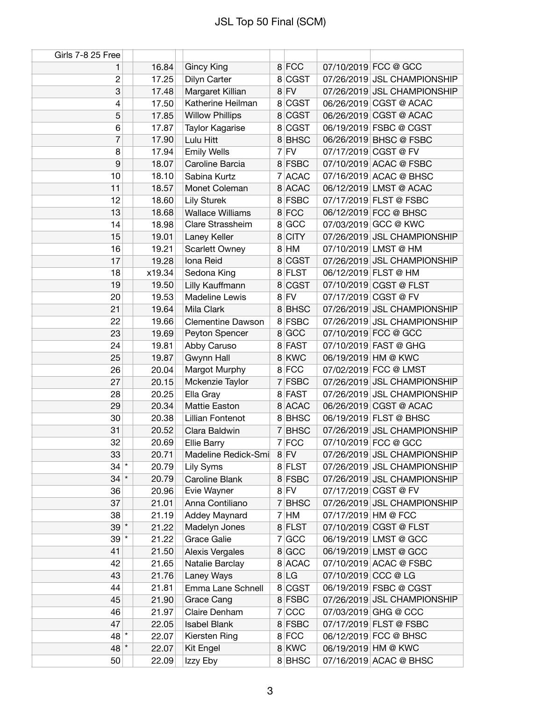| Girls 7-8 25 Free |        |                          |         |                             |
|-------------------|--------|--------------------------|---------|-----------------------------|
| 1                 | 16.84  | <b>Gincy King</b>        | 8 FCC   | 07/10/2019 FCC @ GCC        |
| $\overline{c}$    | 17.25  | Dilyn Carter             | 8 CGST  | 07/26/2019 JSL CHAMPIONSHIP |
| 3                 | 17.48  | Margaret Killian         | $8$ FV  | 07/26/2019 JSL CHAMPIONSHIP |
| $\overline{4}$    | 17.50  | Katherine Heilman        | 8 CGST  | 06/26/2019 CGST @ ACAC      |
| 5                 | 17.85  | <b>Willow Phillips</b>   | 8 CGST  | 06/26/2019 CGST @ ACAC      |
| 6                 | 17.87  | Taylor Kagarise          | 8 CGST  | 06/19/2019 FSBC @ CGST      |
| 7                 | 17.90  | Lulu Hitt                | 8 BHSC  | 06/26/2019 BHSC @ FSBC      |
| 8                 | 17.94  | <b>Emily Wells</b>       | $7$ FV  | 07/17/2019 CGST @ FV        |
| 9                 | 18.07  | Caroline Barcia          | 8 FSBC  | 07/10/2019 ACAC @ FSBC      |
| 10                | 18.10  | Sabina Kurtz             | 7 ACAC  | 07/16/2019 ACAC @ BHSC      |
| 11                | 18.57  | Monet Coleman            | 8 ACAC  | 06/12/2019 LMST @ ACAC      |
| 12                | 18.60  | <b>Lily Sturek</b>       | 8 FSBC  | 07/17/2019 FLST @ FSBC      |
| 13                | 18.68  | <b>Wallace Williams</b>  | 8 FCC   | 06/12/2019 FCC @ BHSC       |
| 14                | 18.98  | Clare Strassheim         | 8 GCC   | 07/03/2019 GCC @ KWC        |
| 15                | 19.01  | Laney Keller             | 8 CITY  | 07/26/2019 JSL CHAMPIONSHIP |
| 16                | 19.21  | <b>Scarlett Owney</b>    | 8 HM    | 07/10/2019 LMST @ HM        |
| 17                | 19.28  | Iona Reid                | 8 CGST  | 07/26/2019 JSL CHAMPIONSHIP |
| 18                | x19.34 | Sedona King              | 8 FLST  | 06/12/2019 FLST @ HM        |
| 19                | 19.50  | Lilly Kauffmann          | 8 CGST  | 07/10/2019 CGST @ FLST      |
| 20                | 19.53  | Madeline Lewis           | $8$ FV  | 07/17/2019 CGST @ FV        |
| 21                | 19.64  | Mila Clark               | 8BHSC   | 07/26/2019 JSL CHAMPIONSHIP |
| 22                | 19.66  | <b>Clementine Dawson</b> | 8 FSBC  | 07/26/2019 JSL CHAMPIONSHIP |
| 23                | 19.69  | Peyton Spencer           | 8 GCC   | 07/10/2019 FCC @ GCC        |
| 24                | 19.81  | Abby Caruso              | 8 FAST  | 07/10/2019 FAST @ GHG       |
| 25                | 19.87  | Gwynn Hall               | 8 KWC   | 06/19/2019 HM @ KWC         |
| 26                | 20.04  | Margot Murphy            | 8 FCC   | 07/02/2019 FCC @ LMST       |
| 27                | 20.15  | Mckenzie Taylor          | 7 FSBC  | 07/26/2019 JSL CHAMPIONSHIP |
| 28                | 20.25  | Ella Gray                | 8 FAST  | 07/26/2019 JSL CHAMPIONSHIP |
| 29                | 20.34  | Mattie Easton            | 8 ACAC  | 06/26/2019 CGST @ ACAC      |
| 30                | 20.38  | Lillian Fontenot         | 8BHSC   | 06/19/2019 FLST @ BHSC      |
| 31                | 20.52  | Clara Baldwin            | 7 BHSC  | 07/26/2019 JSL CHAMPIONSHIP |
| 32                | 20.69  | <b>Ellie Barry</b>       | $7$ FCC | 07/10/2019 FCC @ GCC        |
| 33                | 20.71  | Madeline Redick-Smi      | 8 FV    | 07/26/2019 JSL CHAMPIONSHIP |
| $34$ $*$          | 20.79  | Lily Syms                | 8 FLST  | 07/26/2019 JSL CHAMPIONSHIP |
| $34$ *            | 20.79  | Caroline Blank           | 8 FSBC  | 07/26/2019 JSL CHAMPIONSHIP |
| 36                | 20.96  | Evie Wayner              | $8$ FV  | 07/17/2019 CGST @ FV        |
| 37                | 21.01  | Anna Contiliano          | 7 BHSC  | 07/26/2019 JSL CHAMPIONSHIP |
| 38                | 21.19  | Addey Maynard            | $7$ HM  | 07/17/2019 HM @ FCC         |
| $39$ *            | 21.22  | Madelyn Jones            | 8 FLST  | 07/10/2019 CGST @ FLST      |
| $39$ $*$          | 21.22  | <b>Grace Galie</b>       | 7 GCC   | 06/19/2019 LMST @ GCC       |
| 41                | 21.50  | <b>Alexis Vergales</b>   | 8 GCC   | 06/19/2019 LMST @ GCC       |
| 42                | 21.65  | Natalie Barclay          | 8 ACAC  | 07/10/2019 ACAC @ FSBC      |
| 43                | 21.76  | Laney Ways               | 8 LG    | 07/10/2019 CCC @ LG         |
| 44                | 21.81  | Emma Lane Schnell        | 8 CGST  | 06/19/2019 FSBC @ CGST      |
| 45                | 21.90  | Grace Cang               | 8 FSBC  | 07/26/2019 JSL CHAMPIONSHIP |
| 46                | 21.97  | Claire Denham            | 7 CC    | 07/03/2019 GHG @ CCC        |
| 47                | 22.05  | <b>Isabel Blank</b>      | 8 FSBC  | 07/17/2019 FLST @ FSBC      |
| 48                | 22.07  | Kiersten Ring            | 8 FCC   | 06/12/2019 FCC @ BHSC       |
| $48$ *            | 22.07  | Kit Engel                | 8 KWC   | 06/19/2019 HM @ KWC         |
| 50                | 22.09  | Izzy Eby                 | 8 BHSC  | 07/16/2019 ACAC @ BHSC      |
|                   |        |                          |         |                             |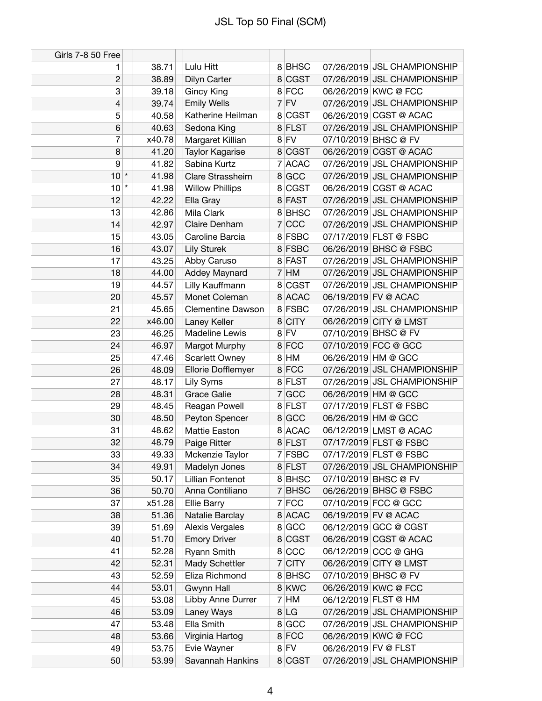| <b>Girls 7-8 50 Free</b> |        |                          |         |                             |
|--------------------------|--------|--------------------------|---------|-----------------------------|
| 1                        | 38.71  | Lulu Hitt                | 8BHSC   | 07/26/2019 JSL CHAMPIONSHIP |
| $\overline{c}$           | 38.89  | Dilyn Carter             | 8 CGST  | 07/26/2019 JSL CHAMPIONSHIP |
| 3                        | 39.18  | Gincy King               | 8 FCC   | 06/26/2019 KWC @ FCC        |
| 4                        | 39.74  | <b>Emily Wells</b>       | $7$ FV  | 07/26/2019 JSL CHAMPIONSHIP |
| 5                        | 40.58  | Katherine Heilman        | 8 CGST  | 06/26/2019 CGST @ ACAC      |
| 6                        | 40.63  | Sedona King              | 8 FLST  | 07/26/2019 JSL CHAMPIONSHIP |
| 7                        | x40.78 | Margaret Killian         | $8$ FV  | 07/10/2019 BHSC @ FV        |
| 8                        | 41.20  | Taylor Kagarise          | 8 CGST  | 06/26/2019 CGST @ ACAC      |
| 9                        | 41.82  | Sabina Kurtz             | 7 ACAC  | 07/26/2019 JSL CHAMPIONSHIP |
| $10$ $*$                 | 41.98  | Clare Strassheim         | 8 GCC   | 07/26/2019 JSL CHAMPIONSHIP |
| $\star$<br>10            | 41.98  | <b>Willow Phillips</b>   | 8 CGST  | 06/26/2019 CGST @ ACAC      |
| 12                       | 42.22  | Ella Gray                | 8 FAST  | 07/26/2019 JSL CHAMPIONSHIP |
| 13                       | 42.86  | Mila Clark               | 8BHSC   | 07/26/2019 JSL CHAMPIONSHIP |
| 14                       | 42.97  | Claire Denham            | 7 CCC   | 07/26/2019 JSL CHAMPIONSHIP |
| 15                       | 43.05  | Caroline Barcia          | 8 FSBC  | 07/17/2019 FLST @ FSBC      |
| 16                       | 43.07  | <b>Lily Sturek</b>       | 8 FSBC  | 06/26/2019 BHSC @ FSBC      |
| 17                       | 43.25  | Abby Caruso              | 8 FAST  | 07/26/2019 JSL CHAMPIONSHIP |
| 18                       | 44.00  | Addey Maynard            | $7$ HM  | 07/26/2019 JSL CHAMPIONSHIP |
| 19                       | 44.57  | Lilly Kauffmann          | 8 CGST  | 07/26/2019 JSL CHAMPIONSHIP |
| 20                       | 45.57  | Monet Coleman            | 8 ACAC  | 06/19/2019 FV @ ACAC        |
| 21                       | 45.65  | <b>Clementine Dawson</b> | 8 FSBC  | 07/26/2019 JSL CHAMPIONSHIP |
| 22                       | x46.00 | Laney Keller             | 8 CITY  | 06/26/2019 CITY @ LMST      |
| 23                       | 46.25  | Madeline Lewis           | $8$ FV  | 07/10/2019 BHSC @ FV        |
| 24                       | 46.97  | Margot Murphy            | 8 FCC   | 07/10/2019 FCC @ GCC        |
| 25                       | 47.46  | <b>Scarlett Owney</b>    | 8 HM    | 06/26/2019 HM @ GCC         |
| 26                       | 48.09  | Ellorie Dofflemyer       | 8 FCC   | 07/26/2019 JSL CHAMPIONSHIP |
| 27                       | 48.17  | Lily Syms                | 8 FLST  | 07/26/2019 JSL CHAMPIONSHIP |
| 28                       | 48.31  | <b>Grace Galie</b>       | 7 GCC   | 06/26/2019 HM @ GCC         |
| 29                       | 48.45  | Reagan Powell            | 8 FLST  | 07/17/2019 FLST @ FSBC      |
| 30                       | 48.50  | Peyton Spencer           | 8 GCC   | 06/26/2019 HM @ GCC         |
| 31                       | 48.62  | Mattie Easton            | 8 ACAC  | 06/12/2019 LMST @ ACAC      |
| 32                       | 48.79  | Paige Ritter             | 8 FLST  | 07/17/2019 FLST @ FSBC      |
| 33                       | 49.33  | Mckenzie Taylor          | 7 FSBC  | 07/17/2019 FLST @ FSBC      |
| 34                       | 49.91  | Madelyn Jones            | 8 FLST  | 07/26/2019 JSL CHAMPIONSHIP |
| 35                       | 50.17  | Lillian Fontenot         | 8 BHSC  | 07/10/2019 BHSC @ FV        |
| 36                       | 50.70  | Anna Contiliano          | 7 BHSC  | 06/26/2019 BHSC @ FSBC      |
| 37                       | x51.28 | <b>Ellie Barry</b>       | $7$ FCC | 07/10/2019 FCC @ GCC        |
| 38                       | 51.36  | Natalie Barclay          | 8 ACAC  | 06/19/2019 FV @ ACAC        |
| 39                       | 51.69  | <b>Alexis Vergales</b>   | 8 GCC   | 06/12/2019 GCC @ CGST       |
| 40                       | 51.70  | <b>Emory Driver</b>      | 8 CGST  | 06/26/2019 CGST @ ACAC      |
| 41                       | 52.28  | Ryann Smith              | 8 CCC   | 06/12/2019 CCC @ GHG        |
| 42                       | 52.31  | Mady Schettler           | 7 CITY  | 06/26/2019 CITY @ LMST      |
| 43                       | 52.59  | Eliza Richmond           | 8BHSC   | 07/10/2019 BHSC @ FV        |
| 44                       | 53.01  | Gwynn Hall               | 8 KWC   | 06/26/2019 KWC @ FCC        |
| 45                       | 53.08  | Libby Anne Durrer        | $7$ HM  | 06/12/2019 FLST @ HM        |
| 46                       | 53.09  | Laney Ways               | 8 LG    | 07/26/2019 JSL CHAMPIONSHIP |
| 47                       | 53.48  | Ella Smith               | 8 GCC   | 07/26/2019 JSL CHAMPIONSHIP |
| 48                       | 53.66  | Virginia Hartog          | 8 FCC   | 06/26/2019 KWC @ FCC        |
| 49                       | 53.75  | Evie Wayner              | $8$ FV  | 06/26/2019 FV @ FLST        |
| 50                       | 53.99  | Savannah Hankins         | 8 CGST  | 07/26/2019 JSL CHAMPIONSHIP |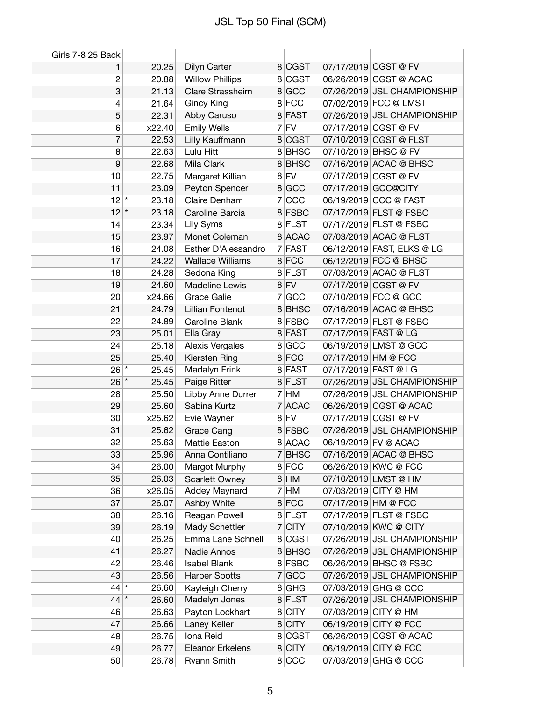| Girls 7-8 25 Back |                  |                         |          |                             |
|-------------------|------------------|-------------------------|----------|-----------------------------|
| 1                 | 20.25            | Dilyn Carter            | 8 CGST   | 07/17/2019 CGST @ FV        |
| $\boldsymbol{2}$  | 20.88            | <b>Willow Phillips</b>  | 8 CGST   | 06/26/2019 CGST @ ACAC      |
| 3                 | 21.13            | Clare Strassheim        | 8 GCC    | 07/26/2019 JSL CHAMPIONSHIP |
| 4                 | 21.64            | <b>Gincy King</b>       | 8 FCC    | 07/02/2019 FCC @ LMST       |
| 5                 | 22.31            | Abby Caruso             | 8 FAST   | 07/26/2019 JSL CHAMPIONSHIP |
| 6                 | x22.40           | <b>Emily Wells</b>      | $7$ FV   | 07/17/2019 CGST @ FV        |
| 7                 | 22.53            | Lilly Kauffmann         | 8 CGST   | 07/10/2019 CGST @ FLST      |
| 8                 | 22.63            | Lulu Hitt               | 8 BHSC   | 07/10/2019 BHSC @ FV        |
| 9                 | 22.68            | Mila Clark              | 8 BHSC   | 07/16/2019 ACAC @ BHSC      |
| 10                | 22.75            | Margaret Killian        | $8$ FV   | 07/17/2019 CGST @ FV        |
| 11                | 23.09            | Peyton Spencer          | 8 GCC    | 07/17/2019 GCC@CITY         |
| 12                | $\star$<br>23.18 | Claire Denham           | 7 CCC    | 06/19/2019 CCC @ FAST       |
| 12                | $\star$<br>23.18 | Caroline Barcia         | 8 FSBC   | 07/17/2019 FLST @ FSBC      |
| 14                | 23.34            | Lily Syms               | 8 FLST   | 07/17/2019 FLST @ FSBC      |
| 15                | 23.97            | Monet Coleman           | 8 ACAC   | 07/03/2019 ACAC @ FLST      |
| 16                | 24.08            | Esther D'Alessandro     | 7 FAST   | 06/12/2019 FAST, ELKS @ LG  |
| 17                | 24.22            | <b>Wallace Williams</b> | 8 FCC    | 06/12/2019 FCC @ BHSC       |
| 18                | 24.28            | Sedona King             | 8 FLST   | 07/03/2019 ACAC @ FLST      |
| 19                | 24.60            | Madeline Lewis          | $8$ FV   | 07/17/2019 CGST @ FV        |
| 20                | x24.66           | <b>Grace Galie</b>      | 7 GCC    | 07/10/2019 FCC @ GCC        |
| 21                | 24.79            | Lillian Fontenot        | 8 BHSC   | 07/16/2019 ACAC @ BHSC      |
| 22                | 24.89            | Caroline Blank          | 8 FSBC   | 07/17/2019 FLST @ FSBC      |
| 23                | 25.01            | Ella Gray               | 8 FAST   | 07/17/2019 FAST @ LG        |
| 24                | 25.18            | Alexis Vergales         | 8 GCC    | 06/19/2019 LMST @ GCC       |
| 25                | 25.40            | Kiersten Ring           | 8 FCC    | 07/17/2019 HM @ FCC         |
| $26$ $*$          | 25.45            | Madalyn Frink           | 8 FAST   | 07/17/2019 FAST @ LG        |
| $26*$             | 25.45            | Paige Ritter            | 8 FLST   | 07/26/2019 JSL CHAMPIONSHIP |
| 28                | 25.50            | Libby Anne Durrer       | 7 HM     | 07/26/2019 JSL CHAMPIONSHIP |
| 29                | 25.60            | Sabina Kurtz            | 7 ACAC   | 06/26/2019 CGST @ ACAC      |
| 30                | x25.62           | Evie Wayner             | $8$ FV   | 07/17/2019 CGST @ FV        |
| 31                | 25.62            | Grace Cang              | 8 FSBC   | 07/26/2019 JSL CHAMPIONSHIP |
| 32                | 25.63            | <b>Mattie Easton</b>    | 8 ACAC   | 06/19/2019 FV @ ACAC        |
| 33                | 25.96            | Anna Contiliano         | 7 BHSC   | 07/16/2019 ACAC @ BHSC      |
| 34                | 26.00            | Margot Murphy           | 8 FCC    | 06/26/2019 KWC @ FCC        |
| 35                | 26.03            | <b>Scarlett Owney</b>   | $8$ HM   | 07/10/2019 LMST @ HM        |
| 36                | x26.05           | <b>Addey Maynard</b>    | $7$ HM   | 07/03/2019 CITY @ HM        |
| 37                | 26.07            | Ashby White             | 8 FCC    | 07/17/2019 HM @ FCC         |
| 38                | 26.16            | Reagan Powell           | 8 FLST   | 07/17/2019 FLST @ FSBC      |
| 39                | 26.19            | Mady Schettler          | $7$ CITY | 07/10/2019 KWC @ CITY       |
| 40                | 26.25            | Emma Lane Schnell       | 8 CGST   | 07/26/2019 JSL CHAMPIONSHIP |
| 41                | 26.27            | Nadie Annos             | 8 BHSC   | 07/26/2019 JSL CHAMPIONSHIP |
| 42                | 26.46            | <b>Isabel Blank</b>     | 8 FSBC   | 06/26/2019 BHSC @ FSBC      |
| 43                | 26.56            | <b>Harper Spotts</b>    | 7 GCC    | 07/26/2019 JSL CHAMPIONSHIP |
| $44$ *            | 26.60            | Kayleigh Cherry         | $8$ GHG  | 07/03/2019 GHG @ CCC        |
| 44                | $\star$<br>26.60 | Madelyn Jones           | 8 FLST   | 07/26/2019 JSL CHAMPIONSHIP |
| 46                | 26.63            | Payton Lockhart         | 8 CITY   | 07/03/2019 CITY @ HM        |
| 47                | 26.66            | Laney Keller            | 8 CITY   | 06/19/2019 CITY @ FCC       |
| 48                | 26.75            | Iona Reid               | 8 CGST   | 06/26/2019 CGST @ ACAC      |
| 49                | 26.77            | Eleanor Erkelens        | 8 CITY   | 06/19/2019 CITY @ FCC       |
| 50                | 26.78            | <b>Ryann Smith</b>      | 8 CCC    | 07/03/2019 GHG @ CCC        |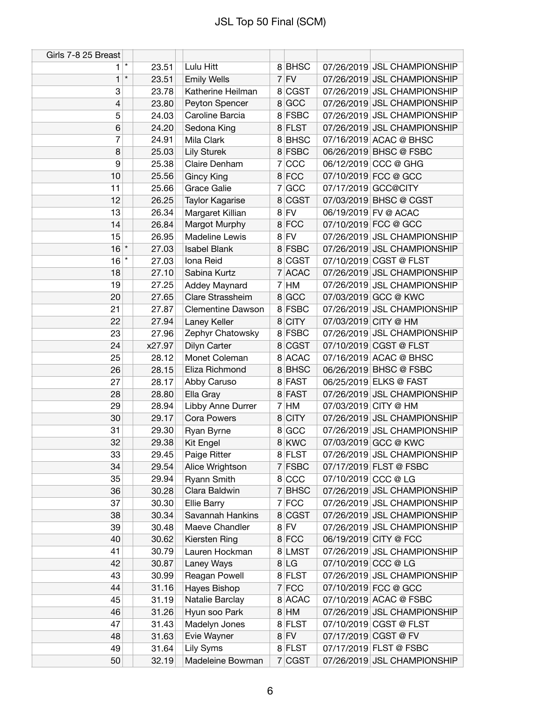| Girls 7-8 25 Breast |         |                |                                    |                   |                     |                                                            |
|---------------------|---------|----------------|------------------------------------|-------------------|---------------------|------------------------------------------------------------|
| 1                   | $\star$ | 23.51          | Lulu Hitt                          | 8BHSC             |                     | 07/26/2019 JSL CHAMPIONSHIP                                |
| 1                   | $\star$ | 23.51          | <b>Emily Wells</b>                 | $7$ FV            |                     | 07/26/2019 JSL CHAMPIONSHIP                                |
| 3                   |         | 23.78          | Katherine Heilman                  | 8 CGST            |                     | 07/26/2019 JSL CHAMPIONSHIP                                |
| 4                   |         | 23.80          | Peyton Spencer                     | 8 GCC             |                     | 07/26/2019 JSL CHAMPIONSHIP                                |
| 5                   |         | 24.03          | Caroline Barcia                    | 8 FSBC            |                     | 07/26/2019 JSL CHAMPIONSHIP                                |
| 6                   |         | 24.20          | Sedona King                        | 8 FLST            |                     | 07/26/2019 JSL CHAMPIONSHIP                                |
| 7                   |         | 24.91          | Mila Clark                         | 8 BHSC            |                     | 07/16/2019 ACAC @ BHSC                                     |
| 8                   |         | 25.03          | <b>Lily Sturek</b>                 | 8 FSBC            |                     | 06/26/2019 BHSC @ FSBC                                     |
| 9                   |         | 25.38          | Claire Denham                      | 7 CCC             |                     | 06/12/2019 CCC @ GHG                                       |
| 10                  |         | 25.56          | <b>Gincy King</b>                  | 8 FCC             |                     | 07/10/2019 FCC @ GCC                                       |
| 11                  |         | 25.66          | <b>Grace Galie</b>                 | 7 GCC             |                     | 07/17/2019 GCC@CITY                                        |
| 12                  |         | 26.25          | Taylor Kagarise                    | 8 CGST            |                     | 07/03/2019 BHSC @ CGST                                     |
| 13                  |         | 26.34          | Margaret Killian                   | $8$ FV            |                     | 06/19/2019 FV @ ACAC                                       |
| 14                  |         | 26.84          | Margot Murphy                      | 8 FCC             |                     | 07/10/2019 FCC @ GCC                                       |
| 15                  |         | 26.95          | Madeline Lewis                     | $8$ FV            |                     | 07/26/2019 JSL CHAMPIONSHIP                                |
| $16$ *              |         | 27.03          | <b>Isabel Blank</b>                | 8 FSBC            |                     | 07/26/2019 JSL CHAMPIONSHIP                                |
| 16                  | $\star$ | 27.03          | Iona Reid                          | 8 CGST            |                     | 07/10/2019 CGST @ FLST                                     |
| 18                  |         | 27.10          | Sabina Kurtz                       | 7 ACAC            |                     | 07/26/2019 JSL CHAMPIONSHIP                                |
| 19                  |         | 27.25          | Addey Maynard                      | $7$ HM            |                     | 07/26/2019 JSL CHAMPIONSHIP                                |
| 20                  |         | 27.65          | Clare Strassheim                   | 8 GCC             |                     | 07/03/2019 GCC @ KWC                                       |
| 21                  |         | 27.87          | <b>Clementine Dawson</b>           | 8 FSBC            |                     | 07/26/2019 JSL CHAMPIONSHIP                                |
| 22                  |         | 27.94          | Laney Keller                       | 8 CITY            |                     | 07/03/2019 CITY @ HM                                       |
| 23                  |         | 27.96          | Zephyr Chatowsky                   | 8 FSBC            |                     | 07/26/2019 JSL CHAMPIONSHIP                                |
| 24                  |         | x27.97         | Dilyn Carter                       | 8 CGST            |                     | 07/10/2019 CGST @ FLST                                     |
| 25                  |         | 28.12          | Monet Coleman                      | 8 ACAC            |                     | 07/16/2019 ACAC @ BHSC                                     |
| 26                  |         | 28.15          | Eliza Richmond                     | 8BHSC             |                     | 06/26/2019 BHSC @ FSBC                                     |
| 27                  |         | 28.17          | Abby Caruso                        | 8 FAST            |                     | 06/25/2019 ELKS @ FAST                                     |
| 28                  |         | 28.80          | Ella Gray                          | 8 FAST            |                     | 07/26/2019 JSL CHAMPIONSHIP                                |
| 29                  |         | 28.94          | Libby Anne Durrer                  | $7$ HM            |                     | 07/03/2019 CITY @ HM                                       |
| 30                  |         | 29.17          | <b>Cora Powers</b>                 | 8 CITY            |                     | 07/26/2019 JSL CHAMPIONSHIP                                |
| 31                  |         | 29.30          | Ryan Byrne                         | 8 GCC             |                     | 07/26/2019 JSL CHAMPIONSHIP                                |
| 32                  |         | 29.38          | Kit Engel                          | 8 KWC             |                     | 07/03/2019 GCC @ KWC                                       |
| 33                  |         | 29.45          | Paige Ritter                       | 8 FLST            |                     | 07/26/2019 JSL CHAMPIONSHIP                                |
| 34                  |         | 29.54          | Alice Wrightson                    | 7 FSBC            |                     | 07/17/2019 FLST @ FSBC                                     |
| 35                  |         |                |                                    |                   |                     |                                                            |
|                     |         | 29.94          | Ryann Smith<br>Clara Baldwin       | 8 CCC<br>$7$ BHSC | 07/10/2019 CCC @ LG | 07/26/2019 JSL CHAMPIONSHIP                                |
| 36                  |         | 30.28<br>30.30 |                                    |                   |                     |                                                            |
| 37                  |         | 30.34          | <b>Ellie Barry</b>                 | 7 FCC             |                     | 07/26/2019 JSL CHAMPIONSHIP<br>07/26/2019 JSL CHAMPIONSHIP |
| 38<br>39            |         |                | Savannah Hankins<br>Maeve Chandler | 8 CGST<br>$8$ FV  |                     | 07/26/2019 JSL CHAMPIONSHIP                                |
|                     |         | 30.48          |                                    |                   |                     |                                                            |
| 40                  |         | 30.62          | Kiersten Ring                      | 8 FCC             |                     | 06/19/2019 CITY @ FCC                                      |
| 41                  |         | 30.79          | Lauren Hockman                     | 8 LMST            |                     | 07/26/2019 JSL CHAMPIONSHIP                                |
| 42                  |         | 30.87          | Laney Ways                         | 8 LG              | 07/10/2019 CCC @ LG |                                                            |
| 43                  |         | 30.99          | Reagan Powell                      | 8 FLST            |                     | 07/26/2019 JSL CHAMPIONSHIP                                |
| 44                  |         | 31.16          | Hayes Bishop                       | 7 FCC             |                     | 07/10/2019 FCC @ GCC                                       |
| 45                  |         | 31.19          | Natalie Barclay                    | 8 ACAC            |                     | 07/10/2019 ACAC @ FSBC                                     |
| 46                  |         | 31.26          | Hyun soo Park                      | $8$ HM            |                     | 07/26/2019 JSL CHAMPIONSHIP                                |
| 47                  |         | 31.43          | Madelyn Jones                      | 8 FLST            |                     | 07/10/2019 CGST @ FLST<br>07/17/2019 CGST @ FV             |
| 48                  |         | 31.63          | Evie Wayner                        | $8$ FV            |                     |                                                            |
| 49                  |         | 31.64          | Lily Syms                          | 8 FLST            |                     | 07/17/2019 FLST @ FSBC                                     |
| 50                  |         | 32.19          | Madeleine Bowman                   | 7 CGST            |                     | 07/26/2019 JSL CHAMPIONSHIP                                |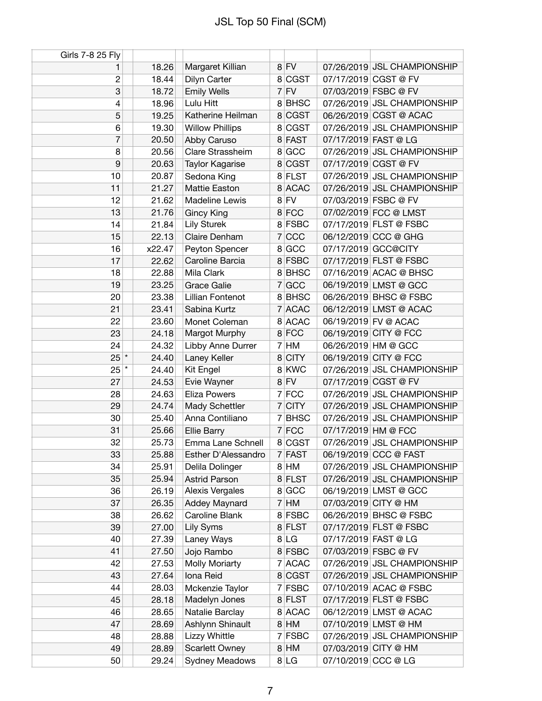| Girls 7-8 25 Fly |        |                        |        |        |                      |                             |
|------------------|--------|------------------------|--------|--------|----------------------|-----------------------------|
| 1                | 18.26  | Margaret Killian       | $8$ FV |        |                      | 07/26/2019 JSL CHAMPIONSHIP |
| 2                | 18.44  | Dilyn Carter           |        | 8 CGST |                      | 07/17/2019 CGST @ FV        |
| 3                | 18.72  | <b>Emily Wells</b>     | $7$ FV |        |                      | 07/03/2019 FSBC @ FV        |
| 4                | 18.96  | Lulu Hitt              |        | 8BHSC  |                      | 07/26/2019 JSL CHAMPIONSHIP |
| 5                | 19.25  | Katherine Heilman      |        | 8 CGST |                      | 06/26/2019 CGST @ ACAC      |
| 6                | 19.30  | <b>Willow Phillips</b> |        | 8 CGST |                      | 07/26/2019 JSL CHAMPIONSHIP |
| 7                | 20.50  | Abby Caruso            | 8 FAST |        | 07/17/2019 FAST @ LG |                             |
| 8                | 20.56  | Clare Strassheim       | 8 GCC  |        |                      | 07/26/2019 JSL CHAMPIONSHIP |
| 9                | 20.63  | Taylor Kagarise        |        | 8 CGST |                      | 07/17/2019 CGST @ FV        |
| 10               | 20.87  | Sedona King            | 8 FLST |        |                      | 07/26/2019 JSL CHAMPIONSHIP |
| 11               | 21.27  | Mattie Easton          |        | 8 ACAC |                      | 07/26/2019 JSL CHAMPIONSHIP |
| 12               | 21.62  | Madeline Lewis         | 8 FV   |        | 07/03/2019 FSBC @ FV |                             |
| 13               | 21.76  | <b>Gincy King</b>      | 8 FCC  |        |                      | 07/02/2019 FCC @ LMST       |
| 14               | 21.84  | <b>Lily Sturek</b>     |        | 8 FSBC |                      | 07/17/2019 FLST @ FSBC      |
| 15               | 22.13  | Claire Denham          | 7 CCC  |        |                      | 06/12/2019 CCC @ GHG        |
| 16               | x22.47 | Peyton Spencer         | 8 GCC  |        |                      | 07/17/2019 GCC@CITY         |
| 17               | 22.62  | Caroline Barcia        |        | 8 FSBC |                      | 07/17/2019 FLST @ FSBC      |
| 18               | 22.88  | Mila Clark             |        | 8BHSC  |                      | 07/16/2019 ACAC @ BHSC      |
| 19               | 23.25  | <b>Grace Galie</b>     | 7 GCC  |        |                      | 06/19/2019 LMST @ GCC       |
| 20               | 23.38  | Lillian Fontenot       |        | 8BHSC  |                      | 06/26/2019 BHSC @ FSBC      |
| 21               | 23.41  | Sabina Kurtz           |        | 7 ACAC |                      | 06/12/2019 LMST @ ACAC      |
| 22               | 23.60  | Monet Coleman          |        | 8 ACAC |                      | 06/19/2019 FV @ ACAC        |
| 23               | 24.18  | Margot Murphy          | 8 FCC  |        |                      | 06/19/2019 CITY @ FCC       |
| 24               | 24.32  | Libby Anne Durrer      | $7$ HM |        | 06/26/2019 HM @ GCC  |                             |
| $25$ *           | 24.40  | Laney Keller           | 8 CITY |        |                      | 06/19/2019 CITY @ FCC       |
| $25$ $*$         | 24.40  | Kit Engel              | 8 KWC  |        |                      | 07/26/2019 JSL CHAMPIONSHIP |
| 27               | 24.53  | Evie Wayner            | $8$ FV |        |                      | 07/17/2019 CGST @ FV        |
| 28               | 24.63  | <b>Eliza Powers</b>    | 7 FCC  |        |                      | 07/26/2019 JSL CHAMPIONSHIP |
| 29               | 24.74  | Mady Schettler         | 7 CITY |        |                      | 07/26/2019 JSL CHAMPIONSHIP |
| 30               | 25.40  | Anna Contiliano        |        | 7 BHSC |                      | 07/26/2019 JSL CHAMPIONSHIP |
| 31               | 25.66  | <b>Ellie Barry</b>     | 7 FCC  |        | 07/17/2019 HM @ FCC  |                             |
| 32               | 25.73  | Emma Lane Schnell      |        | 8 CGST |                      | 07/26/2019 JSL CHAMPIONSHIP |
| 33               | 25.88  | Esther D'Alessandro    | 7 FAST |        |                      | 06/19/2019 CCC @ FAST       |
| 34               | 25.91  | Delila Dolinger        | 8 HM   |        |                      | 07/26/2019 JSL CHAMPIONSHIP |
| 35               | 25.94  | <b>Astrid Parson</b>   | 8 FLST |        |                      | 07/26/2019 JSL CHAMPIONSHIP |
| 36               | 26.19  | Alexis Vergales        | 8 GCC  |        |                      | 06/19/2019 LMST @ GCC       |
| 37               | 26.35  | Addey Maynard          | $7$ HM |        | 07/03/2019 CITY @ HM |                             |
| 38               | 26.62  | Caroline Blank         |        | 8 FSBC |                      | 06/26/2019 BHSC @ FSBC      |
| 39               | 27.00  | Lily Syms              | 8 FLST |        |                      | 07/17/2019 FLST @ FSBC      |
| 40               | 27.39  | Laney Ways             | 8 LG   |        | 07/17/2019 FAST @ LG |                             |
| 41               | 27.50  | Jojo Rambo             | 8 FSBC |        |                      | 07/03/2019 FSBC @ FV        |
| 42               | 27.53  | Molly Moriarty         |        | 7 ACAC |                      | 07/26/2019 JSL CHAMPIONSHIP |
| 43               | 27.64  | Iona Reid              |        | 8 CGST |                      | 07/26/2019 JSL CHAMPIONSHIP |
| 44               | 28.03  | Mckenzie Taylor        |        | 7 FSBC |                      | 07/10/2019 ACAC @ FSBC      |
| 45               | 28.18  | Madelyn Jones          | 8 FLST |        |                      | 07/17/2019 FLST @ FSBC      |
| 46               | 28.65  | Natalie Barclay        |        | 8 ACAC |                      | 06/12/2019 LMST @ ACAC      |
| 47               | 28.69  | Ashlynn Shinault       | $8$ HM |        |                      | 07/10/2019 LMST @ HM        |
| 48               | 28.88  | Lizzy Whittle          |        | 7 FSBC |                      | 07/26/2019 JSL CHAMPIONSHIP |
| 49               | 28.89  | <b>Scarlett Owney</b>  | $8$ HM |        | 07/03/2019 CITY @ HM |                             |
| 50               | 29.24  | Sydney Meadows         | 8 LG   |        | 07/10/2019 CCC @ LG  |                             |
|                  |        |                        |        |        |                      |                             |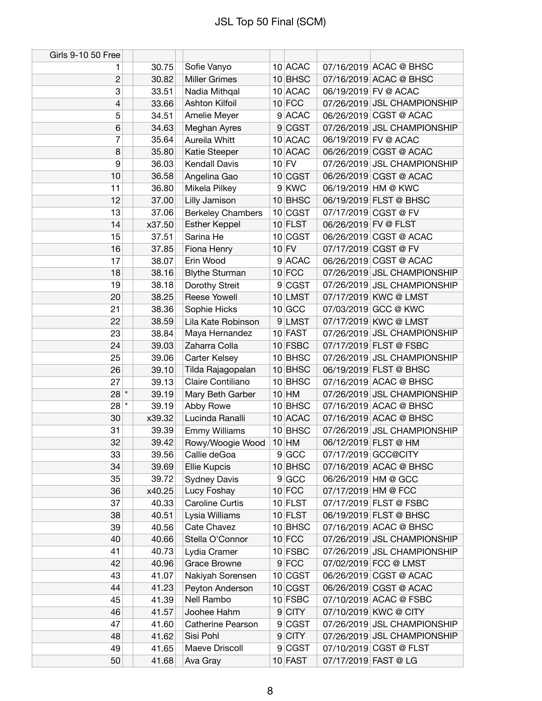| Girls 9-10 50 Free |        |                          |           |                             |
|--------------------|--------|--------------------------|-----------|-----------------------------|
| 1                  | 30.75  | Sofie Vanyo              | 10 ACAC   | 07/16/2019 ACAC @ BHSC      |
| $\overline{c}$     | 30.82  | <b>Miller Grimes</b>     | 10 BHSC   | 07/16/2019 ACAC @ BHSC      |
| 3                  | 33.51  | Nadia Mithqal            | 10 ACAC   | 06/19/2019 FV @ ACAC        |
| 4                  | 33.66  | <b>Ashton Kilfoil</b>    | $10$ FCC  | 07/26/2019 JSL CHAMPIONSHIP |
| 5                  | 34.51  | Amelie Meyer             | 9 ACAC    | 06/26/2019 CGST @ ACAC      |
| 6                  | 34.63  | Meghan Ayres             | 9 CGST    | 07/26/2019 JSL CHAMPIONSHIP |
| 7                  | 35.64  | Aureila Whitt            | 10 ACAC   | 06/19/2019 FV @ ACAC        |
| 8                  | 35.80  | Katie Steeper            | 10 ACAC   | 06/26/2019 CGST @ ACAC      |
| 9                  | 36.03  | <b>Kendall Davis</b>     | $10$ FV   | 07/26/2019 JSL CHAMPIONSHIP |
| 10                 | 36.58  | Angelina Gao             | 10 CGST   | 06/26/2019 CGST @ ACAC      |
| 11                 | 36.80  | Mikela Pilkey            | 9 KWC     | 06/19/2019 HM @ KWC         |
| 12                 | 37.00  | Lilly Jamison            | $10$ BHSC | 06/19/2019 FLST @ BHSC      |
| 13                 | 37.06  | <b>Berkeley Chambers</b> | 10 CGST   | 07/17/2019 CGST @ FV        |
| 14                 | x37.50 | <b>Esther Keppel</b>     | 10 FLST   | 06/26/2019 FV @ FLST        |
| 15                 | 37.51  | Sarina He                | 10 CGST   | 06/26/2019 CGST @ ACAC      |
| 16                 | 37.85  | Fiona Henry              | $10$ FV   | 07/17/2019 CGST @ FV        |
| 17                 | 38.07  | Erin Wood                | 9 ACAC    | 06/26/2019 CGST @ ACAC      |
| 18                 | 38.16  | <b>Blythe Sturman</b>    | $10$ FCC  | 07/26/2019 JSL CHAMPIONSHIP |
| 19                 | 38.18  | Dorothy Streit           | 9 CGST    | 07/26/2019 JSL CHAMPIONSHIP |
| 20                 | 38.25  | Reese Yowell             | 10 LMST   | 07/17/2019 KWC @ LMST       |
| 21                 | 38.36  | Sophie Hicks             | 10 GCC    | 07/03/2019 GCC @ KWC        |
| 22                 | 38.59  | Lila Kate Robinson       | 9 LMST    | 07/17/2019 KWC @ LMST       |
| 23                 | 38.84  | Maya Hernandez           | $10$ FAST | 07/26/2019 JSL CHAMPIONSHIP |
| 24                 | 39.03  | Zaharra Colla            | 10 FSBC   | 07/17/2019 FLST @ FSBC      |
| 25                 | 39.06  | Carter Kelsey            | 10 BHSC   | 07/26/2019 JSL CHAMPIONSHIP |
| 26                 | 39.10  | Tilda Rajagopalan        | 10 BHSC   | 06/19/2019 FLST @ BHSC      |
| 27                 | 39.13  | Claire Contiliano        | 10 BHSC   | 07/16/2019 ACAC @ BHSC      |
| $28 *$             | 39.19  | Mary Beth Garber         | $10$ HM   | 07/26/2019 JSL CHAMPIONSHIP |
| $28$ $^*$          | 39.19  | Abby Rowe                | 10 BHSC   | 07/16/2019 ACAC @ BHSC      |
| 30                 | x39.32 | Lucinda Ranalli          | 10 ACAC   | 07/16/2019 ACAC @ BHSC      |
| 31                 | 39.39  | <b>Emmy Williams</b>     | 10 BHSC   | 07/26/2019 JSL CHAMPIONSHIP |
| 32                 | 39.42  | Rowy/Woogie Wood         | $10$ HM   | 06/12/2019 FLST @ HM        |
| 33                 | 39.56  | Callie deGoa             | 9 GCC     | 07/17/2019 GCC@CITY         |
| 34                 | 39.69  | <b>Ellie Kupcis</b>      | 10 BHSC   | 07/16/2019 ACAC @ BHSC      |
| 35                 | 39.72  | <b>Sydney Davis</b>      | 9 GCC     | 06/26/2019 HM @ GCC         |
| 36                 | x40.25 | Lucy Foshay              | $10$ FCC  | 07/17/2019 HM @ FCC         |
| 37                 | 40.33  | <b>Caroline Curtis</b>   | $10$ FLST | 07/17/2019 FLST @ FSBC      |
| 38                 | 40.51  | Lysia Williams           | $10$ FLST | 06/19/2019 FLST @ BHSC      |
| 39                 | 40.56  | Cate Chavez              | $10$ BHSC | 07/16/2019 ACAC @ BHSC      |
| 40                 | 40.66  | Stella O'Connor          | $10$ FCC  | 07/26/2019 JSL CHAMPIONSHIP |
| 41                 | 40.73  | Lydia Cramer             | 10 FSBC   | 07/26/2019 JSL CHAMPIONSHIP |
| 42                 | 40.96  | Grace Browne             | $9$ FCC   | 07/02/2019 FCC @ LMST       |
| 43                 | 41.07  | Nakiyah Sorensen         | 10 CGST   | 06/26/2019 CGST @ ACAC      |
| 44                 | 41.23  | Peyton Anderson          | 10 CGST   | 06/26/2019 CGST @ ACAC      |
| 45                 | 41.39  | Nell Rambo               | 10 FSBC   | 07/10/2019 ACAC @ FSBC      |
| 46                 | 41.57  | Joohee Hahm              | 9 CITY    | 07/10/2019 KWC @ CITY       |
| 47                 | 41.60  | <b>Catherine Pearson</b> | 9 CGST    | 07/26/2019 JSL CHAMPIONSHIP |
| 48                 | 41.62  | Sisi Pohl                | $9$ CITY  | 07/26/2019 JSL CHAMPIONSHIP |
| 49                 | 41.65  | Maeve Driscoll           | 9 CGST    | 07/10/2019 CGST @ FLST      |
| 50                 | 41.68  | Ava Gray                 | $10$ FAST | 07/17/2019 FAST @ LG        |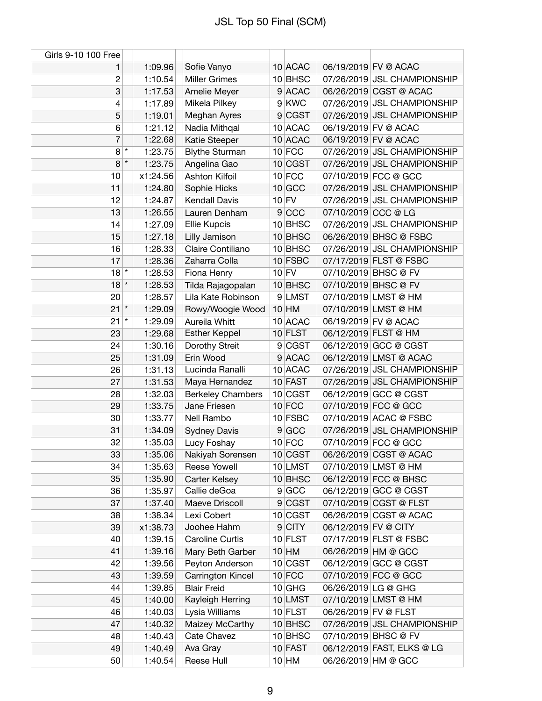| Girls 9-10 100 Free       |         |          |                          |           |                      |                             |
|---------------------------|---------|----------|--------------------------|-----------|----------------------|-----------------------------|
| 1                         |         | 1:09.96  | Sofie Vanyo              | 10 ACAC   |                      | 06/19/2019 FV @ ACAC        |
| $\overline{2}$            |         | 1:10.54  | <b>Miller Grimes</b>     | 10 BHSC   |                      | 07/26/2019 JSL CHAMPIONSHIP |
| $\ensuremath{\mathsf{3}}$ |         | 1:17.53  | Amelie Meyer             | 9 ACAC    |                      | 06/26/2019 CGST @ ACAC      |
| 4                         |         | 1:17.89  | Mikela Pilkey            | 9 KWC     |                      | 07/26/2019 JSL CHAMPIONSHIP |
| 5                         |         | 1:19.01  | Meghan Ayres             | 9 CGST    |                      | 07/26/2019 JSL CHAMPIONSHIP |
| 6                         |         | 1:21.12  | Nadia Mithqal            | 10 ACAC   |                      | 06/19/2019 FV @ ACAC        |
| 7                         |         | 1:22.68  | Katie Steeper            | 10 ACAC   |                      | 06/19/2019 FV @ ACAC        |
| 8                         | $\star$ | 1:23.75  | <b>Blythe Sturman</b>    | $10$ FCC  |                      | 07/26/2019 JSL CHAMPIONSHIP |
| 8                         | $\star$ | 1:23.75  | Angelina Gao             | 10 CGST   |                      | 07/26/2019 JSL CHAMPIONSHIP |
| 10                        |         | x1:24.56 | Ashton Kilfoil           | $10$ FCC  |                      | 07/10/2019 FCC @ GCC        |
| 11                        |         | 1:24.80  | Sophie Hicks             | $10$ GCC  |                      | 07/26/2019 JSL CHAMPIONSHIP |
| 12                        |         | 1:24.87  | <b>Kendall Davis</b>     | $10$ FV   |                      | 07/26/2019 JSL CHAMPIONSHIP |
| 13                        |         | 1:26.55  | Lauren Denham            | 9 CCC     | 07/10/2019 CCC @ LG  |                             |
| 14                        |         | 1:27.09  | Ellie Kupcis             | 10 BHSC   |                      | 07/26/2019 JSL CHAMPIONSHIP |
| 15                        |         | 1:27.18  | Lilly Jamison            | 10 BHSC   |                      | 06/26/2019 BHSC @ FSBC      |
| 16                        |         | 1:28.33  | Claire Contiliano        | 10 BHSC   |                      | 07/26/2019 JSL CHAMPIONSHIP |
| 17                        |         | 1:28.36  | Zaharra Colla            | 10 FSBC   |                      | 07/17/2019 FLST @ FSBC      |
| $18$ <sup>*</sup>         |         | 1:28.53  | Fiona Henry              | $10$ FV   |                      | 07/10/2019 BHSC @ FV        |
| $18$ *                    |         | 1:28.53  | Tilda Rajagopalan        | 10 BHSC   |                      | 07/10/2019 BHSC @ FV        |
| 20                        |         | 1:28.57  | Lila Kate Robinson       | 9 LMST    |                      | 07/10/2019 LMST @ HM        |
| 21                        | $\star$ | 1:29.09  | Rowy/Woogie Wood         | $10$ HM   |                      | 07/10/2019 LMST @ HM        |
| 21                        | $\star$ | 1:29.09  | Aureila Whitt            | 10 ACAC   |                      | 06/19/2019 FV @ ACAC        |
| 23                        |         | 1:29.68  | <b>Esther Keppel</b>     | $10$ FLST |                      | 06/12/2019 FLST @ HM        |
| 24                        |         | 1:30.16  | Dorothy Streit           | 9 CGST    |                      | 06/12/2019 GCC @ CGST       |
| 25                        |         | 1:31.09  | Erin Wood                | 9 ACAC    |                      | 06/12/2019 LMST @ ACAC      |
| 26                        |         | 1:31.13  | Lucinda Ranalli          | 10 ACAC   |                      | 07/26/2019 JSL CHAMPIONSHIP |
| 27                        |         | 1:31.53  | Maya Hernandez           | 10 FAST   |                      | 07/26/2019 JSL CHAMPIONSHIP |
| 28                        |         | 1:32.03  | <b>Berkeley Chambers</b> | 10 CGST   |                      | 06/12/2019 GCC @ CGST       |
| 29                        |         | 1:33.75  | Jane Friesen             | $10$ FCC  |                      | 07/10/2019 FCC @ GCC        |
| 30                        |         | 1:33.77  | Nell Rambo               | $10$ FSBC |                      | 07/10/2019 ACAC @ FSBC      |
| 31                        |         | 1:34.09  | <b>Sydney Davis</b>      | 9 GCC     |                      | 07/26/2019 JSL CHAMPIONSHIP |
| 32                        |         | 1:35.03  | Lucy Foshay              | $10$ FCC  |                      | 07/10/2019 FCC @ GCC        |
| 33                        |         | 1:35.06  | Nakiyah Sorensen         | 10 CGST   |                      | 06/26/2019 CGST @ ACAC      |
| 34                        |         | 1:35.63  | Reese Yowell             | 10 LMST   |                      | 07/10/2019 LMST @ HM        |
| 35                        |         | 1:35.90  | Carter Kelsey            | $10$ BHSC |                      | 06/12/2019 FCC @ BHSC       |
| 36                        |         | 1:35.97  | Callie deGoa             | 9 GCC     |                      | 06/12/2019 GCC @ CGST       |
| 37                        |         | 1:37.40  | Maeve Driscoll           | 9 CGST    |                      | 07/10/2019 CGST @ FLST      |
| 38                        |         | 1:38.34  | Lexi Cobert              | 10 CGST   |                      | 06/26/2019 CGST @ ACAC      |
| 39                        |         | x1:38.73 | Joohee Hahm              | $9$ CITY  | 06/12/2019 FV @ CITY |                             |
| 40                        |         | 1:39.15  | Caroline Curtis          | $10$ FLST |                      | 07/17/2019 FLST @ FSBC      |
| 41                        |         | 1:39.16  | Mary Beth Garber         | $10$ HM   |                      | 06/26/2019 HM @ GCC         |
| 42                        |         | 1:39.56  | Peyton Anderson          | $10$ CGST |                      | 06/12/2019 GCC @ CGST       |
| 43                        |         | 1:39.59  | Carrington Kincel        | $10$ FCC  |                      | 07/10/2019 FCC @ GCC        |
| 44                        |         | 1:39.85  | <b>Blair Freid</b>       | $10$ GHG  |                      | 06/26/2019 LG @ GHG         |
| 45                        |         | 1:40.00  | Kayleigh Herring         | 10 LMST   |                      | 07/10/2019 LMST @ HM        |
| 46                        |         | 1:40.03  | Lysia Williams           | $10$ FLST |                      | 06/26/2019 FV @ FLST        |
| 47                        |         | 1:40.32  | Maizey McCarthy          | 10 BHSC   |                      | 07/26/2019 JSL CHAMPIONSHIP |
| 48                        |         | 1:40.43  | Cate Chavez              | $10$ BHSC |                      | 07/10/2019 BHSC @ FV        |
| 49                        |         | 1:40.49  | Ava Gray                 | 10 FAST   |                      | 06/12/2019 FAST, ELKS @ LG  |
| 50                        |         | 1:40.54  | Reese Hull               | $10$ HM   |                      | 06/26/2019 HM @ GCC         |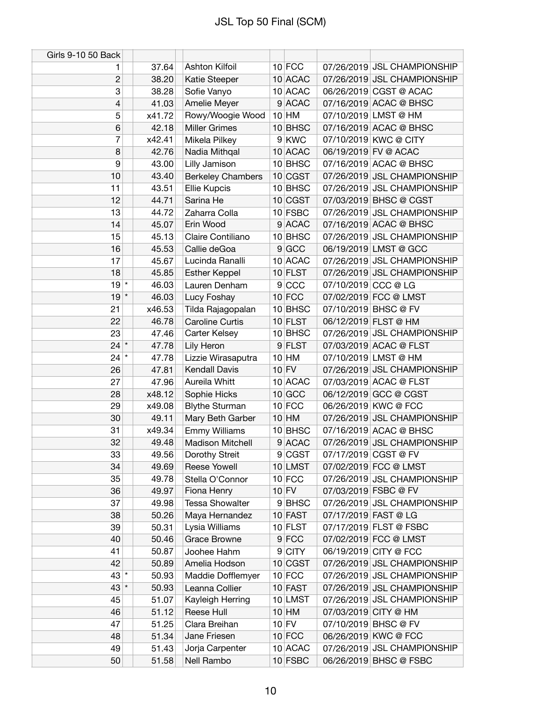| Girls 9-10 50 Back |        |                          |           |                     |                             |
|--------------------|--------|--------------------------|-----------|---------------------|-----------------------------|
| 1                  | 37.64  | <b>Ashton Kilfoil</b>    | $10$ FCC  |                     | 07/26/2019 JSL CHAMPIONSHIP |
| $\overline{2}$     | 38.20  | Katie Steeper            | 10 ACAC   |                     | 07/26/2019 JSL CHAMPIONSHIP |
| 3                  | 38.28  | Sofie Vanyo              | 10 ACAC   |                     | 06/26/2019 CGST @ ACAC      |
| 4                  | 41.03  | Amelie Meyer             | 9 ACAC    |                     | 07/16/2019 ACAC @ BHSC      |
| 5                  | x41.72 | Rowy/Woogie Wood         | $10$ HM   |                     | 07/10/2019 LMST @ HM        |
| 6                  | 42.18  | <b>Miller Grimes</b>     | 10 BHSC   |                     | 07/16/2019 ACAC @ BHSC      |
| 7                  | x42.41 | Mikela Pilkey            | 9 KWC     |                     | 07/10/2019 KWC @ CITY       |
| 8                  | 42.76  | Nadia Mithqal            | 10 ACAC   |                     | 06/19/2019 FV @ ACAC        |
| 9                  | 43.00  | Lilly Jamison            | 10 BHSC   |                     | 07/16/2019 ACAC @ BHSC      |
| 10                 | 43.40  | <b>Berkeley Chambers</b> | 10 CGST   |                     | 07/26/2019 JSL CHAMPIONSHIP |
| 11                 | 43.51  | Ellie Kupcis             | 10 BHSC   |                     | 07/26/2019 JSL CHAMPIONSHIP |
| 12                 | 44.71  | Sarina He                | 10 CGST   |                     | 07/03/2019 BHSC @ CGST      |
| 13                 | 44.72  | Zaharra Colla            | 10 FSBC   |                     | 07/26/2019 JSL CHAMPIONSHIP |
| 14                 | 45.07  | Erin Wood                | 9 ACAC    |                     | 07/16/2019 ACAC @ BHSC      |
| 15                 | 45.13  | Claire Contiliano        | 10 BHSC   |                     | 07/26/2019 JSL CHAMPIONSHIP |
| 16                 | 45.53  | Callie deGoa             | 9 GCC     |                     | 06/19/2019 LMST @ GCC       |
| 17                 | 45.67  | Lucinda Ranalli          | 10 ACAC   |                     | 07/26/2019 JSL CHAMPIONSHIP |
| 18                 | 45.85  | <b>Esther Keppel</b>     | $10$ FLST |                     | 07/26/2019 JSL CHAMPIONSHIP |
| $19$ <sup>*</sup>  | 46.03  | Lauren Denham            | 9 CCC     | 07/10/2019 CCC @ LG |                             |
| $19$ <sup>*</sup>  | 46.03  | Lucy Foshay              | $10$ FCC  |                     | 07/02/2019 FCC @ LMST       |
| 21                 | x46.53 | Tilda Rajagopalan        | 10 BHSC   |                     | 07/10/2019 BHSC @ FV        |
| 22                 | 46.78  | <b>Caroline Curtis</b>   | 10 FLST   |                     | 06/12/2019 FLST @ HM        |
| 23                 | 47.46  | Carter Kelsey            | 10 BHSC   |                     | 07/26/2019 JSL CHAMPIONSHIP |
| $24$ *             | 47.78  | Lily Heron               | 9 FLST    |                     | 07/03/2019 ACAC @ FLST      |
| $24$ $*$           | 47.78  | Lizzie Wirasaputra       | $10$ HM   |                     | 07/10/2019 LMST @ HM        |
| 26                 | 47.81  | <b>Kendall Davis</b>     | $10$ FV   |                     | 07/26/2019 JSL CHAMPIONSHIP |
| 27                 | 47.96  | Aureila Whitt            | 10 ACAC   |                     | 07/03/2019 ACAC @ FLST      |
| 28                 | x48.12 | Sophie Hicks             | $10$ GCC  |                     | 06/12/2019 GCC @ CGST       |
| 29                 | x49.08 | <b>Blythe Sturman</b>    | $10$ FCC  |                     | 06/26/2019 KWC @ FCC        |
| 30                 | 49.11  | Mary Beth Garber         | $10$ HM   |                     | 07/26/2019 JSL CHAMPIONSHIP |
| 31                 | x49.34 | <b>Emmy Williams</b>     | 10 BHSC   |                     | 07/16/2019 ACAC @ BHSC      |
| 32                 | 49.48  | <b>Madison Mitchell</b>  | 9 ACAC    |                     | 07/26/2019 JSL CHAMPIONSHIP |
| 33                 | 49.56  | Dorothy Streit           | 9 CGST    |                     | 07/17/2019 CGST @ FV        |
| 34                 | 49.69  | Reese Yowell             | 10 LMST   |                     | 07/02/2019 FCC @ LMST       |
| 35                 | 49.78  | Stella O'Connor          | $10$ FCC  |                     | 07/26/2019 JSL CHAMPIONSHIP |
| 36                 | 49.97  | Fiona Henry              | $10$ FV   |                     | 07/03/2019 FSBC @ FV        |
| 37                 | 49.98  | <b>Tessa Showalter</b>   | 9BHSC     |                     | 07/26/2019 JSL CHAMPIONSHIP |
| 38                 | 50.26  | Maya Hernandez           | 10 FAST   |                     | 07/17/2019 FAST @ LG        |
| 39                 | 50.31  | Lysia Williams           | $10$ FLST |                     | 07/17/2019 FLST @ FSBC      |
| 40                 | 50.46  | <b>Grace Browne</b>      | 9 FCC     |                     | 07/02/2019 FCC @ LMST       |
| 41                 | 50.87  | Joohee Hahm              | $9$ CITY  |                     | 06/19/2019 CITY @ FCC       |
| 42                 | 50.89  | Amelia Hodson            | 10 CGST   |                     | 07/26/2019 JSL CHAMPIONSHIP |
| $43$ *             | 50.93  | Maddie Dofflemyer        | $10$ FCC  |                     | 07/26/2019 JSL CHAMPIONSHIP |
| $43$ *             | 50.93  | Leanna Collier           | $10$ FAST |                     | 07/26/2019 JSL CHAMPIONSHIP |
| 45                 | 51.07  | Kayleigh Herring         | 10 LMST   |                     | 07/26/2019 JSL CHAMPIONSHIP |
| 46                 | 51.12  | Reese Hull               | $10$ HM   |                     | 07/03/2019 CITY @ HM        |
| 47                 | 51.25  | Clara Breihan            | $10$ FV   |                     | 07/10/2019 BHSC @ FV        |
| 48                 | 51.34  | Jane Friesen             | $10$ FCC  |                     | 06/26/2019 KWC @ FCC        |
| 49                 | 51.43  | Jorja Carpenter          | 10 ACAC   |                     | 07/26/2019 JSL CHAMPIONSHIP |
| 50                 | 51.58  | Nell Rambo               | 10 FSBC   |                     | 06/26/2019 BHSC @ FSBC      |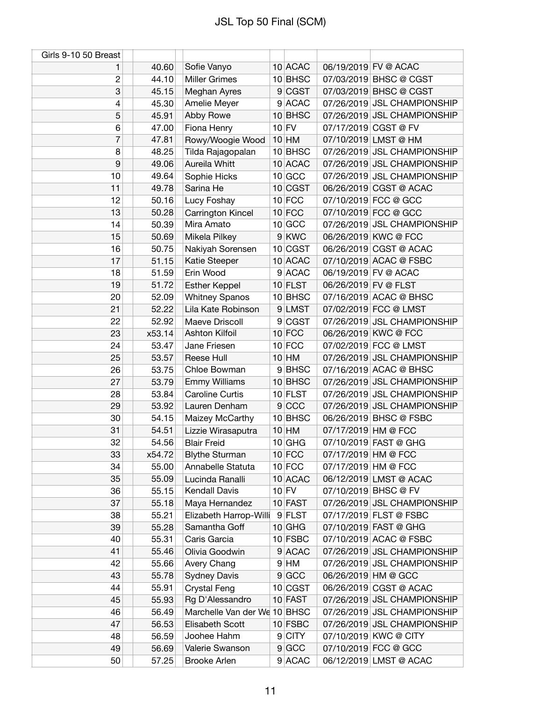| Girls 9-10 50 Breast |        |                              |           |                      |                             |
|----------------------|--------|------------------------------|-----------|----------------------|-----------------------------|
| 1                    | 40.60  | Sofie Vanyo                  | 10 ACAC   |                      | 06/19/2019 FV @ ACAC        |
| $\overline{c}$       | 44.10  | <b>Miller Grimes</b>         | 10 BHSC   |                      | 07/03/2019 BHSC @ CGST      |
| 3                    | 45.15  | Meghan Ayres                 | 9 CGST    |                      | 07/03/2019 BHSC @ CGST      |
| 4                    | 45.30  | Amelie Meyer                 | 9 ACAC    |                      | 07/26/2019 JSL CHAMPIONSHIP |
| 5                    | 45.91  | Abby Rowe                    | 10 BHSC   |                      | 07/26/2019 JSL CHAMPIONSHIP |
| 6                    | 47.00  | Fiona Henry                  | $10$ FV   |                      | 07/17/2019 CGST @ FV        |
| 7                    | 47.81  | Rowy/Woogie Wood             | $10$ HM   |                      | 07/10/2019 LMST @ HM        |
| 8                    | 48.25  | Tilda Rajagopalan            | 10 BHSC   |                      | 07/26/2019 JSL CHAMPIONSHIP |
| 9                    | 49.06  | Aureila Whitt                | 10 ACAC   |                      | 07/26/2019 JSL CHAMPIONSHIP |
| 10                   | 49.64  | Sophie Hicks                 | $10$ GCC  |                      | 07/26/2019 JSL CHAMPIONSHIP |
| 11                   | 49.78  | Sarina He                    | 10 CGST   |                      | 06/26/2019 CGST @ ACAC      |
| 12                   | 50.16  | Lucy Foshay                  | $10$ FCC  |                      | 07/10/2019 FCC @ GCC        |
| 13                   | 50.28  | Carrington Kincel            | $10$ FCC  |                      | 07/10/2019 FCC @ GCC        |
| 14                   | 50.39  | Mira Amato                   | $10$ GCC  |                      | 07/26/2019 JSL CHAMPIONSHIP |
| 15                   | 50.69  | Mikela Pilkey                | 9 KWC     |                      | 06/26/2019 KWC @ FCC        |
| 16                   | 50.75  | Nakiyah Sorensen             | 10 CGST   |                      | 06/26/2019 CGST @ ACAC      |
| 17                   | 51.15  | Katie Steeper                | 10 ACAC   |                      | 07/10/2019 ACAC @ FSBC      |
| 18                   | 51.59  | Erin Wood                    | 9 ACAC    |                      | 06/19/2019 FV @ ACAC        |
| 19                   | 51.72  | <b>Esther Keppel</b>         | $10$ FLST | 06/26/2019 FV @ FLST |                             |
| 20                   | 52.09  | <b>Whitney Spanos</b>        | 10 BHSC   |                      | 07/16/2019 ACAC @ BHSC      |
| 21                   | 52.22  | Lila Kate Robinson           | 9 LMST    |                      | 07/02/2019 FCC @ LMST       |
| 22                   | 52.92  | Maeve Driscoll               | 9 CGST    |                      | 07/26/2019 JSL CHAMPIONSHIP |
| 23                   | x53.14 | Ashton Kilfoil               | $10$ FCC  |                      | 06/26/2019 KWC @ FCC        |
| 24                   | 53.47  | Jane Friesen                 | $10$ FCC  |                      | 07/02/2019 FCC @ LMST       |
| 25                   | 53.57  | Reese Hull                   | $10$ HM   |                      | 07/26/2019 JSL CHAMPIONSHIP |
| 26                   | 53.75  | Chloe Bowman                 | 9BHSC     |                      | 07/16/2019 ACAC @ BHSC      |
| 27                   | 53.79  | <b>Emmy Williams</b>         | $10$ BHSC |                      | 07/26/2019 JSL CHAMPIONSHIP |
| 28                   | 53.84  | <b>Caroline Curtis</b>       | $10$ FLST |                      | 07/26/2019 JSL CHAMPIONSHIP |
| 29                   | 53.92  | Lauren Denham                | 9 CCC     |                      | 07/26/2019 JSL CHAMPIONSHIP |
| 30                   | 54.15  | Maizey McCarthy              | 10 BHSC   |                      | 06/26/2019 BHSC @ FSBC      |
| 31                   | 54.51  | Lizzie Wirasaputra           | $10$ HM   | 07/17/2019 HM @ FCC  |                             |
| 32                   | 54.56  | <b>Blair Freid</b>           | $10$ GHG  |                      | 07/10/2019 FAST @ GHG       |
| 33                   | x54.72 | <b>Blythe Sturman</b>        | $10$ FCC  | 07/17/2019 HM @ FCC  |                             |
| 34                   | 55.00  | Annabelle Statuta            | $10$ FCC  | 07/17/2019 HM @ FCC  |                             |
| 35                   | 55.09  | Lucinda Ranalli              | 10 ACAC   |                      | 06/12/2019 LMST @ ACAC      |
| 36                   | 55.15  | <b>Kendall Davis</b>         | $10$ FV   |                      | 07/10/2019 BHSC @ FV        |
| 37                   | 55.18  | Maya Hernandez               | 10 FAST   |                      | 07/26/2019 JSL CHAMPIONSHIP |
| 38                   | 55.21  | Elizabeth Harrop-Willi       | 9 FLST    |                      | 07/17/2019 FLST @ FSBC      |
| 39                   | 55.28  | Samantha Goff                | $10$ GHG  |                      | 07/10/2019 FAST @ GHG       |
| 40                   | 55.31  | Caris Garcia                 | 10 FSBC   |                      | 07/10/2019 ACAC @ FSBC      |
| 41                   | 55.46  | Olivia Goodwin               | 9 ACAC    |                      | 07/26/2019 JSL CHAMPIONSHIP |
| 42                   | 55.66  | Avery Chang                  | $9$ HM    |                      | 07/26/2019 JSL CHAMPIONSHIP |
| 43                   | 55.78  | <b>Sydney Davis</b>          | 9 GCC     |                      | 06/26/2019 HM @ GCC         |
| 44                   | 55.91  | <b>Crystal Feng</b>          | 10 CGST   |                      | 06/26/2019 CGST @ ACAC      |
| 45                   | 55.93  | Rg D'Alessandro              | 10 FAST   |                      | 07/26/2019 JSL CHAMPIONSHIP |
| 46                   | 56.49  | Marchelle Van der We 10 BHSC |           |                      | 07/26/2019 JSL CHAMPIONSHIP |
| 47                   | 56.53  | Elisabeth Scott              | 10 FSBC   |                      | 07/26/2019 JSL CHAMPIONSHIP |
| 48                   | 56.59  | Joohee Hahm                  | 9 CITY    |                      | 07/10/2019 KWC @ CITY       |
| 49                   | 56.69  | Valerie Swanson              | 9 GCC     |                      | 07/10/2019 FCC @ GCC        |
| 50                   | 57.25  | <b>Brooke Arlen</b>          | $9$ ACAC  |                      | 06/12/2019 LMST @ ACAC      |
|                      |        |                              |           |                      |                             |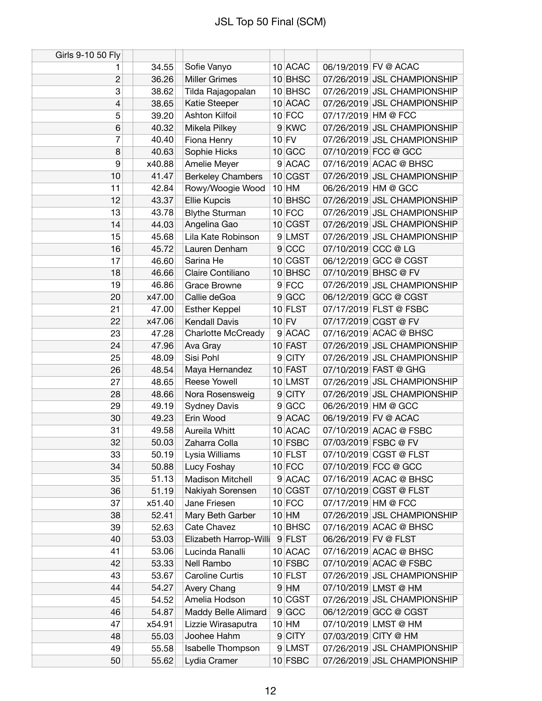| Girls 9-10 50 Fly |        |                           |                |             |                      |                             |
|-------------------|--------|---------------------------|----------------|-------------|----------------------|-----------------------------|
| 1                 | 34.55  | Sofie Vanyo               |                | 10 ACAC     |                      | 06/19/2019 FV @ ACAC        |
| $\overline{c}$    | 36.26  | <b>Miller Grimes</b>      |                | 10 BHSC     |                      | 07/26/2019 JSL CHAMPIONSHIP |
| 3                 | 38.62  | Tilda Rajagopalan         |                | 10 BHSC     |                      | 07/26/2019 JSL CHAMPIONSHIP |
| $\overline{4}$    | 38.65  | Katie Steeper             |                | 10 ACAC     |                      | 07/26/2019 JSL CHAMPIONSHIP |
| 5                 | 39.20  | Ashton Kilfoil            |                | $10$ FCC    | 07/17/2019 HM @ FCC  |                             |
| 6                 | 40.32  | Mikela Pilkey             |                | 9 KWC       |                      | 07/26/2019 JSL CHAMPIONSHIP |
| 7                 | 40.40  | Fiona Henry               |                | $10$ FV     |                      | 07/26/2019 JSL CHAMPIONSHIP |
| 8                 | 40.63  | Sophie Hicks              |                | $10$ GCC    |                      | 07/10/2019 FCC @ GCC        |
| 9                 | x40.88 | Amelie Meyer              |                | 9 ACAC      |                      | 07/16/2019 ACAC @ BHSC      |
| 10                | 41.47  | <b>Berkeley Chambers</b>  |                | 10 CGST     |                      | 07/26/2019 JSL CHAMPIONSHIP |
| 11                | 42.84  | Rowy/Woogie Wood          |                | $10$ HM     |                      | 06/26/2019 HM @ GCC         |
| 12                | 43.37  | <b>Ellie Kupcis</b>       |                | 10 BHSC     |                      | 07/26/2019 JSL CHAMPIONSHIP |
| 13                | 43.78  | <b>Blythe Sturman</b>     |                | $10$ FCC    |                      | 07/26/2019 JSL CHAMPIONSHIP |
| 14                | 44.03  | Angelina Gao              |                | 10 CGST     |                      | 07/26/2019 JSL CHAMPIONSHIP |
| 15                | 45.68  | Lila Kate Robinson        |                | 9 LMST      |                      | 07/26/2019 JSL CHAMPIONSHIP |
| 16                | 45.72  | Lauren Denham             |                | 9 CCC       | 07/10/2019 CCC @ LG  |                             |
| 17                | 46.60  | Sarina He                 |                | 10 CGST     |                      | 06/12/2019 GCC @ CGST       |
| 18                | 46.66  | Claire Contiliano         |                | 10 BHSC     |                      | 07/10/2019 BHSC @ FV        |
| 19                | 46.86  | Grace Browne              |                | $9$ FCC     |                      | 07/26/2019 JSL CHAMPIONSHIP |
| 20                | x47.00 | Callie deGoa              |                | $9$ GCC     |                      | 06/12/2019 GCC @ CGST       |
| 21                | 47.00  | <b>Esther Keppel</b>      |                | $10$ FLST   |                      | 07/17/2019 FLST @ FSBC      |
| 22                | x47.06 | <b>Kendall Davis</b>      |                | $10$ FV     |                      | 07/17/2019 CGST @ FV        |
| 23                | 47.28  | <b>Charlotte McCready</b> |                | 9 ACAC      |                      | 07/16/2019 ACAC @ BHSC      |
| 24                | 47.96  | Ava Gray                  |                | 10 FAST     |                      | 07/26/2019 JSL CHAMPIONSHIP |
| 25                | 48.09  | Sisi Pohl                 | 9 <sup>°</sup> | <b>CITY</b> |                      | 07/26/2019 JSL CHAMPIONSHIP |
| 26                | 48.54  | Maya Hernandez            |                | 10 FAST     |                      | 07/10/2019 FAST @ GHG       |
| 27                | 48.65  | <b>Reese Yowell</b>       |                | 10 LMST     |                      | 07/26/2019 JSL CHAMPIONSHIP |
| 28                | 48.66  | Nora Rosensweig           |                | 9 CITY      |                      | 07/26/2019 JSL CHAMPIONSHIP |
| 29                | 49.19  | <b>Sydney Davis</b>       |                | 9 GCC       |                      | 06/26/2019 HM @ GCC         |
| 30                | 49.23  | Erin Wood                 |                | 9 ACAC      |                      | 06/19/2019 FV @ ACAC        |
| 31                | 49.58  | Aureila Whitt             |                | 10 ACAC     |                      | 07/10/2019 ACAC @ FSBC      |
| 32                | 50.03  | Zaharra Colla             |                | $10$ FSBC   |                      | 07/03/2019 FSBC @ FV        |
| 33                | 50.19  | Lysia Williams            |                | $10$ FLST   |                      | 07/10/2019 CGST @ FLST      |
| 34                | 50.88  | Lucy Foshay               |                | $10$ FCC    |                      | 07/10/2019 FCC @ GCC        |
| 35                | 51.13  | Madison Mitchell          |                | 9 ACAC      |                      | 07/16/2019 ACAC @ BHSC      |
| 36                | 51.19  | Nakiyah Sorensen          |                | 10 CGST     |                      | 07/10/2019 CGST @ FLST      |
| 37                | x51.40 | Jane Friesen              |                | $10$ FCC    | 07/17/2019 HM @ FCC  |                             |
| 38                | 52.41  | Mary Beth Garber          |                | $10$ HM     |                      | 07/26/2019 JSL CHAMPIONSHIP |
| 39                | 52.63  | Cate Chavez               |                | 10 BHSC     |                      | 07/16/2019 ACAC @ BHSC      |
| 40                | 53.03  | Elizabeth Harrop-Willi    |                | $9$ FLST    | 06/26/2019 FV @ FLST |                             |
| 41                | 53.06  | Lucinda Ranalli           |                | 10 ACAC     |                      | 07/16/2019 ACAC @ BHSC      |
| 42                | 53.33  | Nell Rambo                |                | $10$ FSBC   |                      | 07/10/2019 ACAC @ FSBC      |
| 43                | 53.67  | <b>Caroline Curtis</b>    |                | $10$ FLST   |                      | 07/26/2019 JSL CHAMPIONSHIP |
| 44                | 54.27  | Avery Chang               |                | $9$ HM      |                      | 07/10/2019 LMST @ HM        |
| 45                | 54.52  | Amelia Hodson             |                | 10 CGST     |                      | 07/26/2019 JSL CHAMPIONSHIP |
| 46                | 54.87  | Maddy Belle Alimard       |                | 9 GCC       |                      | 06/12/2019 GCC @ CGST       |
| 47                | x54.91 | Lizzie Wirasaputra        |                | $10$ HM     |                      | 07/10/2019 LMST @ HM        |
| 48                | 55.03  | Joohee Hahm               |                | 9 CITY      |                      | 07/03/2019 CITY @ HM        |
| 49                | 55.58  | Isabelle Thompson         |                | 9 LMST      |                      | 07/26/2019 JSL CHAMPIONSHIP |
| 50                | 55.62  | Lydia Cramer              |                | $10$ FSBC   |                      | 07/26/2019 JSL CHAMPIONSHIP |
|                   |        |                           |                |             |                      |                             |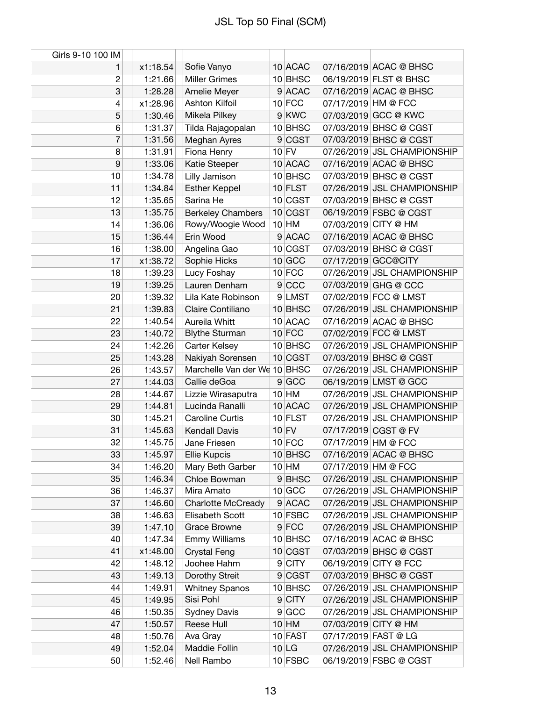| 10 ACAC<br>x1:18.54<br>Sofie Vanyo<br>07/16/2019 ACAC @ BHSC<br>1<br>$\overline{c}$<br><b>Miller Grimes</b><br>10 BHSC<br>06/19/2019 FLST @ BHSC<br>1:21.66<br>3<br>9 ACAC<br>07/16/2019 ACAC @ BHSC<br>1:28.28<br>Amelie Meyer<br>Ashton Kilfoil<br>$10$ FCC<br>07/17/2019 HM @ FCC<br>4<br>x1:28.96<br>9 KWC<br>07/03/2019 GCC @ KWC<br>5<br>Mikela Pilkey<br>1:30.46<br>6<br>1:31.37<br>10 BHSC<br>07/03/2019 BHSC @ CGST<br>Tilda Rajagopalan<br>7<br>9 CGST<br>07/03/2019 BHSC @ CGST<br>1:31.56<br>Meghan Ayres<br>$10$ FV<br>8<br>07/26/2019 JSL CHAMPIONSHIP<br>1:31.91<br>Fiona Henry<br>9<br>1:33.06<br>10 ACAC<br>07/16/2019 ACAC @ BHSC<br>Katie Steeper<br>10<br>1:34.78<br>Lilly Jamison<br>10 BHSC<br>07/03/2019 BHSC @ CGST<br>07/26/2019 JSL CHAMPIONSHIP<br><b>Esther Keppel</b><br>10 FLST<br>11<br>1:34.84<br>Sarina He<br>07/03/2019 BHSC @ CGST<br>12<br>1:35.65<br>10 CGST<br>13<br>1:35.75<br>10 CGST<br>06/19/2019 FSBC @ CGST<br><b>Berkeley Chambers</b><br>$10$ HM<br>07/03/2019 CITY @ HM<br>Rowy/Woogie Wood<br>14<br>1:36.06<br>9 ACAC<br>Erin Wood<br>07/16/2019 ACAC @ BHSC<br>15<br>1:36.44<br>16<br>1:38.00<br>07/03/2019 BHSC @ CGST<br>Angelina Gao<br>10 CGST<br>$10$ GCC<br>07/17/2019 GCC@CITY<br>17<br>x1:38.72<br>Sophie Hicks<br>$10$ FCC<br>07/26/2019 JSL CHAMPIONSHIP<br>18<br>1:39.23<br>Lucy Foshay<br>9 CCC<br>07/03/2019 GHG @ CCC<br>19<br>1:39.25<br>Lauren Denham<br>Lila Kate Robinson<br>9 LMST<br>07/02/2019 FCC @ LMST<br>1:39.32<br>20<br>Claire Contiliano<br>10 BHSC<br>07/26/2019 JSL CHAMPIONSHIP<br>21<br>1:39.83<br>10 ACAC<br>07/16/2019 ACAC @ BHSC<br>22<br>1:40.54<br>Aureila Whitt<br>$10$ FCC<br>07/02/2019 FCC @ LMST<br><b>Blythe Sturman</b><br>23<br>1:40.72<br>24<br>1:42.26<br>Carter Kelsey<br>10 BHSC<br>07/26/2019 JSL CHAMPIONSHIP<br>25<br>1:43.28<br>10 CGST<br>07/03/2019 BHSC @ CGST<br>Nakiyah Sorensen<br>Marchelle Van der We 10 BHSC<br>07/26/2019 JSL CHAMPIONSHIP<br>26<br>1:43.57<br>9 GCC<br>27<br>Callie deGoa<br>06/19/2019 LMST @ GCC<br>1:44.03<br>$10$ HM<br>07/26/2019 JSL CHAMPIONSHIP<br>28<br>1:44.67<br>Lizzie Wirasaputra<br>10 ACAC<br>07/26/2019 JSL CHAMPIONSHIP<br>Lucinda Ranalli<br>29<br>1:44.81<br>07/26/2019 JSL CHAMPIONSHIP<br>Caroline Curtis<br>$10$ FLST<br>30<br>1:45.21<br>31<br>1:45.63<br>$10$ FV<br>07/17/2019 CGST @ FV<br><b>Kendall Davis</b><br>32<br>1:45.75<br>$10$ FCC<br>07/17/2019 HM @ FCC<br>Jane Friesen<br>33<br>10 BHSC<br>07/16/2019 ACAC @ BHSC<br>1:45.97<br><b>Ellie Kupcis</b><br>$10$ HM<br>07/17/2019 HM @ FCC<br>34<br>1:46.20<br>Mary Beth Garber<br>35<br>1:46.34<br>Chloe Bowman<br>9BHSC<br>07/26/2019 JSL CHAMPIONSHIP<br>Mira Amato<br>10 GCC<br>07/26/2019 JSL CHAMPIONSHIP<br>36<br>1:46.37<br>37<br>Charlotte McCready<br>9 ACAC<br>07/26/2019 JSL CHAMPIONSHIP<br>1:46.60<br>10 FSBC<br>38<br>1:46.63<br>Elisabeth Scott<br>07/26/2019 JSL CHAMPIONSHIP<br>$9$ FCC<br><b>Grace Browne</b><br>07/26/2019 JSL CHAMPIONSHIP<br>39<br>1:47.10<br>10 BHSC<br>40<br><b>Emmy Williams</b><br>07/16/2019 ACAC @ BHSC<br>1:47.34<br>07/03/2019 BHSC @ CGST<br>41<br>x1:48.00<br>10 CGST<br><b>Crystal Feng</b><br>Joohee Hahm<br>9 CITY<br>06/19/2019 CITY @ FCC<br>42<br>1:48.12<br>43<br>1:49.13<br>Dorothy Streit<br>9 CGST<br>07/03/2019 BHSC @ CGST<br>44<br>10 BHSC<br>07/26/2019 JSL CHAMPIONSHIP<br>1:49.91<br><b>Whitney Spanos</b><br>Sisi Pohl<br>9 CITY<br>07/26/2019 JSL CHAMPIONSHIP<br>45<br>1:49.95<br>9 GCC<br>07/26/2019 JSL CHAMPIONSHIP<br>46<br><b>Sydney Davis</b><br>1:50.35<br>Reese Hull<br>$10$ HM<br>07/03/2019 CITY @ HM<br>47<br>1:50.57<br>Ava Gray<br>$10$ FAST<br>07/17/2019 FAST @ LG<br>48<br>1:50.76<br>49<br>Maddie Follin<br>10 LG<br>07/26/2019 JSL CHAMPIONSHIP<br>1:52.04<br>50<br>1:52.46<br>$10$ FSBC<br>06/19/2019 FSBC @ CGST<br>Nell Rambo | Girls 9-10 100 IM |  |  |  |
|------------------------------------------------------------------------------------------------------------------------------------------------------------------------------------------------------------------------------------------------------------------------------------------------------------------------------------------------------------------------------------------------------------------------------------------------------------------------------------------------------------------------------------------------------------------------------------------------------------------------------------------------------------------------------------------------------------------------------------------------------------------------------------------------------------------------------------------------------------------------------------------------------------------------------------------------------------------------------------------------------------------------------------------------------------------------------------------------------------------------------------------------------------------------------------------------------------------------------------------------------------------------------------------------------------------------------------------------------------------------------------------------------------------------------------------------------------------------------------------------------------------------------------------------------------------------------------------------------------------------------------------------------------------------------------------------------------------------------------------------------------------------------------------------------------------------------------------------------------------------------------------------------------------------------------------------------------------------------------------------------------------------------------------------------------------------------------------------------------------------------------------------------------------------------------------------------------------------------------------------------------------------------------------------------------------------------------------------------------------------------------------------------------------------------------------------------------------------------------------------------------------------------------------------------------------------------------------------------------------------------------------------------------------------------------------------------------------------------------------------------------------------------------------------------------------------------------------------------------------------------------------------------------------------------------------------------------------------------------------------------------------------------------------------------------------------------------------------------------------------------------------------------------------------------------------------------------------------------------------------------------------------------------------------------------------------------------------------------------------------------------------------------------------------------------------------------------------------------------------------------------------------------------------------------------------------------------------------------------------------------------------------------------------------------------------------------------------------------------------------------------------------------------------------------------------------------------------|-------------------|--|--|--|
|                                                                                                                                                                                                                                                                                                                                                                                                                                                                                                                                                                                                                                                                                                                                                                                                                                                                                                                                                                                                                                                                                                                                                                                                                                                                                                                                                                                                                                                                                                                                                                                                                                                                                                                                                                                                                                                                                                                                                                                                                                                                                                                                                                                                                                                                                                                                                                                                                                                                                                                                                                                                                                                                                                                                                                                                                                                                                                                                                                                                                                                                                                                                                                                                                                                                                                                                                                                                                                                                                                                                                                                                                                                                                                                                                                                                                                          |                   |  |  |  |
|                                                                                                                                                                                                                                                                                                                                                                                                                                                                                                                                                                                                                                                                                                                                                                                                                                                                                                                                                                                                                                                                                                                                                                                                                                                                                                                                                                                                                                                                                                                                                                                                                                                                                                                                                                                                                                                                                                                                                                                                                                                                                                                                                                                                                                                                                                                                                                                                                                                                                                                                                                                                                                                                                                                                                                                                                                                                                                                                                                                                                                                                                                                                                                                                                                                                                                                                                                                                                                                                                                                                                                                                                                                                                                                                                                                                                                          |                   |  |  |  |
|                                                                                                                                                                                                                                                                                                                                                                                                                                                                                                                                                                                                                                                                                                                                                                                                                                                                                                                                                                                                                                                                                                                                                                                                                                                                                                                                                                                                                                                                                                                                                                                                                                                                                                                                                                                                                                                                                                                                                                                                                                                                                                                                                                                                                                                                                                                                                                                                                                                                                                                                                                                                                                                                                                                                                                                                                                                                                                                                                                                                                                                                                                                                                                                                                                                                                                                                                                                                                                                                                                                                                                                                                                                                                                                                                                                                                                          |                   |  |  |  |
|                                                                                                                                                                                                                                                                                                                                                                                                                                                                                                                                                                                                                                                                                                                                                                                                                                                                                                                                                                                                                                                                                                                                                                                                                                                                                                                                                                                                                                                                                                                                                                                                                                                                                                                                                                                                                                                                                                                                                                                                                                                                                                                                                                                                                                                                                                                                                                                                                                                                                                                                                                                                                                                                                                                                                                                                                                                                                                                                                                                                                                                                                                                                                                                                                                                                                                                                                                                                                                                                                                                                                                                                                                                                                                                                                                                                                                          |                   |  |  |  |
|                                                                                                                                                                                                                                                                                                                                                                                                                                                                                                                                                                                                                                                                                                                                                                                                                                                                                                                                                                                                                                                                                                                                                                                                                                                                                                                                                                                                                                                                                                                                                                                                                                                                                                                                                                                                                                                                                                                                                                                                                                                                                                                                                                                                                                                                                                                                                                                                                                                                                                                                                                                                                                                                                                                                                                                                                                                                                                                                                                                                                                                                                                                                                                                                                                                                                                                                                                                                                                                                                                                                                                                                                                                                                                                                                                                                                                          |                   |  |  |  |
|                                                                                                                                                                                                                                                                                                                                                                                                                                                                                                                                                                                                                                                                                                                                                                                                                                                                                                                                                                                                                                                                                                                                                                                                                                                                                                                                                                                                                                                                                                                                                                                                                                                                                                                                                                                                                                                                                                                                                                                                                                                                                                                                                                                                                                                                                                                                                                                                                                                                                                                                                                                                                                                                                                                                                                                                                                                                                                                                                                                                                                                                                                                                                                                                                                                                                                                                                                                                                                                                                                                                                                                                                                                                                                                                                                                                                                          |                   |  |  |  |
|                                                                                                                                                                                                                                                                                                                                                                                                                                                                                                                                                                                                                                                                                                                                                                                                                                                                                                                                                                                                                                                                                                                                                                                                                                                                                                                                                                                                                                                                                                                                                                                                                                                                                                                                                                                                                                                                                                                                                                                                                                                                                                                                                                                                                                                                                                                                                                                                                                                                                                                                                                                                                                                                                                                                                                                                                                                                                                                                                                                                                                                                                                                                                                                                                                                                                                                                                                                                                                                                                                                                                                                                                                                                                                                                                                                                                                          |                   |  |  |  |
|                                                                                                                                                                                                                                                                                                                                                                                                                                                                                                                                                                                                                                                                                                                                                                                                                                                                                                                                                                                                                                                                                                                                                                                                                                                                                                                                                                                                                                                                                                                                                                                                                                                                                                                                                                                                                                                                                                                                                                                                                                                                                                                                                                                                                                                                                                                                                                                                                                                                                                                                                                                                                                                                                                                                                                                                                                                                                                                                                                                                                                                                                                                                                                                                                                                                                                                                                                                                                                                                                                                                                                                                                                                                                                                                                                                                                                          |                   |  |  |  |
|                                                                                                                                                                                                                                                                                                                                                                                                                                                                                                                                                                                                                                                                                                                                                                                                                                                                                                                                                                                                                                                                                                                                                                                                                                                                                                                                                                                                                                                                                                                                                                                                                                                                                                                                                                                                                                                                                                                                                                                                                                                                                                                                                                                                                                                                                                                                                                                                                                                                                                                                                                                                                                                                                                                                                                                                                                                                                                                                                                                                                                                                                                                                                                                                                                                                                                                                                                                                                                                                                                                                                                                                                                                                                                                                                                                                                                          |                   |  |  |  |
|                                                                                                                                                                                                                                                                                                                                                                                                                                                                                                                                                                                                                                                                                                                                                                                                                                                                                                                                                                                                                                                                                                                                                                                                                                                                                                                                                                                                                                                                                                                                                                                                                                                                                                                                                                                                                                                                                                                                                                                                                                                                                                                                                                                                                                                                                                                                                                                                                                                                                                                                                                                                                                                                                                                                                                                                                                                                                                                                                                                                                                                                                                                                                                                                                                                                                                                                                                                                                                                                                                                                                                                                                                                                                                                                                                                                                                          |                   |  |  |  |
|                                                                                                                                                                                                                                                                                                                                                                                                                                                                                                                                                                                                                                                                                                                                                                                                                                                                                                                                                                                                                                                                                                                                                                                                                                                                                                                                                                                                                                                                                                                                                                                                                                                                                                                                                                                                                                                                                                                                                                                                                                                                                                                                                                                                                                                                                                                                                                                                                                                                                                                                                                                                                                                                                                                                                                                                                                                                                                                                                                                                                                                                                                                                                                                                                                                                                                                                                                                                                                                                                                                                                                                                                                                                                                                                                                                                                                          |                   |  |  |  |
|                                                                                                                                                                                                                                                                                                                                                                                                                                                                                                                                                                                                                                                                                                                                                                                                                                                                                                                                                                                                                                                                                                                                                                                                                                                                                                                                                                                                                                                                                                                                                                                                                                                                                                                                                                                                                                                                                                                                                                                                                                                                                                                                                                                                                                                                                                                                                                                                                                                                                                                                                                                                                                                                                                                                                                                                                                                                                                                                                                                                                                                                                                                                                                                                                                                                                                                                                                                                                                                                                                                                                                                                                                                                                                                                                                                                                                          |                   |  |  |  |
|                                                                                                                                                                                                                                                                                                                                                                                                                                                                                                                                                                                                                                                                                                                                                                                                                                                                                                                                                                                                                                                                                                                                                                                                                                                                                                                                                                                                                                                                                                                                                                                                                                                                                                                                                                                                                                                                                                                                                                                                                                                                                                                                                                                                                                                                                                                                                                                                                                                                                                                                                                                                                                                                                                                                                                                                                                                                                                                                                                                                                                                                                                                                                                                                                                                                                                                                                                                                                                                                                                                                                                                                                                                                                                                                                                                                                                          |                   |  |  |  |
|                                                                                                                                                                                                                                                                                                                                                                                                                                                                                                                                                                                                                                                                                                                                                                                                                                                                                                                                                                                                                                                                                                                                                                                                                                                                                                                                                                                                                                                                                                                                                                                                                                                                                                                                                                                                                                                                                                                                                                                                                                                                                                                                                                                                                                                                                                                                                                                                                                                                                                                                                                                                                                                                                                                                                                                                                                                                                                                                                                                                                                                                                                                                                                                                                                                                                                                                                                                                                                                                                                                                                                                                                                                                                                                                                                                                                                          |                   |  |  |  |
|                                                                                                                                                                                                                                                                                                                                                                                                                                                                                                                                                                                                                                                                                                                                                                                                                                                                                                                                                                                                                                                                                                                                                                                                                                                                                                                                                                                                                                                                                                                                                                                                                                                                                                                                                                                                                                                                                                                                                                                                                                                                                                                                                                                                                                                                                                                                                                                                                                                                                                                                                                                                                                                                                                                                                                                                                                                                                                                                                                                                                                                                                                                                                                                                                                                                                                                                                                                                                                                                                                                                                                                                                                                                                                                                                                                                                                          |                   |  |  |  |
|                                                                                                                                                                                                                                                                                                                                                                                                                                                                                                                                                                                                                                                                                                                                                                                                                                                                                                                                                                                                                                                                                                                                                                                                                                                                                                                                                                                                                                                                                                                                                                                                                                                                                                                                                                                                                                                                                                                                                                                                                                                                                                                                                                                                                                                                                                                                                                                                                                                                                                                                                                                                                                                                                                                                                                                                                                                                                                                                                                                                                                                                                                                                                                                                                                                                                                                                                                                                                                                                                                                                                                                                                                                                                                                                                                                                                                          |                   |  |  |  |
|                                                                                                                                                                                                                                                                                                                                                                                                                                                                                                                                                                                                                                                                                                                                                                                                                                                                                                                                                                                                                                                                                                                                                                                                                                                                                                                                                                                                                                                                                                                                                                                                                                                                                                                                                                                                                                                                                                                                                                                                                                                                                                                                                                                                                                                                                                                                                                                                                                                                                                                                                                                                                                                                                                                                                                                                                                                                                                                                                                                                                                                                                                                                                                                                                                                                                                                                                                                                                                                                                                                                                                                                                                                                                                                                                                                                                                          |                   |  |  |  |
|                                                                                                                                                                                                                                                                                                                                                                                                                                                                                                                                                                                                                                                                                                                                                                                                                                                                                                                                                                                                                                                                                                                                                                                                                                                                                                                                                                                                                                                                                                                                                                                                                                                                                                                                                                                                                                                                                                                                                                                                                                                                                                                                                                                                                                                                                                                                                                                                                                                                                                                                                                                                                                                                                                                                                                                                                                                                                                                                                                                                                                                                                                                                                                                                                                                                                                                                                                                                                                                                                                                                                                                                                                                                                                                                                                                                                                          |                   |  |  |  |
|                                                                                                                                                                                                                                                                                                                                                                                                                                                                                                                                                                                                                                                                                                                                                                                                                                                                                                                                                                                                                                                                                                                                                                                                                                                                                                                                                                                                                                                                                                                                                                                                                                                                                                                                                                                                                                                                                                                                                                                                                                                                                                                                                                                                                                                                                                                                                                                                                                                                                                                                                                                                                                                                                                                                                                                                                                                                                                                                                                                                                                                                                                                                                                                                                                                                                                                                                                                                                                                                                                                                                                                                                                                                                                                                                                                                                                          |                   |  |  |  |
|                                                                                                                                                                                                                                                                                                                                                                                                                                                                                                                                                                                                                                                                                                                                                                                                                                                                                                                                                                                                                                                                                                                                                                                                                                                                                                                                                                                                                                                                                                                                                                                                                                                                                                                                                                                                                                                                                                                                                                                                                                                                                                                                                                                                                                                                                                                                                                                                                                                                                                                                                                                                                                                                                                                                                                                                                                                                                                                                                                                                                                                                                                                                                                                                                                                                                                                                                                                                                                                                                                                                                                                                                                                                                                                                                                                                                                          |                   |  |  |  |
|                                                                                                                                                                                                                                                                                                                                                                                                                                                                                                                                                                                                                                                                                                                                                                                                                                                                                                                                                                                                                                                                                                                                                                                                                                                                                                                                                                                                                                                                                                                                                                                                                                                                                                                                                                                                                                                                                                                                                                                                                                                                                                                                                                                                                                                                                                                                                                                                                                                                                                                                                                                                                                                                                                                                                                                                                                                                                                                                                                                                                                                                                                                                                                                                                                                                                                                                                                                                                                                                                                                                                                                                                                                                                                                                                                                                                                          |                   |  |  |  |
|                                                                                                                                                                                                                                                                                                                                                                                                                                                                                                                                                                                                                                                                                                                                                                                                                                                                                                                                                                                                                                                                                                                                                                                                                                                                                                                                                                                                                                                                                                                                                                                                                                                                                                                                                                                                                                                                                                                                                                                                                                                                                                                                                                                                                                                                                                                                                                                                                                                                                                                                                                                                                                                                                                                                                                                                                                                                                                                                                                                                                                                                                                                                                                                                                                                                                                                                                                                                                                                                                                                                                                                                                                                                                                                                                                                                                                          |                   |  |  |  |
|                                                                                                                                                                                                                                                                                                                                                                                                                                                                                                                                                                                                                                                                                                                                                                                                                                                                                                                                                                                                                                                                                                                                                                                                                                                                                                                                                                                                                                                                                                                                                                                                                                                                                                                                                                                                                                                                                                                                                                                                                                                                                                                                                                                                                                                                                                                                                                                                                                                                                                                                                                                                                                                                                                                                                                                                                                                                                                                                                                                                                                                                                                                                                                                                                                                                                                                                                                                                                                                                                                                                                                                                                                                                                                                                                                                                                                          |                   |  |  |  |
|                                                                                                                                                                                                                                                                                                                                                                                                                                                                                                                                                                                                                                                                                                                                                                                                                                                                                                                                                                                                                                                                                                                                                                                                                                                                                                                                                                                                                                                                                                                                                                                                                                                                                                                                                                                                                                                                                                                                                                                                                                                                                                                                                                                                                                                                                                                                                                                                                                                                                                                                                                                                                                                                                                                                                                                                                                                                                                                                                                                                                                                                                                                                                                                                                                                                                                                                                                                                                                                                                                                                                                                                                                                                                                                                                                                                                                          |                   |  |  |  |
|                                                                                                                                                                                                                                                                                                                                                                                                                                                                                                                                                                                                                                                                                                                                                                                                                                                                                                                                                                                                                                                                                                                                                                                                                                                                                                                                                                                                                                                                                                                                                                                                                                                                                                                                                                                                                                                                                                                                                                                                                                                                                                                                                                                                                                                                                                                                                                                                                                                                                                                                                                                                                                                                                                                                                                                                                                                                                                                                                                                                                                                                                                                                                                                                                                                                                                                                                                                                                                                                                                                                                                                                                                                                                                                                                                                                                                          |                   |  |  |  |
|                                                                                                                                                                                                                                                                                                                                                                                                                                                                                                                                                                                                                                                                                                                                                                                                                                                                                                                                                                                                                                                                                                                                                                                                                                                                                                                                                                                                                                                                                                                                                                                                                                                                                                                                                                                                                                                                                                                                                                                                                                                                                                                                                                                                                                                                                                                                                                                                                                                                                                                                                                                                                                                                                                                                                                                                                                                                                                                                                                                                                                                                                                                                                                                                                                                                                                                                                                                                                                                                                                                                                                                                                                                                                                                                                                                                                                          |                   |  |  |  |
|                                                                                                                                                                                                                                                                                                                                                                                                                                                                                                                                                                                                                                                                                                                                                                                                                                                                                                                                                                                                                                                                                                                                                                                                                                                                                                                                                                                                                                                                                                                                                                                                                                                                                                                                                                                                                                                                                                                                                                                                                                                                                                                                                                                                                                                                                                                                                                                                                                                                                                                                                                                                                                                                                                                                                                                                                                                                                                                                                                                                                                                                                                                                                                                                                                                                                                                                                                                                                                                                                                                                                                                                                                                                                                                                                                                                                                          |                   |  |  |  |
|                                                                                                                                                                                                                                                                                                                                                                                                                                                                                                                                                                                                                                                                                                                                                                                                                                                                                                                                                                                                                                                                                                                                                                                                                                                                                                                                                                                                                                                                                                                                                                                                                                                                                                                                                                                                                                                                                                                                                                                                                                                                                                                                                                                                                                                                                                                                                                                                                                                                                                                                                                                                                                                                                                                                                                                                                                                                                                                                                                                                                                                                                                                                                                                                                                                                                                                                                                                                                                                                                                                                                                                                                                                                                                                                                                                                                                          |                   |  |  |  |
|                                                                                                                                                                                                                                                                                                                                                                                                                                                                                                                                                                                                                                                                                                                                                                                                                                                                                                                                                                                                                                                                                                                                                                                                                                                                                                                                                                                                                                                                                                                                                                                                                                                                                                                                                                                                                                                                                                                                                                                                                                                                                                                                                                                                                                                                                                                                                                                                                                                                                                                                                                                                                                                                                                                                                                                                                                                                                                                                                                                                                                                                                                                                                                                                                                                                                                                                                                                                                                                                                                                                                                                                                                                                                                                                                                                                                                          |                   |  |  |  |
|                                                                                                                                                                                                                                                                                                                                                                                                                                                                                                                                                                                                                                                                                                                                                                                                                                                                                                                                                                                                                                                                                                                                                                                                                                                                                                                                                                                                                                                                                                                                                                                                                                                                                                                                                                                                                                                                                                                                                                                                                                                                                                                                                                                                                                                                                                                                                                                                                                                                                                                                                                                                                                                                                                                                                                                                                                                                                                                                                                                                                                                                                                                                                                                                                                                                                                                                                                                                                                                                                                                                                                                                                                                                                                                                                                                                                                          |                   |  |  |  |
|                                                                                                                                                                                                                                                                                                                                                                                                                                                                                                                                                                                                                                                                                                                                                                                                                                                                                                                                                                                                                                                                                                                                                                                                                                                                                                                                                                                                                                                                                                                                                                                                                                                                                                                                                                                                                                                                                                                                                                                                                                                                                                                                                                                                                                                                                                                                                                                                                                                                                                                                                                                                                                                                                                                                                                                                                                                                                                                                                                                                                                                                                                                                                                                                                                                                                                                                                                                                                                                                                                                                                                                                                                                                                                                                                                                                                                          |                   |  |  |  |
|                                                                                                                                                                                                                                                                                                                                                                                                                                                                                                                                                                                                                                                                                                                                                                                                                                                                                                                                                                                                                                                                                                                                                                                                                                                                                                                                                                                                                                                                                                                                                                                                                                                                                                                                                                                                                                                                                                                                                                                                                                                                                                                                                                                                                                                                                                                                                                                                                                                                                                                                                                                                                                                                                                                                                                                                                                                                                                                                                                                                                                                                                                                                                                                                                                                                                                                                                                                                                                                                                                                                                                                                                                                                                                                                                                                                                                          |                   |  |  |  |
|                                                                                                                                                                                                                                                                                                                                                                                                                                                                                                                                                                                                                                                                                                                                                                                                                                                                                                                                                                                                                                                                                                                                                                                                                                                                                                                                                                                                                                                                                                                                                                                                                                                                                                                                                                                                                                                                                                                                                                                                                                                                                                                                                                                                                                                                                                                                                                                                                                                                                                                                                                                                                                                                                                                                                                                                                                                                                                                                                                                                                                                                                                                                                                                                                                                                                                                                                                                                                                                                                                                                                                                                                                                                                                                                                                                                                                          |                   |  |  |  |
|                                                                                                                                                                                                                                                                                                                                                                                                                                                                                                                                                                                                                                                                                                                                                                                                                                                                                                                                                                                                                                                                                                                                                                                                                                                                                                                                                                                                                                                                                                                                                                                                                                                                                                                                                                                                                                                                                                                                                                                                                                                                                                                                                                                                                                                                                                                                                                                                                                                                                                                                                                                                                                                                                                                                                                                                                                                                                                                                                                                                                                                                                                                                                                                                                                                                                                                                                                                                                                                                                                                                                                                                                                                                                                                                                                                                                                          |                   |  |  |  |
|                                                                                                                                                                                                                                                                                                                                                                                                                                                                                                                                                                                                                                                                                                                                                                                                                                                                                                                                                                                                                                                                                                                                                                                                                                                                                                                                                                                                                                                                                                                                                                                                                                                                                                                                                                                                                                                                                                                                                                                                                                                                                                                                                                                                                                                                                                                                                                                                                                                                                                                                                                                                                                                                                                                                                                                                                                                                                                                                                                                                                                                                                                                                                                                                                                                                                                                                                                                                                                                                                                                                                                                                                                                                                                                                                                                                                                          |                   |  |  |  |
|                                                                                                                                                                                                                                                                                                                                                                                                                                                                                                                                                                                                                                                                                                                                                                                                                                                                                                                                                                                                                                                                                                                                                                                                                                                                                                                                                                                                                                                                                                                                                                                                                                                                                                                                                                                                                                                                                                                                                                                                                                                                                                                                                                                                                                                                                                                                                                                                                                                                                                                                                                                                                                                                                                                                                                                                                                                                                                                                                                                                                                                                                                                                                                                                                                                                                                                                                                                                                                                                                                                                                                                                                                                                                                                                                                                                                                          |                   |  |  |  |
|                                                                                                                                                                                                                                                                                                                                                                                                                                                                                                                                                                                                                                                                                                                                                                                                                                                                                                                                                                                                                                                                                                                                                                                                                                                                                                                                                                                                                                                                                                                                                                                                                                                                                                                                                                                                                                                                                                                                                                                                                                                                                                                                                                                                                                                                                                                                                                                                                                                                                                                                                                                                                                                                                                                                                                                                                                                                                                                                                                                                                                                                                                                                                                                                                                                                                                                                                                                                                                                                                                                                                                                                                                                                                                                                                                                                                                          |                   |  |  |  |
|                                                                                                                                                                                                                                                                                                                                                                                                                                                                                                                                                                                                                                                                                                                                                                                                                                                                                                                                                                                                                                                                                                                                                                                                                                                                                                                                                                                                                                                                                                                                                                                                                                                                                                                                                                                                                                                                                                                                                                                                                                                                                                                                                                                                                                                                                                                                                                                                                                                                                                                                                                                                                                                                                                                                                                                                                                                                                                                                                                                                                                                                                                                                                                                                                                                                                                                                                                                                                                                                                                                                                                                                                                                                                                                                                                                                                                          |                   |  |  |  |
|                                                                                                                                                                                                                                                                                                                                                                                                                                                                                                                                                                                                                                                                                                                                                                                                                                                                                                                                                                                                                                                                                                                                                                                                                                                                                                                                                                                                                                                                                                                                                                                                                                                                                                                                                                                                                                                                                                                                                                                                                                                                                                                                                                                                                                                                                                                                                                                                                                                                                                                                                                                                                                                                                                                                                                                                                                                                                                                                                                                                                                                                                                                                                                                                                                                                                                                                                                                                                                                                                                                                                                                                                                                                                                                                                                                                                                          |                   |  |  |  |
|                                                                                                                                                                                                                                                                                                                                                                                                                                                                                                                                                                                                                                                                                                                                                                                                                                                                                                                                                                                                                                                                                                                                                                                                                                                                                                                                                                                                                                                                                                                                                                                                                                                                                                                                                                                                                                                                                                                                                                                                                                                                                                                                                                                                                                                                                                                                                                                                                                                                                                                                                                                                                                                                                                                                                                                                                                                                                                                                                                                                                                                                                                                                                                                                                                                                                                                                                                                                                                                                                                                                                                                                                                                                                                                                                                                                                                          |                   |  |  |  |
|                                                                                                                                                                                                                                                                                                                                                                                                                                                                                                                                                                                                                                                                                                                                                                                                                                                                                                                                                                                                                                                                                                                                                                                                                                                                                                                                                                                                                                                                                                                                                                                                                                                                                                                                                                                                                                                                                                                                                                                                                                                                                                                                                                                                                                                                                                                                                                                                                                                                                                                                                                                                                                                                                                                                                                                                                                                                                                                                                                                                                                                                                                                                                                                                                                                                                                                                                                                                                                                                                                                                                                                                                                                                                                                                                                                                                                          |                   |  |  |  |
|                                                                                                                                                                                                                                                                                                                                                                                                                                                                                                                                                                                                                                                                                                                                                                                                                                                                                                                                                                                                                                                                                                                                                                                                                                                                                                                                                                                                                                                                                                                                                                                                                                                                                                                                                                                                                                                                                                                                                                                                                                                                                                                                                                                                                                                                                                                                                                                                                                                                                                                                                                                                                                                                                                                                                                                                                                                                                                                                                                                                                                                                                                                                                                                                                                                                                                                                                                                                                                                                                                                                                                                                                                                                                                                                                                                                                                          |                   |  |  |  |
|                                                                                                                                                                                                                                                                                                                                                                                                                                                                                                                                                                                                                                                                                                                                                                                                                                                                                                                                                                                                                                                                                                                                                                                                                                                                                                                                                                                                                                                                                                                                                                                                                                                                                                                                                                                                                                                                                                                                                                                                                                                                                                                                                                                                                                                                                                                                                                                                                                                                                                                                                                                                                                                                                                                                                                                                                                                                                                                                                                                                                                                                                                                                                                                                                                                                                                                                                                                                                                                                                                                                                                                                                                                                                                                                                                                                                                          |                   |  |  |  |
|                                                                                                                                                                                                                                                                                                                                                                                                                                                                                                                                                                                                                                                                                                                                                                                                                                                                                                                                                                                                                                                                                                                                                                                                                                                                                                                                                                                                                                                                                                                                                                                                                                                                                                                                                                                                                                                                                                                                                                                                                                                                                                                                                                                                                                                                                                                                                                                                                                                                                                                                                                                                                                                                                                                                                                                                                                                                                                                                                                                                                                                                                                                                                                                                                                                                                                                                                                                                                                                                                                                                                                                                                                                                                                                                                                                                                                          |                   |  |  |  |
|                                                                                                                                                                                                                                                                                                                                                                                                                                                                                                                                                                                                                                                                                                                                                                                                                                                                                                                                                                                                                                                                                                                                                                                                                                                                                                                                                                                                                                                                                                                                                                                                                                                                                                                                                                                                                                                                                                                                                                                                                                                                                                                                                                                                                                                                                                                                                                                                                                                                                                                                                                                                                                                                                                                                                                                                                                                                                                                                                                                                                                                                                                                                                                                                                                                                                                                                                                                                                                                                                                                                                                                                                                                                                                                                                                                                                                          |                   |  |  |  |
|                                                                                                                                                                                                                                                                                                                                                                                                                                                                                                                                                                                                                                                                                                                                                                                                                                                                                                                                                                                                                                                                                                                                                                                                                                                                                                                                                                                                                                                                                                                                                                                                                                                                                                                                                                                                                                                                                                                                                                                                                                                                                                                                                                                                                                                                                                                                                                                                                                                                                                                                                                                                                                                                                                                                                                                                                                                                                                                                                                                                                                                                                                                                                                                                                                                                                                                                                                                                                                                                                                                                                                                                                                                                                                                                                                                                                                          |                   |  |  |  |
|                                                                                                                                                                                                                                                                                                                                                                                                                                                                                                                                                                                                                                                                                                                                                                                                                                                                                                                                                                                                                                                                                                                                                                                                                                                                                                                                                                                                                                                                                                                                                                                                                                                                                                                                                                                                                                                                                                                                                                                                                                                                                                                                                                                                                                                                                                                                                                                                                                                                                                                                                                                                                                                                                                                                                                                                                                                                                                                                                                                                                                                                                                                                                                                                                                                                                                                                                                                                                                                                                                                                                                                                                                                                                                                                                                                                                                          |                   |  |  |  |
|                                                                                                                                                                                                                                                                                                                                                                                                                                                                                                                                                                                                                                                                                                                                                                                                                                                                                                                                                                                                                                                                                                                                                                                                                                                                                                                                                                                                                                                                                                                                                                                                                                                                                                                                                                                                                                                                                                                                                                                                                                                                                                                                                                                                                                                                                                                                                                                                                                                                                                                                                                                                                                                                                                                                                                                                                                                                                                                                                                                                                                                                                                                                                                                                                                                                                                                                                                                                                                                                                                                                                                                                                                                                                                                                                                                                                                          |                   |  |  |  |
|                                                                                                                                                                                                                                                                                                                                                                                                                                                                                                                                                                                                                                                                                                                                                                                                                                                                                                                                                                                                                                                                                                                                                                                                                                                                                                                                                                                                                                                                                                                                                                                                                                                                                                                                                                                                                                                                                                                                                                                                                                                                                                                                                                                                                                                                                                                                                                                                                                                                                                                                                                                                                                                                                                                                                                                                                                                                                                                                                                                                                                                                                                                                                                                                                                                                                                                                                                                                                                                                                                                                                                                                                                                                                                                                                                                                                                          |                   |  |  |  |
|                                                                                                                                                                                                                                                                                                                                                                                                                                                                                                                                                                                                                                                                                                                                                                                                                                                                                                                                                                                                                                                                                                                                                                                                                                                                                                                                                                                                                                                                                                                                                                                                                                                                                                                                                                                                                                                                                                                                                                                                                                                                                                                                                                                                                                                                                                                                                                                                                                                                                                                                                                                                                                                                                                                                                                                                                                                                                                                                                                                                                                                                                                                                                                                                                                                                                                                                                                                                                                                                                                                                                                                                                                                                                                                                                                                                                                          |                   |  |  |  |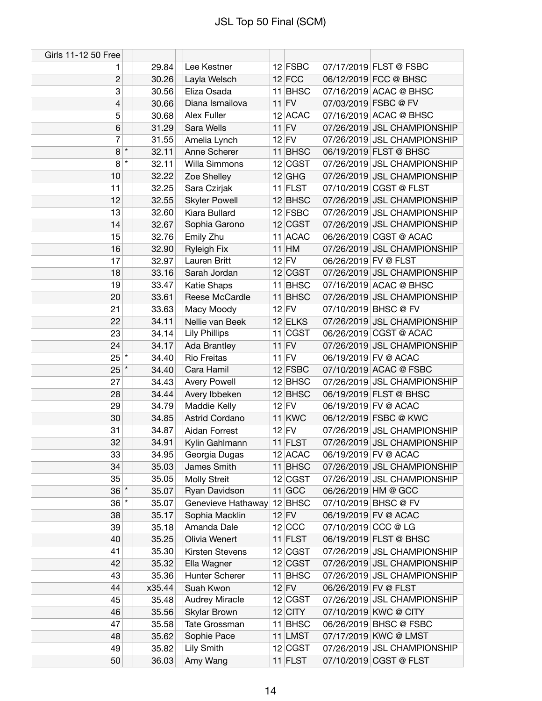| Girls 11-12 50 Free |         |        |                       |           |                      |                             |
|---------------------|---------|--------|-----------------------|-----------|----------------------|-----------------------------|
| 1                   |         | 29.84  | Lee Kestner           | $12$ FSBC |                      | 07/17/2019 FLST @ FSBC      |
| $\mathbf{2}$        |         | 30.26  | Layla Welsch          | $12$ FCC  |                      | 06/12/2019 FCC @ BHSC       |
| 3                   |         | 30.56  | Eliza Osada           | 11 BHSC   |                      | 07/16/2019 ACAC @ BHSC      |
| 4                   |         | 30.66  | Diana Ismailova       | $11$ FV   |                      | 07/03/2019 FSBC @ FV        |
| 5                   |         | 30.68  | Alex Fuller           | 12 ACAC   |                      | 07/16/2019 ACAC @ BHSC      |
| $6\phantom{1}$      |         | 31.29  | Sara Wells            | $11$ FV   |                      | 07/26/2019 JSL CHAMPIONSHIP |
| 7                   |         | 31.55  | Amelia Lynch          | $12$ FV   |                      | 07/26/2019 JSL CHAMPIONSHIP |
| 8                   | $\star$ | 32.11  | Anne Scherer          | 11 BHSC   |                      | 06/19/2019 FLST @ BHSC      |
| 8                   | $\star$ | 32.11  | Willa Simmons         | 12 CGST   |                      | 07/26/2019 JSL CHAMPIONSHIP |
| 10                  |         | 32.22  | Zoe Shelley           | $12$ GHG  |                      | 07/26/2019 JSL CHAMPIONSHIP |
| 11                  |         | 32.25  | Sara Czirjak          | $11$ FLST |                      | 07/10/2019 CGST @ FLST      |
| 12                  |         | 32.55  | <b>Skyler Powell</b>  | $12$ BHSC |                      | 07/26/2019 JSL CHAMPIONSHIP |
| 13                  |         | 32.60  | Kiara Bullard         | $12$ FSBC |                      | 07/26/2019 JSL CHAMPIONSHIP |
| 14                  |         | 32.67  | Sophia Garono         | 12 CGST   |                      | 07/26/2019 JSL CHAMPIONSHIP |
| 15                  |         | 32.76  | Emily Zhu             | 11 ACAC   |                      | 06/26/2019 CGST @ ACAC      |
| 16                  |         | 32.90  | <b>Ryleigh Fix</b>    | $11$ HM   |                      | 07/26/2019 JSL CHAMPIONSHIP |
| 17                  |         | 32.97  | Lauren Britt          | $12$ FV   | 06/26/2019 FV @ FLST |                             |
| 18                  |         | 33.16  | Sarah Jordan          | 12 CGST   |                      | 07/26/2019 JSL CHAMPIONSHIP |
| 19                  |         | 33.47  | Katie Shaps           | $11$ BHSC |                      | 07/16/2019 ACAC @ BHSC      |
| 20                  |         | 33.61  | Reese McCardle        | 11 BHSC   |                      | 07/26/2019 JSL CHAMPIONSHIP |
| 21                  |         | 33.63  | Macy Moody            | $12$ FV   |                      | 07/10/2019 BHSC @ FV        |
| 22                  |         | 34.11  | Nellie van Beek       | 12 ELKS   |                      | 07/26/2019 JSL CHAMPIONSHIP |
| 23                  |         | 34.14  | <b>Lily Phillips</b>  | $11$ CGST |                      | 06/26/2019 CGST @ ACAC      |
| 24                  |         | 34.17  | Ada Brantley          | $11$ FV   |                      | 07/26/2019 JSL CHAMPIONSHIP |
| $25$ $*$            |         | 34.40  | <b>Rio Freitas</b>    | $11$ FV   |                      | 06/19/2019 FV @ ACAC        |
| $25$ $*$            |         | 34.40  | Cara Hamil            | $12$ FSBC |                      | 07/10/2019 ACAC @ FSBC      |
| 27                  |         | 34.43  | <b>Avery Powell</b>   | $12$ BHSC |                      | 07/26/2019 JSL CHAMPIONSHIP |
| 28                  |         | 34.44  | Avery Ibbeken         | $12$ BHSC |                      | 06/19/2019 FLST @ BHSC      |
| 29                  |         | 34.79  | Maddie Kelly          | $12$ FV   |                      | 06/19/2019 FV @ ACAC        |
| 30                  |         | 34.85  | Astrid Cordano        | $11$ KWC  |                      | 06/12/2019 FSBC @ KWC       |
| 31                  |         | 34.87  | Aidan Forrest         | $12$ FV   |                      | 07/26/2019 JSL CHAMPIONSHIP |
| 32                  |         | 34.91  | Kylin Gahlmann        | $11$ FLST |                      | 07/26/2019 JSL CHAMPIONSHIP |
| 33                  |         | 34.95  | Georgia Dugas         | 12 ACAC   |                      | 06/19/2019 FV @ ACAC        |
| 34                  |         | 35.03  | James Smith           | 11 BHSC   |                      | 07/26/2019 JSL CHAMPIONSHIP |
| 35                  |         | 35.05  | <b>Molly Streit</b>   | 12 CGST   |                      | 07/26/2019 JSL CHAMPIONSHIP |
| $36$ $*$            |         | 35.07  | Ryan Davidson         | $11$ GCC  |                      | 06/26/2019 HM @ GCC         |
| $36$ $*$            |         | 35.07  | Genevieve Hathaway    | $12$ BHSC |                      | 07/10/2019 BHSC @ FV        |
| 38                  |         | 35.17  | Sophia Macklin        | $12$ FV   |                      | 06/19/2019 FV @ ACAC        |
| 39                  |         | 35.18  | Amanda Dale           | $12$ CCC  | 07/10/2019 CCC @ LG  |                             |
| 40                  |         | 35.25  | Olivia Wenert         | $11$ FLST |                      | 06/19/2019 FLST @ BHSC      |
| 41                  |         | 35.30  | Kirsten Stevens       | 12 CGST   |                      | 07/26/2019 JSL CHAMPIONSHIP |
| 42                  |         | 35.32  | Ella Wagner           | 12 CGST   |                      | 07/26/2019 JSL CHAMPIONSHIP |
| 43                  |         | 35.36  | <b>Hunter Scherer</b> | $11$ BHSC |                      | 07/26/2019 JSL CHAMPIONSHIP |
| 44                  |         | x35.44 | Suah Kwon             | $12$ FV   | 06/26/2019 FV @ FLST |                             |
| 45                  |         | 35.48  | <b>Audrey Miracle</b> | 12 CGST   |                      | 07/26/2019 JSL CHAMPIONSHIP |
| 46                  |         | 35.56  | Skylar Brown          | $12$ CITY |                      | 07/10/2019 KWC @ CITY       |
| 47                  |         | 35.58  | Tate Grossman         | 11 BHSC   |                      | 06/26/2019 BHSC @ FSBC      |
| 48                  |         | 35.62  | Sophie Pace           | 11 LMST   |                      | 07/17/2019 KWC @ LMST       |
| 49                  |         | 35.82  | <b>Lily Smith</b>     | 12 CGST   |                      | 07/26/2019 JSL CHAMPIONSHIP |
| 50                  |         | 36.03  | Amy Wang              | $11$ FLST |                      | 07/10/2019 CGST @ FLST      |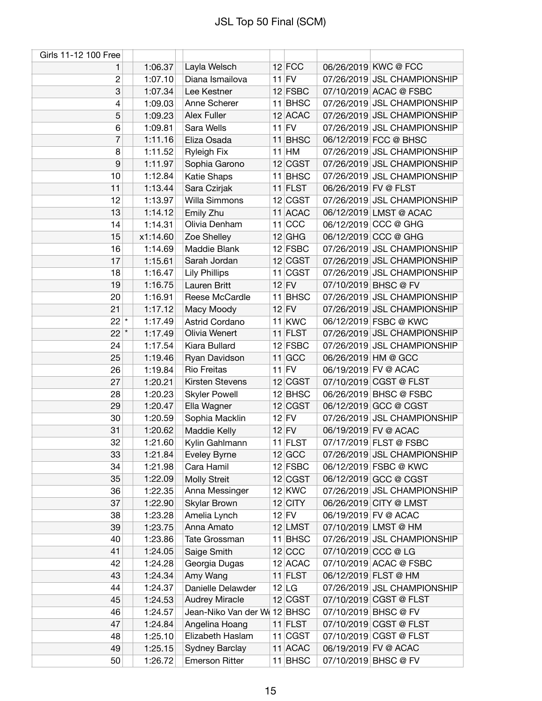| Girls 11-12 100 Free |          |                             |                       |                      |                                                       |
|----------------------|----------|-----------------------------|-----------------------|----------------------|-------------------------------------------------------|
| 1                    | 1:06.37  | Layla Welsch                | $12$ FCC              |                      | 06/26/2019 KWC @ FCC                                  |
| $\overline{c}$       | 1:07.10  | Diana Ismailova             | $11$ FV               |                      | 07/26/2019 JSL CHAMPIONSHIP                           |
| 3                    | 1:07.34  | Lee Kestner                 | $12$ FSBC             |                      | 07/10/2019 ACAC @ FSBC                                |
| 4                    | 1:09.03  | Anne Scherer                | $11$ BHSC             |                      | 07/26/2019 JSL CHAMPIONSHIP                           |
| 5                    | 1:09.23  | Alex Fuller                 | 12 ACAC               |                      | 07/26/2019 JSL CHAMPIONSHIP                           |
| 6                    | 1:09.81  | Sara Wells                  | $11$ FV               |                      | 07/26/2019 JSL CHAMPIONSHIP                           |
| 7                    | 1:11.16  | Eliza Osada                 | 11 BHSC               |                      | 06/12/2019 FCC @ BHSC                                 |
| 8                    | 1:11.52  | <b>Ryleigh Fix</b>          | $11$ HM               |                      | 07/26/2019 JSL CHAMPIONSHIP                           |
| 9                    | 1:11.97  | Sophia Garono               | 12 CGST               |                      | 07/26/2019 JSL CHAMPIONSHIP                           |
| 10                   | 1:12.84  | <b>Katie Shaps</b>          | 11 BHSC               |                      | 07/26/2019 JSL CHAMPIONSHIP                           |
| 11                   | 1:13.44  | Sara Czirjak                | $11$ FLST             | 06/26/2019 FV @ FLST |                                                       |
| 12                   | 1:13.97  | Willa Simmons               | 12 CGST               |                      | 07/26/2019 JSL CHAMPIONSHIP                           |
| 13                   | 1:14.12  | Emily Zhu                   | 11 ACAC               |                      | 06/12/2019 LMST @ ACAC                                |
| 14                   | 1:14.31  | Olivia Denham               | $11$ CCC              |                      | 06/12/2019 CCC @ GHG                                  |
| 15                   | x1:14.60 | Zoe Shelley                 | $12$ GHG              |                      | 06/12/2019 CCC @ GHG                                  |
| 16                   | 1:14.69  | Maddie Blank                | $12$ FSBC             |                      | 07/26/2019 JSL CHAMPIONSHIP                           |
| 17                   | 1:15.61  | Sarah Jordan                | 12 CGST               |                      | 07/26/2019 JSL CHAMPIONSHIP                           |
| 18                   | 1:16.47  | <b>Lily Phillips</b>        | 11 CGST               |                      | 07/26/2019 JSL CHAMPIONSHIP                           |
| 19                   | 1:16.75  | Lauren Britt                | $12$ FV               |                      | 07/10/2019 BHSC @ FV                                  |
| 20                   | 1:16.91  | Reese McCardle              | 11 BHSC               |                      | 07/26/2019 JSL CHAMPIONSHIP                           |
| 21                   | 1:17.12  | Macy Moody                  | $12$ FV               |                      | 07/26/2019 JSL CHAMPIONSHIP                           |
| $22^{\star}$         | 1:17.49  | Astrid Cordano              | 11 KWC                |                      | 06/12/2019 FSBC @ KWC                                 |
| $22$ $*$             | 1:17.49  | Olivia Wenert               | $11$ FLST             |                      | 07/26/2019 JSL CHAMPIONSHIP                           |
| 24                   | 1:17.54  | Kiara Bullard               | $12$ FSBC             |                      | 07/26/2019 JSL CHAMPIONSHIP                           |
| 25                   | 1:19.46  | Ryan Davidson               | $11$ GCC              |                      | 06/26/2019 HM @ GCC                                   |
| 26                   | 1:19.84  | <b>Rio Freitas</b>          | $11$ FV               |                      | 06/19/2019 FV @ ACAC                                  |
| 27                   | 1:20.21  | Kirsten Stevens             | 12 CGST               |                      | 07/10/2019 CGST @ FLST                                |
| 28                   | 1:20.23  | <b>Skyler Powell</b>        | $12$ BHSC             |                      | 06/26/2019 BHSC @ FSBC                                |
| 29                   | 1:20.47  | Ella Wagner                 | 12 CGST               |                      | 06/12/2019 GCC @ CGST                                 |
| 30                   | 1:20.59  | Sophia Macklin              | $12$ FV               |                      | 07/26/2019 JSL CHAMPIONSHIP                           |
| 31                   | 1:20.62  | Maddie Kelly                | $12$ FV               |                      | 06/19/2019 FV @ ACAC                                  |
| 32                   | 1:21.60  |                             | $11$ FLST             |                      | 07/17/2019 FLST @ FSBC                                |
| 33                   | 1:21.84  | Kylin Gahlmann              | 12 GCC                |                      | 07/26/2019 JSL CHAMPIONSHIP                           |
|                      | 1:21.98  | Eveley Byrne                | $12$ FSBC             |                      | 06/12/2019 FSBC @ KWC                                 |
| 34<br>35             |          | Cara Hamil                  |                       |                      | 06/12/2019 GCC @ CGST                                 |
|                      | 1:22.09  | <b>Molly Streit</b>         | 12 CGST               |                      |                                                       |
| 36<br>37             | 1:22.35  | Anna Messinger              | $12$ KWC<br>$12$ CITY |                      | 07/26/2019 JSL CHAMPIONSHIP<br>06/26/2019 CITY @ LMST |
|                      | 1:22.90  | Skylar Brown                |                       |                      |                                                       |
| 38                   | 1:23.28  | Amelia Lynch<br>Anna Amato  | $12$ FV<br>$12$ LMST  |                      | 06/19/2019 FV @ ACAC<br>07/10/2019 LMST @ HM          |
| 39                   | 1:23.75  |                             |                       |                      |                                                       |
| 40                   | 1:23.86  | Tate Grossman               | $11$ BHSC             |                      | 07/26/2019 JSL CHAMPIONSHIP                           |
| 41                   | 1:24.05  | Saige Smith                 | $12$ CCC              | 07/10/2019 CCC @ LG  |                                                       |
| 42                   | 1:24.28  | Georgia Dugas               | $12$ ACAC             |                      | 07/10/2019 ACAC @ FSBC                                |
| 43                   | 1:24.34  | Amy Wang                    | $11$ FLST             |                      | 06/12/2019 FLST @ HM                                  |
| 44                   | 1:24.37  | Danielle Delawder           | 12 LG                 |                      | 07/26/2019 JSL CHAMPIONSHIP                           |
| 45                   | 1:24.53  | <b>Audrey Miracle</b>       | 12 CGST               |                      | 07/10/2019 CGST @ FLST                                |
| 46                   | 1:24.57  | Jean-Niko Van der W(12 BHSC |                       |                      | 07/10/2019 BHSC @ FV                                  |
| 47                   | 1:24.84  | Angelina Hoang              | 11 FLST               |                      | 07/10/2019 CGST @ FLST                                |
| 48                   | 1:25.10  | Elizabeth Haslam            | $11$ CGST             |                      | 07/10/2019 CGST @ FLST                                |
| 49                   | 1:25.15  | Sydney Barclay              | 11 ACAC               |                      | 06/19/2019 FV @ ACAC                                  |
| 50                   | 1:26.72  | <b>Emerson Ritter</b>       | 11 BHSC               |                      | 07/10/2019 BHSC @ FV                                  |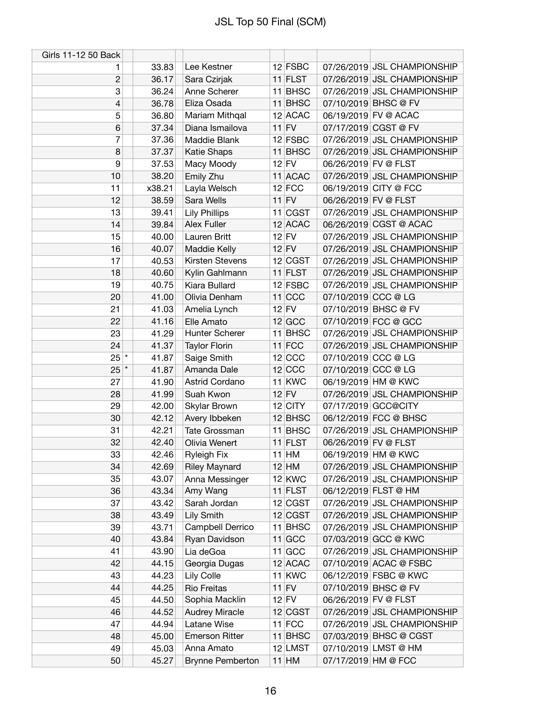| Girls 11-12 50 Back |                |                            |           |                      |                                               |
|---------------------|----------------|----------------------------|-----------|----------------------|-----------------------------------------------|
| 1                   | 33.83          | Lee Kestner                | $12$ FSBC |                      | 07/26/2019 JSL CHAMPIONSHIP                   |
| $\mathbf{2}$        | 36.17          | Sara Czirjak               | $11$ FLST |                      | 07/26/2019 JSL CHAMPIONSHIP                   |
| 3                   | 36.24          | Anne Scherer               | 11 BHSC   |                      | 07/26/2019 JSL CHAMPIONSHIP                   |
| $\overline{4}$      | 36.78          | Eliza Osada                | $11$ BHSC |                      | 07/10/2019 BHSC @ FV                          |
| 5                   | 36.80          | Mariam Mithqal             | $12$ ACAC |                      | 06/19/2019 FV @ ACAC                          |
| $6\phantom{1}$      | 37.34          | Diana Ismailova            | $11$ FV   |                      | 07/17/2019 CGST @ FV                          |
| 7                   | 37.36          | Maddie Blank               | $12$ FSBC |                      | 07/26/2019 JSL CHAMPIONSHIP                   |
| 8                   | 37.37          | Katie Shaps                | $11$ BHSC |                      | 07/26/2019 JSL CHAMPIONSHIP                   |
| 9                   | 37.53          | Macy Moody                 | $12$ FV   | 06/26/2019 FV @ FLST |                                               |
| 10                  | 38.20          | Emily Zhu                  | 11 ACAC   |                      | 07/26/2019 JSL CHAMPIONSHIP                   |
| 11                  | x38.21         | Layla Welsch               | $12$ FCC  |                      | 06/19/2019 CITY @ FCC                         |
| 12                  | 38.59          | Sara Wells                 | $11$ FV   | 06/26/2019 FV @ FLST |                                               |
| 13                  | 39.41          | <b>Lily Phillips</b>       | $11$ CGST |                      | 07/26/2019 JSL CHAMPIONSHIP                   |
| 14                  | 39.84          | Alex Fuller                | 12 ACAC   |                      | 06/26/2019 CGST @ ACAC                        |
| 15                  | 40.00          | Lauren Britt               | $12$ FV   |                      | 07/26/2019 JSL CHAMPIONSHIP                   |
| 16                  | 40.07          | Maddie Kelly               | $12$ FV   |                      | 07/26/2019 JSL CHAMPIONSHIP                   |
| 17                  | 40.53          | Kirsten Stevens            | 12 CGST   |                      | 07/26/2019 JSL CHAMPIONSHIP                   |
| 18                  | 40.60          | Kylin Gahlmann             | $11$ FLST |                      | 07/26/2019 JSL CHAMPIONSHIP                   |
| 19                  | 40.75          | Kiara Bullard              | $12$ FSBC |                      | 07/26/2019 JSL CHAMPIONSHIP                   |
| 20                  | 41.00          | Olivia Denham              | $11$ CCC  | 07/10/2019 CCC @ LG  |                                               |
| 21                  | 41.03          | Amelia Lynch               | $12$ FV   |                      | 07/10/2019 BHSC @ FV                          |
| 22                  | 41.16          | Elle Amato                 | $12$ GCC  |                      | 07/10/2019 FCC @ GCC                          |
| 23                  | 41.29          | Hunter Scherer             | 11 BHSC   |                      | 07/26/2019 JSL CHAMPIONSHIP                   |
| 24                  | 41.37          | <b>Taylor Florin</b>       | $11$ FCC  |                      | 07/26/2019 JSL CHAMPIONSHIP                   |
| $25$ $*$            | 41.87          | Saige Smith                | 12 CCC    | 07/10/2019 CCC @ LG  |                                               |
| $25$ $*$            | 41.87          | Amanda Dale                | $12$ CCC  | 07/10/2019 CCC @ LG  |                                               |
| 27                  | 41.90          | Astrid Cordano             | $11$ KWC  |                      | 06/19/2019 HM @ KWC                           |
| 28                  | 41.99          | Suah Kwon                  | $12$ FV   |                      | 07/26/2019 JSL CHAMPIONSHIP                   |
| 29                  | 42.00          | Skylar Brown               | $12$ CITY |                      | 07/17/2019 GCC@CITY                           |
| 30                  | 42.12          | Avery Ibbeken              | $12$ BHSC |                      | 06/12/2019 FCC @ BHSC                         |
| 31                  | 42.21          | Tate Grossman              | 11 BHSC   |                      | 07/26/2019 JSL CHAMPIONSHIP                   |
| 32                  | 42.40          | Olivia Wenert              | $11$ FLST | 06/26/2019 FV @ FLST |                                               |
| 33                  | 42.46          | <b>Ryleigh Fix</b>         | $11$ HM   |                      | 06/19/2019 HM @ KWC                           |
| 34                  | 42.69          | <b>Riley Maynard</b>       | $12$ HM   |                      | 07/26/2019 JSL CHAMPIONSHIP                   |
| 35                  | 43.07          | Anna Messinger             | $12$ KWC  |                      | 07/26/2019 JSL CHAMPIONSHIP                   |
| 36                  | 43.34          | Amy Wang                   | $11$ FLST |                      | 06/12/2019 FLST @ HM                          |
| 37                  | 43.42          | Sarah Jordan               | 12 CGST   |                      | 07/26/2019 JSL CHAMPIONSHIP                   |
| 38                  | 43.49          | <b>Lily Smith</b>          | 12 CGST   |                      | 07/26/2019 JSL CHAMPIONSHIP                   |
| 39                  | 43.71          | Campbell Derrico           | 11 BHSC   |                      | 07/26/2019 JSL CHAMPIONSHIP                   |
| 40                  | 43.84          | Ryan Davidson              | 11 GCC    |                      | 07/03/2019 GCC @ KWC                          |
| 41                  | 43.90          |                            | $11$ GCC  |                      | 07/26/2019 JSL CHAMPIONSHIP                   |
| 42                  | 44.15          | Lia deGoa<br>Georgia Dugas | $12$ ACAC |                      | 07/10/2019 ACAC @ FSBC                        |
|                     |                |                            | 11 KWC    |                      |                                               |
| 43<br>44            | 44.23<br>44.25 | Lily Colle<br>Rio Freitas  | $11$ FV   |                      | 06/12/2019 FSBC @ KWC<br>07/10/2019 BHSC @ FV |
| 45                  | 44.50          | Sophia Macklin             | $12$ FV   |                      | 06/26/2019 FV @ FLST                          |
|                     | 44.52          |                            |           |                      |                                               |
| 46                  |                | <b>Audrey Miracle</b>      | 12 CGST   |                      | 07/26/2019 JSL CHAMPIONSHIP                   |
| 47                  | 44.94          | Latane Wise                | $11$ FCC  |                      | 07/26/2019 JSL CHAMPIONSHIP                   |
| 48                  | 45.00          | <b>Emerson Ritter</b>      | $11$ BHSC |                      | 07/03/2019 BHSC @ CGST                        |
| 49                  | 45.03          | Anna Amato                 | 12 LMST   |                      | 07/10/2019 LMST @ HM                          |
| 50                  | 45.27          | <b>Brynne Pemberton</b>    | $11$ HM   | 07/17/2019 HM @ FCC  |                                               |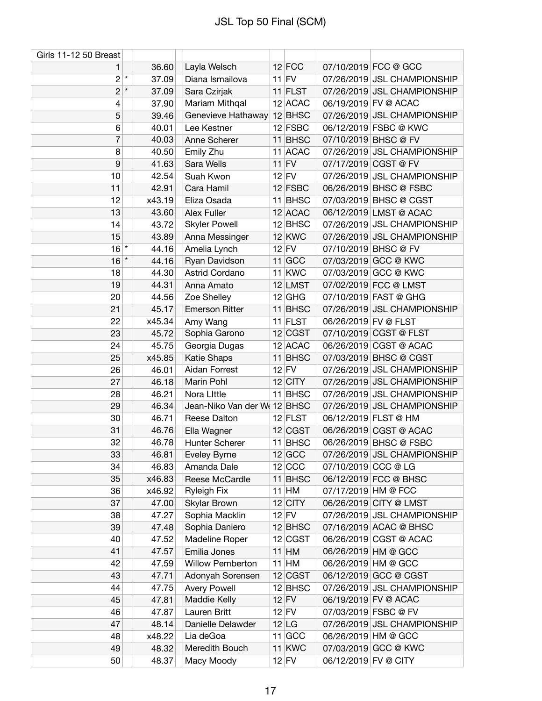| Girls 11-12 50 Breast |         |        |                             |           |                      |                             |
|-----------------------|---------|--------|-----------------------------|-----------|----------------------|-----------------------------|
| 1                     |         | 36.60  | Layla Welsch                | $12$ FCC  |                      | 07/10/2019 FCC @ GCC        |
| $2^{\mathbf{z}}$      |         | 37.09  | Diana Ismailova             | $11$ FV   |                      | 07/26/2019 JSL CHAMPIONSHIP |
| $\overline{c}$        | $\star$ | 37.09  | Sara Czirjak                | 11 FLST   |                      | 07/26/2019 JSL CHAMPIONSHIP |
| 4                     |         | 37.90  | Mariam Mithqal              | 12 ACAC   |                      | 06/19/2019 FV @ ACAC        |
| 5                     |         | 39.46  | Genevieve Hathaway          | $12$ BHSC |                      | 07/26/2019 JSL CHAMPIONSHIP |
| 6                     |         | 40.01  | Lee Kestner                 | $12$ FSBC |                      | 06/12/2019 FSBC @ KWC       |
| $\overline{7}$        |         | 40.03  | Anne Scherer                | 11 BHSC   |                      | 07/10/2019 BHSC @ FV        |
| 8                     |         | 40.50  | Emily Zhu                   | 11 ACAC   |                      | 07/26/2019 JSL CHAMPIONSHIP |
| 9                     |         | 41.63  | Sara Wells                  | $11$ FV   |                      | 07/17/2019 CGST @ FV        |
| 10                    |         | 42.54  | Suah Kwon                   | $12$ FV   |                      | 07/26/2019 JSL CHAMPIONSHIP |
| 11                    |         | 42.91  | Cara Hamil                  | $12$ FSBC |                      | 06/26/2019 BHSC @ FSBC      |
| 12                    |         | x43.19 | Eliza Osada                 | 11 BHSC   |                      | 07/03/2019 BHSC @ CGST      |
| 13                    |         | 43.60  | <b>Alex Fuller</b>          | 12 ACAC   |                      | 06/12/2019 LMST @ ACAC      |
| 14                    |         | 43.72  | <b>Skyler Powell</b>        | $12$ BHSC |                      | 07/26/2019 JSL CHAMPIONSHIP |
| 15                    |         | 43.89  | Anna Messinger              | $12$ KWC  |                      | 07/26/2019 JSL CHAMPIONSHIP |
| $16$ *                |         | 44.16  | Amelia Lynch                | $12$ FV   |                      | 07/10/2019 BHSC @ FV        |
| 16                    | $\star$ | 44.16  | Ryan Davidson               | $11$ GCC  |                      | 07/03/2019 GCC @ KWC        |
| 18                    |         | 44.30  | Astrid Cordano              | $11$ KWC  |                      | 07/03/2019 GCC @ KWC        |
| 19                    |         | 44.31  | Anna Amato                  | 12 LMST   |                      | 07/02/2019 FCC @ LMST       |
| 20                    |         | 44.56  | Zoe Shelley                 | $12$ GHG  |                      | 07/10/2019 FAST @ GHG       |
| 21                    |         | 45.17  | <b>Emerson Ritter</b>       | 11 BHSC   |                      | 07/26/2019 JSL CHAMPIONSHIP |
| 22                    |         | x45.34 | Amy Wang                    | $11$ FLST | 06/26/2019 FV @ FLST |                             |
| 23                    |         | 45.72  | Sophia Garono               | 12 CGST   |                      | 07/10/2019 CGST @ FLST      |
| 24                    |         | 45.75  | Georgia Dugas               | 12 ACAC   |                      | 06/26/2019 CGST @ ACAC      |
| 25                    |         | x45.85 | <b>Katie Shaps</b>          | 11 BHSC   |                      | 07/03/2019 BHSC @ CGST      |
| 26                    |         | 46.01  | Aidan Forrest               | $12$ FV   |                      | 07/26/2019 JSL CHAMPIONSHIP |
| 27                    |         | 46.18  | Marin Pohl                  | $12$ CITY |                      | 07/26/2019 JSL CHAMPIONSHIP |
| 28                    |         | 46.21  | Nora Little                 | 11 BHSC   |                      | 07/26/2019 JSL CHAMPIONSHIP |
| 29                    |         | 46.34  | Jean-Niko Van der W(12 BHSC |           |                      | 07/26/2019 JSL CHAMPIONSHIP |
| 30                    |         | 46.71  | Reese Dalton                | $12$ FLST |                      | 06/12/2019 FLST @ HM        |
| 31                    |         | 46.76  | Ella Wagner                 | 12 CGST   |                      | 06/26/2019 CGST @ ACAC      |
| 32                    |         | 46.78  | <b>Hunter Scherer</b>       | 11 BHSC   |                      | 06/26/2019 BHSC @ FSBC      |
| 33                    |         | 46.81  | <b>Eveley Byrne</b>         | $12$ GCC  |                      | 07/26/2019 JSL CHAMPIONSHIP |
| 34                    |         | 46.83  | Amanda Dale                 | $12$ CCC  | 07/10/2019 CCC @ LG  |                             |
| 35                    |         | x46.83 | Reese McCardle              | 11 BHSC   |                      | 06/12/2019 FCC @ BHSC       |
| 36                    |         | x46.92 | <b>Ryleigh Fix</b>          | $11$ HM   | 07/17/2019 HM @ FCC  |                             |
| 37                    |         | 47.00  | Skylar Brown                | $12$ CITY |                      | 06/26/2019 CITY @ LMST      |
| 38                    |         | 47.27  | Sophia Macklin              | $12$ FV   |                      | 07/26/2019 JSL CHAMPIONSHIP |
| 39                    |         | 47.48  | Sophia Daniero              | $12$ BHSC |                      | 07/16/2019 ACAC @ BHSC      |
| 40                    |         | 47.52  | Madeline Roper              | 12 CGST   |                      | 06/26/2019 CGST @ ACAC      |
| 41                    |         | 47.57  | Emilia Jones                | $11$ HM   |                      | 06/26/2019 HM @ GCC         |
| 42                    |         | 47.59  | Willow Pemberton            | $11$ HM   |                      | 06/26/2019 HM @ GCC         |
| 43                    |         | 47.71  | Adonyah Sorensen            | 12 CGST   |                      | 06/12/2019 GCC @ CGST       |
| 44                    |         | 47.75  | <b>Avery Powell</b>         | $12$ BHSC |                      | 07/26/2019 JSL CHAMPIONSHIP |
| 45                    |         | 47.81  | Maddie Kelly                | $12$ FV   |                      | 06/19/2019 FV @ ACAC        |
| 46                    |         | 47.87  | Lauren Britt                | $12$ FV   |                      | 07/03/2019 FSBC @ FV        |
| 47                    |         | 48.14  | Danielle Delawder           | 12 LG     |                      | 07/26/2019 JSL CHAMPIONSHIP |
| 48                    |         | x48.22 | Lia deGoa                   | $11$ GCC  |                      | 06/26/2019 HM @ GCC         |
| 49                    |         | 48.32  | Meredith Bouch              | 11 KWC    |                      | 07/03/2019 GCC @ KWC        |
| 50                    |         | 48.37  | Macy Moody                  | $12$ FV   | 06/12/2019 FV @ CITY |                             |
|                       |         |        |                             |           |                      |                             |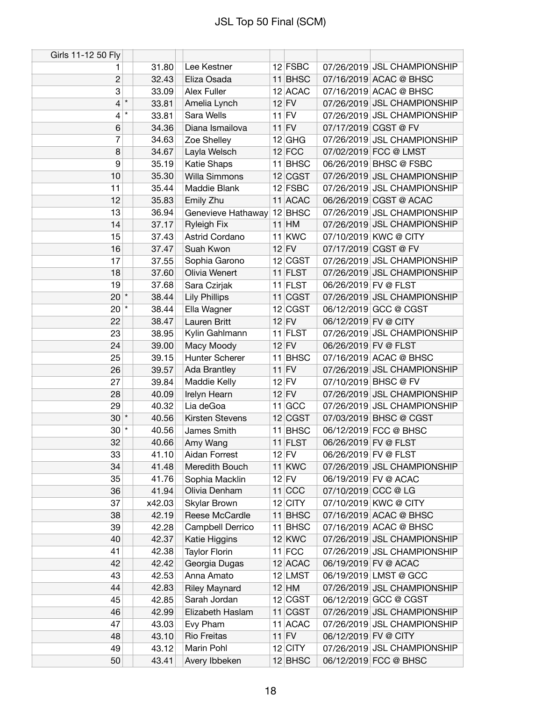| Girls 11-12 50 Fly |         |        |                           |           |                      |                             |
|--------------------|---------|--------|---------------------------|-----------|----------------------|-----------------------------|
| 1                  |         | 31.80  | Lee Kestner               | $12$ FSBC |                      | 07/26/2019 JSL CHAMPIONSHIP |
| $\overline{c}$     |         | 32.43  | Eliza Osada               | 11 BHSC   |                      | 07/16/2019 ACAC @ BHSC      |
| 3                  |         | 33.09  | Alex Fuller               | $12$ ACAC |                      | 07/16/2019 ACAC @ BHSC      |
| 4                  | $\star$ | 33.81  | Amelia Lynch              | $12$ FV   |                      | 07/26/2019 JSL CHAMPIONSHIP |
| 4                  | $\star$ | 33.81  | Sara Wells                | $11$ FV   |                      | 07/26/2019 JSL CHAMPIONSHIP |
| 6                  |         | 34.36  | Diana Ismailova           | $11$ FV   |                      | 07/17/2019 CGST @ FV        |
| 7                  |         | 34.63  | Zoe Shelley               | $12$ GHG  |                      | 07/26/2019 JSL CHAMPIONSHIP |
| 8                  |         | 34.67  | Layla Welsch              | $12$ FCC  |                      | 07/02/2019 FCC @ LMST       |
| 9                  |         | 35.19  | Katie Shaps               | 11 BHSC   |                      | 06/26/2019 BHSC @ FSBC      |
| 10                 |         | 35.30  | Willa Simmons             | 12 CGST   |                      | 07/26/2019 JSL CHAMPIONSHIP |
| 11                 |         | 35.44  | Maddie Blank              | $12$ FSBC |                      | 07/26/2019 JSL CHAMPIONSHIP |
| 12                 |         | 35.83  | Emily Zhu                 | 11 ACAC   |                      | 06/26/2019 CGST @ ACAC      |
| 13                 |         | 36.94  | Genevieve Hathaway        | $12$ BHSC |                      | 07/26/2019 JSL CHAMPIONSHIP |
| 14                 |         | 37.17  | <b>Ryleigh Fix</b>        | $11$ HM   |                      | 07/26/2019 JSL CHAMPIONSHIP |
| 15                 |         | 37.43  | <b>Astrid Cordano</b>     | $11$ KWC  |                      | 07/10/2019 KWC @ CITY       |
| 16                 |         | 37.47  | Suah Kwon                 | $12$ FV   |                      | 07/17/2019 CGST @ FV        |
| 17                 |         | 37.55  | Sophia Garono             | $12$ CGST |                      | 07/26/2019 JSL CHAMPIONSHIP |
| 18                 |         | 37.60  | Olivia Wenert             | $11$ FLST |                      | 07/26/2019 JSL CHAMPIONSHIP |
| 19                 |         | 37.68  | Sara Czirjak              | $11$ FLST | 06/26/2019 FV @ FLST |                             |
| $20$ $*$           |         | 38.44  | <b>Lily Phillips</b>      | $11$ CGST |                      | 07/26/2019 JSL CHAMPIONSHIP |
| $20^{*}$           |         | 38.44  | Ella Wagner               | 12 CGST   |                      | 06/12/2019 GCC @ CGST       |
| 22                 |         | 38.47  | Lauren Britt              | $12$ FV   | 06/12/2019 FV @ CITY |                             |
| 23                 |         | 38.95  | Kylin Gahlmann            | 11 FLST   |                      | 07/26/2019 JSL CHAMPIONSHIP |
| 24                 |         | 39.00  | Macy Moody                | $12$ FV   | 06/26/2019 FV @ FLST |                             |
| 25                 |         | 39.15  | Hunter Scherer            | 11 BHSC   |                      | 07/16/2019 ACAC @ BHSC      |
| 26                 |         | 39.57  | Ada Brantley              | $11$ FV   |                      | 07/26/2019 JSL CHAMPIONSHIP |
| 27                 |         | 39.84  | Maddie Kelly              | $12$ FV   |                      | 07/10/2019 BHSC @ FV        |
| 28                 |         | 40.09  |                           | $12$ FV   |                      | 07/26/2019 JSL CHAMPIONSHIP |
| 29                 |         | 40.32  | Irelyn Hearn<br>Lia deGoa | 11 GCC    |                      | 07/26/2019 JSL CHAMPIONSHIP |
| $30*$              |         | 40.56  | <b>Kirsten Stevens</b>    | 12 CGST   |                      | 07/03/2019 BHSC @ CGST      |
| $30$ $*$           |         | 40.56  |                           |           |                      |                             |
|                    |         |        | James Smith               | 11 BHSC   |                      | 06/12/2019 FCC @ BHSC       |
| 32                 |         | 40.66  | Amy Wang                  | $11$ FLST | 06/26/2019 FV @ FLST |                             |
| 33                 |         | 41.10  | Aidan Forrest             | $12$ FV   | 06/26/2019 FV @ FLST |                             |
| 34                 |         | 41.48  | Meredith Bouch            | $11$ KWC  |                      | 07/26/2019 JSL CHAMPIONSHIP |
| 35                 |         | 41.76  | Sophia Macklin            | $12$ FV   |                      | 06/19/2019 FV @ ACAC        |
| 36                 |         | 41.94  | Olivia Denham             | $11$ CCC  | 07/10/2019 CCC @ LG  |                             |
| 37                 |         | x42.03 | Skylar Brown              | $12$ CITY |                      | 07/10/2019 KWC @ CITY       |
| 38                 |         | 42.19  | Reese McCardle            | 11 BHSC   |                      | 07/16/2019 ACAC @ BHSC      |
| 39                 |         | 42.28  | Campbell Derrico          | 11 BHSC   |                      | 07/16/2019 ACAC @ BHSC      |
| 40                 |         | 42.37  | Katie Higgins             | $12$ KWC  |                      | 07/26/2019 JSL CHAMPIONSHIP |
| 41                 |         | 42.38  | <b>Taylor Florin</b>      | $11$ FCC  |                      | 07/26/2019 JSL CHAMPIONSHIP |
| 42                 |         | 42.42  | Georgia Dugas             | $12$ ACAC |                      | 06/19/2019 FV @ ACAC        |
| 43                 |         | 42.53  | Anna Amato                | 12 LMST   |                      | 06/19/2019 LMST @ GCC       |
| 44                 |         | 42.83  | <b>Riley Maynard</b>      | $12$ HM   |                      | 07/26/2019 JSL CHAMPIONSHIP |
| 45                 |         | 42.85  | Sarah Jordan              | 12 CGST   |                      | 06/12/2019 GCC @ CGST       |
| 46                 |         | 42.99  | Elizabeth Haslam          | 11 CGST   |                      | 07/26/2019 JSL CHAMPIONSHIP |
| 47                 |         | 43.03  | Evy Pham                  | 11 ACAC   |                      | 07/26/2019 JSL CHAMPIONSHIP |
| 48                 |         | 43.10  | Rio Freitas               | $11$ FV   | 06/12/2019 FV @ CITY |                             |
| 49                 |         | 43.12  | Marin Pohl                | $12$ CITY |                      | 07/26/2019 JSL CHAMPIONSHIP |
| 50                 |         | 43.41  | Avery Ibbeken             | $12$ BHSC |                      | 06/12/2019 FCC @ BHSC       |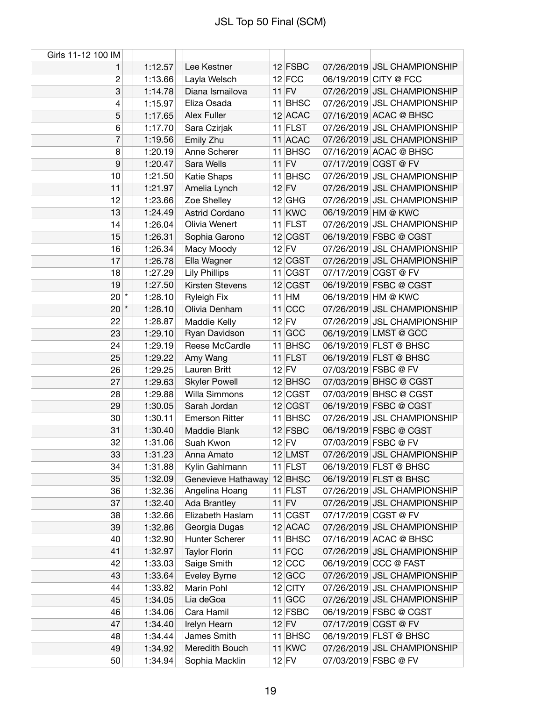| Girls 11-12 100 IM |         |                               |                      |                             |
|--------------------|---------|-------------------------------|----------------------|-----------------------------|
| 1                  | 1:12.57 | Lee Kestner                   | $12$ FSBC            | 07/26/2019 JSL CHAMPIONSHIP |
| $\overline{c}$     | 1:13.66 | Layla Welsch                  | $12$ FCC             | 06/19/2019 CITY @ FCC       |
| 3                  | 1:14.78 | Diana Ismailova               | $11$ FV              | 07/26/2019 JSL CHAMPIONSHIP |
| 4                  | 1:15.97 | Eliza Osada                   | 11 BHSC              | 07/26/2019 JSL CHAMPIONSHIP |
| 5                  | 1:17.65 | <b>Alex Fuller</b>            | $12$ ACAC            | 07/16/2019 ACAC @ BHSC      |
| 6                  | 1:17.70 | Sara Czirjak                  | $11$ FLST            | 07/26/2019 JSL CHAMPIONSHIP |
| 7                  | 1:19.56 | Emily Zhu                     | 11 ACAC              | 07/26/2019 JSL CHAMPIONSHIP |
| 8                  | 1:20.19 | Anne Scherer                  | 11 BHSC              | 07/16/2019 ACAC @ BHSC      |
| 9                  | 1:20.47 | Sara Wells                    | $11$ FV              | 07/17/2019 CGST @ FV        |
| 10                 | 1:21.50 | Katie Shaps                   | 11 BHSC              | 07/26/2019 JSL CHAMPIONSHIP |
| 11                 | 1:21.97 | Amelia Lynch                  | $12$ FV              | 07/26/2019 JSL CHAMPIONSHIP |
| 12                 | 1:23.66 | Zoe Shelley                   | $12$ GHG             | 07/26/2019 JSL CHAMPIONSHIP |
| 13                 | 1:24.49 | <b>Astrid Cordano</b>         | $11$ KWC             | 06/19/2019 HM @ KWC         |
| 14                 | 1:26.04 | Olivia Wenert                 | $11$ FLST            | 07/26/2019 JSL CHAMPIONSHIP |
| 15                 | 1:26.31 | Sophia Garono                 | 12 CGST              | 06/19/2019 FSBC @ CGST      |
| 16                 | 1:26.34 | Macy Moody                    | $12$ FV              | 07/26/2019 JSL CHAMPIONSHIP |
| 17                 | 1:26.78 | Ella Wagner                   | 12 CGST              | 07/26/2019 JSL CHAMPIONSHIP |
| 18                 | 1:27.29 | <b>Lily Phillips</b>          | $11$ CGST            | 07/17/2019 CGST @ FV        |
| 19                 | 1:27.50 | Kirsten Stevens               | 12 CGST              | 06/19/2019 FSBC @ CGST      |
| $20^{*}$           | 1:28.10 | <b>Ryleigh Fix</b>            | $11$ HM              | 06/19/2019 HM @ KWC         |
| $20$ $*$           | 1:28.10 | Olivia Denham                 | $11$ CCC             | 07/26/2019 JSL CHAMPIONSHIP |
| 22                 | 1:28.87 | Maddie Kelly                  | $12$ FV              | 07/26/2019 JSL CHAMPIONSHIP |
| 23                 | 1:29.10 | Ryan Davidson                 | $11$ GCC             | 06/19/2019 LMST @ GCC       |
| 24                 | 1:29.19 | Reese McCardle                | 11 BHSC              | 06/19/2019 FLST @ BHSC      |
| 25                 | 1:29.22 |                               |                      | 06/19/2019 FLST @ BHSC      |
|                    |         | Amy Wang<br>Lauren Britt      | $11$ FLST<br>$12$ FV | 07/03/2019 FSBC @ FV        |
| 26                 | 1:29.25 |                               |                      |                             |
| 27                 | 1:29.63 | <b>Skyler Powell</b>          | $12$ BHSC            | 07/03/2019 BHSC @ CGST      |
| 28                 | 1:29.88 | Willa Simmons<br>Sarah Jordan | 12 CGST              | 07/03/2019 BHSC @ CGST      |
| 29                 | 1:30.05 |                               | 12 CGST              | 06/19/2019 FSBC @ CGST      |
| 30                 | 1:30.11 | <b>Emerson Ritter</b>         | 11 BHSC              | 07/26/2019 JSL CHAMPIONSHIP |
| 31                 | 1:30.40 | Maddie Blank                  | 12 FSBC              | 06/19/2019 FSBC @ CGST      |
| 32                 | 1:31.06 | Suah Kwon                     | $12$ FV              | 07/03/2019 FSBC @ FV        |
| 33                 | 1:31.23 | Anna Amato                    | 12 LMST              | 07/26/2019 JSL CHAMPIONSHIP |
| 34                 | 1:31.88 | Kylin Gahlmann                | $11$ FLST            | 06/19/2019 FLST @ BHSC      |
| 35                 | 1:32.09 | Genevieve Hathaway            | $12$ BHSC            | 06/19/2019 FLST @ BHSC      |
| 36                 | 1:32.36 | Angelina Hoang                | $11$ FLST            | 07/26/2019 JSL CHAMPIONSHIP |
| 37                 | 1:32.40 | Ada Brantley                  | $11$ FV              | 07/26/2019 JSL CHAMPIONSHIP |
| 38                 | 1:32.66 | Elizabeth Haslam              | 11 CGST              | 07/17/2019 CGST @ FV        |
| 39                 | 1:32.86 | Georgia Dugas                 | $12$ ACAC            | 07/26/2019 JSL CHAMPIONSHIP |
| 40                 | 1:32.90 | Hunter Scherer                | 11 BHSC              | 07/16/2019 ACAC @ BHSC      |
| 41                 | 1:32.97 | <b>Taylor Florin</b>          | $11$ FCC             | 07/26/2019 JSL CHAMPIONSHIP |
| 42                 | 1:33.03 | Saige Smith                   | $12$ CCC             | 06/19/2019 CCC @ FAST       |
| 43                 | 1:33.64 | Eveley Byrne                  | $12$ GCC             | 07/26/2019 JSL CHAMPIONSHIP |
| 44                 | 1:33.82 | Marin Pohl                    | $12$ CITY            | 07/26/2019 JSL CHAMPIONSHIP |
| 45                 | 1:34.05 | Lia deGoa                     | $11$ GCC             | 07/26/2019 JSL CHAMPIONSHIP |
| 46                 | 1:34.06 | Cara Hamil                    | $12$ FSBC            | 06/19/2019 FSBC @ CGST      |
| 47                 | 1:34.40 | Irelyn Hearn                  | $12$ FV              | 07/17/2019 CGST @ FV        |
| 48                 | 1:34.44 | James Smith                   | $11$ BHSC            | 06/19/2019 FLST @ BHSC      |
| 49                 | 1:34.92 | Meredith Bouch                | $11$ KWC             | 07/26/2019 JSL CHAMPIONSHIP |
| 50                 | 1:34.94 | Sophia Macklin                | $12$ FV              | 07/03/2019 FSBC @ FV        |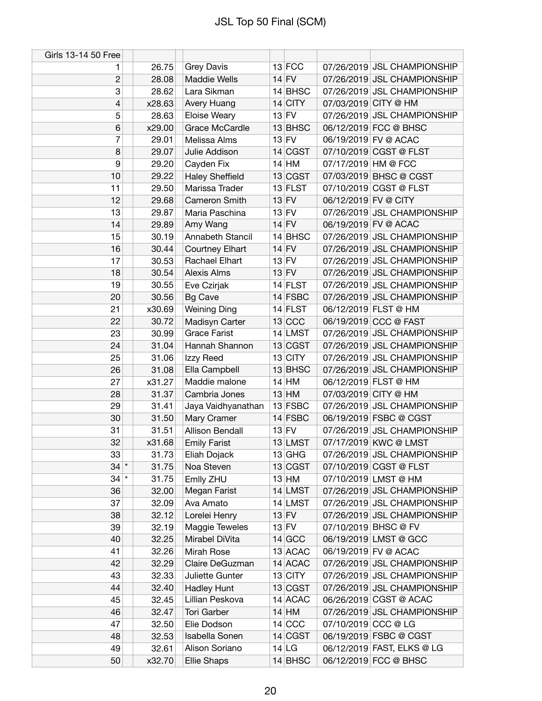| Girls 13-14 50 Free |        |                        |           |                      |                             |
|---------------------|--------|------------------------|-----------|----------------------|-----------------------------|
| 1                   | 26.75  | Grey Davis             | $13$ FCC  |                      | 07/26/2019 JSL CHAMPIONSHIP |
| $\mathbf{2}$        | 28.08  | <b>Maddie Wells</b>    | $14$ FV   |                      | 07/26/2019 JSL CHAMPIONSHIP |
| 3                   | 28.62  | Lara Sikman            | $14$ BHSC |                      | 07/26/2019 JSL CHAMPIONSHIP |
| 4                   | x28.63 | Avery Huang            | $14$ CITY |                      | 07/03/2019 CITY @ HM        |
| 5                   | 28.63  | <b>Eloise Weary</b>    | $13$ FV   |                      | 07/26/2019 JSL CHAMPIONSHIP |
| $6\phantom{1}$      | x29.00 | Grace McCardle         | 13 BHSC   |                      | 06/12/2019 FCC @ BHSC       |
| 7                   | 29.01  | Melissa Alms           | $13$ FV   |                      | 06/19/2019 FV @ ACAC        |
| 8                   | 29.07  | Julie Addison          | 14 CGST   |                      | 07/10/2019 CGST @ FLST      |
| 9                   | 29.20  | Cayden Fix             | $14$ HM   | 07/17/2019 HM @ FCC  |                             |
| 10                  | 29.22  | <b>Haley Sheffield</b> | 13 CGST   |                      | 07/03/2019 BHSC @ CGST      |
| 11                  | 29.50  | Marissa Trader         | 13 FLST   |                      | 07/10/2019 CGST @ FLST      |
| 12                  | 29.68  | Cameron Smith          | $13$ FV   | 06/12/2019 FV @ CITY |                             |
| 13                  | 29.87  | Maria Paschina         | $13$ FV   |                      | 07/26/2019 JSL CHAMPIONSHIP |
| 14                  | 29.89  | Amy Wang               | $14$ FV   |                      | 06/19/2019 FV @ ACAC        |
| 15                  | 30.19  | Annabeth Stancil       | $14$ BHSC |                      | 07/26/2019 JSL CHAMPIONSHIP |
| 16                  | 30.44  | <b>Courtney Elhart</b> | $14$ FV   |                      | 07/26/2019 JSL CHAMPIONSHIP |
| 17                  | 30.53  | Rachael Elhart         | $13$ FV   |                      | 07/26/2019 JSL CHAMPIONSHIP |
| 18                  | 30.54  | Alexis Alms            | $13$ FV   |                      | 07/26/2019 JSL CHAMPIONSHIP |
| 19                  | 30.55  | Eve Czirjak            | $14$ FLST |                      | 07/26/2019 JSL CHAMPIONSHIP |
| 20                  | 30.56  | <b>Bg Cave</b>         | $14$ FSBC |                      | 07/26/2019 JSL CHAMPIONSHIP |
| 21                  | x30.69 | <b>Weining Ding</b>    | $14$ FLST |                      | 06/12/2019 FLST @ HM        |
| 22                  | 30.72  | Madisyn Carter         | $13$ CCC  |                      | 06/19/2019 CCC @ FAST       |
| 23                  | 30.99  | <b>Grace Farist</b>    | 14 LMST   |                      | 07/26/2019 JSL CHAMPIONSHIP |
| 24                  | 31.04  | Hannah Shannon         | 13 CGST   |                      | 07/26/2019 JSL CHAMPIONSHIP |
| 25                  | 31.06  | Izzy Reed              | $13$ CITY |                      | 07/26/2019 JSL CHAMPIONSHIP |
| 26                  | 31.08  | Ella Campbell          | 13 BHSC   |                      | 07/26/2019 JSL CHAMPIONSHIP |
| 27                  | x31.27 | Maddie malone          | $14$ HM   |                      | 06/12/2019 FLST @ HM        |
| 28                  | 31.37  | Cambria Jones          | $13$ HM   |                      | 07/03/2019 CITY @ HM        |
| 29                  | 31.41  | Jaya Vaidhyanathan     | $13$ FSBC |                      | 07/26/2019 JSL CHAMPIONSHIP |
| 30                  | 31.50  | Mary Cramer            | $14$ FSBC |                      | 06/19/2019 FSBC @ CGST      |
| 31                  | 31.51  | <b>Allison Bendall</b> | $13$ FV   |                      | 07/26/2019 JSL CHAMPIONSHIP |
| 32                  | x31.68 | <b>Emily Farist</b>    | 13 LMST   |                      | 07/17/2019 KWC @ LMST       |
| 33                  | 31.73  | Eliah Dojack           | $13$ GHG  |                      | 07/26/2019 JSL CHAMPIONSHIP |
| $34$ *              | 31.75  | Noa Steven             | 13 CGST   |                      | 07/10/2019 CGST @ FLST      |
| $34$ *              | 31.75  | Emlly ZHU              | $13$ HM   |                      | 07/10/2019 LMST @ HM        |
| 36                  | 32.00  | Megan Farist           | 14 LMST   |                      | 07/26/2019 JSL CHAMPIONSHIP |
| 37                  | 32.09  | Ava Amato              | 14 LMST   |                      | 07/26/2019 JSL CHAMPIONSHIP |
| 38                  | 32.12  | Lorelei Henry          | $13$ FV   |                      | 07/26/2019 JSL CHAMPIONSHIP |
| 39                  | 32.19  | Maggie Teweles         | $13$ FV   |                      | 07/10/2019 BHSC @ FV        |
| 40                  | 32.25  | Mirabel DiVita         | 14 GCC    |                      | 06/19/2019 LMST @ GCC       |
| 41                  | 32.26  | Mirah Rose             | 13 ACAC   |                      | 06/19/2019 FV @ ACAC        |
| 42                  | 32.29  | Claire DeGuzman        | $14$ ACAC |                      | 07/26/2019 JSL CHAMPIONSHIP |
| 43                  | 32.33  | Juliette Gunter        | 13 CITY   |                      | 07/26/2019 JSL CHAMPIONSHIP |
| 44                  | 32.40  | <b>Hadley Hunt</b>     | 13 CGST   |                      | 07/26/2019 JSL CHAMPIONSHIP |
| 45                  | 32.45  | Lillian Peskova        | 14 ACAC   |                      | 06/26/2019 CGST @ ACAC      |
| 46                  | 32.47  | Tori Garber            | $14$ HM   |                      | 07/26/2019 JSL CHAMPIONSHIP |
| 47                  | 32.50  | Elie Dodson            | $14$ CCC  | 07/10/2019 CCC @ LG  |                             |
| 48                  | 32.53  | Isabella Sonen         | 14 CGST   |                      | 06/19/2019 FSBC @ CGST      |
| 49                  | 32.61  | Alison Soriano         | 14 LG     |                      | 06/12/2019 FAST, ELKS @ LG  |
| 50                  | x32.70 | <b>Ellie Shaps</b>     | 14 BHSC   |                      | 06/12/2019 FCC @ BHSC       |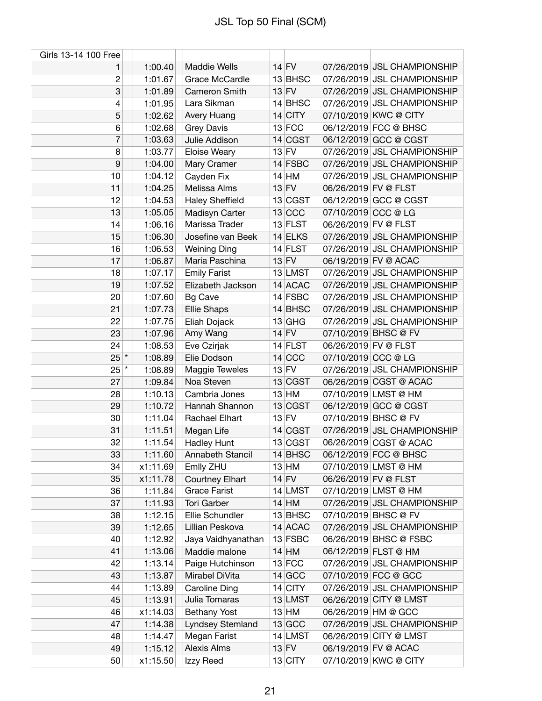| Girls 13-14 100 Free |          |                        |           |                      |                             |
|----------------------|----------|------------------------|-----------|----------------------|-----------------------------|
| 1                    | 1:00.40  | <b>Maddie Wells</b>    | $14$ FV   |                      | 07/26/2019 JSL CHAMPIONSHIP |
| $\overline{c}$       | 1:01.67  | Grace McCardle         | 13 BHSC   |                      | 07/26/2019 JSL CHAMPIONSHIP |
| 3                    | 1:01.89  | Cameron Smith          | $13$ FV   |                      | 07/26/2019 JSL CHAMPIONSHIP |
| 4                    | 1:01.95  | Lara Sikman            | $14$ BHSC |                      | 07/26/2019 JSL CHAMPIONSHIP |
| 5                    | 1:02.62  | Avery Huang            | $14$ CITY |                      | 07/10/2019 KWC @ CITY       |
| 6                    | 1:02.68  | <b>Grey Davis</b>      | $13$ FCC  |                      | 06/12/2019 FCC @ BHSC       |
| 7                    | 1:03.63  | Julie Addison          | 14 CGST   |                      | 06/12/2019 GCC @ CGST       |
| 8                    | 1:03.77  | Eloise Weary           | $13$ FV   |                      | 07/26/2019 JSL CHAMPIONSHIP |
| 9                    | 1:04.00  | Mary Cramer            | $14$ FSBC |                      | 07/26/2019 JSL CHAMPIONSHIP |
| 10                   | 1:04.12  | Cayden Fix             | $14$ HM   |                      | 07/26/2019 JSL CHAMPIONSHIP |
| 11                   | 1:04.25  | Melissa Alms           | $13$ FV   | 06/26/2019 FV @ FLST |                             |
| 12                   | 1:04.53  | <b>Haley Sheffield</b> | 13 CGST   |                      | 06/12/2019 GCC @ CGST       |
| 13                   | 1:05.05  | Madisyn Carter         | 13 CCC    | 07/10/2019 CCC @ LG  |                             |
| 14                   | 1:06.16  | Marissa Trader         | $13$ FLST | 06/26/2019 FV @ FLST |                             |
| 15                   | 1:06.30  | Josefine van Beek      | 14 ELKS   |                      | 07/26/2019 JSL CHAMPIONSHIP |
| 16                   | 1:06.53  | <b>Weining Ding</b>    | $14$ FLST |                      | 07/26/2019 JSL CHAMPIONSHIP |
| 17                   | 1:06.87  | Maria Paschina         | $13$ FV   |                      | 06/19/2019 FV @ ACAC        |
| 18                   | 1:07.17  | <b>Emily Farist</b>    | 13 LMST   |                      | 07/26/2019 JSL CHAMPIONSHIP |
| 19                   | 1:07.52  | Elizabeth Jackson      | 14 ACAC   |                      | 07/26/2019 JSL CHAMPIONSHIP |
| 20                   | 1:07.60  | <b>Bg Cave</b>         | $14$ FSBC |                      | 07/26/2019 JSL CHAMPIONSHIP |
| 21                   | 1:07.73  | <b>Ellie Shaps</b>     | $14$ BHSC |                      | 07/26/2019 JSL CHAMPIONSHIP |
| 22                   | 1:07.75  | Eliah Dojack           | $13$ GHG  |                      | 07/26/2019 JSL CHAMPIONSHIP |
| 23                   | 1:07.96  | Amy Wang               | $14$ FV   |                      | 07/10/2019 BHSC @ FV        |
| 24                   | 1:08.53  | Eve Czirjak            | $14$ FLST | 06/26/2019 FV @ FLST |                             |
| $25$ *               | 1:08.89  | Elie Dodson            | $14$ CCC  | 07/10/2019 CCC @ LG  |                             |
| $25$ $*$             | 1:08.89  | Maggie Teweles         | $13$ FV   |                      | 07/26/2019 JSL CHAMPIONSHIP |
| 27                   | 1:09.84  | Noa Steven             | 13 CGST   |                      | 06/26/2019 CGST @ ACAC      |
| 28                   | 1:10.13  | Cambria Jones          | $13$ HM   |                      | 07/10/2019 LMST @ HM        |
| 29                   | 1:10.72  | Hannah Shannon         | 13 CGST   |                      | 06/12/2019 GCC @ CGST       |
| 30                   | 1:11.04  | Rachael Elhart         | $13$ FV   |                      | 07/10/2019 BHSC @ FV        |
| 31                   | 1:11.51  | Megan Life             | 14 CGST   |                      | 07/26/2019 JSL CHAMPIONSHIP |
| 32                   |          |                        |           |                      |                             |
|                      | 1:11.54  | <b>Hadley Hunt</b>     | 13 CGST   |                      | 06/26/2019 CGST @ ACAC      |
| 33                   | 1:11.60  | Annabeth Stancil       | $14$ BHSC |                      | 06/12/2019 FCC @ BHSC       |
| 34                   | x1:11.69 | Emlly ZHU              | $13$ HM   |                      | 07/10/2019 LMST @ HM        |
| 35                   | x1:11.78 | <b>Courtney Elhart</b> | $14$ FV   | 06/26/2019 FV @ FLST |                             |
| 36                   | 1:11.84  | <b>Grace Farist</b>    | 14 LMST   |                      | 07/10/2019 LMST @ HM        |
| 37                   | 1:11.93  | Tori Garber            | $14$ HM   |                      | 07/26/2019 JSL CHAMPIONSHIP |
| 38                   | 1:12.15  | Ellie Schundler        | 13 BHSC   |                      | 07/10/2019 BHSC @ FV        |
| 39                   | 1:12.65  | Lillian Peskova        | $14$ ACAC |                      | 07/26/2019 JSL CHAMPIONSHIP |
| 40                   | 1:12.92  | Jaya Vaidhyanathan     | $13$ FSBC |                      | 06/26/2019 BHSC @ FSBC      |
| 41                   | 1:13.06  | Maddie malone          | $14$ HM   |                      | 06/12/2019 FLST @ HM        |
| 42                   | 1:13.14  | Paige Hutchinson       | $13$ FCC  |                      | 07/26/2019 JSL CHAMPIONSHIP |
| 43                   | 1:13.87  | Mirabel DiVita         | $14$ GCC  |                      | 07/10/2019 FCC @ GCC        |
| 44                   | 1:13.89  | Caroline Ding          | $14$ CITY |                      | 07/26/2019 JSL CHAMPIONSHIP |
| 45                   | 1:13.91  | Julia Tomaras          | 13 LMST   |                      | 06/26/2019 CITY @ LMST      |
| 46                   | x1:14.03 | <b>Bethany Yost</b>    | $13$ HM   | 06/26/2019 HM @ GCC  |                             |
| 47                   | 1:14.38  | Lyndsey Stemland       | $13$ GCC  |                      | 07/26/2019 JSL CHAMPIONSHIP |
| 48                   | 1:14.47  | Megan Farist           | 14 LMST   |                      | 06/26/2019 CITY @ LMST      |
| 49                   | 1:15.12  | Alexis Alms            | $13$ FV   |                      | 06/19/2019 FV @ ACAC        |
| 50                   | x1:15.50 | Izzy Reed              | $13$ CITY |                      | 07/10/2019 KWC @ CITY       |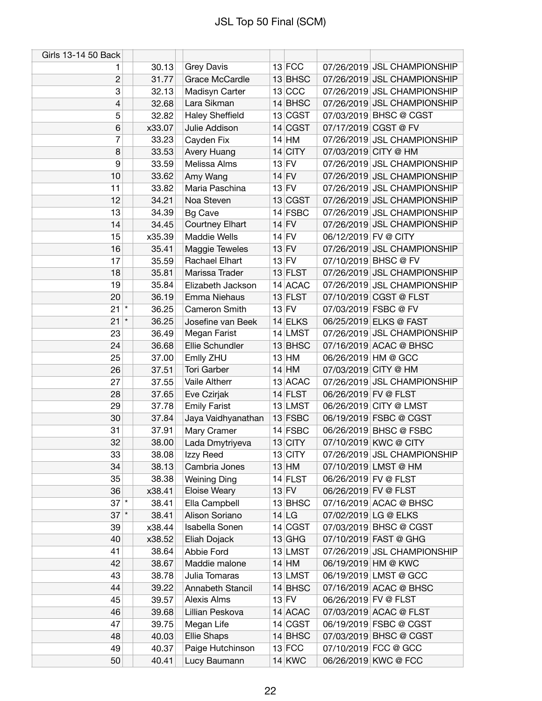| Girls 13-14 50 Back |                  |                        |           |                      |                             |
|---------------------|------------------|------------------------|-----------|----------------------|-----------------------------|
| 1                   | 30.13            | <b>Grey Davis</b>      | $13$ FCC  |                      | 07/26/2019 JSL CHAMPIONSHIP |
| $\overline{c}$      | 31.77            | Grace McCardle         | 13 BHSC   |                      | 07/26/2019 JSL CHAMPIONSHIP |
| 3                   | 32.13            | Madisyn Carter         | 13 CCC    |                      | 07/26/2019 JSL CHAMPIONSHIP |
| 4                   | 32.68            | Lara Sikman            | $14$ BHSC |                      | 07/26/2019 JSL CHAMPIONSHIP |
| 5                   | 32.82            | <b>Haley Sheffield</b> | 13 CGST   |                      | 07/03/2019 BHSC @ CGST      |
| 6                   | x33.07           | Julie Addison          | 14 CGST   |                      | 07/17/2019 CGST @ FV        |
| 7                   | 33.23            | Cayden Fix             | $14$ HM   |                      | 07/26/2019 JSL CHAMPIONSHIP |
| 8                   | 33.53            | Avery Huang            | $14$ CITY |                      | 07/03/2019 CITY @ HM        |
| 9                   | 33.59            | Melissa Alms           | $13$ FV   |                      | 07/26/2019 JSL CHAMPIONSHIP |
| 10                  | 33.62            | Amy Wang               | $14$ FV   |                      | 07/26/2019 JSL CHAMPIONSHIP |
| 11                  | 33.82            | Maria Paschina         | $13$ FV   |                      | 07/26/2019 JSL CHAMPIONSHIP |
| 12                  | 34.21            | Noa Steven             | 13 CGST   |                      | 07/26/2019 JSL CHAMPIONSHIP |
| 13                  | 34.39            | <b>Bg Cave</b>         | $14$ FSBC |                      | 07/26/2019 JSL CHAMPIONSHIP |
| 14                  | 34.45            | <b>Courtney Elhart</b> | $14$ FV   |                      | 07/26/2019 JSL CHAMPIONSHIP |
| 15                  | x35.39           | <b>Maddie Wells</b>    | $14$ FV   | 06/12/2019 FV @ CITY |                             |
| 16                  | 35.41            | Maggie Teweles         | $13$ FV   |                      | 07/26/2019 JSL CHAMPIONSHIP |
| 17                  | 35.59            | Rachael Elhart         | $13$ FV   |                      | 07/10/2019 BHSC @ FV        |
| 18                  | 35.81            | Marissa Trader         | $13$ FLST |                      | 07/26/2019 JSL CHAMPIONSHIP |
| 19                  | 35.84            | Elizabeth Jackson      | 14 ACAC   |                      | 07/26/2019 JSL CHAMPIONSHIP |
| 20                  | 36.19            | Emma Niehaus           | 13 FLST   |                      | 07/10/2019 CGST @ FLST      |
| 21                  | $\star$<br>36.25 | Cameron Smith          | $13$ FV   |                      | 07/03/2019 FSBC @ FV        |
| 21                  | $\star$<br>36.25 | Josefine van Beek      | 14 ELKS   |                      | 06/25/2019 ELKS @ FAST      |
| 23                  | 36.49            | Megan Farist           | $14$ LMST |                      | 07/26/2019 JSL CHAMPIONSHIP |
| 24                  | 36.68            | Ellie Schundler        | 13 BHSC   |                      | 07/16/2019 ACAC @ BHSC      |
| 25                  | 37.00            | Emlly ZHU              | $13$ HM   |                      | 06/26/2019 HM @ GCC         |
| 26                  | 37.51            | <b>Tori Garber</b>     | $14$ HM   |                      | 07/03/2019 CITY @ HM        |
| 27                  | 37.55            | Vaile Altherr          | 13 ACAC   |                      | 07/26/2019 JSL CHAMPIONSHIP |
| 28                  | 37.65            | Eve Czirjak            | $14$ FLST | 06/26/2019 FV @ FLST |                             |
| 29                  | 37.78            | <b>Emily Farist</b>    | $13$ LMST |                      | 06/26/2019 CITY @ LMST      |
| 30                  | 37.84            | Jaya Vaidhyanathan     | 13 FSBC   |                      | 06/19/2019 FSBC @ CGST      |
| 31                  | 37.91            | Mary Cramer            | $14$ FSBC |                      | 06/26/2019 BHSC @ FSBC      |
| 32                  | 38.00            | Lada Dmytriyeva        | $13$ CITY |                      | 07/10/2019 KWC @ CITY       |
| 33                  | 38.08            | Izzy Reed              | $13$ CITY |                      | 07/26/2019 JSL CHAMPIONSHIP |
| 34                  | 38.13            | Cambria Jones          | $13$ HM   |                      | 07/10/2019 LMST @ HM        |
| 35                  | 38.38            | <b>Weining Ding</b>    | $14$ FLST | 06/26/2019 FV @ FLST |                             |
| 36                  | x38.41           | Eloise Weary           | $13$ FV   | 06/26/2019 FV @ FLST |                             |
| $37$ $*$            | 38.41            | Ella Campbell          | $13$ BHSC |                      | 07/16/2019 ACAC @ BHSC      |
| $37$ $*$            | 38.41            | Alison Soriano         | 14 LG     |                      | 07/02/2019 LG @ ELKS        |
| 39                  | x38.44           | Isabella Sonen         | 14 CGST   |                      | 07/03/2019 BHSC @ CGST      |
| 40                  | x38.52           | Eliah Dojack           | $13$ GHG  |                      | 07/10/2019 FAST @ GHG       |
| 41                  | 38.64            | Abbie Ford             | 13 LMST   |                      | 07/26/2019 JSL CHAMPIONSHIP |
| 42                  | 38.67            | Maddie malone          | $14$ HM   |                      | 06/19/2019 HM @ KWC         |
| 43                  | 38.78            | Julia Tomaras          | 13 LMST   |                      | 06/19/2019 LMST @ GCC       |
| 44                  | 39.22            | Annabeth Stancil       | $14$ BHSC |                      | 07/16/2019 ACAC @ BHSC      |
| 45                  | 39.57            | Alexis Alms            | $13$ FV   | 06/26/2019 FV @ FLST |                             |
| 46                  | 39.68            | Lillian Peskova        | 14 ACAC   |                      | 07/03/2019 ACAC @ FLST      |
| 47                  | 39.75            | Megan Life             | 14 CGST   |                      | 06/19/2019 FSBC @ CGST      |
| 48                  | 40.03            | <b>Ellie Shaps</b>     | $14$ BHSC |                      | 07/03/2019 BHSC @ CGST      |
| 49                  | 40.37            | Paige Hutchinson       | $13$ FCC  |                      | 07/10/2019 FCC @ GCC        |
| 50                  | 40.41            | Lucy Baumann           | $14$ KWC  |                      | 06/26/2019 KWC @ FCC        |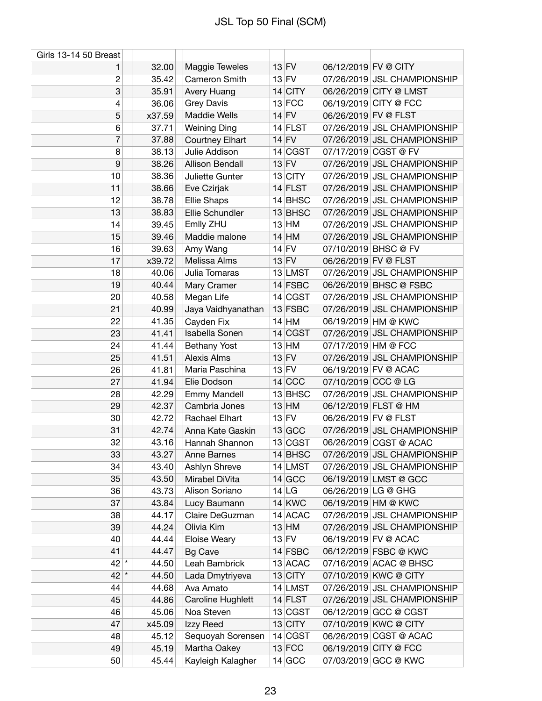| Girls 13-14 50 Breast |                |                                 |                      |                      |                                                      |
|-----------------------|----------------|---------------------------------|----------------------|----------------------|------------------------------------------------------|
| 1                     | 32.00          | Maggie Teweles                  | $13$ FV              | 06/12/2019 FV @ CITY |                                                      |
| $\overline{2}$        | 35.42          | Cameron Smith                   | $13$ FV              |                      | 07/26/2019 JSL CHAMPIONSHIP                          |
| 3                     | 35.91          | Avery Huang                     | $14$ CITY            |                      | 06/26/2019 CITY @ LMST                               |
| 4                     | 36.06          | Grey Davis                      | $13$ FCC             |                      | 06/19/2019 CITY @ FCC                                |
| 5                     | x37.59         | <b>Maddie Wells</b>             | $14$ FV              | 06/26/2019 FV @ FLST |                                                      |
| 6                     | 37.71          | <b>Weining Ding</b>             | $14$ FLST            |                      | 07/26/2019 JSL CHAMPIONSHIP                          |
| $\overline{7}$        | 37.88          | <b>Courtney Elhart</b>          | $14$ FV              |                      | 07/26/2019 JSL CHAMPIONSHIP                          |
| 8                     | 38.13          | Julie Addison                   | 14 CGST              |                      | 07/17/2019 CGST @ FV                                 |
| 9                     | 38.26          | <b>Allison Bendall</b>          | $13$ FV              |                      | 07/26/2019 JSL CHAMPIONSHIP                          |
| 10                    | 38.36          | Juliette Gunter                 | $13$ CITY            |                      | 07/26/2019 JSL CHAMPIONSHIP                          |
| 11                    | 38.66          | Eve Czirjak                     | $14$ FLST            |                      | 07/26/2019 JSL CHAMPIONSHIP                          |
| 12                    | 38.78          | Ellie Shaps                     | $14$ BHSC            |                      | 07/26/2019 JSL CHAMPIONSHIP                          |
| 13                    | 38.83          | Ellie Schundler                 | 13 BHSC              |                      | 07/26/2019 JSL CHAMPIONSHIP                          |
| 14                    | 39.45          | Emlly ZHU                       | $13$ HM              |                      | 07/26/2019 JSL CHAMPIONSHIP                          |
| 15                    | 39.46          | Maddie malone                   | $14$ HM              |                      | 07/26/2019 JSL CHAMPIONSHIP                          |
| 16                    | 39.63          | Amy Wang                        | $14$ FV              |                      | 07/10/2019 BHSC @ FV                                 |
| 17                    | x39.72         | Melissa Alms                    | $13$ FV              | 06/26/2019 FV @ FLST |                                                      |
| 18                    | 40.06          | Julia Tomaras                   | 13 LMST              |                      | 07/26/2019 JSL CHAMPIONSHIP                          |
| 19                    | 40.44          | Mary Cramer                     | 14 FSBC              |                      | 06/26/2019 BHSC @ FSBC                               |
| 20                    | 40.58          | Megan Life                      | 14 CGST              |                      | 07/26/2019 JSL CHAMPIONSHIP                          |
| 21                    | 40.99          | Jaya Vaidhyanathan              | 13 FSBC              |                      | 07/26/2019 JSL CHAMPIONSHIP                          |
| 22                    | 41.35          | Cayden Fix                      | $14$ HM              |                      | 06/19/2019 HM @ KWC                                  |
| 23                    | 41.41          | <b>Isabella Sonen</b>           | 14 CGST              |                      | 07/26/2019 JSL CHAMPIONSHIP                          |
| 24                    | 41.44          | Bethany Yost                    | $13$ HM              | 07/17/2019 HM @ FCC  |                                                      |
| 25                    | 41.51          | <b>Alexis Alms</b>              | $13$ FV              |                      | 07/26/2019 JSL CHAMPIONSHIP                          |
| 26                    | 41.81          | Maria Paschina                  | $13$ FV              |                      | 06/19/2019 FV @ ACAC                                 |
| 27                    | 41.94          | Elie Dodson                     | $14$ CCC             | 07/10/2019 CCC @ LG  |                                                      |
| 28                    | 42.29          | <b>Emmy Mandell</b>             | 13 BHSC              |                      | 07/26/2019 JSL CHAMPIONSHIP                          |
| 29                    | 42.37          | Cambria Jones                   | $13$ HM              |                      | 06/12/2019 FLST @ HM                                 |
| 30                    | 42.72          | Rachael Elhart                  | $13$ FV              | 06/26/2019 FV @ FLST |                                                      |
| 31                    | 42.74          | Anna Kate Gaskin                | 13 GCC               |                      | 07/26/2019 JSL CHAMPIONSHIP                          |
| 32                    | 43.16          | Hannah Shannon                  | 13 CGST              |                      | 06/26/2019 CGST @ ACAC                               |
| 33                    | 43.27          | Anne Barnes                     | $14$ BHSC            |                      | 07/26/2019 JSL CHAMPIONSHIP                          |
| 34                    | 43.40          | Ashlyn Shreve                   | 14 LMST              |                      | 07/26/2019 JSL CHAMPIONSHIP                          |
| 35                    | 43.50          | Mirabel DiVita                  | 14 GCC               |                      | 06/19/2019 LMST @ GCC                                |
| 36                    | 43.73          | Alison Soriano                  | 14 LG                | 06/26/2019 LG @ GHG  |                                                      |
| 37                    | 43.84          | Lucy Baumann                    | $14$ KWC             |                      | 06/19/2019 HM @ KWC                                  |
| 38                    | 44.17          |                                 | 14 ACAC              |                      | 07/26/2019 JSL CHAMPIONSHIP                          |
| 39                    | 44.24          | Claire DeGuzman<br>Olivia Kim   | $13$ HM              |                      | 07/26/2019 JSL CHAMPIONSHIP                          |
| 40                    | 44.44          |                                 | $13$ FV              |                      | 06/19/2019 FV @ ACAC                                 |
| 41                    | 44.47          | Eloise Weary                    | 14 FSBC              |                      | 06/12/2019 FSBC @ KWC                                |
| $42$ *                |                | <b>Bg Cave</b><br>Leah Bambrick | $13$ ACAC            |                      | 07/16/2019 ACAC @ BHSC                               |
| $42$ *                | 44.50          |                                 |                      |                      |                                                      |
| 44                    | 44.50<br>44.68 | Lada Dmytriyeva<br>Ava Amato    | $13$ CITY            |                      | 07/10/2019 KWC @ CITY<br>07/26/2019 JSL CHAMPIONSHIP |
|                       | 44.86          | Caroline Hughlett               | 14 LMST<br>$14$ FLST |                      | 07/26/2019 JSL CHAMPIONSHIP                          |
| 45<br>46              | 45.06          | Noa Steven                      | 13 CGST              |                      | 06/12/2019 GCC @ CGST                                |
| 47                    |                |                                 | $13$ CITY            |                      | 07/10/2019 KWC @ CITY                                |
|                       | x45.09         | Izzy Reed                       | 14 CGST              |                      | 06/26/2019 CGST @ ACAC                               |
| 48<br>49              | 45.12          | Sequoyah Sorensen               |                      |                      |                                                      |
|                       | 45.19          | Martha Oakey                    | $13$ FCC             |                      | 06/19/2019 CITY @ FCC                                |
| 50                    | 45.44          | Kayleigh Kalagher               | $14$ GCC             |                      | 07/03/2019 GCC @ KWC                                 |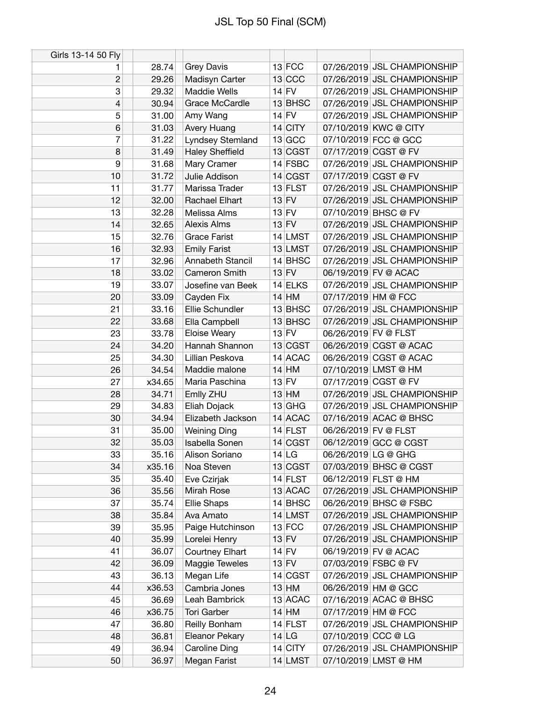| Girls 13-14 50 Fly |        |                        |           |                      |                             |
|--------------------|--------|------------------------|-----------|----------------------|-----------------------------|
| 1                  | 28.74  | <b>Grey Davis</b>      | $13$ FCC  |                      | 07/26/2019 JSL CHAMPIONSHIP |
| $\overline{c}$     | 29.26  | Madisyn Carter         | 13 CCC    |                      | 07/26/2019 JSL CHAMPIONSHIP |
| 3                  | 29.32  | <b>Maddie Wells</b>    | $14$ FV   |                      | 07/26/2019 JSL CHAMPIONSHIP |
| 4                  | 30.94  | Grace McCardle         | 13 BHSC   |                      | 07/26/2019 JSL CHAMPIONSHIP |
| 5                  | 31.00  | Amy Wang               | $14$ FV   |                      | 07/26/2019 JSL CHAMPIONSHIP |
| $6\phantom{1}$     | 31.03  | Avery Huang            | $14$ CITY |                      | 07/10/2019 KWC @ CITY       |
| 7                  | 31.22  | Lyndsey Stemland       | 13 GCC    |                      | 07/10/2019 FCC @ GCC        |
| 8                  | 31.49  | <b>Haley Sheffield</b> | 13 CGST   |                      | 07/17/2019 CGST @ FV        |
| 9                  | 31.68  | Mary Cramer            | $14$ FSBC |                      | 07/26/2019 JSL CHAMPIONSHIP |
| 10                 | 31.72  | Julie Addison          | 14 CGST   |                      | 07/17/2019 CGST @ FV        |
| 11                 | 31.77  | Marissa Trader         | $13$ FLST |                      | 07/26/2019 JSL CHAMPIONSHIP |
| 12                 | 32.00  | Rachael Elhart         | $13$ FV   |                      | 07/26/2019 JSL CHAMPIONSHIP |
| 13                 | 32.28  | Melissa Alms           | $13$ FV   |                      | 07/10/2019 BHSC @ FV        |
| 14                 | 32.65  | <b>Alexis Alms</b>     | $13$ FV   |                      | 07/26/2019 JSL CHAMPIONSHIP |
| 15                 | 32.76  | <b>Grace Farist</b>    | 14 LMST   |                      | 07/26/2019 JSL CHAMPIONSHIP |
| 16                 | 32.93  | <b>Emily Farist</b>    | 13 LMST   |                      | 07/26/2019 JSL CHAMPIONSHIP |
| 17                 | 32.96  | Annabeth Stancil       | $14$ BHSC |                      | 07/26/2019 JSL CHAMPIONSHIP |
| 18                 | 33.02  | Cameron Smith          | $13$ FV   |                      | 06/19/2019 FV @ ACAC        |
| 19                 | 33.07  | Josefine van Beek      | $14$ ELKS |                      | 07/26/2019 JSL CHAMPIONSHIP |
| 20                 | 33.09  | Cayden Fix             | $14$ HM   | 07/17/2019 HM @ FCC  |                             |
| 21                 | 33.16  | Ellie Schundler        | 13 BHSC   |                      | 07/26/2019 JSL CHAMPIONSHIP |
| 22                 | 33.68  | Ella Campbell          | 13 BHSC   |                      | 07/26/2019 JSL CHAMPIONSHIP |
| 23                 | 33.78  | Eloise Weary           | $13$ FV   | 06/26/2019 FV @ FLST |                             |
| 24                 | 34.20  | Hannah Shannon         | 13 CGST   |                      | 06/26/2019 CGST @ ACAC      |
| 25                 | 34.30  | Lillian Peskova        | 14 ACAC   |                      | 06/26/2019 CGST @ ACAC      |
| 26                 | 34.54  | Maddie malone          | $14$ HM   |                      | 07/10/2019 LMST @ HM        |
| 27                 | x34.65 | Maria Paschina         | $13$ FV   |                      | 07/17/2019 CGST @ FV        |
| 28                 | 34.71  | Emlly ZHU              | $13$ HM   |                      | 07/26/2019 JSL CHAMPIONSHIP |
| 29                 | 34.83  | Eliah Dojack           | $13$ GHG  |                      | 07/26/2019 JSL CHAMPIONSHIP |
| 30                 | 34.94  | Elizabeth Jackson      | 14 ACAC   |                      | 07/16/2019 ACAC @ BHSC      |
| 31                 | 35.00  | <b>Weining Ding</b>    | $14$ FLST | 06/26/2019 FV @ FLST |                             |
| 32                 | 35.03  | Isabella Sonen         | 14 CGST   |                      | 06/12/2019 GCC @ CGST       |
| 33                 | 35.16  | Alison Soriano         | 14 LG     | 06/26/2019 LG @ GHG  |                             |
| 34                 | x35.16 | Noa Steven             | 13 CGST   |                      | 07/03/2019 BHSC @ CGST      |
| 35                 | 35.40  | Eve Czirjak            | $14$ FLST |                      | 06/12/2019 FLST @ HM        |
| 36                 | 35.56  | Mirah Rose             | 13 ACAC   |                      | 07/26/2019 JSL CHAMPIONSHIP |
| 37                 | 35.74  | <b>Ellie Shaps</b>     | 14 BHSC   |                      | 06/26/2019 BHSC @ FSBC      |
| 38                 | 35.84  | Ava Amato              | 14 LMST   |                      | 07/26/2019 JSL CHAMPIONSHIP |
| 39                 | 35.95  | Paige Hutchinson       | $13$ FCC  |                      | 07/26/2019 JSL CHAMPIONSHIP |
| 40                 | 35.99  | Lorelei Henry          | $13$ FV   |                      | 07/26/2019 JSL CHAMPIONSHIP |
| 41                 | 36.07  | Courtney Elhart        | $14$ FV   |                      | 06/19/2019 FV @ ACAC        |
| 42                 | 36.09  | Maggie Teweles         | $13$ FV   |                      | 07/03/2019 FSBC @ FV        |
| 43                 | 36.13  | Megan Life             | 14 CGST   |                      | 07/26/2019 JSL CHAMPIONSHIP |
| 44                 | x36.53 | Cambria Jones          | $13$ HM   |                      | 06/26/2019 HM @ GCC         |
| 45                 | 36.69  | Leah Bambrick          | 13 ACAC   |                      | 07/16/2019 ACAC @ BHSC      |
| 46                 | x36.75 | <b>Tori Garber</b>     | $14$ HM   | 07/17/2019 HM @ FCC  |                             |
| 47                 | 36.80  | Reilly Bonham          | $14$ FLST |                      | 07/26/2019 JSL CHAMPIONSHIP |
| 48                 | 36.81  | Eleanor Pekary         | $14$ LG   | 07/10/2019 CCC @ LG  |                             |
| 49                 | 36.94  | Caroline Ding          | $14$ CITY |                      | 07/26/2019 JSL CHAMPIONSHIP |
| 50                 | 36.97  | Megan Farist           | 14 LMST   |                      | 07/10/2019 LMST @ HM        |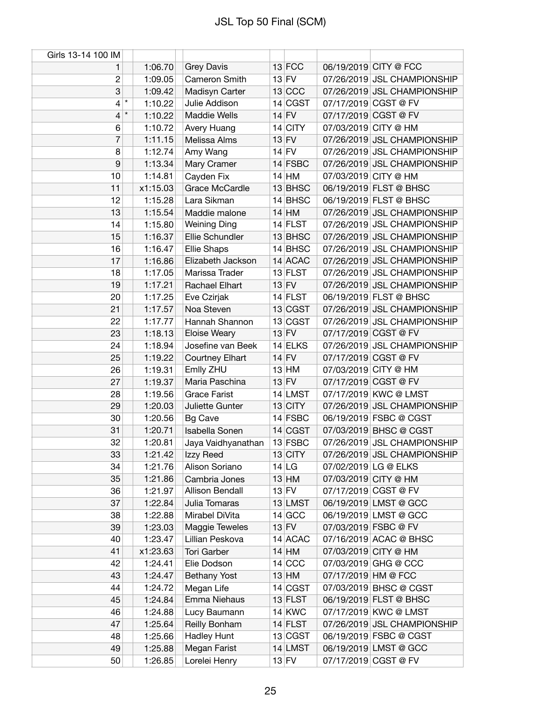| Girls 13-14 100 IM       |                    |                     |           |                     |                             |
|--------------------------|--------------------|---------------------|-----------|---------------------|-----------------------------|
| 1                        | 1:06.70            | <b>Grey Davis</b>   | $13$ FCC  |                     | 06/19/2019 CITY @ FCC       |
| $\overline{c}$           | 1:09.05            | Cameron Smith       | $13$ FV   |                     | 07/26/2019 JSL CHAMPIONSHIP |
| 3                        | 1:09.42            | Madisyn Carter      | $13$ CCC  |                     | 07/26/2019 JSL CHAMPIONSHIP |
| $\overline{\mathcal{L}}$ | $\star$<br>1:10.22 | Julie Addison       | 14 CGST   |                     | 07/17/2019 CGST @ FV        |
| 4                        | $\star$<br>1:10.22 | <b>Maddie Wells</b> | $14$ FV   |                     | 07/17/2019 CGST @ FV        |
| 6                        | 1:10.72            | Avery Huang         | $14$ CITY |                     | 07/03/2019 CITY @ HM        |
| $\overline{7}$           | 1:11.15            | Melissa Alms        | $13$ FV   |                     | 07/26/2019 JSL CHAMPIONSHIP |
| 8                        | 1:12.74            | Amy Wang            | $14$ FV   |                     | 07/26/2019 JSL CHAMPIONSHIP |
| 9                        | 1:13.34            | Mary Cramer         | 14 FSBC   |                     | 07/26/2019 JSL CHAMPIONSHIP |
| 10                       | 1:14.81            | Cayden Fix          | $14$ HM   |                     | 07/03/2019 CITY @ HM        |
| 11                       | x1:15.03           | Grace McCardle      | $13$ BHSC |                     | 06/19/2019 FLST @ BHSC      |
| 12                       | 1:15.28            | Lara Sikman         | $14$ BHSC |                     | 06/19/2019 FLST @ BHSC      |
| 13                       | 1:15.54            | Maddie malone       | $14$ HM   |                     | 07/26/2019 JSL CHAMPIONSHIP |
| 14                       | 1:15.80            | <b>Weining Ding</b> | $14$ FLST |                     | 07/26/2019 JSL CHAMPIONSHIP |
| 15                       | 1:16.37            | Ellie Schundler     | 13 BHSC   |                     | 07/26/2019 JSL CHAMPIONSHIP |
| 16                       | 1:16.47            | Ellie Shaps         | $14$ BHSC |                     | 07/26/2019 JSL CHAMPIONSHIP |
| 17                       | 1:16.86            | Elizabeth Jackson   | 14 ACAC   |                     | 07/26/2019 JSL CHAMPIONSHIP |
| 18                       | 1:17.05            | Marissa Trader      | $13$ FLST |                     | 07/26/2019 JSL CHAMPIONSHIP |
| 19                       | 1:17.21            | Rachael Elhart      | $13$ FV   |                     | 07/26/2019 JSL CHAMPIONSHIP |
| 20                       | 1:17.25            | Eve Czirjak         | $14$ FLST |                     | 06/19/2019 FLST @ BHSC      |
| 21                       | 1:17.57            | Noa Steven          | 13 CGST   |                     | 07/26/2019 JSL CHAMPIONSHIP |
| 22                       | 1:17.77            | Hannah Shannon      | 13 CGST   |                     | 07/26/2019 JSL CHAMPIONSHIP |
| 23                       | 1:18.13            | Eloise Weary        | $13$ FV   |                     | 07/17/2019 CGST @ FV        |
| 24                       | 1:18.94            | Josefine van Beek   | $14$ ELKS |                     | 07/26/2019 JSL CHAMPIONSHIP |
| 25                       | 1:19.22            | Courtney Elhart     | $14$ FV   |                     | 07/17/2019 CGST @ FV        |
| 26                       | 1:19.31            | Emlly ZHU           | $13$ HM   |                     | 07/03/2019 CITY @ HM        |
| 27                       | 1:19.37            | Maria Paschina      | $13$ FV   |                     | 07/17/2019 CGST @ FV        |
| 28                       | 1:19.56            | <b>Grace Farist</b> | 14 LMST   |                     | 07/17/2019 KWC @ LMST       |
| 29                       | 1:20.03            | Juliette Gunter     | $13$ CITY |                     | 07/26/2019 JSL CHAMPIONSHIP |
| 30                       | 1:20.56            | <b>Bg Cave</b>      | $14$ FSBC |                     | 06/19/2019 FSBC @ CGST      |
| 31                       | 1:20.71            | Isabella Sonen      | 14 CGST   |                     | 07/03/2019 BHSC @ CGST      |
| 32                       | 1:20.81            | Jaya Vaidhyanathan  | $13$ FSBC |                     | 07/26/2019 JSL CHAMPIONSHIP |
| 33                       | 1:21.42            | Izzy Reed           | $13$ CITY |                     | 07/26/2019 JSL CHAMPIONSHIP |
| 34                       | 1:21.76            | Alison Soriano      | 14 LG     |                     | 07/02/2019 LG @ ELKS        |
| 35                       | 1:21.86            | Cambria Jones       | $13$ HM   |                     | 07/03/2019 CITY @ HM        |
| 36                       | 1:21.97            | Allison Bendall     | $13$ FV   |                     | 07/17/2019 CGST @ FV        |
| 37                       | 1:22.84            | Julia Tomaras       | 13 LMST   |                     | 06/19/2019 LMST @ GCC       |
| 38                       | 1:22.88            | Mirabel DiVita      | $14$ GCC  |                     | 06/19/2019 LMST @ GCC       |
| 39                       | 1:23.03            | Maggie Teweles      | $13$ FV   |                     | 07/03/2019 FSBC @ FV        |
| 40                       | 1:23.47            | Lillian Peskova     | 14 ACAC   |                     | 07/16/2019 ACAC @ BHSC      |
| 41                       | x1:23.63           | <b>Tori Garber</b>  | $14$ HM   |                     | 07/03/2019 CITY @ HM        |
| 42                       | 1:24.41            | Elie Dodson         | $14$ CCC  |                     | 07/03/2019 GHG @ CCC        |
| 43                       | 1:24.47            | <b>Bethany Yost</b> | $13$ HM   | 07/17/2019 HM @ FCC |                             |
| 44                       | 1:24.72            | Megan Life          | 14 CGST   |                     | 07/03/2019 BHSC @ CGST      |
| 45                       | 1:24.84            | Emma Niehaus        | $13$ FLST |                     | 06/19/2019 FLST @ BHSC      |
| 46                       | 1:24.88            | Lucy Baumann        | $14$ KWC  |                     | 07/17/2019 KWC @ LMST       |
| 47                       | 1:25.64            | Reilly Bonham       | $14$ FLST |                     | 07/26/2019 JSL CHAMPIONSHIP |
| 48                       | 1:25.66            | <b>Hadley Hunt</b>  | 13 CGST   |                     | 06/19/2019 FSBC @ CGST      |
| 49                       | 1:25.88            | Megan Farist        | 14 LMST   |                     | 06/19/2019 LMST @ GCC       |
| 50                       | 1:26.85            | Lorelei Henry       | $13$ FV   |                     | 07/17/2019 CGST @ FV        |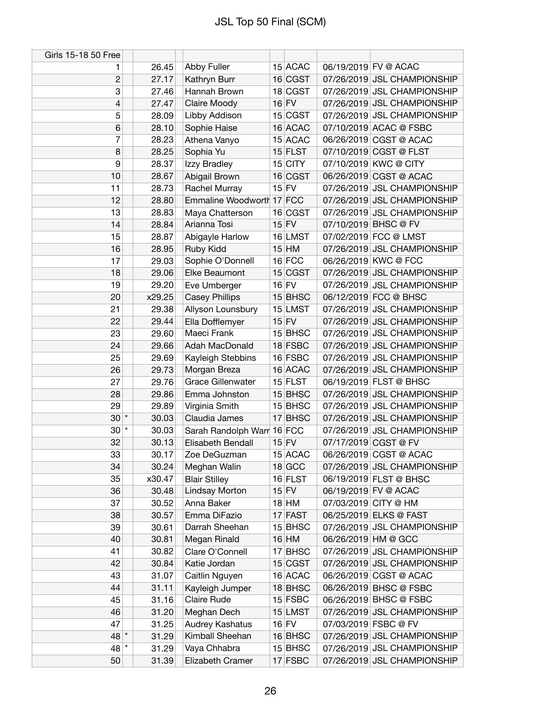| Girls 15-18 50 Free |        |                            |           |                             |
|---------------------|--------|----------------------------|-----------|-----------------------------|
| 1                   | 26.45  | Abby Fuller                | 15 ACAC   | 06/19/2019 FV @ ACAC        |
| $\overline{c}$      | 27.17  | Kathryn Burr               | 16 CGST   | 07/26/2019 JSL CHAMPIONSHIP |
| 3                   | 27.46  | Hannah Brown               | 18 CGST   | 07/26/2019 JSL CHAMPIONSHIP |
| 4                   | 27.47  | Claire Moody               | $16$ FV   | 07/26/2019 JSL CHAMPIONSHIP |
| 5                   | 28.09  | Libby Addison              | 15 CGST   | 07/26/2019 JSL CHAMPIONSHIP |
| 6                   | 28.10  | Sophie Haise               | 16 ACAC   | 07/10/2019 ACAC @ FSBC      |
| 7                   | 28.23  | Athena Vanyo               | 15 ACAC   | 06/26/2019 CGST @ ACAC      |
| 8                   | 28.25  | Sophia Yu                  | $15$ FLST | 07/10/2019 CGST @ FLST      |
| 9                   | 28.37  | Izzy Bradley               | $15$ CITY | 07/10/2019 KWC @ CITY       |
| 10                  | 28.67  | Abigail Brown              | 16 CGST   | 06/26/2019 CGST @ ACAC      |
| 11                  | 28.73  | Rachel Murray              | $15$ FV   | 07/26/2019 JSL CHAMPIONSHIP |
| 12                  | 28.80  | Emmaline Woodworth 17 FCC  |           | 07/26/2019 JSL CHAMPIONSHIP |
| 13                  | 28.83  | Maya Chatterson            | 16 CGST   | 07/26/2019 JSL CHAMPIONSHIP |
| 14                  | 28.84  | Arianna Tosi               | $15$ FV   | 07/10/2019 BHSC @ FV        |
| 15                  | 28.87  | Abigayle Harlow            | 16 LMST   | 07/02/2019 FCC @ LMST       |
| 16                  | 28.95  | Ruby Kidd                  | $15$ HM   | 07/26/2019 JSL CHAMPIONSHIP |
| 17                  | 29.03  | Sophie O'Donnell           | $16$ FCC  | 06/26/2019 KWC @ FCC        |
| 18                  | 29.06  | Elke Beaumont              | 15 CGST   | 07/26/2019 JSL CHAMPIONSHIP |
| 19                  | 29.20  | Eve Umberger               | $16$ FV   | 07/26/2019 JSL CHAMPIONSHIP |
| 20                  | x29.25 | <b>Casey Phillips</b>      | $15$ BHSC | 06/12/2019 FCC @ BHSC       |
| 21                  | 29.38  | Allyson Lounsbury          | $15$ LMST | 07/26/2019 JSL CHAMPIONSHIP |
| 22                  | 29.44  | Ella Dofflemyer            | $15$ FV   | 07/26/2019 JSL CHAMPIONSHIP |
| 23                  | 29.60  | Maeci Frank                | $15$ BHSC | 07/26/2019 JSL CHAMPIONSHIP |
| 24                  | 29.66  | Adah MacDonald             | 18 FSBC   | 07/26/2019 JSL CHAMPIONSHIP |
| 25                  | 29.69  |                            | 16 FSBC   | 07/26/2019 JSL CHAMPIONSHIP |
|                     |        | Kayleigh Stebbins          | 16 ACAC   | 07/26/2019 JSL CHAMPIONSHIP |
| 26                  | 29.73  | Morgan Breza               |           |                             |
| 27                  | 29.76  | <b>Grace Gillenwater</b>   | $15$ FLST | 06/19/2019 FLST @ BHSC      |
| 28                  | 29.86  | Emma Johnston              | 15 BHSC   | 07/26/2019 JSL CHAMPIONSHIP |
| 29                  | 29.89  | Virginia Smith             | $15$ BHSC | 07/26/2019 JSL CHAMPIONSHIP |
| $30*$               | 30.03  | Claudia James              | 17 BHSC   | 07/26/2019 JSL CHAMPIONSHIP |
| $30$ $*$            | 30.03  | Sarah Randolph Warr 16 FCC |           | 07/26/2019 JSL CHAMPIONSHIP |
| 32                  | 30.13  | Elisabeth Bendall          | $15$ FV   | 07/17/2019 CGST @ FV        |
| 33                  | 30.17  | Zoe DeGuzman               | 15 ACAC   | 06/26/2019 CGST @ ACAC      |
| 34                  | 30.24  | Meghan Walin               | $18$ GCC  | 07/26/2019 JSL CHAMPIONSHIP |
| 35                  | x30.47 | <b>Blair Stilley</b>       | $16$ FLST | 06/19/2019 FLST @ BHSC      |
| 36                  | 30.48  | <b>Lindsay Morton</b>      | $15$ FV   | 06/19/2019 FV @ ACAC        |
| 37                  | 30.52  | Anna Baker                 | $18$ HM   | 07/03/2019 CITY @ HM        |
| 38                  | 30.57  | Emma DiFazio               | $17$ FAST | 06/25/2019 ELKS @ FAST      |
| 39                  | 30.61  | Darrah Sheehan             | $15$ BHSC | 07/26/2019 JSL CHAMPIONSHIP |
| 40                  | 30.81  | Megan Rinald               | $16$ HM   | 06/26/2019 HM @ GCC         |
| 41                  | 30.82  | Clare O'Connell            | $17$ BHSC | 07/26/2019 JSL CHAMPIONSHIP |
| 42                  | 30.84  | Katie Jordan               | 15 CGST   | 07/26/2019 JSL CHAMPIONSHIP |
| 43                  | 31.07  | Caitlin Nguyen             | 16 ACAC   | 06/26/2019 CGST @ ACAC      |
| 44                  | 31.11  | Kayleigh Jumper            | $18$ BHSC | 06/26/2019 BHSC @ FSBC      |
| 45                  | 31.16  | Claire Rude                | $15$ FSBC | 06/26/2019 BHSC @ FSBC      |
| 46                  | 31.20  | Meghan Dech                | 15 LMST   | 07/26/2019 JSL CHAMPIONSHIP |
| 47                  | 31.25  | Audrey Kashatus            | $16$ FV   | 07/03/2019 FSBC @ FV        |
| $48*$               | 31.29  | Kimball Sheehan            | $16$ BHSC | 07/26/2019 JSL CHAMPIONSHIP |
| 48 *                | 31.29  | Vaya Chhabra               | 15 BHSC   | 07/26/2019 JSL CHAMPIONSHIP |
| 50                  | 31.39  | Elizabeth Cramer           | 17 FSBC   | 07/26/2019 JSL CHAMPIONSHIP |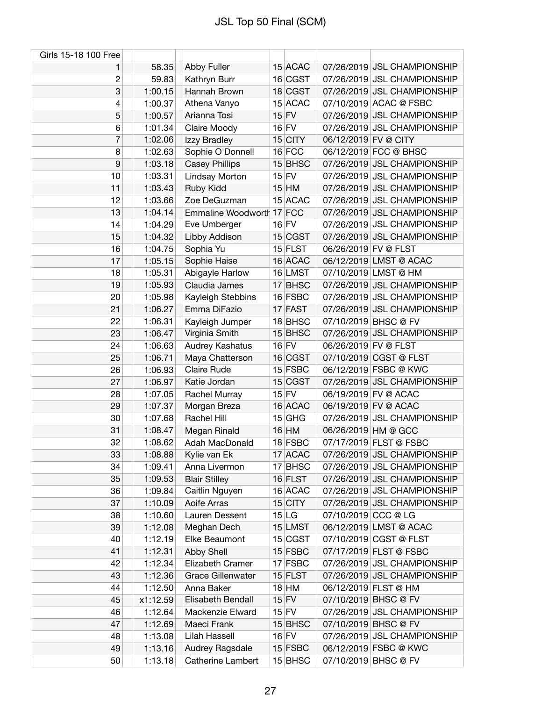| Girls 15-18 100 Free |          |                           |           |                      |                             |
|----------------------|----------|---------------------------|-----------|----------------------|-----------------------------|
| 1                    | 58.35    | Abby Fuller               | 15 ACAC   |                      | 07/26/2019 JSL CHAMPIONSHIP |
| $\overline{c}$       | 59.83    | Kathryn Burr              | 16 CGST   |                      | 07/26/2019 JSL CHAMPIONSHIP |
| 3                    | 1:00.15  | Hannah Brown              | 18 CGST   |                      | 07/26/2019 JSL CHAMPIONSHIP |
| 4                    | 1:00.37  | Athena Vanyo              | 15 ACAC   |                      | 07/10/2019 ACAC @ FSBC      |
| 5                    | 1:00.57  | Arianna Tosi              | $15$ FV   |                      | 07/26/2019 JSL CHAMPIONSHIP |
| 6                    | 1:01.34  | Claire Moody              | $16$ FV   |                      | 07/26/2019 JSL CHAMPIONSHIP |
| 7                    | 1:02.06  | Izzy Bradley              | $15$ CITY | 06/12/2019 FV @ CITY |                             |
| 8                    | 1:02.63  | Sophie O'Donnell          | $16$ FCC  |                      | 06/12/2019 FCC @ BHSC       |
| 9                    | 1:03.18  | <b>Casey Phillips</b>     | 15 BHSC   |                      | 07/26/2019 JSL CHAMPIONSHIP |
| 10                   | 1:03.31  | Lindsay Morton            | $15$ FV   |                      | 07/26/2019 JSL CHAMPIONSHIP |
| 11                   | 1:03.43  | Ruby Kidd                 | $15$ HM   |                      | 07/26/2019 JSL CHAMPIONSHIP |
| 12                   | 1:03.66  | Zoe DeGuzman              | 15 ACAC   |                      | 07/26/2019 JSL CHAMPIONSHIP |
| 13                   | 1:04.14  | Emmaline Woodworth 17 FCC |           |                      | 07/26/2019 JSL CHAMPIONSHIP |
| 14                   | 1:04.29  | Eve Umberger              | $16$ FV   |                      | 07/26/2019 JSL CHAMPIONSHIP |
| 15                   | 1:04.32  | Libby Addison             | 15 CGST   |                      | 07/26/2019 JSL CHAMPIONSHIP |
| 16                   | 1:04.75  | Sophia Yu                 | $15$ FLST | 06/26/2019 FV @ FLST |                             |
| 17                   | 1:05.15  | Sophie Haise              | 16 ACAC   |                      | 06/12/2019 LMST @ ACAC      |
| 18                   | 1:05.31  | Abigayle Harlow           | 16 LMST   |                      | 07/10/2019 LMST @ HM        |
| 19                   | 1:05.93  | Claudia James             | 17 BHSC   |                      | 07/26/2019 JSL CHAMPIONSHIP |
| 20                   | 1:05.98  | Kayleigh Stebbins         | 16 FSBC   |                      | 07/26/2019 JSL CHAMPIONSHIP |
| 21                   | 1:06.27  | Emma DiFazio              | 17 FAST   |                      | 07/26/2019 JSL CHAMPIONSHIP |
| 22                   | 1:06.31  | Kayleigh Jumper           | 18 BHSC   |                      | 07/10/2019 BHSC @ FV        |
| 23                   | 1:06.47  | Virginia Smith            | $15$ BHSC |                      | 07/26/2019 JSL CHAMPIONSHIP |
| 24                   | 1:06.63  | Audrey Kashatus           | $16$ FV   | 06/26/2019 FV @ FLST |                             |
| 25                   | 1:06.71  | Maya Chatterson           | 16 CGST   |                      | 07/10/2019 CGST @ FLST      |
| 26                   | 1:06.93  | Claire Rude               | $15$ FSBC |                      | 06/12/2019 FSBC @ KWC       |
| 27                   | 1:06.97  | Katie Jordan              | 15 CGST   |                      | 07/26/2019 JSL CHAMPIONSHIP |
| 28                   | 1:07.05  | Rachel Murray             | $15$ FV   |                      | 06/19/2019 FV @ ACAC        |
| 29                   | 1:07.37  | Morgan Breza              | 16 ACAC   |                      | 06/19/2019 FV @ ACAC        |
| 30                   | 1:07.68  | Rachel Hill               | $15$ GHG  |                      | 07/26/2019 JSL CHAMPIONSHIP |
| 31                   | 1:08.47  | Megan Rinald              | $16$ HM   |                      | 06/26/2019 HM @ GCC         |
| 32                   | 1:08.62  | Adah MacDonald            | 18 FSBC   |                      | 07/17/2019 FLST @ FSBC      |
| 33                   | 1:08.88  | Kylie van Ek              | 17 ACAC   |                      | 07/26/2019 JSL CHAMPIONSHIP |
| 34                   | 1:09.41  | Anna Livermon             | 17 BHSC   |                      | 07/26/2019 JSL CHAMPIONSHIP |
| 35                   | 1:09.53  | <b>Blair Stilley</b>      | $16$ FLST |                      | 07/26/2019 JSL CHAMPIONSHIP |
| 36                   | 1:09.84  | Caitlin Nguyen            | 16 ACAC   |                      | 07/26/2019 JSL CHAMPIONSHIP |
| 37                   | 1:10.09  | Aoife Arras               | $15$ CITY |                      | 07/26/2019 JSL CHAMPIONSHIP |
| 38                   | 1:10.60  | Lauren Dessent            | 15 LG     | 07/10/2019 CCC @ LG  |                             |
| 39                   | 1:12.08  | Meghan Dech               | 15 LMST   |                      | 06/12/2019 LMST @ ACAC      |
| 40                   | 1:12.19  | Elke Beaumont             | 15 CGST   |                      | 07/10/2019 CGST @ FLST      |
| 41                   | 1:12.31  | Abby Shell                | 15 FSBC   |                      | 07/17/2019 FLST @ FSBC      |
| 42                   | 1:12.34  | Elizabeth Cramer          | 17 FSBC   |                      | 07/26/2019 JSL CHAMPIONSHIP |
| 43                   | 1:12.36  | <b>Grace Gillenwater</b>  | $15$ FLST |                      | 07/26/2019 JSL CHAMPIONSHIP |
| 44                   | 1:12.50  | Anna Baker                | $18$ HM   |                      | 06/12/2019 FLST @ HM        |
| 45                   | x1:12.59 | Elisabeth Bendall         | $15$ FV   |                      | 07/10/2019 BHSC @ FV        |
| 46                   | 1:12.64  | Mackenzie Elward          | $15$ FV   |                      | 07/26/2019 JSL CHAMPIONSHIP |
| 47                   | 1:12.69  | Maeci Frank               | $15$ BHSC |                      | 07/10/2019 BHSC @ FV        |
| 48                   | 1:13.08  | Lilah Hassell             | $16$ FV   |                      | 07/26/2019 JSL CHAMPIONSHIP |
| 49                   | 1:13.16  | Audrey Ragsdale           | 15 FSBC   |                      | 06/12/2019 FSBC @ KWC       |
| 50                   | 1:13.18  | Catherine Lambert         | 15 BHSC   |                      | 07/10/2019 BHSC @ FV        |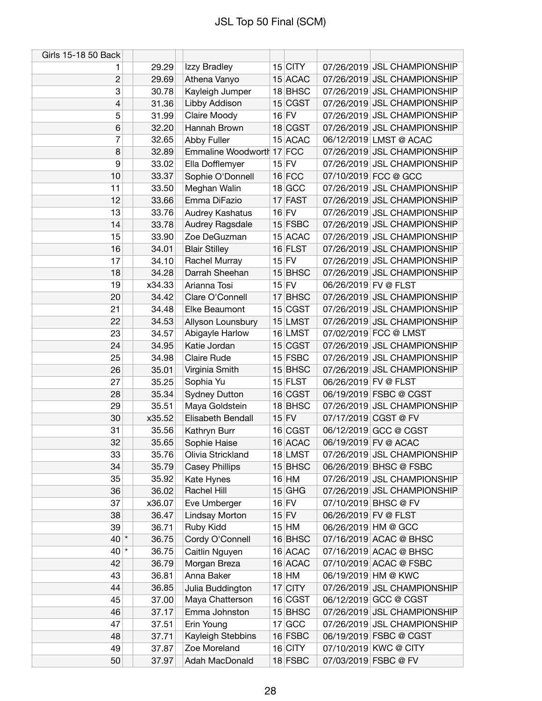| Girls 15-18 50 Back |                 |                           |         |                     |                      |                                                            |
|---------------------|-----------------|---------------------------|---------|---------------------|----------------------|------------------------------------------------------------|
| 1                   | 29.29           | Izzy Bradley              |         | $15$ CITY           |                      | 07/26/2019 JSL CHAMPIONSHIP                                |
| $\overline{c}$      | 29.69           | Athena Vanyo              |         | 15 ACAC             |                      | 07/26/2019 JSL CHAMPIONSHIP                                |
| 3                   | 30.78           | Kayleigh Jumper           |         | 18 BHSC             |                      | 07/26/2019 JSL CHAMPIONSHIP                                |
| 4                   | 31.36           | Libby Addison             |         | 15 CGST             |                      | 07/26/2019 JSL CHAMPIONSHIP                                |
| 5                   | 31.99           | Claire Moody              | $16$ FV |                     |                      | 07/26/2019 JSL CHAMPIONSHIP                                |
| 6                   | 32.20           | Hannah Brown              |         | 18 CGST             |                      | 07/26/2019 JSL CHAMPIONSHIP                                |
| 7                   | 32.65           | Abby Fuller               |         | 15 ACAC             |                      | 06/12/2019 LMST @ ACAC                                     |
| 8                   | 32.89           | Emmaline Woodworth 17 FCC |         |                     |                      | 07/26/2019 JSL CHAMPIONSHIP                                |
| 9                   | 33.02           | Ella Dofflemyer           |         | $15$ FV             |                      | 07/26/2019 JSL CHAMPIONSHIP                                |
| 10                  | 33.37           | Sophie O'Donnell          |         | $16$ FCC            |                      | 07/10/2019 FCC @ GCC                                       |
| 11                  | 33.50           | Meghan Walin              |         | 18 GCC              |                      | 07/26/2019 JSL CHAMPIONSHIP                                |
| 12                  | 33.66           | Emma DiFazio              |         | 17 FAST             |                      | 07/26/2019 JSL CHAMPIONSHIP                                |
| 13                  | 33.76           | Audrey Kashatus           | $16$ FV |                     |                      | 07/26/2019 JSL CHAMPIONSHIP                                |
| 14                  | 33.78           | Audrey Ragsdale           |         | $15$ FSBC           |                      | 07/26/2019 JSL CHAMPIONSHIP                                |
| 15                  | 33.90           | Zoe DeGuzman              |         | 15 ACAC             |                      | 07/26/2019 JSL CHAMPIONSHIP                                |
| 16                  | 34.01           | <b>Blair Stilley</b>      |         | 16 FLST             |                      | 07/26/2019 JSL CHAMPIONSHIP                                |
| 17                  | 34.10           | Rachel Murray             | $15$ FV |                     |                      | 07/26/2019 JSL CHAMPIONSHIP                                |
| 18                  | 34.28           | Darrah Sheehan            |         | 15 BHSC             |                      | 07/26/2019 JSL CHAMPIONSHIP                                |
| 19                  | x34.33          | Arianna Tosi              | $15$ FV |                     | 06/26/2019 FV @ FLST |                                                            |
| 20                  | 34.42           | Clare O'Connell           |         | $17$ BHSC           |                      | 07/26/2019 JSL CHAMPIONSHIP                                |
| 21                  | 34.48           | Elke Beaumont             |         | 15 CGST             |                      | 07/26/2019 JSL CHAMPIONSHIP                                |
| 22                  | 34.53           | Allyson Lounsbury         |         | 15 LMST             |                      | 07/26/2019 JSL CHAMPIONSHIP                                |
| 23                  | 34.57           | Abigayle Harlow           |         | 16 LMST             |                      | 07/02/2019 FCC @ LMST                                      |
| 24                  | 34.95           | Katie Jordan              |         | 15 CGST             |                      | 07/26/2019 JSL CHAMPIONSHIP                                |
| 25                  | 34.98           | Claire Rude               |         | $15$ FSBC           |                      | 07/26/2019 JSL CHAMPIONSHIP                                |
| 26                  | 35.01           | Virginia Smith            |         | $15$ BHSC           |                      | 07/26/2019 JSL CHAMPIONSHIP                                |
| 27                  | 35.25           | Sophia Yu                 |         | $15$ FLST           | 06/26/2019 FV @ FLST |                                                            |
| 28                  | 35.34           | <b>Sydney Dutton</b>      |         | 16 CGST             |                      | 06/19/2019 FSBC @ CGST                                     |
| 29                  | 35.51           | Maya Goldstein            |         | 18 BHSC             |                      | 07/26/2019 JSL CHAMPIONSHIP                                |
| 30                  | x35.52          | Elisabeth Bendall         | $15$ FV |                     |                      | 07/17/2019 CGST @ FV                                       |
| 31                  | 35.56           | Kathryn Burr              |         | 16 CGST             |                      | 06/12/2019 GCC @ CGST                                      |
| 32                  | 35.65           | Sophie Haise              |         | 16 ACAC             |                      | 06/19/2019 FV @ ACAC                                       |
| 33                  | 35.76           | Olivia Strickland         |         | 18 LMST             |                      | 07/26/2019 JSL CHAMPIONSHIP                                |
| 34                  | 35.79           |                           |         | $15$ BHSC           |                      | 06/26/2019 BHSC @ FSBC                                     |
| 35                  | 35.92           | <b>Casey Phillips</b>     |         |                     |                      |                                                            |
|                     |                 | Kate Hynes<br>Rachel Hill |         | $16$ HM<br>$15$ GHG |                      | 07/26/2019 JSL CHAMPIONSHIP<br>07/26/2019 JSL CHAMPIONSHIP |
| 36                  | 36.02           |                           |         |                     |                      |                                                            |
| 37                  | x36.07<br>36.47 | Eve Umberger              |         | $16$ FV             | 06/26/2019 FV @ FLST | 07/10/2019 BHSC @ FV                                       |
| 38                  |                 | Lindsay Morton            |         | $15$ FV             |                      | 06/26/2019 HM @ GCC                                        |
| 39<br>$40$ *        | 36.71           | Ruby Kidd                 |         | $15$ HM             |                      |                                                            |
| $40$ *              | 36.75           | Cordy O'Connell           |         | 16 BHSC             |                      | 07/16/2019 ACAC @ BHSC                                     |
|                     | 36.75           | Caitlin Nguyen            |         | 16 ACAC             |                      | 07/16/2019 ACAC @ BHSC                                     |
| 42                  | 36.79           | Morgan Breza              |         | 16 ACAC             |                      | 07/10/2019 ACAC @ FSBC                                     |
| 43                  | 36.81           | Anna Baker                |         | $18$ HM             |                      | 06/19/2019 HM @ KWC                                        |
| 44                  | 36.85           | Julia Buddington          |         | 17 CITY             |                      | 07/26/2019 JSL CHAMPIONSHIP                                |
| 45                  | 37.00           | Maya Chatterson           |         | 16 CGST             |                      | 06/12/2019 GCC @ CGST                                      |
| 46                  | 37.17           | Emma Johnston             |         | $15$ BHSC           |                      | 07/26/2019 JSL CHAMPIONSHIP                                |
| 47                  | 37.51           | Erin Young                |         | $17$ GCC            |                      | 07/26/2019 JSL CHAMPIONSHIP                                |
| 48                  | 37.71           | Kayleigh Stebbins         |         | 16 FSBC             |                      | 06/19/2019 FSBC @ CGST                                     |
| 49                  | 37.87           | Zoe Moreland              |         | $16$ CITY           |                      | 07/10/2019 KWC @ CITY                                      |
| 50                  | 37.97           | Adah MacDonald            |         | 18 FSBC             |                      | 07/03/2019 FSBC @ FV                                       |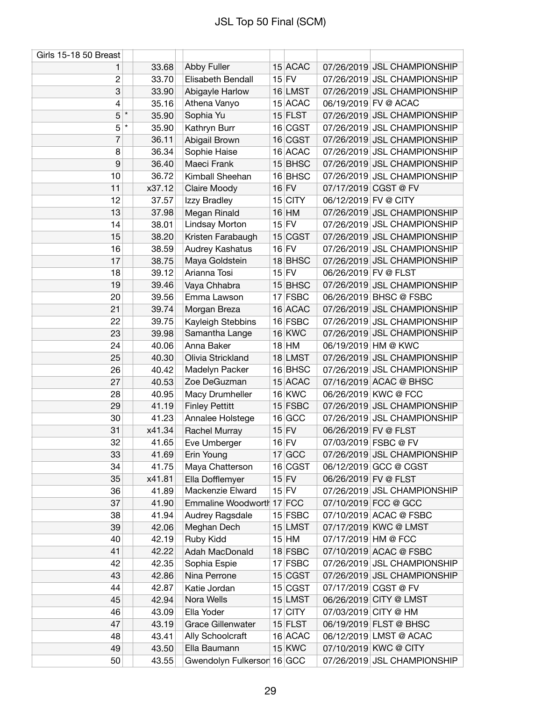| Girls 15-18 50 Breast |        |                            |           |                      |                             |
|-----------------------|--------|----------------------------|-----------|----------------------|-----------------------------|
| 1                     | 33.68  | Abby Fuller                | 15 ACAC   |                      | 07/26/2019 JSL CHAMPIONSHIP |
| $\mathbf{2}$          | 33.70  | Elisabeth Bendall          | $15$ FV   |                      | 07/26/2019 JSL CHAMPIONSHIP |
| 3                     | 33.90  | Abigayle Harlow            | 16 LMST   |                      | 07/26/2019 JSL CHAMPIONSHIP |
| 4                     | 35.16  | Athena Vanyo               | 15 ACAC   |                      | 06/19/2019 FV @ ACAC        |
| $\star$<br>5          | 35.90  | Sophia Yu                  | $15$ FLST |                      | 07/26/2019 JSL CHAMPIONSHIP |
| 5<br>$\star$          | 35.90  | Kathryn Burr               | 16 CGST   |                      | 07/26/2019 JSL CHAMPIONSHIP |
| 7                     | 36.11  | Abigail Brown              | 16 CGST   |                      | 07/26/2019 JSL CHAMPIONSHIP |
| 8                     | 36.34  | Sophie Haise               | 16 ACAC   |                      | 07/26/2019 JSL CHAMPIONSHIP |
| 9                     | 36.40  | Maeci Frank                | 15 BHSC   |                      | 07/26/2019 JSL CHAMPIONSHIP |
| 10                    | 36.72  | Kimball Sheehan            | 16 BHSC   |                      | 07/26/2019 JSL CHAMPIONSHIP |
| 11                    | x37.12 | Claire Moody               | $16$ FV   |                      | 07/17/2019 CGST @ FV        |
| 12                    | 37.57  | Izzy Bradley               | $15$ CITY | 06/12/2019 FV @ CITY |                             |
| 13                    | 37.98  | Megan Rinald               | $16$ HM   |                      | 07/26/2019 JSL CHAMPIONSHIP |
| 14                    | 38.01  | Lindsay Morton             | $15$ FV   |                      | 07/26/2019 JSL CHAMPIONSHIP |
| 15                    | 38.20  | Kristen Farabaugh          | 15 CGST   |                      | 07/26/2019 JSL CHAMPIONSHIP |
| 16                    | 38.59  | Audrey Kashatus            | $16$ FV   |                      | 07/26/2019 JSL CHAMPIONSHIP |
| 17                    | 38.75  | Maya Goldstein             | 18 BHSC   |                      | 07/26/2019 JSL CHAMPIONSHIP |
| 18                    | 39.12  | Arianna Tosi               | $15$ FV   | 06/26/2019 FV @ FLST |                             |
| 19                    | 39.46  | Vaya Chhabra               | 15 BHSC   |                      | 07/26/2019 JSL CHAMPIONSHIP |
| 20                    | 39.56  | Emma Lawson                | $17$ FSBC |                      | 06/26/2019 BHSC @ FSBC      |
| 21                    | 39.74  | Morgan Breza               | 16 ACAC   |                      | 07/26/2019 JSL CHAMPIONSHIP |
| 22                    | 39.75  | Kayleigh Stebbins          | 16 FSBC   |                      | 07/26/2019 JSL CHAMPIONSHIP |
| 23                    | 39.98  | Samantha Lange             | $16$ KWC  |                      | 07/26/2019 JSL CHAMPIONSHIP |
| 24                    | 40.06  | Anna Baker                 | $18$ HM   |                      | 06/19/2019 HM @ KWC         |
| 25                    | 40.30  | Olivia Strickland          | 18 LMST   |                      | 07/26/2019 JSL CHAMPIONSHIP |
| 26                    | 40.42  | Madelyn Packer             | 16 BHSC   |                      | 07/26/2019 JSL CHAMPIONSHIP |
| 27                    | 40.53  | Zoe DeGuzman               | 15 ACAC   |                      | 07/16/2019 ACAC @ BHSC      |
| 28                    | 40.95  | Macy Drumheller            | $16$ KWC  |                      | 06/26/2019 KWC @ FCC        |
| 29                    | 41.19  | <b>Finley Pettitt</b>      | 15 FSBC   |                      | 07/26/2019 JSL CHAMPIONSHIP |
| 30                    | 41.23  | Annalee Holstege           | 16 GCC    |                      | 07/26/2019 JSL CHAMPIONSHIP |
| 31                    | x41.34 | Rachel Murray              | $15$ FV   | 06/26/2019 FV @ FLST |                             |
| 32                    | 41.65  | Eve Umberger               | $16$ FV   |                      | 07/03/2019 FSBC @ FV        |
| 33                    | 41.69  | Erin Young                 | 17 GCC    |                      | 07/26/2019 JSL CHAMPIONSHIP |
| 34                    | 41.75  | Maya Chatterson            | 16 CGST   |                      | 06/12/2019 GCC @ CGST       |
| 35                    | x41.81 | Ella Dofflemyer            | $15$ FV   | 06/26/2019 FV @ FLST |                             |
| 36                    | 41.89  | Mackenzie Elward           | $15$ FV   |                      | 07/26/2019 JSL CHAMPIONSHIP |
| 37                    | 41.90  | Emmaline Woodworth 17 FCC  |           |                      | 07/10/2019 FCC @ GCC        |
| 38                    | 41.94  | Audrey Ragsdale            | $15$ FSBC |                      | 07/10/2019 ACAC @ FSBC      |
| 39                    | 42.06  | Meghan Dech                | 15 LMST   |                      | 07/17/2019 KWC @ LMST       |
| 40                    | 42.19  | Ruby Kidd                  | $15$ HM   | 07/17/2019 HM @ FCC  |                             |
| 41                    | 42.22  | Adah MacDonald             | 18 FSBC   |                      | 07/10/2019 ACAC @ FSBC      |
| 42                    | 42.35  | Sophia Espie               | $17$ FSBC |                      | 07/26/2019 JSL CHAMPIONSHIP |
| 43                    | 42.86  | Nina Perrone               | 15 CGST   |                      | 07/26/2019 JSL CHAMPIONSHIP |
| 44                    | 42.87  | Katie Jordan               | 15 CGST   |                      | 07/17/2019 CGST @ FV        |
| 45                    | 42.94  | Nora Wells                 | 15 LMST   |                      | 06/26/2019 CITY @ LMST      |
| 46                    | 43.09  | Ella Yoder                 | 17 CITY   |                      | 07/03/2019 CITY @ HM        |
| 47                    | 43.19  | <b>Grace Gillenwater</b>   | $15$ FLST |                      | 06/19/2019 FLST @ BHSC      |
| 48                    | 43.41  | Ally Schoolcraft           | 16 ACAC   |                      | 06/12/2019 LMST @ ACAC      |
| 49                    | 43.50  | Ella Baumann               | $15$ KWC  |                      | 07/10/2019 KWC @ CITY       |
| 50                    | 43.55  | Gwendolyn Fulkerson 16 GCC |           |                      | 07/26/2019 JSL CHAMPIONSHIP |
|                       |        |                            |           |                      |                             |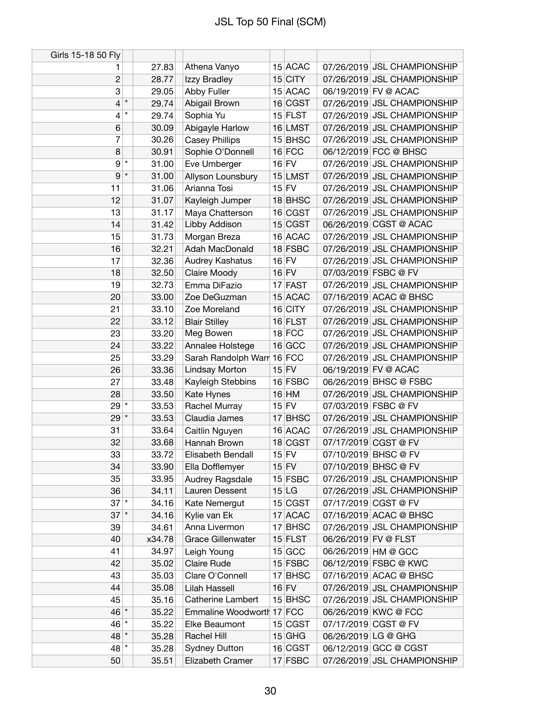| Girls 15-18 50 Fly |         |        |                            |         |           |                      |                             |
|--------------------|---------|--------|----------------------------|---------|-----------|----------------------|-----------------------------|
| 1                  |         | 27.83  | Athena Vanyo               |         | 15 ACAC   |                      | 07/26/2019 JSL CHAMPIONSHIP |
| 2                  |         | 28.77  | Izzy Bradley               |         | $15$ CITY |                      | 07/26/2019 JSL CHAMPIONSHIP |
| 3                  |         | 29.05  | Abby Fuller                |         | 15 ACAC   |                      | 06/19/2019 FV @ ACAC        |
| 4                  | $\star$ | 29.74  | Abigail Brown              |         | 16 CGST   |                      | 07/26/2019 JSL CHAMPIONSHIP |
| 4                  | $\star$ | 29.74  | Sophia Yu                  |         | $15$ FLST |                      | 07/26/2019 JSL CHAMPIONSHIP |
| 6                  |         | 30.09  | Abigayle Harlow            |         | 16 LMST   |                      | 07/26/2019 JSL CHAMPIONSHIP |
| 7                  |         | 30.26  | <b>Casey Phillips</b>      |         | $15$ BHSC |                      | 07/26/2019 JSL CHAMPIONSHIP |
| 8                  |         | 30.91  | Sophie O'Donnell           |         | $16$ FCC  |                      | 06/12/2019 FCC @ BHSC       |
| $\boldsymbol{9}$   | $\star$ | 31.00  | Eve Umberger               |         | $16$ FV   |                      | 07/26/2019 JSL CHAMPIONSHIP |
| 9                  | $\star$ | 31.00  | Allyson Lounsbury          |         | 15 LMST   |                      | 07/26/2019 JSL CHAMPIONSHIP |
| 11                 |         | 31.06  | Arianna Tosi               |         | $15$ FV   |                      | 07/26/2019 JSL CHAMPIONSHIP |
| 12                 |         | 31.07  | Kayleigh Jumper            |         | 18 BHSC   |                      | 07/26/2019 JSL CHAMPIONSHIP |
| 13                 |         | 31.17  | Maya Chatterson            |         | 16 CGST   |                      | 07/26/2019 JSL CHAMPIONSHIP |
| 14                 |         | 31.42  | Libby Addison              |         | 15 CGST   |                      | 06/26/2019 CGST @ ACAC      |
| 15                 |         | 31.73  | Morgan Breza               |         | 16 ACAC   |                      | 07/26/2019 JSL CHAMPIONSHIP |
| 16                 |         | 32.21  | Adah MacDonald             |         | 18 FSBC   |                      | 07/26/2019 JSL CHAMPIONSHIP |
| 17                 |         | 32.36  | Audrey Kashatus            |         | $16$ FV   |                      | 07/26/2019 JSL CHAMPIONSHIP |
| 18                 |         | 32.50  | Claire Moody               | $16$ FV |           |                      | 07/03/2019 FSBC @ FV        |
| 19                 |         | 32.73  | Emma DiFazio               |         | 17 FAST   |                      | 07/26/2019 JSL CHAMPIONSHIP |
| 20                 |         | 33.00  | Zoe DeGuzman               |         | 15 ACAC   |                      | 07/16/2019 ACAC @ BHSC      |
| 21                 |         | 33.10  | Zoe Moreland               |         | $16$ CITY |                      | 07/26/2019 JSL CHAMPIONSHIP |
| 22                 |         | 33.12  | <b>Blair Stilley</b>       |         | $16$ FLST |                      | 07/26/2019 JSL CHAMPIONSHIP |
| 23                 |         | 33.20  | Meg Bowen                  |         | $18$ FCC  |                      | 07/26/2019 JSL CHAMPIONSHIP |
| 24                 |         | 33.22  | Annalee Holstege           |         | 16 GCC    |                      | 07/26/2019 JSL CHAMPIONSHIP |
| 25                 |         | 33.29  | Sarah Randolph Warr 16 FCC |         |           |                      | 07/26/2019 JSL CHAMPIONSHIP |
| 26                 |         | 33.36  | Lindsay Morton             | $15$ FV |           |                      | 06/19/2019 FV @ ACAC        |
| 27                 |         | 33.48  | Kayleigh Stebbins          |         | 16 FSBC   |                      | 06/26/2019 BHSC @ FSBC      |
| 28                 |         | 33.50  | Kate Hynes                 |         | $16$ HM   |                      | 07/26/2019 JSL CHAMPIONSHIP |
| $29^{+}$           |         | 33.53  | Rachel Murray              |         | $15$ FV   | 07/03/2019 FSBC @ FV |                             |
| $29$ $*$           |         | 33.53  | Claudia James              |         | $17$ BHSC |                      | 07/26/2019 JSL CHAMPIONSHIP |
| 31                 |         | 33.64  | Caitlin Nguyen             |         | 16 ACAC   |                      | 07/26/2019 JSL CHAMPIONSHIP |
| 32                 |         | 33.68  | Hannah Brown               |         | 18 CGST   |                      | 07/17/2019 CGST @ FV        |
| 33                 |         | 33.72  | Elisabeth Bendall          |         | $15$ FV   |                      | 07/10/2019 BHSC @ FV        |
| 34                 |         | 33.90  | Ella Dofflemyer            |         | $15$ FV   |                      | 07/10/2019 BHSC @ FV        |
| 35                 |         | 33.95  | Audrey Ragsdale            |         | $15$ FSBC |                      | 07/26/2019 JSL CHAMPIONSHIP |
| 36                 |         | 34.11  | Lauren Dessent             |         | 15 LG     |                      | 07/26/2019 JSL CHAMPIONSHIP |
| $37$ <sup>*</sup>  |         | 34.16  | Kate Nemergut              |         | 15 CGST   |                      | 07/17/2019 CGST @ FV        |
| $37$ $*$           |         | 34.16  | Kylie van Ek               |         | 17 ACAC   |                      | 07/16/2019 ACAC @ BHSC      |
| 39                 |         | 34.61  | Anna Livermon              |         | 17 BHSC   |                      | 07/26/2019 JSL CHAMPIONSHIP |
| 40                 |         | x34.78 | <b>Grace Gillenwater</b>   |         | $15$ FLST | 06/26/2019 FV @ FLST |                             |
| 41                 |         | 34.97  | Leigh Young                |         | $15$ GCC  |                      | 06/26/2019 HM @ GCC         |
| 42                 |         | 35.02  | <b>Claire Rude</b>         |         | $15$ FSBC |                      | 06/12/2019 FSBC @ KWC       |
| 43                 |         | 35.03  | Clare O'Connell            |         | $17$ BHSC |                      | 07/16/2019 ACAC @ BHSC      |
| 44                 |         | 35.08  | Lilah Hassell              |         | $16$ FV   |                      | 07/26/2019 JSL CHAMPIONSHIP |
| 45                 |         | 35.16  | <b>Catherine Lambert</b>   |         | 15 BHSC   |                      | 07/26/2019 JSL CHAMPIONSHIP |
| $46$ *             |         | 35.22  | Emmaline Woodworth 17 FCC  |         |           |                      | 06/26/2019 KWC @ FCC        |
| $46$ *             |         | 35.22  | Elke Beaumont              |         | 15 CGST   |                      | 07/17/2019 CGST @ FV        |
| $48$ *             |         | 35.28  | Rachel Hill                |         | $15$ GHG  | 06/26/2019 LG @ GHG  |                             |
| $48$ *             |         | 35.28  | <b>Sydney Dutton</b>       |         | 16 CGST   |                      | 06/12/2019 GCC @ CGST       |
| 50                 |         | 35.51  | Elizabeth Cramer           |         | 17 FSBC   |                      | 07/26/2019 JSL CHAMPIONSHIP |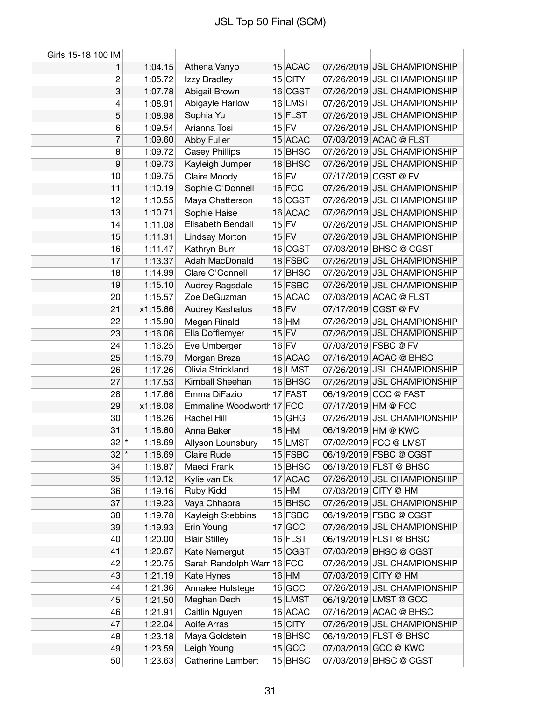| Girls 15-18 100 IM |          |                                   |         |                    |                      |                             |
|--------------------|----------|-----------------------------------|---------|--------------------|----------------------|-----------------------------|
| 1                  | 1:04.15  | Athena Vanyo                      |         | 15 ACAC            |                      | 07/26/2019 JSL CHAMPIONSHIP |
| $\overline{c}$     | 1:05.72  | Izzy Bradley                      |         | $15$ CITY          |                      | 07/26/2019 JSL CHAMPIONSHIP |
| 3                  | 1:07.78  | Abigail Brown                     |         | 16 CGST            |                      | 07/26/2019 JSL CHAMPIONSHIP |
| 4                  | 1:08.91  | Abigayle Harlow                   |         | 16 LMST            |                      | 07/26/2019 JSL CHAMPIONSHIP |
| 5                  | 1:08.98  | Sophia Yu                         |         | $15$ FLST          |                      | 07/26/2019 JSL CHAMPIONSHIP |
| 6                  | 1:09.54  | Arianna Tosi                      |         | $15$ FV            |                      | 07/26/2019 JSL CHAMPIONSHIP |
| 7                  | 1:09.60  | <b>Abby Fuller</b>                |         | 15 ACAC            |                      | 07/03/2019 ACAC @ FLST      |
| 8                  | 1:09.72  | <b>Casey Phillips</b>             |         | $15$ BHSC          |                      | 07/26/2019 JSL CHAMPIONSHIP |
| 9                  | 1:09.73  | Kayleigh Jumper                   |         | 18 BHSC            |                      | 07/26/2019 JSL CHAMPIONSHIP |
| 10                 | 1:09.75  | Claire Moody                      |         | $16$ FV            |                      | 07/17/2019 CGST @ FV        |
| 11                 | 1:10.19  | Sophie O'Donnell                  |         | $16$ FCC           |                      | 07/26/2019 JSL CHAMPIONSHIP |
| 12                 | 1:10.55  | Maya Chatterson                   |         | 16 CGST            |                      | 07/26/2019 JSL CHAMPIONSHIP |
| 13                 | 1:10.71  | Sophie Haise                      |         | 16 ACAC            |                      | 07/26/2019 JSL CHAMPIONSHIP |
| 14                 | 1:11.08  | Elisabeth Bendall                 | $15$ FV |                    |                      | 07/26/2019 JSL CHAMPIONSHIP |
| 15                 | 1:11.31  | Lindsay Morton                    |         | $15$ FV            |                      | 07/26/2019 JSL CHAMPIONSHIP |
| 16                 | 1:11.47  | Kathryn Burr                      |         | 16 CGST            |                      | 07/03/2019 BHSC @ CGST      |
| 17                 | 1:13.37  | Adah MacDonald                    |         | 18 FSBC            |                      | 07/26/2019 JSL CHAMPIONSHIP |
| 18                 | 1:14.99  | Clare O'Connell                   |         | 17 BHSC            |                      | 07/26/2019 JSL CHAMPIONSHIP |
| 19                 | 1:15.10  | Audrey Ragsdale                   |         | 15 FSBC            |                      | 07/26/2019 JSL CHAMPIONSHIP |
| 20                 | 1:15.57  | Zoe DeGuzman                      |         | 15 ACAC            |                      | 07/03/2019 ACAC @ FLST      |
| 21                 | x1:15.66 | Audrey Kashatus                   |         | $16$ FV            |                      | 07/17/2019 CGST @ FV        |
| 22                 | 1:15.90  | Megan Rinald                      |         | $16$ HM            |                      | 07/26/2019 JSL CHAMPIONSHIP |
| 23                 | 1:16.06  | Ella Dofflemyer                   |         | $15$ FV            |                      | 07/26/2019 JSL CHAMPIONSHIP |
| 24                 | 1:16.25  |                                   | $16$ FV |                    |                      | 07/03/2019 FSBC @ FV        |
| 25                 | 1:16.79  | Eve Umberger                      |         |                    |                      | 07/16/2019 ACAC @ BHSC      |
|                    |          | Morgan Breza<br>Olivia Strickland |         | 16 ACAC<br>18 LMST |                      | 07/26/2019 JSL CHAMPIONSHIP |
| 26                 | 1:17.26  |                                   |         |                    |                      |                             |
| 27                 | 1:17.53  | Kimball Sheehan                   |         | 16 BHSC            |                      | 07/26/2019 JSL CHAMPIONSHIP |
| 28                 | 1:17.66  | Emma DiFazio                      |         | 17 FAST            |                      | 06/19/2019 CCC @ FAST       |
| 29                 | x1:18.08 | Emmaline Woodworth 17 FCC         |         |                    | 07/17/2019 HM @ FCC  |                             |
| 30                 | 1:18.26  | Rachel Hill                       |         | $15$ GHG           |                      | 07/26/2019 JSL CHAMPIONSHIP |
| 31                 | 1:18.60  | Anna Baker                        |         | $18$ HM            |                      | 06/19/2019 HM @ KWC         |
| $32$ $^{\star}$    | 1:18.69  | Allyson Lounsbury                 |         | 15 LMST            |                      | 07/02/2019 FCC @ LMST       |
| $32$ *             | 1:18.69  | Claire Rude                       |         | $15$ FSBC          |                      | 06/19/2019 FSBC @ CGST      |
| 34                 | 1:18.87  | Maeci Frank                       |         | 15 BHSC            |                      | 06/19/2019 FLST @ BHSC      |
| 35                 | 1:19.12  | Kylie van Ek                      |         | 17 ACAC            |                      | 07/26/2019 JSL CHAMPIONSHIP |
| 36                 | 1:19.16  | Ruby Kidd                         |         | $15$ HM            |                      | 07/03/2019 CITY @ HM        |
| 37                 | 1:19.23  | Vaya Chhabra                      |         | $15$ BHSC          |                      | 07/26/2019 JSL CHAMPIONSHIP |
| 38                 | 1:19.78  | Kayleigh Stebbins                 |         | 16 FSBC            |                      | 06/19/2019 FSBC @ CGST      |
| 39                 | 1:19.93  | Erin Young                        |         | $17$ GCC           |                      | 07/26/2019 JSL CHAMPIONSHIP |
| 40                 | 1:20.00  | <b>Blair Stilley</b>              |         | $16$ FLST          |                      | 06/19/2019 FLST @ BHSC      |
| 41                 | 1:20.67  | Kate Nemergut                     |         | 15 CGST            |                      | 07/03/2019 BHSC @ CGST      |
| 42                 | 1:20.75  | Sarah Randolph Warr 16 FCC        |         |                    |                      | 07/26/2019 JSL CHAMPIONSHIP |
| 43                 | 1:21.19  | Kate Hynes                        |         | $16$ HM            | 07/03/2019 CITY @ HM |                             |
| 44                 | 1:21.36  | Annalee Holstege                  |         | 16 GCC             |                      | 07/26/2019 JSL CHAMPIONSHIP |
| 45                 | 1:21.50  | Meghan Dech                       |         | 15 LMST            |                      | 06/19/2019 LMST @ GCC       |
| 46                 | 1:21.91  | Caitlin Nguyen                    |         | 16 ACAC            |                      | 07/16/2019 ACAC @ BHSC      |
| 47                 | 1:22.04  | Aoife Arras                       |         | $15$ CITY          |                      | 07/26/2019 JSL CHAMPIONSHIP |
| 48                 | 1:23.18  | Maya Goldstein                    |         | 18 BHSC            |                      | 06/19/2019 FLST @ BHSC      |
| 49                 | 1:23.59  | Leigh Young                       |         | $15$ GCC           |                      | 07/03/2019 GCC @ KWC        |
| 50                 | 1:23.63  | Catherine Lambert                 |         | $15$ BHSC          |                      | 07/03/2019 BHSC @ CGST      |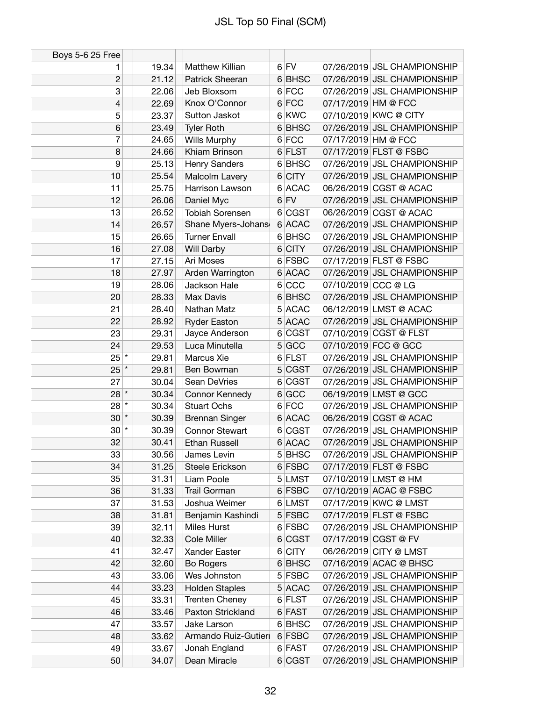| Boys 5-6 25 Free |       |                        |          |                     |                             |
|------------------|-------|------------------------|----------|---------------------|-----------------------------|
| 1                | 19.34 | Matthew Killian        | $6$ FV   |                     | 07/26/2019 JSL CHAMPIONSHIP |
| 2                | 21.12 | Patrick Sheeran        | 6 BHSC   |                     | 07/26/2019 JSL CHAMPIONSHIP |
| 3                | 22.06 | Jeb Bloxsom            | 6 FCC    |                     | 07/26/2019 JSL CHAMPIONSHIP |
| 4                | 22.69 | Knox O'Connor          | 6 FCC    | 07/17/2019 HM @ FCC |                             |
| 5                | 23.37 | Sutton Jaskot          | 6 KWC    |                     | 07/10/2019 KWC @ CITY       |
| 6                | 23.49 | <b>Tyler Roth</b>      | 6 BHSC   |                     | 07/26/2019 JSL CHAMPIONSHIP |
| 7                | 24.65 | Wills Murphy           | 6 FCC    | 07/17/2019 HM @ FCC |                             |
| 8                | 24.66 | Khiam Brinson          | 6 FLST   |                     | 07/17/2019 FLST @ FSBC      |
| 9                | 25.13 | Henry Sanders          | 6 BHSC   |                     | 07/26/2019 JSL CHAMPIONSHIP |
| 10               | 25.54 | Malcolm Lavery         | 6 CITY   |                     | 07/26/2019 JSL CHAMPIONSHIP |
| 11               | 25.75 | Harrison Lawson        | 6 ACAC   |                     | 06/26/2019 CGST @ ACAC      |
| 12               | 26.06 | Daniel Myc             | $6$ FV   |                     | 07/26/2019 JSL CHAMPIONSHIP |
| 13               | 26.52 | <b>Tobiah Sorensen</b> | 6 CGST   |                     | 06/26/2019 CGST @ ACAC      |
| 14               | 26.57 | Shane Myers-Johans     | 6 ACAC   |                     | 07/26/2019 JSL CHAMPIONSHIP |
| 15               | 26.65 | <b>Turner Envall</b>   | 6 BHSC   |                     | 07/26/2019 JSL CHAMPIONSHIP |
| 16               | 27.08 | Will Darby             | 6 CITY   |                     | 07/26/2019 JSL CHAMPIONSHIP |
| 17               | 27.15 | Ari Moses              | 6 FSBC   |                     | 07/17/2019 FLST @ FSBC      |
| 18               | 27.97 | Arden Warrington       | 6 ACAC   |                     | 07/26/2019 JSL CHAMPIONSHIP |
| 19               | 28.06 | Jackson Hale           | 6 CC     | 07/10/2019 CCC @ LG |                             |
| 20               | 28.33 | Max Davis              | 6 BHSC   |                     | 07/26/2019 JSL CHAMPIONSHIP |
| 21               | 28.40 | Nathan Matz            | 5 ACAC   |                     | 06/12/2019 LMST @ ACAC      |
| 22               | 28.92 | <b>Ryder Easton</b>    | 5 ACAC   |                     | 07/26/2019 JSL CHAMPIONSHIP |
| 23               | 29.31 | Jayce Anderson         | 6 CGST   |                     | 07/10/2019 CGST @ FLST      |
| 24               | 29.53 | Luca Minutella         | 5 GCC    |                     | 07/10/2019 FCC @ GCC        |
| $25$ $*$         | 29.81 | Marcus Xie             | 6 FLST   |                     | 07/26/2019 JSL CHAMPIONSHIP |
| $25$ $*$         | 29.81 | Ben Bowman             | 5 CGST   |                     | 07/26/2019 JSL CHAMPIONSHIP |
| 27               | 30.04 | Sean DeVries           | 6 CGST   |                     | 07/26/2019 JSL CHAMPIONSHIP |
| $28 *$           | 30.34 | Connor Kennedy         | 6 GCC    |                     | 06/19/2019 LMST @ GCC       |
| $28$ $*$         | 30.34 | <b>Stuart Ochs</b>     | 6 FCC    |                     | 07/26/2019 JSL CHAMPIONSHIP |
| $30*$            | 30.39 | <b>Brennan Singer</b>  | 6 ACAC   |                     | 06/26/2019 CGST @ ACAC      |
| $30$ $*$         | 30.39 | <b>Connor Stewart</b>  | 6 CGST   |                     | 07/26/2019 JSL CHAMPIONSHIP |
| 32               | 30.41 | <b>Ethan Russell</b>   | 6 ACAC   |                     | 07/26/2019 JSL CHAMPIONSHIP |
| 33               | 30.56 | James Levin            | 5 BHSC   |                     | 07/26/2019 JSL CHAMPIONSHIP |
| 34               | 31.25 | Steele Erickson        | 6 FSBC   |                     | 07/17/2019 FLST @ FSBC      |
| 35               | 31.31 | Liam Poole             | 5 LMST   |                     | 07/10/2019 LMST @ HM        |
| 36               | 31.33 | Trail Gorman           | 6 FSBC   |                     | 07/10/2019 ACAC @ FSBC      |
| 37               | 31.53 | Joshua Weimer          | 6 LMST   |                     | 07/17/2019 KWC @ LMST       |
| 38               | 31.81 | Benjamin Kashindi      | 5 FSBC   |                     | 07/17/2019 FLST @ FSBC      |
| 39               | 32.11 | Miles Hurst            | 6 FSBC   |                     | 07/26/2019 JSL CHAMPIONSHIP |
| 40               | 32.33 | Cole Miller            | 6 CGST   |                     | 07/17/2019 CGST @ FV        |
| 41               | 32.47 | Xander Easter          | 6 CITY   |                     | 06/26/2019 CITY @ LMST      |
| 42               | 32.60 | <b>Bo Rogers</b>       | 6 BHSC   |                     | 07/16/2019 ACAC @ BHSC      |
| 43               | 33.06 | Wes Johnston           | $5$ FSBC |                     | 07/26/2019 JSL CHAMPIONSHIP |
| 44               | 33.23 | <b>Holden Staples</b>  | 5 ACAC   |                     | 07/26/2019 JSL CHAMPIONSHIP |
| 45               | 33.31 | <b>Trenten Cheney</b>  | $6$ FLST |                     | 07/26/2019 JSL CHAMPIONSHIP |
| 46               | 33.46 | Paxton Strickland      | 6 FAST   |                     | 07/26/2019 JSL CHAMPIONSHIP |
| 47               | 33.57 | Jake Larson            | 6 BHSC   |                     | 07/26/2019 JSL CHAMPIONSHIP |
| 48               | 33.62 | Armando Ruiz-Gutieri   | 6 FSBC   |                     | 07/26/2019 JSL CHAMPIONSHIP |
| 49               | 33.67 | Jonah England          | 6 FAST   |                     | 07/26/2019 JSL CHAMPIONSHIP |
| 50               | 34.07 | Dean Miracle           | 6 CGST   |                     | 07/26/2019 JSL CHAMPIONSHIP |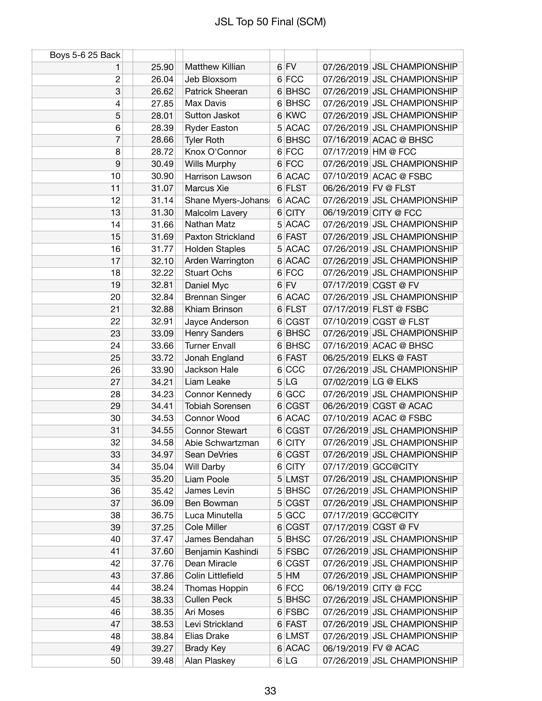| Boys 5-6 25 Back |       |                          |   |        |                      |                             |
|------------------|-------|--------------------------|---|--------|----------------------|-----------------------------|
| 1                | 25.90 | Matthew Killian          |   | $6$ FV |                      | 07/26/2019 JSL CHAMPIONSHIP |
| $\mathbf{2}$     | 26.04 | Jeb Bloxsom              |   | 6 FCC  |                      | 07/26/2019 JSL CHAMPIONSHIP |
| 3                | 26.62 | Patrick Sheeran          |   | 6 BHSC |                      | 07/26/2019 JSL CHAMPIONSHIP |
| 4                | 27.85 | Max Davis                |   | 6 BHSC |                      | 07/26/2019 JSL CHAMPIONSHIP |
| 5                | 28.01 | Sutton Jaskot            |   | 6 KWC  |                      | 07/26/2019 JSL CHAMPIONSHIP |
| 6                | 28.39 | <b>Ryder Easton</b>      |   | 5 ACAC |                      | 07/26/2019 JSL CHAMPIONSHIP |
| 7                | 28.66 | <b>Tyler Roth</b>        |   | 6 BHSC |                      | 07/16/2019 ACAC @ BHSC      |
| 8                | 28.72 | Knox O'Connor            |   | 6 FCC  | 07/17/2019 HM @ FCC  |                             |
| 9                | 30.49 | Wills Murphy             |   | 6 FCC  |                      | 07/26/2019 JSL CHAMPIONSHIP |
| 10               | 30.90 | <b>Harrison Lawson</b>   |   | 6 ACAC |                      | 07/10/2019 ACAC @ FSBC      |
| 11               | 31.07 | Marcus Xie               |   | 6 FLST | 06/26/2019 FV @ FLST |                             |
| 12               | 31.14 | Shane Myers-Johans       |   | 6 ACAC |                      | 07/26/2019 JSL CHAMPIONSHIP |
| 13               | 31.30 | Malcolm Lavery           |   | 6 CITY |                      | 06/19/2019 CITY @ FCC       |
| 14               | 31.66 | Nathan Matz              |   | 5 ACAC |                      | 07/26/2019 JSL CHAMPIONSHIP |
| 15               | 31.69 | Paxton Strickland        |   | 6 FAST |                      | 07/26/2019 JSL CHAMPIONSHIP |
| 16               | 31.77 | <b>Holden Staples</b>    |   | 5 ACAC |                      | 07/26/2019 JSL CHAMPIONSHIP |
| 17               | 32.10 | Arden Warrington         |   | 6 ACAC |                      | 07/26/2019 JSL CHAMPIONSHIP |
| 18               | 32.22 | <b>Stuart Ochs</b>       |   | 6 FCC  |                      | 07/26/2019 JSL CHAMPIONSHIP |
| 19               | 32.81 | Daniel Myc               |   | $6$ FV |                      | 07/17/2019 CGST @ FV        |
| 20               | 32.84 | <b>Brennan Singer</b>    |   | 6 ACAC |                      | 07/26/2019 JSL CHAMPIONSHIP |
| 21               | 32.88 | Khiam Brinson            |   | 6 FLST |                      | 07/17/2019 FLST @ FSBC      |
| 22               | 32.91 | Jayce Anderson           |   | 6 CGST |                      | 07/10/2019 CGST @ FLST      |
| 23               | 33.09 | Henry Sanders            |   | 6 BHSC |                      | 07/26/2019 JSL CHAMPIONSHIP |
| 24               | 33.66 | <b>Turner Envall</b>     |   | 6 BHSC |                      | 07/16/2019 ACAC @ BHSC      |
| 25               | 33.72 | Jonah England            |   | 6 FAST |                      | 06/25/2019 ELKS @ FAST      |
| 26               | 33.90 | Jackson Hale             | 6 | ccc    |                      | 07/26/2019 JSL CHAMPIONSHIP |
| 27               | 34.21 | Liam Leake               |   | 5 LG   |                      | 07/02/2019 LG @ ELKS        |
| 28               | 34.23 | Connor Kennedy           |   | 6 GCC  |                      | 07/26/2019 JSL CHAMPIONSHIP |
| 29               | 34.41 | <b>Tobiah Sorensen</b>   |   | 6 CGST |                      | 06/26/2019 CGST @ ACAC      |
| 30               | 34.53 | Connor Wood              |   | 6 ACAC |                      | 07/10/2019 ACAC @ FSBC      |
| 31               | 34.55 | <b>Connor Stewart</b>    |   | 6 CGST |                      | 07/26/2019 JSL CHAMPIONSHIP |
| 32               | 34.58 | Abie Schwartzman         |   | 6 CITY |                      | 07/26/2019 JSL CHAMPIONSHIP |
| 33               | 34.97 | Sean DeVries             |   | 6 CGST |                      | 07/26/2019 JSL CHAMPIONSHIP |
| 34               | 35.04 | Will Darby               |   | 6 CITY |                      | 07/17/2019 GCC@CITY         |
| 35               | 35.20 | Liam Poole               |   | 5 LMST |                      | 07/26/2019 JSL CHAMPIONSHIP |
| 36               | 35.42 | James Levin              |   | 5 BHSC |                      | 07/26/2019 JSL CHAMPIONSHIP |
| 37               | 36.09 | Ben Bowman               |   | 5 CGST |                      | 07/26/2019 JSL CHAMPIONSHIP |
| 38               | 36.75 | Luca Minutella           |   | 5 GCC  |                      | 07/17/2019 GCC@CITY         |
| 39               | 37.25 | Cole Miller              |   | 6 CGST |                      | 07/17/2019 CGST @ FV        |
| 40               | 37.47 | James Bendahan           |   | 5 BHSC |                      | 07/26/2019 JSL CHAMPIONSHIP |
| 41               | 37.60 | Benjamin Kashindi        |   | 5 FSBC |                      | 07/26/2019 JSL CHAMPIONSHIP |
| 42               | 37.76 | Dean Miracle             |   | 6 CGST |                      | 07/26/2019 JSL CHAMPIONSHIP |
| 43               | 37.86 | <b>Colin Littlefield</b> |   | $5$ HM |                      | 07/26/2019 JSL CHAMPIONSHIP |
| 44               | 38.24 | Thomas Hoppin            |   | 6 FCC  |                      | 06/19/2019 CITY @ FCC       |
| 45               | 38.33 | <b>Cullen Peck</b>       |   | 5 BHSC |                      | 07/26/2019 JSL CHAMPIONSHIP |
| 46               | 38.35 | Ari Moses                |   | 6 FSBC |                      | 07/26/2019 JSL CHAMPIONSHIP |
| 47               | 38.53 | Levi Strickland          |   | 6 FAST |                      | 07/26/2019 JSL CHAMPIONSHIP |
| 48               | 38.84 | Elias Drake              |   | 6 LMST |                      | 07/26/2019 JSL CHAMPIONSHIP |
| 49               | 39.27 | <b>Brady Key</b>         |   | 6 ACAC |                      | 06/19/2019 FV @ ACAC        |
| 50               | 39.48 | Alan Plaskey             |   | 6 LG   |                      | 07/26/2019 JSL CHAMPIONSHIP |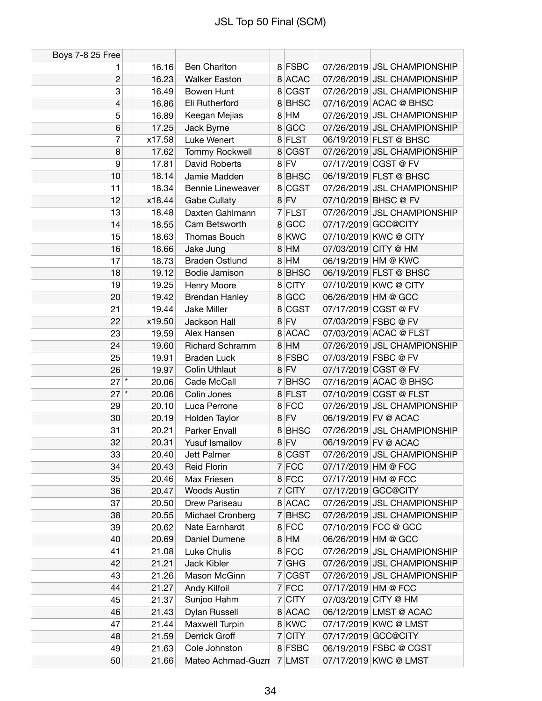| Boys 7-8 25 Free |        |                          |          |                     |                             |
|------------------|--------|--------------------------|----------|---------------------|-----------------------------|
| 1                | 16.16  | <b>Ben Charlton</b>      | 8 FSBC   |                     | 07/26/2019 JSL CHAMPIONSHIP |
| $\overline{c}$   | 16.23  | <b>Walker Easton</b>     | 8 ACAC   |                     | 07/26/2019 JSL CHAMPIONSHIP |
| 3                | 16.49  | Bowen Hunt               | 8 CGST   |                     | 07/26/2019 JSL CHAMPIONSHIP |
| 4                | 16.86  | Eli Rutherford           | 8BHSC    |                     | 07/16/2019 ACAC @ BHSC      |
| 5                | 16.89  | Keegan Mejias            | 8 HM     |                     | 07/26/2019 JSL CHAMPIONSHIP |
| 6                | 17.25  | Jack Byrne               | 8 GCC    |                     | 07/26/2019 JSL CHAMPIONSHIP |
| 7                | x17.58 | Luke Wenert              | 8 FLST   |                     | 06/19/2019 FLST @ BHSC      |
| 8                | 17.62  | <b>Tommy Rockwell</b>    | 8 CGST   |                     | 07/26/2019 JSL CHAMPIONSHIP |
| 9                | 17.81  | David Roberts            | $8$ FV   |                     | 07/17/2019 CGST @ FV        |
| 10               | 18.14  | Jamie Madden             | 8 BHSC   |                     | 06/19/2019 FLST @ BHSC      |
| 11               | 18.34  | <b>Bennie Lineweaver</b> | 8 CGST   |                     | 07/26/2019 JSL CHAMPIONSHIP |
| 12               | x18.44 | <b>Gabe Cullaty</b>      | $8$ FV   |                     | 07/10/2019 BHSC @ FV        |
| 13               | 18.48  | Daxten Gahlmann          | 7 FLST   |                     | 07/26/2019 JSL CHAMPIONSHIP |
| 14               | 18.55  | Cam Betsworth            | 8 GCC    |                     | 07/17/2019 GCC@CITY         |
| 15               | 18.63  | Thomas Bouch             | 8 KWC    |                     | 07/10/2019 KWC @ CITY       |
| 16               | 18.66  | Jake Jung                | $8$ HM   |                     | 07/03/2019 CITY @ HM        |
| 17               | 18.73  | <b>Braden Ostlund</b>    | $8$ HM   |                     | 06/19/2019 HM @ KWC         |
| 18               | 19.12  | Bodie Jamison            | 8 BHSC   |                     | 06/19/2019 FLST @ BHSC      |
| 19               | 19.25  | Henry Moore              | 8 CITY   |                     | 07/10/2019 KWC @ CITY       |
| 20               | 19.42  | <b>Brendan Hanley</b>    | 8 GCC    |                     | 06/26/2019 HM @ GCC         |
| 21               | 19.44  | Jake Miller              | 8 CGST   |                     | 07/17/2019 CGST @ FV        |
| 22               | x19.50 | Jackson Hall             | $8$ FV   |                     | 07/03/2019 FSBC @ FV        |
| 23               | 19.59  | Alex Hansen              | 8 ACAC   |                     | 07/03/2019 ACAC @ FLST      |
| 24               | 19.60  | <b>Richard Schramm</b>   | $8$ HM   |                     | 07/26/2019 JSL CHAMPIONSHIP |
| 25               | 19.91  | <b>Braden Luck</b>       | 8 FSBC   |                     | 07/03/2019 FSBC @ FV        |
| 26               | 19.97  | <b>Colin Uthlaut</b>     | $8$ FV   |                     | 07/17/2019 CGST @ FV        |
| $27$ $*$         | 20.06  | Cade McCall              | 7 BHSC   |                     | 07/16/2019 ACAC @ BHSC      |
| $27$ $*$         | 20.06  | Colin Jones              | 8 FLST   |                     | 07/10/2019 CGST @ FLST      |
| 29               | 20.10  | Luca Perrone             | 8 FCC    |                     | 07/26/2019 JSL CHAMPIONSHIP |
| 30               | 20.19  | Holden Taylor            | $8$ FV   |                     | 06/19/2019 FV @ ACAC        |
| 31               | 20.21  | Parker Envall            | 8BHSC    |                     | 07/26/2019 JSL CHAMPIONSHIP |
| 32               | 20.31  | Yusuf Ismailov           | $8$ FV   |                     | 06/19/2019 FV @ ACAC        |
| 33               | 20.40  | Jett Palmer              | 8 CGST   |                     | 07/26/2019 JSL CHAMPIONSHIP |
| 34               | 20.43  | <b>Reid Florin</b>       | 7 FCC    | 07/17/2019 HM @ FCC |                             |
| 35               | 20.46  | Max Friesen              | 8 FCC    | 07/17/2019 HM @ FCC |                             |
| 36               | 20.47  | <b>Woods Austin</b>      | $7$ CITY |                     | 07/17/2019 GCC@CITY         |
| 37               | 20.50  | Drew Pariseau            | 8 ACAC   |                     | 07/26/2019 JSL CHAMPIONSHIP |
| 38               | 20.55  | Michael Cronberg         | 7 BHSC   |                     | 07/26/2019 JSL CHAMPIONSHIP |
| 39               | 20.62  | Nate Earnhardt           | 8 FCC    |                     | 07/10/2019 FCC @ GCC        |
| 40               | 20.69  | Daniel Dumene            | $8$ HM   |                     | 06/26/2019 HM @ GCC         |
| 41               | 21.08  | Luke Chulis              | 8 FCC    |                     | 07/26/2019 JSL CHAMPIONSHIP |
| 42               | 21.21  | Jack Kibler              | $7$ GHG  |                     | 07/26/2019 JSL CHAMPIONSHIP |
| 43               | 21.26  | Mason McGinn             | 7 CGST   |                     | 07/26/2019 JSL CHAMPIONSHIP |
| 44               | 21.27  | Andy Kilfoil             | 7 FCC    | 07/17/2019 HM @ FCC |                             |
| 45               | 21.37  | Sunjoo Hahm              | $7$ CITY |                     | 07/03/2019 CITY @ HM        |
| 46               | 21.43  | Dylan Russell            | 8 ACAC   |                     | 06/12/2019 LMST @ ACAC      |
| 47               | 21.44  | Maxwell Turpin           | 8 KWC    |                     | 07/17/2019 KWC @ LMST       |
| 48               | 21.59  | Derrick Groff            | $7$ CITY |                     | 07/17/2019 GCC@CITY         |
| 49               | 21.63  | Cole Johnston            | 8 FSBC   |                     | 06/19/2019 FSBC @ CGST      |
| 50               | 21.66  | Mateo Achmad-Guzn        | 7 LMST   |                     | 07/17/2019 KWC @ LMST       |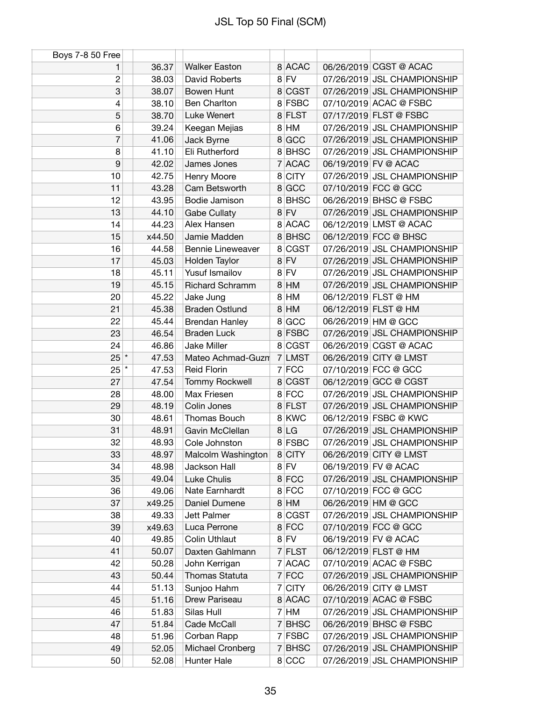| Boys 7-8 50 Free |        |                        |         |                             |
|------------------|--------|------------------------|---------|-----------------------------|
| 1                | 36.37  | <b>Walker Easton</b>   | 8 ACAC  | 06/26/2019 CGST @ ACAC      |
| $\overline{c}$   | 38.03  | <b>David Roberts</b>   | $8$ FV  | 07/26/2019 JSL CHAMPIONSHIP |
| 3                | 38.07  | Bowen Hunt             | 8 CGST  | 07/26/2019 JSL CHAMPIONSHIP |
| 4                | 38.10  | <b>Ben Charlton</b>    | 8 FSBC  | 07/10/2019 ACAC @ FSBC      |
| 5                | 38.70  | Luke Wenert            | 8 FLST  | 07/17/2019 FLST @ FSBC      |
| 6                | 39.24  | Keegan Mejias          | 8 HM    | 07/26/2019 JSL CHAMPIONSHIP |
| 7                | 41.06  | Jack Byrne             | 8 GCC   | 07/26/2019 JSL CHAMPIONSHIP |
| 8                | 41.10  | Eli Rutherford         | 8BHSC   | 07/26/2019 JSL CHAMPIONSHIP |
| 9                | 42.02  | James Jones            | 7 ACAC  | 06/19/2019 FV @ ACAC        |
| 10               | 42.75  | Henry Moore            | 8 CITY  | 07/26/2019 JSL CHAMPIONSHIP |
| 11               | 43.28  | Cam Betsworth          | 8 GCC   | 07/10/2019 FCC @ GCC        |
| 12               | 43.95  | Bodie Jamison          | 8BHSC   | 06/26/2019 BHSC @ FSBC      |
| 13               | 44.10  | Gabe Cullaty           | $8$ FV  | 07/26/2019 JSL CHAMPIONSHIP |
| 14               | 44.23  | Alex Hansen            | 8 ACAC  | 06/12/2019 LMST @ ACAC      |
| 15               | x44.50 | Jamie Madden           | 8 BHSC  | 06/12/2019 FCC @ BHSC       |
| 16               | 44.58  | Bennie Lineweaver      | 8 CGST  | 07/26/2019 JSL CHAMPIONSHIP |
| 17               | 45.03  | Holden Taylor          | $8$ FV  | 07/26/2019 JSL CHAMPIONSHIP |
| 18               | 45.11  | Yusuf Ismailov         | 8 FV    | 07/26/2019 JSL CHAMPIONSHIP |
| 19               | 45.15  | <b>Richard Schramm</b> | 8 HM    | 07/26/2019 JSL CHAMPIONSHIP |
| 20               | 45.22  | Jake Jung              | 8 HM    | 06/12/2019 FLST @ HM        |
| 21               | 45.38  | <b>Braden Ostlund</b>  | 8 HM    | 06/12/2019 FLST @ HM        |
| 22               | 45.44  | <b>Brendan Hanley</b>  | 8 GCC   | 06/26/2019 HM @ GCC         |
| 23               | 46.54  | <b>Braden Luck</b>     | 8 FSBC  | 07/26/2019 JSL CHAMPIONSHIP |
| 24               | 46.86  | Jake Miller            | 8 CGST  | 06/26/2019 CGST @ ACAC      |
| $25$ $*$         | 47.53  | Mateo Achmad-Guzn      | 7 LMST  | 06/26/2019 CITY @ LMST      |
| $25^{*}$         | 47.53  | <b>Reid Florin</b>     | $7$ FCC | 07/10/2019 FCC @ GCC        |
| 27               | 47.54  | Tommy Rockwell         | 8 CGST  | 06/12/2019 GCC @ CGST       |
| 28               | 48.00  | Max Friesen            | 8 FCC   | 07/26/2019 JSL CHAMPIONSHIP |
| 29               | 48.19  | Colin Jones            | 8 FLST  | 07/26/2019 JSL CHAMPIONSHIP |
| 30               | 48.61  | Thomas Bouch           | 8 KWC   | 06/12/2019 FSBC @ KWC       |
| 31               | 48.91  | Gavin McClellan        | 8 LG    | 07/26/2019 JSL CHAMPIONSHIP |
| 32               | 48.93  | Cole Johnston          | 8 FSBC  | 07/26/2019 JSL CHAMPIONSHIP |
| 33               | 48.97  | Malcolm Washington     | 8 CITY  | 06/26/2019 CITY @ LMST      |
| 34               | 48.98  | Jackson Hall           | $8$ FV  | 06/19/2019 FV @ ACAC        |
| 35               | 49.04  | Luke Chulis            | 8 FCC   | 07/26/2019 JSL CHAMPIONSHIP |
| 36               | 49.06  | Nate Earnhardt         | 8 FCC   | 07/10/2019 FCC @ GCC        |
| 37               | x49.25 | Daniel Dumene          | $8$ HM  | 06/26/2019 HM @ GCC         |
| 38               | 49.33  | Jett Palmer            | 8 CGST  | 07/26/2019 JSL CHAMPIONSHIP |
| 39               | x49.63 | Luca Perrone           | 8 FCC   | 07/10/2019 FCC @ GCC        |
| 40               | 49.85  | <b>Colin Uthlaut</b>   | $8$ FV  | 06/19/2019 FV @ ACAC        |
| 41               | 50.07  | Daxten Gahlmann        | 7 FLST  | 06/12/2019 FLST @ HM        |
| 42               | 50.28  | John Kerrigan          | 7 ACAC  | 07/10/2019 ACAC @ FSBC      |
| 43               | 50.44  | Thomas Statuta         | 7 FCC   | 07/26/2019 JSL CHAMPIONSHIP |
| 44               | 51.13  | Sunjoo Hahm            | 7 CITY  | 06/26/2019 CITY @ LMST      |
| 45               | 51.16  | Drew Pariseau          | 8 ACAC  | 07/10/2019 ACAC @ FSBC      |
| 46               | 51.83  | Silas Hull             | $7$ HM  | 07/26/2019 JSL CHAMPIONSHIP |
| 47               | 51.84  | Cade McCall            | 7 BHSC  | 06/26/2019 BHSC @ FSBC      |
| 48               | 51.96  | Corban Rapp            | 7 FSBC  | 07/26/2019 JSL CHAMPIONSHIP |
| 49               | 52.05  | Michael Cronberg       | 7 BHSC  | 07/26/2019 JSL CHAMPIONSHIP |
| 50               | 52.08  | Hunter Hale            | 8 CCC   | 07/26/2019 JSL CHAMPIONSHIP |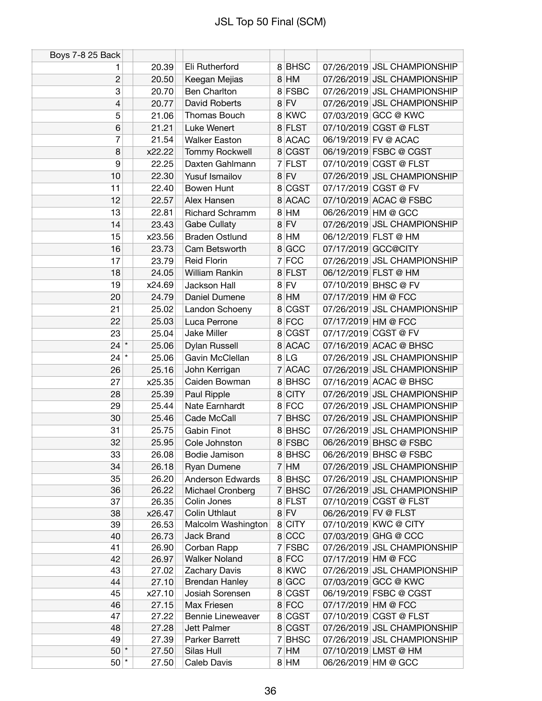| Boys 7-8 25 Back |        |                                 |         |                      |                             |
|------------------|--------|---------------------------------|---------|----------------------|-----------------------------|
| 1                | 20.39  | Eli Rutherford                  | 8 BHSC  |                      | 07/26/2019 JSL CHAMPIONSHIP |
| $\overline{c}$   | 20.50  | Keegan Mejias                   | $8$ HM  |                      | 07/26/2019 JSL CHAMPIONSHIP |
| 3                | 20.70  | Ben Charlton                    | 8 FSBC  |                      | 07/26/2019 JSL CHAMPIONSHIP |
| 4                | 20.77  | David Roberts                   | 8 FV    |                      | 07/26/2019 JSL CHAMPIONSHIP |
| 5                | 21.06  | Thomas Bouch                    | 8 KWC   |                      | 07/03/2019 GCC @ KWC        |
| 6                | 21.21  | Luke Wenert                     | 8 FLST  |                      | 07/10/2019 CGST @ FLST      |
| 7                | 21.54  | <b>Walker Easton</b>            | 8 ACAC  |                      | 06/19/2019 FV @ ACAC        |
| 8                | x22.22 | <b>Tommy Rockwell</b>           | 8 CGST  |                      | 06/19/2019 FSBC @ CGST      |
| 9                | 22.25  | Daxten Gahlmann                 | 7 FLST  |                      | 07/10/2019 CGST @ FLST      |
| 10               | 22.30  | <b>Yusuf Ismailov</b>           | $8$ FV  |                      | 07/26/2019 JSL CHAMPIONSHIP |
|                  |        |                                 | 8 CGST  |                      | 07/17/2019 CGST @ FV        |
| 11               | 22.40  | Bowen Hunt                      |         |                      |                             |
| 12               | 22.57  | Alex Hansen                     | 8 ACAC  |                      | 07/10/2019 ACAC @ FSBC      |
| 13               | 22.81  | <b>Richard Schramm</b>          | $8$ HM  |                      | 06/26/2019 HM @ GCC         |
| 14               | 23.43  | Gabe Cullaty                    | $8$ FV  |                      | 07/26/2019 JSL CHAMPIONSHIP |
| 15               | x23.56 | <b>Braden Ostlund</b>           | 8 HM    |                      | 06/12/2019 FLST @ HM        |
| 16               | 23.73  | Cam Betsworth                   | 8 GCC   |                      | 07/17/2019 GCC@CITY         |
| 17               | 23.79  | <b>Reid Florin</b>              | $7$ FCC |                      | 07/26/2019 JSL CHAMPIONSHIP |
| 18               | 24.05  | <b>William Rankin</b>           | 8 FLST  |                      | 06/12/2019 FLST @ HM        |
| 19               | x24.69 | Jackson Hall                    | $8$ FV  |                      | 07/10/2019 BHSC @ FV        |
| 20               | 24.79  | Daniel Dumene                   | $8$ HM  | 07/17/2019 HM @ FCC  |                             |
| 21               | 25.02  | Landon Schoeny                  | 8 CGST  |                      | 07/26/2019 JSL CHAMPIONSHIP |
| 22               | 25.03  | Luca Perrone                    | 8 FCC   | 07/17/2019 HM @ FCC  |                             |
| 23               | 25.04  | Jake Miller                     | 8 CGST  |                      | 07/17/2019 CGST @ FV        |
| $24$ *           | 25.06  | Dylan Russell                   | 8 ACAC  |                      | 07/16/2019 ACAC @ BHSC      |
| $24$ $*$         | 25.06  | Gavin McClellan                 | 8 LG    |                      | 07/26/2019 JSL CHAMPIONSHIP |
| 26               | 25.16  | John Kerrigan                   | 7 ACAC  |                      | 07/26/2019 JSL CHAMPIONSHIP |
| 27               | x25.35 | Caiden Bowman                   | 8 BHSC  |                      | 07/16/2019 ACAC @ BHSC      |
| 28               | 25.39  | Paul Ripple                     | 8 CITY  |                      | 07/26/2019 JSL CHAMPIONSHIP |
| 29               | 25.44  | Nate Earnhardt                  | 8 FCC   |                      | 07/26/2019 JSL CHAMPIONSHIP |
| 30               | 25.46  | Cade McCall                     | 7 BHSC  |                      | 07/26/2019 JSL CHAMPIONSHIP |
| 31               | 25.75  | <b>Gabin Finot</b>              | 8 BHSC  |                      | 07/26/2019 JSL CHAMPIONSHIP |
| 32               | 25.95  | Cole Johnston                   | 8 FSBC  |                      | 06/26/2019 BHSC @ FSBC      |
| 33               | 26.08  | Bodie Jamison                   | 8 BHSC  |                      | 06/26/2019 BHSC @ FSBC      |
| 34               | 26.18  | Ryan Dumene                     | $7$ HM  |                      | 07/26/2019 JSL CHAMPIONSHIP |
| 35               | 26.20  | <b>Anderson Edwards</b>         | 8BHSC   |                      | 07/26/2019 JSL CHAMPIONSHIP |
| 36               | 26.22  |                                 | 7 BHSC  |                      | 07/26/2019 JSL CHAMPIONSHIP |
| 37               | 26.35  | Michael Cronberg<br>Colin Jones | 8 FLST  |                      | 07/10/2019 CGST @ FLST      |
| 38               | x26.47 | <b>Colin Uthlaut</b>            | $8$ FV  | 06/26/2019 FV @ FLST |                             |
| 39               | 26.53  | Malcolm Washington              | 8 CITY  |                      | 07/10/2019 KWC @ CITY       |
| 40               | 26.73  | <b>Jack Brand</b>               | 8 CCC   |                      | 07/03/2019 GHG @ CCC        |
| 41               | 26.90  | Corban Rapp                     | 7 FSBC  |                      | 07/26/2019 JSL CHAMPIONSHIP |
| 42               | 26.97  | <b>Walker Noland</b>            | 8 FCC   | 07/17/2019 HM @ FCC  |                             |
| 43               | 27.02  | Zachary Davis                   | 8 KWC   |                      | 07/26/2019 JSL CHAMPIONSHIP |
| 44               | 27.10  | <b>Brendan Hanley</b>           | 8 GCC   |                      | 07/03/2019 GCC @ KWC        |
| 45               | x27.10 | Josiah Sorensen                 | 8 CGST  |                      | 06/19/2019 FSBC @ CGST      |
| 46               | 27.15  | Max Friesen                     | 8 FCC   | 07/17/2019 HM @ FCC  |                             |
| 47               | 27.22  | <b>Bennie Lineweaver</b>        | 8 CGST  |                      | 07/10/2019 CGST @ FLST      |
| 48               | 27.28  | Jett Palmer                     | 8 CGST  |                      | 07/26/2019 JSL CHAMPIONSHIP |
| 49               | 27.39  | Parker Barrett                  | 7 BHSC  |                      | 07/26/2019 JSL CHAMPIONSHIP |
| $50$ *           | 27.50  | Silas Hull                      | $7$ HM  |                      | 07/10/2019 LMST @ HM        |
| $50$ $*$         | 27.50  | Caleb Davis                     | 8 HM    |                      | 06/26/2019 HM @ GCC         |
|                  |        |                                 |         |                      |                             |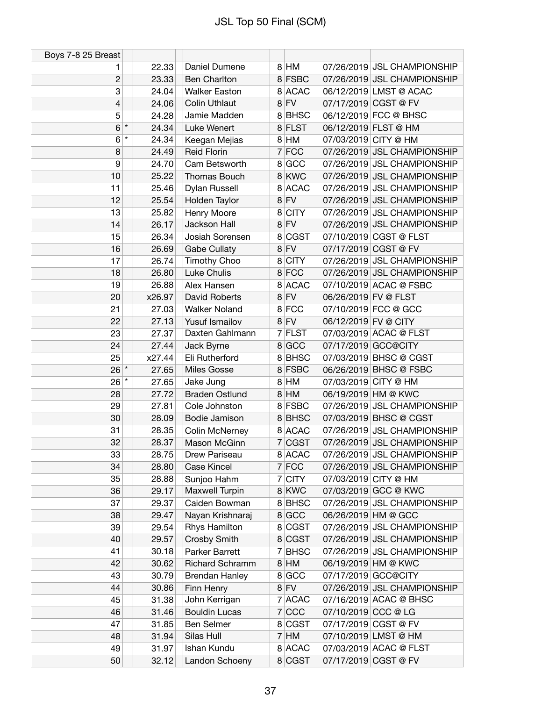| Boys 7-8 25 Breast |                  |                        |         |                        |                             |
|--------------------|------------------|------------------------|---------|------------------------|-----------------------------|
| 1                  | 22.33            | Daniel Dumene          | 8 HM    |                        | 07/26/2019 JSL CHAMPIONSHIP |
| $\overline{c}$     | 23.33            | <b>Ben Charlton</b>    | 8 FSBC  |                        | 07/26/2019 JSL CHAMPIONSHIP |
| 3                  | 24.04            | <b>Walker Easton</b>   | 8 ACAC  | 06/12/2019 LMST @ ACAC |                             |
| 4                  | 24.06            | <b>Colin Uthlaut</b>   | $8$ FV  | 07/17/2019 CGST @ FV   |                             |
| 5                  | 24.28            | Jamie Madden           | 8BHSC   | 06/12/2019 FCC @ BHSC  |                             |
| 6                  | $\star$<br>24.34 | Luke Wenert            | 8 FLST  | 06/12/2019 FLST @ HM   |                             |
| 6                  | $\star$<br>24.34 | Keegan Mejias          | $8$ HM  | 07/03/2019 CITY @ HM   |                             |
| 8                  | 24.49            | <b>Reid Florin</b>     | $7$ FCC |                        | 07/26/2019 JSL CHAMPIONSHIP |
| 9                  | 24.70            | Cam Betsworth          | 8 GCC   |                        | 07/26/2019 JSL CHAMPIONSHIP |
| 10                 | 25.22            | Thomas Bouch           | 8 KWC   |                        | 07/26/2019 JSL CHAMPIONSHIP |
| 11                 | 25.46            | Dylan Russell          | 8 ACAC  |                        | 07/26/2019 JSL CHAMPIONSHIP |
| 12                 | 25.54            | Holden Taylor          | $8$ FV  |                        | 07/26/2019 JSL CHAMPIONSHIP |
| 13                 | 25.82            | Henry Moore            | 8 CITY  |                        | 07/26/2019 JSL CHAMPIONSHIP |
| 14                 | 26.17            | Jackson Hall           | $8$ FV  |                        | 07/26/2019 JSL CHAMPIONSHIP |
| 15                 | 26.34            | Josiah Sorensen        | 8 CGST  | 07/10/2019 CGST @ FLST |                             |
| 16                 | 26.69            | <b>Gabe Cullaty</b>    | $8$ FV  | 07/17/2019 CGST @ FV   |                             |
| 17                 | 26.74            | Timothy Choo           | 8 CITY  |                        | 07/26/2019 JSL CHAMPIONSHIP |
| 18                 | 26.80            | Luke Chulis            | 8 FCC   |                        | 07/26/2019 JSL CHAMPIONSHIP |
| 19                 | 26.88            | Alex Hansen            | 8 ACAC  | 07/10/2019 ACAC @ FSBC |                             |
| 20                 | x26.97           | David Roberts          | $8$ FV  | 06/26/2019 FV @ FLST   |                             |
| 21                 | 27.03            | <b>Walker Noland</b>   | 8 FCC   | 07/10/2019 FCC @ GCC   |                             |
| 22                 | 27.13            | Yusuf Ismailov         | $8$ FV  | 06/12/2019 FV @ CITY   |                             |
| 23                 | 27.37            | Daxten Gahlmann        | 7 FLST  | 07/03/2019 ACAC @ FLST |                             |
| 24                 | 27.44            | Jack Byrne             | 8 GCC   | 07/17/2019 GCC@CITY    |                             |
| 25                 | x27.44           | Eli Rutherford         | 8BHSC   | 07/03/2019 BHSC @ CGST |                             |
| $26*$              | 27.65            | Miles Gosse            | 8 FSBC  | 06/26/2019 BHSC @ FSBC |                             |
| $26$ $*$           | 27.65            | Jake Jung              | 8 HM    | 07/03/2019 CITY @ HM   |                             |
| 28                 | 27.72            | <b>Braden Ostlund</b>  | $8$ HM  | 06/19/2019 HM @ KWC    |                             |
| 29                 | 27.81            | Cole Johnston          | 8 FSBC  |                        | 07/26/2019 JSL CHAMPIONSHIP |
| 30                 | 28.09            | Bodie Jamison          | 8BHSC   | 07/03/2019 BHSC @ CGST |                             |
| 31                 | 28.35            | Colin McNerney         | 8 ACAC  |                        | 07/26/2019 JSL CHAMPIONSHIP |
| 32                 | 28.37            | Mason McGinn           | 7 CGST  |                        | 07/26/2019 JSL CHAMPIONSHIP |
| 33                 | 28.75            | Drew Pariseau          | 8 ACAC  |                        | 07/26/2019 JSL CHAMPIONSHIP |
| 34                 | 28.80            | Case Kincel            | $7$ FCC |                        | 07/26/2019 JSL CHAMPIONSHIP |
| 35                 | 28.88            | Sunjoo Hahm            | 7 CITY  | 07/03/2019 CITY @ HM   |                             |
| 36                 | 29.17            | Maxwell Turpin         | 8 KWC   | 07/03/2019 GCC @ KWC   |                             |
| 37                 | 29.37            | Caiden Bowman          | 8 BHSC  |                        | 07/26/2019 JSL CHAMPIONSHIP |
| 38                 | 29.47            | Nayan Krishnaraj       | 8 GCC   | 06/26/2019 HM @ GCC    |                             |
| 39                 | 29.54            | Rhys Hamilton          | 8 CGST  |                        | 07/26/2019 JSL CHAMPIONSHIP |
| 40                 | 29.57            | Crosby Smith           | 8 CGST  |                        | 07/26/2019 JSL CHAMPIONSHIP |
| 41                 | 30.18            | Parker Barrett         | 7 BHSC  |                        | 07/26/2019 JSL CHAMPIONSHIP |
| 42                 | 30.62            | <b>Richard Schramm</b> | $8$ HM  | 06/19/2019 HM @ KWC    |                             |
| 43                 | 30.79            | <b>Brendan Hanley</b>  | 8 GCC   | 07/17/2019 GCC@CITY    |                             |
| 44                 | 30.86            | Finn Henry             | $8$ FV  |                        | 07/26/2019 JSL CHAMPIONSHIP |
| 45                 | 31.38            | John Kerrigan          | 7 ACAC  | 07/16/2019 ACAC @ BHSC |                             |
| 46                 | 31.46            | <b>Bouldin Lucas</b>   | 7 CCC   | 07/10/2019 CCC @ LG    |                             |
| 47                 | 31.85            | Ben Selmer             | 8 CGST  | 07/17/2019 CGST @ FV   |                             |
| 48                 | 31.94            | Silas Hull             | $7$ HM  | 07/10/2019 LMST @ HM   |                             |
| 49                 | 31.97            | Ishan Kundu            | 8 ACAC  | 07/03/2019 ACAC @ FLST |                             |
| 50                 | 32.12            | Landon Schoeny         | 8 CGST  | 07/17/2019 CGST @ FV   |                             |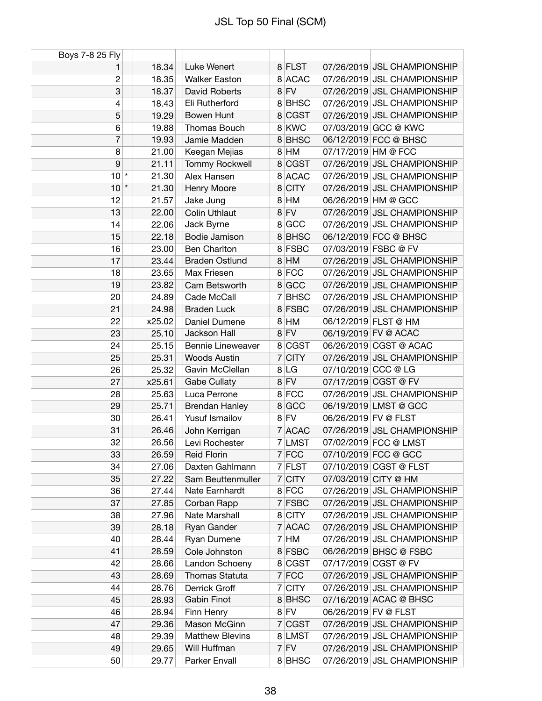| Boys 7-8 25 Fly |        |                          |   |             |                      |                             |
|-----------------|--------|--------------------------|---|-------------|----------------------|-----------------------------|
| 1               | 18.34  | Luke Wenert              |   | 8 FLST      |                      | 07/26/2019 JSL CHAMPIONSHIP |
| 2               | 18.35  | <b>Walker Easton</b>     |   | 8 ACAC      |                      | 07/26/2019 JSL CHAMPIONSHIP |
| 3               | 18.37  | David Roberts            |   | $8$ FV      |                      | 07/26/2019 JSL CHAMPIONSHIP |
| 4               | 18.43  | Eli Rutherford           |   | 8BHSC       |                      | 07/26/2019 JSL CHAMPIONSHIP |
| 5               | 19.29  | Bowen Hunt               |   | 8 CGST      |                      | 07/26/2019 JSL CHAMPIONSHIP |
| 6               | 19.88  | Thomas Bouch             |   | 8 KWC       |                      | 07/03/2019 GCC @ KWC        |
| 7               | 19.93  | Jamie Madden             |   | 8BHSC       |                      | 06/12/2019 FCC @ BHSC       |
| 8               | 21.00  | Keegan Mejias            |   | 8 HM        | 07/17/2019 HM @ FCC  |                             |
| 9               | 21.11  | <b>Tommy Rockwell</b>    |   | 8 CGST      |                      | 07/26/2019 JSL CHAMPIONSHIP |
| $10^*$          | 21.30  | Alex Hansen              |   | 8 ACAC      |                      | 07/26/2019 JSL CHAMPIONSHIP |
| $10*$           | 21.30  | Henry Moore              |   | 8 CITY      |                      | 07/26/2019 JSL CHAMPIONSHIP |
| 12              | 21.57  | Jake Jung                |   | 8 HM        |                      | 06/26/2019 HM @ GCC         |
| 13              | 22.00  | <b>Colin Uthlaut</b>     |   | $8$ FV      |                      | 07/26/2019 JSL CHAMPIONSHIP |
| 14              | 22.06  | Jack Byrne               |   | 8 GCC       |                      | 07/26/2019 JSL CHAMPIONSHIP |
| 15              | 22.18  | Bodie Jamison            |   | 8 BHSC      |                      | 06/12/2019 FCC @ BHSC       |
| 16              | 23.00  | <b>Ben Charlton</b>      |   | 8 FSBC      |                      | 07/03/2019 FSBC @ FV        |
| 17              | 23.44  | <b>Braden Ostlund</b>    |   | 8 HM        |                      | 07/26/2019 JSL CHAMPIONSHIP |
| 18              | 23.65  | Max Friesen              |   | 8 FCC       |                      | 07/26/2019 JSL CHAMPIONSHIP |
| 19              | 23.82  | Cam Betsworth            |   | 8 GCC       |                      | 07/26/2019 JSL CHAMPIONSHIP |
| 20              | 24.89  | Cade McCall              | 7 | <b>BHSC</b> |                      | 07/26/2019 JSL CHAMPIONSHIP |
| 21              | 24.98  | <b>Braden Luck</b>       |   | 8 FSBC      |                      | 07/26/2019 JSL CHAMPIONSHIP |
| 22              | x25.02 | Daniel Dumene            |   | 8 HM        |                      | 06/12/2019 FLST @ HM        |
| 23              | 25.10  | Jackson Hall             |   | $8$ FV      |                      | 06/19/2019 FV @ ACAC        |
| 24              | 25.15  | <b>Bennie Lineweaver</b> |   | 8 CGST      |                      | 06/26/2019 CGST @ ACAC      |
| 25              | 25.31  | <b>Woods Austin</b>      |   | $7$ CITY    |                      | 07/26/2019 JSL CHAMPIONSHIP |
| 26              | 25.32  | Gavin McClellan          |   | 8 LG        | 07/10/2019 CCC @ LG  |                             |
| 27              | x25.61 | <b>Gabe Cullaty</b>      |   | $8$ FV      |                      | 07/17/2019 CGST @ FV        |
| 28              | 25.63  | Luca Perrone             |   | 8 FCC       |                      | 07/26/2019 JSL CHAMPIONSHIP |
| 29              | 25.71  | <b>Brendan Hanley</b>    |   | 8 GCC       |                      | 06/19/2019 LMST @ GCC       |
|                 | 26.41  | Yusuf Ismailov           |   | $8$ FV      | 06/26/2019 FV @ FLST |                             |
| 30              |        |                          |   |             |                      | 07/26/2019 JSL CHAMPIONSHIP |
| 31              | 26.46  | John Kerrigan            |   | 7 ACAC      |                      |                             |
| 32              | 26.56  | Levi Rochester           |   | 7 LMST      |                      | 07/02/2019 FCC @ LMST       |
| 33              | 26.59  | Reid Florin              |   | $7$ FCC     |                      | 07/10/2019 FCC @ GCC        |
| 34              | 27.06  | Daxten Gahlmann          |   | 7 FLST      |                      | 07/10/2019 CGST @ FLST      |
| 35              | 27.22  | Sam Beuttenmuller        |   | 7 CITY      |                      | 07/03/2019 CITY @ HM        |
| 36              | 27.44  | Nate Earnhardt           |   | 8 FCC       |                      | 07/26/2019 JSL CHAMPIONSHIP |
| 37              | 27.85  | Corban Rapp              |   | 7 FSBC      |                      | 07/26/2019 JSL CHAMPIONSHIP |
| 38              | 27.96  | Nate Marshall            |   | 8 CITY      |                      | 07/26/2019 JSL CHAMPIONSHIP |
| 39              | 28.18  | Ryan Gander              |   | 7 ACAC      |                      | 07/26/2019 JSL CHAMPIONSHIP |
| 40              | 28.44  | Ryan Dumene              |   | 7 HM        |                      | 07/26/2019 JSL CHAMPIONSHIP |
| 41              | 28.59  | Cole Johnston            |   | 8 FSBC      |                      | 06/26/2019 BHSC @ FSBC      |
| 42              | 28.66  | Landon Schoeny           |   | 8 CGST      |                      | 07/17/2019 CGST @ FV        |
| 43              | 28.69  | Thomas Statuta           |   | $7$ FCC     |                      | 07/26/2019 JSL CHAMPIONSHIP |
| 44              | 28.76  | Derrick Groff            |   | 7 CITY      |                      | 07/26/2019 JSL CHAMPIONSHIP |
| 45              | 28.93  | Gabin Finot              |   | 8BHSC       |                      | 07/16/2019 ACAC @ BHSC      |
| 46              | 28.94  | Finn Henry               |   | $8$ FV      | 06/26/2019 FV @ FLST |                             |
| 47              | 29.36  | Mason McGinn             |   | 7 CGST      |                      | 07/26/2019 JSL CHAMPIONSHIP |
| 48              | 29.39  | <b>Matthew Blevins</b>   |   | 8 LMST      |                      | 07/26/2019 JSL CHAMPIONSHIP |
| 49              | 29.65  | Will Huffman             |   | $7$ FV      |                      | 07/26/2019 JSL CHAMPIONSHIP |
| 50              | 29.77  | Parker Envall            |   | 8 BHSC      |                      | 07/26/2019 JSL CHAMPIONSHIP |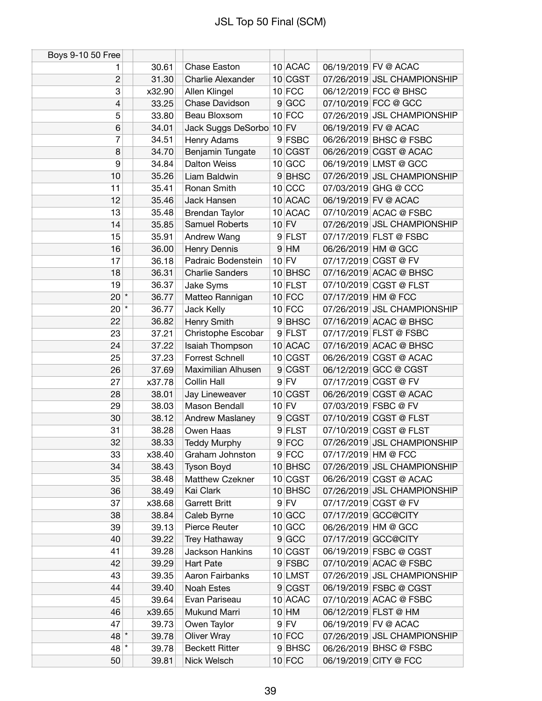| Boys 9-10 50 Free |        |                          |           |                     |                             |
|-------------------|--------|--------------------------|-----------|---------------------|-----------------------------|
| 1                 | 30.61  | Chase Easton             | 10 ACAC   |                     | 06/19/2019 FV @ ACAC        |
| $\overline{c}$    | 31.30  | Charlie Alexander        | 10 CGST   |                     | 07/26/2019 JSL CHAMPIONSHIP |
| 3                 | x32.90 | Allen Klingel            | $10$ FCC  |                     | 06/12/2019 FCC @ BHSC       |
| 4                 | 33.25  | Chase Davidson           | 9 GCC     |                     | 07/10/2019 FCC @ GCC        |
| 5                 | 33.80  | Beau Bloxsom             | $10$ FCC  |                     | 07/26/2019 JSL CHAMPIONSHIP |
| $6\phantom{1}$    | 34.01  | Jack Suggs DeSorbo 10 FV |           |                     | 06/19/2019 FV @ ACAC        |
| 7                 | 34.51  | Henry Adams              | 9 FSBC    |                     | 06/26/2019 BHSC @ FSBC      |
| 8                 | 34.70  | Benjamin Tungate         | 10 CGST   |                     | 06/26/2019 CGST @ ACAC      |
| 9                 | 34.84  | <b>Dalton Weiss</b>      | 10 GCC    |                     | 06/19/2019 LMST @ GCC       |
| 10                | 35.26  | Liam Baldwin             | 9BHSC     |                     | 07/26/2019 JSL CHAMPIONSHIP |
| 11                | 35.41  | Ronan Smith              | $10$ CCC  |                     | 07/03/2019 GHG @ CCC        |
| 12                | 35.46  | Jack Hansen              | 10 ACAC   |                     | 06/19/2019 FV @ ACAC        |
| 13                | 35.48  | <b>Brendan Taylor</b>    | 10 ACAC   |                     | 07/10/2019 ACAC @ FSBC      |
| 14                | 35.85  | Samuel Roberts           | $10$ FV   |                     | 07/26/2019 JSL CHAMPIONSHIP |
| 15                | 35.91  | Andrew Wang              | 9 FLST    |                     | 07/17/2019 FLST @ FSBC      |
| 16                | 36.00  | Henry Dennis             | $9$ HM    | 06/26/2019 HM @ GCC |                             |
| 17                | 36.18  | Padraic Bodenstein       | $10$ FV   |                     | 07/17/2019 CGST @ FV        |
| 18                | 36.31  | <b>Charlie Sanders</b>   | 10 BHSC   |                     | 07/16/2019 ACAC @ BHSC      |
| 19                | 36.37  | Jake Syms                | $10$ FLST |                     | 07/10/2019 CGST @ FLST      |
| $20^{*}$          | 36.77  | Matteo Rannigan          | $10$ FCC  | 07/17/2019 HM @ FCC |                             |
| $20^{*}$          | 36.77  | Jack Kelly               | $10$ FCC  |                     | 07/26/2019 JSL CHAMPIONSHIP |
| 22                | 36.82  | Henry Smith              | 9BHSC     |                     | 07/16/2019 ACAC @ BHSC      |
| 23                | 37.21  | Christophe Escobar       | 9 FLST    |                     | 07/17/2019 FLST @ FSBC      |
| 24                | 37.22  | Isaiah Thompson          | 10 ACAC   |                     | 07/16/2019 ACAC @ BHSC      |
| 25                | 37.23  | <b>Forrest Schnell</b>   | 10 CGST   |                     | 06/26/2019 CGST @ ACAC      |
| 26                | 37.69  | Maximilian Alhusen       | 9 CGST    |                     | 06/12/2019 GCC @ CGST       |
| 27                | x37.78 | Collin Hall              | $9$ FV    |                     | 07/17/2019 CGST @ FV        |
| 28                | 38.01  | Jay Lineweaver           | 10 CGST   |                     | 06/26/2019 CGST @ ACAC      |
| 29                | 38.03  | Mason Bendall            | $10$ FV   |                     | 07/03/2019 FSBC @ FV        |
| 30                | 38.12  | Andrew Maslaney          | 9 CGST    |                     | 07/10/2019 CGST @ FLST      |
| 31                | 38.28  | Owen Haas                | 9 FLST    |                     | 07/10/2019 CGST @ FLST      |
| 32                | 38.33  | <b>Teddy Murphy</b>      | $9$ FCC   |                     | 07/26/2019 JSL CHAMPIONSHIP |
| 33                | x38.40 | Graham Johnston          | $9$ FCC   | 07/17/2019 HM @ FCC |                             |
| 34                | 38.43  | <b>Tyson Boyd</b>        | 10 BHSC   |                     | 07/26/2019 JSL CHAMPIONSHIP |
| 35                | 38.48  | Matthew Czekner          | 10 CGST   |                     | 06/26/2019 CGST @ ACAC      |
| 36                | 38.49  | Kai Clark                | $10$ BHSC |                     | 07/26/2019 JSL CHAMPIONSHIP |
| 37                | x38.68 | Garrett Britt            | $9$ FV    |                     | 07/17/2019 CGST @ FV        |
| 38                | 38.84  | Caleb Byrne              | 10 GCC    |                     | 07/17/2019 GCC@CITY         |
| 39                | 39.13  | Pierce Reuter            | 10 GCC    |                     | 06/26/2019 HM @ GCC         |
| 40                | 39.22  | Trey Hathaway            | 9 GCC     |                     | 07/17/2019 GCC@CITY         |
| 41                | 39.28  | Jackson Hankins          | 10 CGST   |                     | 06/19/2019 FSBC @ CGST      |
| 42                | 39.29  | Hart Pate                | 9 FSBC    |                     | 07/10/2019 ACAC @ FSBC      |
| 43                | 39.35  | Aaron Fairbanks          | 10 LMST   |                     | 07/26/2019 JSL CHAMPIONSHIP |
| 44                | 39.40  | <b>Noah Estes</b>        | 9 CGST    |                     | 06/19/2019 FSBC @ CGST      |
| 45                | 39.64  | Evan Pariseau            | 10 ACAC   |                     | 07/10/2019 ACAC @ FSBC      |
| 46                | x39.65 | Mukund Marri             | $10$ HM   |                     | 06/12/2019 FLST @ HM        |
| 47                | 39.73  | Owen Taylor              | $9$ FV    |                     | 06/19/2019 FV @ ACAC        |
| 48 *              | 39.78  | <b>Oliver Wray</b>       | $10$ FCC  |                     | 07/26/2019 JSL CHAMPIONSHIP |
| $48$ *            | 39.78  | <b>Beckett Ritter</b>    | 9BHSC     |                     | 06/26/2019 BHSC @ FSBC      |
| 50                | 39.81  | Nick Welsch              | $10$ FCC  |                     | 06/19/2019 CITY @ FCC       |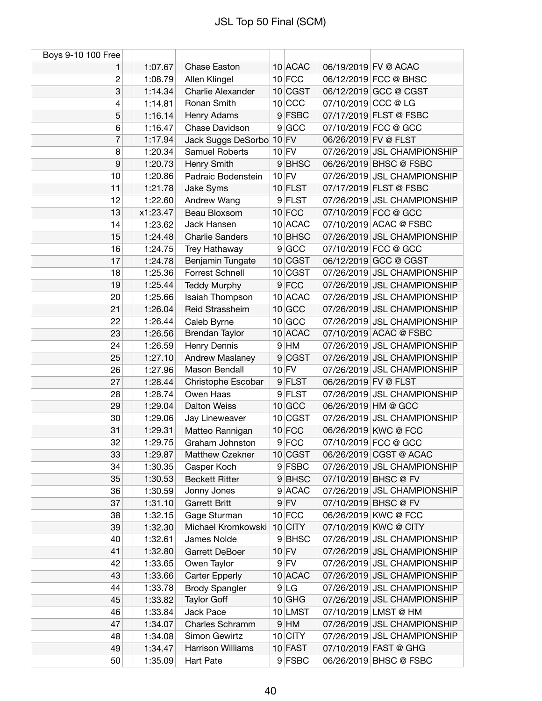| 10 ACAC<br>Chase Easton<br>06/19/2019 FV @ ACAC<br>1:07.67<br>1<br>$10$ FCC<br>06/12/2019 FCC @ BHSC<br>$\overline{c}$<br>1:08.79<br>Allen Klingel<br>3<br>10 CGST<br>1:14.34<br>Charlie Alexander<br>06/12/2019 GCC @ CGST<br>Ronan Smith<br>$10$ CCC<br>07/10/2019 CCC @ LG<br>4<br>1:14.81<br>9 FSBC<br>07/17/2019 FLST @ FSBC<br>5<br>1:16.14<br>Henry Adams<br>6<br>1:16.47<br>9 GCC<br>07/10/2019 FCC @ GCC<br>Chase Davidson<br>7<br>$10$ FV<br>06/26/2019 FV @ FLST<br>1:17.94<br>Jack Suggs DeSorbo<br>8<br>Samuel Roberts<br>$10$ FV<br>07/26/2019 JSL CHAMPIONSHIP<br>1:20.34<br>9<br>1:20.73<br>Henry Smith<br>9BHSC<br>06/26/2019 BHSC @ FSBC<br>10<br>$10$ FV<br>1:20.86<br>07/26/2019 JSL CHAMPIONSHIP<br>Padraic Bodenstein<br>07/17/2019 FLST @ FSBC<br>Jake Syms<br>$10$ FLST<br>11<br>1:21.78<br>07/26/2019 JSL CHAMPIONSHIP<br>12<br>1:22.60<br>Andrew Wang<br>9 FLST<br>13<br>x1:23.47<br>Beau Bloxsom<br>$10$ FCC<br>07/10/2019 FCC @ GCC<br>Jack Hansen<br>10 ACAC<br>07/10/2019 ACAC @ FSBC<br>14<br>1:23.62<br><b>Charlie Sanders</b><br>10 BHSC<br>07/26/2019 JSL CHAMPIONSHIP<br>15<br>1:24.48<br>16<br>9 GCC<br>07/10/2019 FCC @ GCC<br>1:24.75<br>Trey Hathaway<br>$10$ CGST<br>06/12/2019 GCC @ CGST<br>17<br>1:24.78<br>Benjamin Tungate<br>Forrest Schnell<br>10 CGST<br>07/26/2019 JSL CHAMPIONSHIP<br>18<br>1:25.36<br>9 FCC<br>07/26/2019 JSL CHAMPIONSHIP<br>19<br>1:25.44<br><b>Teddy Murphy</b><br>10 ACAC<br>07/26/2019 JSL CHAMPIONSHIP<br>1:25.66<br>Isaiah Thompson<br>20<br>$10$ GCC<br>Reid Strassheim<br>07/26/2019 JSL CHAMPIONSHIP<br>21<br>1:26.04<br>22<br>1:26.44<br>$10$ GCC<br>07/26/2019 JSL CHAMPIONSHIP<br>Caleb Byrne<br>Brendan Taylor<br>10 ACAC<br>07/10/2019 ACAC @ FSBC<br>23<br>1:26.56<br>24<br>1:26.59<br>Henry Dennis<br>$9$ HM<br>07/26/2019 JSL CHAMPIONSHIP<br>25<br>1:27.10<br><b>Andrew Maslaney</b><br>9 CGST<br>07/26/2019 JSL CHAMPIONSHIP<br>Mason Bendall<br>$10$ FV<br>07/26/2019 JSL CHAMPIONSHIP<br>26<br>1:27.96<br>27<br>1:28.44<br>06/26/2019 FV @ FLST<br>Christophe Escobar<br>9 FLST<br>Owen Haas<br>9 FLST<br>07/26/2019 JSL CHAMPIONSHIP<br>28<br>1:28.74<br><b>Dalton Weiss</b><br>$10$ GCC<br>06/26/2019 HM @ GCC<br>29<br>1:29.04<br>10 CGST<br>07/26/2019 JSL CHAMPIONSHIP<br>Jay Lineweaver<br>30<br>1:29.06<br>31<br>$10$ FCC<br>06/26/2019 KWC @ FCC<br>1:29.31<br>Matteo Rannigan<br>32<br>$9$ FCC<br>07/10/2019 FCC @ GCC<br>1:29.75<br>Graham Johnston<br>33<br>10 CGST<br>06/26/2019 CGST @ ACAC<br>1:29.87<br><b>Matthew Czekner</b><br>9 FSBC<br>1:30.35<br>07/26/2019 JSL CHAMPIONSHIP<br>34<br>Casper Koch<br>35<br>9BHSC<br>07/10/2019 BHSC @ FV<br>1:30.53<br><b>Beckett Ritter</b><br>9 ACAC<br>Jonny Jones<br>07/26/2019 JSL CHAMPIONSHIP<br>36<br>1:30.59<br>37<br><b>Garrett Britt</b><br>$9$ FV<br>07/10/2019 BHSC @ FV<br>1:31.10<br>1:32.15<br>$10$ FCC<br>06/26/2019 KWC @ FCC<br>38<br>Gage Sturman<br>Michael Kromkowski<br>10 CITY<br>07/10/2019 KWC @ CITY<br>39<br>1:32.30<br>James Nolde<br>9BHSC<br>07/26/2019 JSL CHAMPIONSHIP<br>40<br>1:32.61<br>$10$ FV<br>07/26/2019 JSL CHAMPIONSHIP<br>41<br>1:32.80<br>Garrett DeBoer<br>$9$ FV<br>07/26/2019 JSL CHAMPIONSHIP<br>1:33.65<br>Owen Taylor<br>42<br>07/26/2019 JSL CHAMPIONSHIP<br>43<br>1:33.66<br><b>Carter Epperly</b><br>10 ACAC<br>44<br>1:33.78<br><b>Brody Spangler</b><br>9 LG<br>07/26/2019 JSL CHAMPIONSHIP<br>$10$ GHG<br>07/26/2019 JSL CHAMPIONSHIP<br>45<br>1:33.82<br><b>Taylor Goff</b><br>10 LMST<br>07/10/2019 LMST @ HM<br>46<br>1:33.84<br>Jack Pace<br>$9$ HM<br>07/26/2019 JSL CHAMPIONSHIP<br>47<br>1:34.07<br>Charles Schramm<br>10 CITY<br>Simon Gewirtz<br>07/26/2019 JSL CHAMPIONSHIP<br>48<br>1:34.08<br>49<br>Harrison Williams<br>10 FAST<br>07/10/2019 FAST @ GHG<br>1:34.47<br>06/26/2019 BHSC @ FSBC<br>50<br>9 FSBC | Boys 9-10 100 Free |         |                  |  |  |
|-----------------------------------------------------------------------------------------------------------------------------------------------------------------------------------------------------------------------------------------------------------------------------------------------------------------------------------------------------------------------------------------------------------------------------------------------------------------------------------------------------------------------------------------------------------------------------------------------------------------------------------------------------------------------------------------------------------------------------------------------------------------------------------------------------------------------------------------------------------------------------------------------------------------------------------------------------------------------------------------------------------------------------------------------------------------------------------------------------------------------------------------------------------------------------------------------------------------------------------------------------------------------------------------------------------------------------------------------------------------------------------------------------------------------------------------------------------------------------------------------------------------------------------------------------------------------------------------------------------------------------------------------------------------------------------------------------------------------------------------------------------------------------------------------------------------------------------------------------------------------------------------------------------------------------------------------------------------------------------------------------------------------------------------------------------------------------------------------------------------------------------------------------------------------------------------------------------------------------------------------------------------------------------------------------------------------------------------------------------------------------------------------------------------------------------------------------------------------------------------------------------------------------------------------------------------------------------------------------------------------------------------------------------------------------------------------------------------------------------------------------------------------------------------------------------------------------------------------------------------------------------------------------------------------------------------------------------------------------------------------------------------------------------------------------------------------------------------------------------------------------------------------------------------------------------------------------------------------------------------------------------------------------------------------------------------------------------------------------------------------------------------------------------------------------------------------------------------------------------------------------------------------------------------------------------------------------------------------------------------------------------------------------------------------------------------------------------------------------------------------------------------------------------------------------------------------------------|--------------------|---------|------------------|--|--|
|                                                                                                                                                                                                                                                                                                                                                                                                                                                                                                                                                                                                                                                                                                                                                                                                                                                                                                                                                                                                                                                                                                                                                                                                                                                                                                                                                                                                                                                                                                                                                                                                                                                                                                                                                                                                                                                                                                                                                                                                                                                                                                                                                                                                                                                                                                                                                                                                                                                                                                                                                                                                                                                                                                                                                                                                                                                                                                                                                                                                                                                                                                                                                                                                                                                                                                                                                                                                                                                                                                                                                                                                                                                                                                                                                                                                                                   |                    |         |                  |  |  |
|                                                                                                                                                                                                                                                                                                                                                                                                                                                                                                                                                                                                                                                                                                                                                                                                                                                                                                                                                                                                                                                                                                                                                                                                                                                                                                                                                                                                                                                                                                                                                                                                                                                                                                                                                                                                                                                                                                                                                                                                                                                                                                                                                                                                                                                                                                                                                                                                                                                                                                                                                                                                                                                                                                                                                                                                                                                                                                                                                                                                                                                                                                                                                                                                                                                                                                                                                                                                                                                                                                                                                                                                                                                                                                                                                                                                                                   |                    |         |                  |  |  |
|                                                                                                                                                                                                                                                                                                                                                                                                                                                                                                                                                                                                                                                                                                                                                                                                                                                                                                                                                                                                                                                                                                                                                                                                                                                                                                                                                                                                                                                                                                                                                                                                                                                                                                                                                                                                                                                                                                                                                                                                                                                                                                                                                                                                                                                                                                                                                                                                                                                                                                                                                                                                                                                                                                                                                                                                                                                                                                                                                                                                                                                                                                                                                                                                                                                                                                                                                                                                                                                                                                                                                                                                                                                                                                                                                                                                                                   |                    |         |                  |  |  |
|                                                                                                                                                                                                                                                                                                                                                                                                                                                                                                                                                                                                                                                                                                                                                                                                                                                                                                                                                                                                                                                                                                                                                                                                                                                                                                                                                                                                                                                                                                                                                                                                                                                                                                                                                                                                                                                                                                                                                                                                                                                                                                                                                                                                                                                                                                                                                                                                                                                                                                                                                                                                                                                                                                                                                                                                                                                                                                                                                                                                                                                                                                                                                                                                                                                                                                                                                                                                                                                                                                                                                                                                                                                                                                                                                                                                                                   |                    |         |                  |  |  |
|                                                                                                                                                                                                                                                                                                                                                                                                                                                                                                                                                                                                                                                                                                                                                                                                                                                                                                                                                                                                                                                                                                                                                                                                                                                                                                                                                                                                                                                                                                                                                                                                                                                                                                                                                                                                                                                                                                                                                                                                                                                                                                                                                                                                                                                                                                                                                                                                                                                                                                                                                                                                                                                                                                                                                                                                                                                                                                                                                                                                                                                                                                                                                                                                                                                                                                                                                                                                                                                                                                                                                                                                                                                                                                                                                                                                                                   |                    |         |                  |  |  |
|                                                                                                                                                                                                                                                                                                                                                                                                                                                                                                                                                                                                                                                                                                                                                                                                                                                                                                                                                                                                                                                                                                                                                                                                                                                                                                                                                                                                                                                                                                                                                                                                                                                                                                                                                                                                                                                                                                                                                                                                                                                                                                                                                                                                                                                                                                                                                                                                                                                                                                                                                                                                                                                                                                                                                                                                                                                                                                                                                                                                                                                                                                                                                                                                                                                                                                                                                                                                                                                                                                                                                                                                                                                                                                                                                                                                                                   |                    |         |                  |  |  |
|                                                                                                                                                                                                                                                                                                                                                                                                                                                                                                                                                                                                                                                                                                                                                                                                                                                                                                                                                                                                                                                                                                                                                                                                                                                                                                                                                                                                                                                                                                                                                                                                                                                                                                                                                                                                                                                                                                                                                                                                                                                                                                                                                                                                                                                                                                                                                                                                                                                                                                                                                                                                                                                                                                                                                                                                                                                                                                                                                                                                                                                                                                                                                                                                                                                                                                                                                                                                                                                                                                                                                                                                                                                                                                                                                                                                                                   |                    |         |                  |  |  |
|                                                                                                                                                                                                                                                                                                                                                                                                                                                                                                                                                                                                                                                                                                                                                                                                                                                                                                                                                                                                                                                                                                                                                                                                                                                                                                                                                                                                                                                                                                                                                                                                                                                                                                                                                                                                                                                                                                                                                                                                                                                                                                                                                                                                                                                                                                                                                                                                                                                                                                                                                                                                                                                                                                                                                                                                                                                                                                                                                                                                                                                                                                                                                                                                                                                                                                                                                                                                                                                                                                                                                                                                                                                                                                                                                                                                                                   |                    |         |                  |  |  |
|                                                                                                                                                                                                                                                                                                                                                                                                                                                                                                                                                                                                                                                                                                                                                                                                                                                                                                                                                                                                                                                                                                                                                                                                                                                                                                                                                                                                                                                                                                                                                                                                                                                                                                                                                                                                                                                                                                                                                                                                                                                                                                                                                                                                                                                                                                                                                                                                                                                                                                                                                                                                                                                                                                                                                                                                                                                                                                                                                                                                                                                                                                                                                                                                                                                                                                                                                                                                                                                                                                                                                                                                                                                                                                                                                                                                                                   |                    |         |                  |  |  |
|                                                                                                                                                                                                                                                                                                                                                                                                                                                                                                                                                                                                                                                                                                                                                                                                                                                                                                                                                                                                                                                                                                                                                                                                                                                                                                                                                                                                                                                                                                                                                                                                                                                                                                                                                                                                                                                                                                                                                                                                                                                                                                                                                                                                                                                                                                                                                                                                                                                                                                                                                                                                                                                                                                                                                                                                                                                                                                                                                                                                                                                                                                                                                                                                                                                                                                                                                                                                                                                                                                                                                                                                                                                                                                                                                                                                                                   |                    |         |                  |  |  |
|                                                                                                                                                                                                                                                                                                                                                                                                                                                                                                                                                                                                                                                                                                                                                                                                                                                                                                                                                                                                                                                                                                                                                                                                                                                                                                                                                                                                                                                                                                                                                                                                                                                                                                                                                                                                                                                                                                                                                                                                                                                                                                                                                                                                                                                                                                                                                                                                                                                                                                                                                                                                                                                                                                                                                                                                                                                                                                                                                                                                                                                                                                                                                                                                                                                                                                                                                                                                                                                                                                                                                                                                                                                                                                                                                                                                                                   |                    |         |                  |  |  |
|                                                                                                                                                                                                                                                                                                                                                                                                                                                                                                                                                                                                                                                                                                                                                                                                                                                                                                                                                                                                                                                                                                                                                                                                                                                                                                                                                                                                                                                                                                                                                                                                                                                                                                                                                                                                                                                                                                                                                                                                                                                                                                                                                                                                                                                                                                                                                                                                                                                                                                                                                                                                                                                                                                                                                                                                                                                                                                                                                                                                                                                                                                                                                                                                                                                                                                                                                                                                                                                                                                                                                                                                                                                                                                                                                                                                                                   |                    |         |                  |  |  |
|                                                                                                                                                                                                                                                                                                                                                                                                                                                                                                                                                                                                                                                                                                                                                                                                                                                                                                                                                                                                                                                                                                                                                                                                                                                                                                                                                                                                                                                                                                                                                                                                                                                                                                                                                                                                                                                                                                                                                                                                                                                                                                                                                                                                                                                                                                                                                                                                                                                                                                                                                                                                                                                                                                                                                                                                                                                                                                                                                                                                                                                                                                                                                                                                                                                                                                                                                                                                                                                                                                                                                                                                                                                                                                                                                                                                                                   |                    |         |                  |  |  |
|                                                                                                                                                                                                                                                                                                                                                                                                                                                                                                                                                                                                                                                                                                                                                                                                                                                                                                                                                                                                                                                                                                                                                                                                                                                                                                                                                                                                                                                                                                                                                                                                                                                                                                                                                                                                                                                                                                                                                                                                                                                                                                                                                                                                                                                                                                                                                                                                                                                                                                                                                                                                                                                                                                                                                                                                                                                                                                                                                                                                                                                                                                                                                                                                                                                                                                                                                                                                                                                                                                                                                                                                                                                                                                                                                                                                                                   |                    |         |                  |  |  |
|                                                                                                                                                                                                                                                                                                                                                                                                                                                                                                                                                                                                                                                                                                                                                                                                                                                                                                                                                                                                                                                                                                                                                                                                                                                                                                                                                                                                                                                                                                                                                                                                                                                                                                                                                                                                                                                                                                                                                                                                                                                                                                                                                                                                                                                                                                                                                                                                                                                                                                                                                                                                                                                                                                                                                                                                                                                                                                                                                                                                                                                                                                                                                                                                                                                                                                                                                                                                                                                                                                                                                                                                                                                                                                                                                                                                                                   |                    |         |                  |  |  |
|                                                                                                                                                                                                                                                                                                                                                                                                                                                                                                                                                                                                                                                                                                                                                                                                                                                                                                                                                                                                                                                                                                                                                                                                                                                                                                                                                                                                                                                                                                                                                                                                                                                                                                                                                                                                                                                                                                                                                                                                                                                                                                                                                                                                                                                                                                                                                                                                                                                                                                                                                                                                                                                                                                                                                                                                                                                                                                                                                                                                                                                                                                                                                                                                                                                                                                                                                                                                                                                                                                                                                                                                                                                                                                                                                                                                                                   |                    |         |                  |  |  |
|                                                                                                                                                                                                                                                                                                                                                                                                                                                                                                                                                                                                                                                                                                                                                                                                                                                                                                                                                                                                                                                                                                                                                                                                                                                                                                                                                                                                                                                                                                                                                                                                                                                                                                                                                                                                                                                                                                                                                                                                                                                                                                                                                                                                                                                                                                                                                                                                                                                                                                                                                                                                                                                                                                                                                                                                                                                                                                                                                                                                                                                                                                                                                                                                                                                                                                                                                                                                                                                                                                                                                                                                                                                                                                                                                                                                                                   |                    |         |                  |  |  |
|                                                                                                                                                                                                                                                                                                                                                                                                                                                                                                                                                                                                                                                                                                                                                                                                                                                                                                                                                                                                                                                                                                                                                                                                                                                                                                                                                                                                                                                                                                                                                                                                                                                                                                                                                                                                                                                                                                                                                                                                                                                                                                                                                                                                                                                                                                                                                                                                                                                                                                                                                                                                                                                                                                                                                                                                                                                                                                                                                                                                                                                                                                                                                                                                                                                                                                                                                                                                                                                                                                                                                                                                                                                                                                                                                                                                                                   |                    |         |                  |  |  |
|                                                                                                                                                                                                                                                                                                                                                                                                                                                                                                                                                                                                                                                                                                                                                                                                                                                                                                                                                                                                                                                                                                                                                                                                                                                                                                                                                                                                                                                                                                                                                                                                                                                                                                                                                                                                                                                                                                                                                                                                                                                                                                                                                                                                                                                                                                                                                                                                                                                                                                                                                                                                                                                                                                                                                                                                                                                                                                                                                                                                                                                                                                                                                                                                                                                                                                                                                                                                                                                                                                                                                                                                                                                                                                                                                                                                                                   |                    |         |                  |  |  |
|                                                                                                                                                                                                                                                                                                                                                                                                                                                                                                                                                                                                                                                                                                                                                                                                                                                                                                                                                                                                                                                                                                                                                                                                                                                                                                                                                                                                                                                                                                                                                                                                                                                                                                                                                                                                                                                                                                                                                                                                                                                                                                                                                                                                                                                                                                                                                                                                                                                                                                                                                                                                                                                                                                                                                                                                                                                                                                                                                                                                                                                                                                                                                                                                                                                                                                                                                                                                                                                                                                                                                                                                                                                                                                                                                                                                                                   |                    |         |                  |  |  |
|                                                                                                                                                                                                                                                                                                                                                                                                                                                                                                                                                                                                                                                                                                                                                                                                                                                                                                                                                                                                                                                                                                                                                                                                                                                                                                                                                                                                                                                                                                                                                                                                                                                                                                                                                                                                                                                                                                                                                                                                                                                                                                                                                                                                                                                                                                                                                                                                                                                                                                                                                                                                                                                                                                                                                                                                                                                                                                                                                                                                                                                                                                                                                                                                                                                                                                                                                                                                                                                                                                                                                                                                                                                                                                                                                                                                                                   |                    |         |                  |  |  |
|                                                                                                                                                                                                                                                                                                                                                                                                                                                                                                                                                                                                                                                                                                                                                                                                                                                                                                                                                                                                                                                                                                                                                                                                                                                                                                                                                                                                                                                                                                                                                                                                                                                                                                                                                                                                                                                                                                                                                                                                                                                                                                                                                                                                                                                                                                                                                                                                                                                                                                                                                                                                                                                                                                                                                                                                                                                                                                                                                                                                                                                                                                                                                                                                                                                                                                                                                                                                                                                                                                                                                                                                                                                                                                                                                                                                                                   |                    |         |                  |  |  |
|                                                                                                                                                                                                                                                                                                                                                                                                                                                                                                                                                                                                                                                                                                                                                                                                                                                                                                                                                                                                                                                                                                                                                                                                                                                                                                                                                                                                                                                                                                                                                                                                                                                                                                                                                                                                                                                                                                                                                                                                                                                                                                                                                                                                                                                                                                                                                                                                                                                                                                                                                                                                                                                                                                                                                                                                                                                                                                                                                                                                                                                                                                                                                                                                                                                                                                                                                                                                                                                                                                                                                                                                                                                                                                                                                                                                                                   |                    |         |                  |  |  |
|                                                                                                                                                                                                                                                                                                                                                                                                                                                                                                                                                                                                                                                                                                                                                                                                                                                                                                                                                                                                                                                                                                                                                                                                                                                                                                                                                                                                                                                                                                                                                                                                                                                                                                                                                                                                                                                                                                                                                                                                                                                                                                                                                                                                                                                                                                                                                                                                                                                                                                                                                                                                                                                                                                                                                                                                                                                                                                                                                                                                                                                                                                                                                                                                                                                                                                                                                                                                                                                                                                                                                                                                                                                                                                                                                                                                                                   |                    |         |                  |  |  |
|                                                                                                                                                                                                                                                                                                                                                                                                                                                                                                                                                                                                                                                                                                                                                                                                                                                                                                                                                                                                                                                                                                                                                                                                                                                                                                                                                                                                                                                                                                                                                                                                                                                                                                                                                                                                                                                                                                                                                                                                                                                                                                                                                                                                                                                                                                                                                                                                                                                                                                                                                                                                                                                                                                                                                                                                                                                                                                                                                                                                                                                                                                                                                                                                                                                                                                                                                                                                                                                                                                                                                                                                                                                                                                                                                                                                                                   |                    |         |                  |  |  |
|                                                                                                                                                                                                                                                                                                                                                                                                                                                                                                                                                                                                                                                                                                                                                                                                                                                                                                                                                                                                                                                                                                                                                                                                                                                                                                                                                                                                                                                                                                                                                                                                                                                                                                                                                                                                                                                                                                                                                                                                                                                                                                                                                                                                                                                                                                                                                                                                                                                                                                                                                                                                                                                                                                                                                                                                                                                                                                                                                                                                                                                                                                                                                                                                                                                                                                                                                                                                                                                                                                                                                                                                                                                                                                                                                                                                                                   |                    |         |                  |  |  |
|                                                                                                                                                                                                                                                                                                                                                                                                                                                                                                                                                                                                                                                                                                                                                                                                                                                                                                                                                                                                                                                                                                                                                                                                                                                                                                                                                                                                                                                                                                                                                                                                                                                                                                                                                                                                                                                                                                                                                                                                                                                                                                                                                                                                                                                                                                                                                                                                                                                                                                                                                                                                                                                                                                                                                                                                                                                                                                                                                                                                                                                                                                                                                                                                                                                                                                                                                                                                                                                                                                                                                                                                                                                                                                                                                                                                                                   |                    |         |                  |  |  |
|                                                                                                                                                                                                                                                                                                                                                                                                                                                                                                                                                                                                                                                                                                                                                                                                                                                                                                                                                                                                                                                                                                                                                                                                                                                                                                                                                                                                                                                                                                                                                                                                                                                                                                                                                                                                                                                                                                                                                                                                                                                                                                                                                                                                                                                                                                                                                                                                                                                                                                                                                                                                                                                                                                                                                                                                                                                                                                                                                                                                                                                                                                                                                                                                                                                                                                                                                                                                                                                                                                                                                                                                                                                                                                                                                                                                                                   |                    |         |                  |  |  |
|                                                                                                                                                                                                                                                                                                                                                                                                                                                                                                                                                                                                                                                                                                                                                                                                                                                                                                                                                                                                                                                                                                                                                                                                                                                                                                                                                                                                                                                                                                                                                                                                                                                                                                                                                                                                                                                                                                                                                                                                                                                                                                                                                                                                                                                                                                                                                                                                                                                                                                                                                                                                                                                                                                                                                                                                                                                                                                                                                                                                                                                                                                                                                                                                                                                                                                                                                                                                                                                                                                                                                                                                                                                                                                                                                                                                                                   |                    |         |                  |  |  |
|                                                                                                                                                                                                                                                                                                                                                                                                                                                                                                                                                                                                                                                                                                                                                                                                                                                                                                                                                                                                                                                                                                                                                                                                                                                                                                                                                                                                                                                                                                                                                                                                                                                                                                                                                                                                                                                                                                                                                                                                                                                                                                                                                                                                                                                                                                                                                                                                                                                                                                                                                                                                                                                                                                                                                                                                                                                                                                                                                                                                                                                                                                                                                                                                                                                                                                                                                                                                                                                                                                                                                                                                                                                                                                                                                                                                                                   |                    |         |                  |  |  |
|                                                                                                                                                                                                                                                                                                                                                                                                                                                                                                                                                                                                                                                                                                                                                                                                                                                                                                                                                                                                                                                                                                                                                                                                                                                                                                                                                                                                                                                                                                                                                                                                                                                                                                                                                                                                                                                                                                                                                                                                                                                                                                                                                                                                                                                                                                                                                                                                                                                                                                                                                                                                                                                                                                                                                                                                                                                                                                                                                                                                                                                                                                                                                                                                                                                                                                                                                                                                                                                                                                                                                                                                                                                                                                                                                                                                                                   |                    |         |                  |  |  |
|                                                                                                                                                                                                                                                                                                                                                                                                                                                                                                                                                                                                                                                                                                                                                                                                                                                                                                                                                                                                                                                                                                                                                                                                                                                                                                                                                                                                                                                                                                                                                                                                                                                                                                                                                                                                                                                                                                                                                                                                                                                                                                                                                                                                                                                                                                                                                                                                                                                                                                                                                                                                                                                                                                                                                                                                                                                                                                                                                                                                                                                                                                                                                                                                                                                                                                                                                                                                                                                                                                                                                                                                                                                                                                                                                                                                                                   |                    |         |                  |  |  |
|                                                                                                                                                                                                                                                                                                                                                                                                                                                                                                                                                                                                                                                                                                                                                                                                                                                                                                                                                                                                                                                                                                                                                                                                                                                                                                                                                                                                                                                                                                                                                                                                                                                                                                                                                                                                                                                                                                                                                                                                                                                                                                                                                                                                                                                                                                                                                                                                                                                                                                                                                                                                                                                                                                                                                                                                                                                                                                                                                                                                                                                                                                                                                                                                                                                                                                                                                                                                                                                                                                                                                                                                                                                                                                                                                                                                                                   |                    |         |                  |  |  |
|                                                                                                                                                                                                                                                                                                                                                                                                                                                                                                                                                                                                                                                                                                                                                                                                                                                                                                                                                                                                                                                                                                                                                                                                                                                                                                                                                                                                                                                                                                                                                                                                                                                                                                                                                                                                                                                                                                                                                                                                                                                                                                                                                                                                                                                                                                                                                                                                                                                                                                                                                                                                                                                                                                                                                                                                                                                                                                                                                                                                                                                                                                                                                                                                                                                                                                                                                                                                                                                                                                                                                                                                                                                                                                                                                                                                                                   |                    |         |                  |  |  |
|                                                                                                                                                                                                                                                                                                                                                                                                                                                                                                                                                                                                                                                                                                                                                                                                                                                                                                                                                                                                                                                                                                                                                                                                                                                                                                                                                                                                                                                                                                                                                                                                                                                                                                                                                                                                                                                                                                                                                                                                                                                                                                                                                                                                                                                                                                                                                                                                                                                                                                                                                                                                                                                                                                                                                                                                                                                                                                                                                                                                                                                                                                                                                                                                                                                                                                                                                                                                                                                                                                                                                                                                                                                                                                                                                                                                                                   |                    |         |                  |  |  |
|                                                                                                                                                                                                                                                                                                                                                                                                                                                                                                                                                                                                                                                                                                                                                                                                                                                                                                                                                                                                                                                                                                                                                                                                                                                                                                                                                                                                                                                                                                                                                                                                                                                                                                                                                                                                                                                                                                                                                                                                                                                                                                                                                                                                                                                                                                                                                                                                                                                                                                                                                                                                                                                                                                                                                                                                                                                                                                                                                                                                                                                                                                                                                                                                                                                                                                                                                                                                                                                                                                                                                                                                                                                                                                                                                                                                                                   |                    |         |                  |  |  |
|                                                                                                                                                                                                                                                                                                                                                                                                                                                                                                                                                                                                                                                                                                                                                                                                                                                                                                                                                                                                                                                                                                                                                                                                                                                                                                                                                                                                                                                                                                                                                                                                                                                                                                                                                                                                                                                                                                                                                                                                                                                                                                                                                                                                                                                                                                                                                                                                                                                                                                                                                                                                                                                                                                                                                                                                                                                                                                                                                                                                                                                                                                                                                                                                                                                                                                                                                                                                                                                                                                                                                                                                                                                                                                                                                                                                                                   |                    |         |                  |  |  |
|                                                                                                                                                                                                                                                                                                                                                                                                                                                                                                                                                                                                                                                                                                                                                                                                                                                                                                                                                                                                                                                                                                                                                                                                                                                                                                                                                                                                                                                                                                                                                                                                                                                                                                                                                                                                                                                                                                                                                                                                                                                                                                                                                                                                                                                                                                                                                                                                                                                                                                                                                                                                                                                                                                                                                                                                                                                                                                                                                                                                                                                                                                                                                                                                                                                                                                                                                                                                                                                                                                                                                                                                                                                                                                                                                                                                                                   |                    |         |                  |  |  |
|                                                                                                                                                                                                                                                                                                                                                                                                                                                                                                                                                                                                                                                                                                                                                                                                                                                                                                                                                                                                                                                                                                                                                                                                                                                                                                                                                                                                                                                                                                                                                                                                                                                                                                                                                                                                                                                                                                                                                                                                                                                                                                                                                                                                                                                                                                                                                                                                                                                                                                                                                                                                                                                                                                                                                                                                                                                                                                                                                                                                                                                                                                                                                                                                                                                                                                                                                                                                                                                                                                                                                                                                                                                                                                                                                                                                                                   |                    |         |                  |  |  |
|                                                                                                                                                                                                                                                                                                                                                                                                                                                                                                                                                                                                                                                                                                                                                                                                                                                                                                                                                                                                                                                                                                                                                                                                                                                                                                                                                                                                                                                                                                                                                                                                                                                                                                                                                                                                                                                                                                                                                                                                                                                                                                                                                                                                                                                                                                                                                                                                                                                                                                                                                                                                                                                                                                                                                                                                                                                                                                                                                                                                                                                                                                                                                                                                                                                                                                                                                                                                                                                                                                                                                                                                                                                                                                                                                                                                                                   |                    |         |                  |  |  |
|                                                                                                                                                                                                                                                                                                                                                                                                                                                                                                                                                                                                                                                                                                                                                                                                                                                                                                                                                                                                                                                                                                                                                                                                                                                                                                                                                                                                                                                                                                                                                                                                                                                                                                                                                                                                                                                                                                                                                                                                                                                                                                                                                                                                                                                                                                                                                                                                                                                                                                                                                                                                                                                                                                                                                                                                                                                                                                                                                                                                                                                                                                                                                                                                                                                                                                                                                                                                                                                                                                                                                                                                                                                                                                                                                                                                                                   |                    |         |                  |  |  |
|                                                                                                                                                                                                                                                                                                                                                                                                                                                                                                                                                                                                                                                                                                                                                                                                                                                                                                                                                                                                                                                                                                                                                                                                                                                                                                                                                                                                                                                                                                                                                                                                                                                                                                                                                                                                                                                                                                                                                                                                                                                                                                                                                                                                                                                                                                                                                                                                                                                                                                                                                                                                                                                                                                                                                                                                                                                                                                                                                                                                                                                                                                                                                                                                                                                                                                                                                                                                                                                                                                                                                                                                                                                                                                                                                                                                                                   |                    |         |                  |  |  |
|                                                                                                                                                                                                                                                                                                                                                                                                                                                                                                                                                                                                                                                                                                                                                                                                                                                                                                                                                                                                                                                                                                                                                                                                                                                                                                                                                                                                                                                                                                                                                                                                                                                                                                                                                                                                                                                                                                                                                                                                                                                                                                                                                                                                                                                                                                                                                                                                                                                                                                                                                                                                                                                                                                                                                                                                                                                                                                                                                                                                                                                                                                                                                                                                                                                                                                                                                                                                                                                                                                                                                                                                                                                                                                                                                                                                                                   |                    |         |                  |  |  |
|                                                                                                                                                                                                                                                                                                                                                                                                                                                                                                                                                                                                                                                                                                                                                                                                                                                                                                                                                                                                                                                                                                                                                                                                                                                                                                                                                                                                                                                                                                                                                                                                                                                                                                                                                                                                                                                                                                                                                                                                                                                                                                                                                                                                                                                                                                                                                                                                                                                                                                                                                                                                                                                                                                                                                                                                                                                                                                                                                                                                                                                                                                                                                                                                                                                                                                                                                                                                                                                                                                                                                                                                                                                                                                                                                                                                                                   |                    |         |                  |  |  |
|                                                                                                                                                                                                                                                                                                                                                                                                                                                                                                                                                                                                                                                                                                                                                                                                                                                                                                                                                                                                                                                                                                                                                                                                                                                                                                                                                                                                                                                                                                                                                                                                                                                                                                                                                                                                                                                                                                                                                                                                                                                                                                                                                                                                                                                                                                                                                                                                                                                                                                                                                                                                                                                                                                                                                                                                                                                                                                                                                                                                                                                                                                                                                                                                                                                                                                                                                                                                                                                                                                                                                                                                                                                                                                                                                                                                                                   |                    |         |                  |  |  |
|                                                                                                                                                                                                                                                                                                                                                                                                                                                                                                                                                                                                                                                                                                                                                                                                                                                                                                                                                                                                                                                                                                                                                                                                                                                                                                                                                                                                                                                                                                                                                                                                                                                                                                                                                                                                                                                                                                                                                                                                                                                                                                                                                                                                                                                                                                                                                                                                                                                                                                                                                                                                                                                                                                                                                                                                                                                                                                                                                                                                                                                                                                                                                                                                                                                                                                                                                                                                                                                                                                                                                                                                                                                                                                                                                                                                                                   |                    |         |                  |  |  |
|                                                                                                                                                                                                                                                                                                                                                                                                                                                                                                                                                                                                                                                                                                                                                                                                                                                                                                                                                                                                                                                                                                                                                                                                                                                                                                                                                                                                                                                                                                                                                                                                                                                                                                                                                                                                                                                                                                                                                                                                                                                                                                                                                                                                                                                                                                                                                                                                                                                                                                                                                                                                                                                                                                                                                                                                                                                                                                                                                                                                                                                                                                                                                                                                                                                                                                                                                                                                                                                                                                                                                                                                                                                                                                                                                                                                                                   |                    |         |                  |  |  |
|                                                                                                                                                                                                                                                                                                                                                                                                                                                                                                                                                                                                                                                                                                                                                                                                                                                                                                                                                                                                                                                                                                                                                                                                                                                                                                                                                                                                                                                                                                                                                                                                                                                                                                                                                                                                                                                                                                                                                                                                                                                                                                                                                                                                                                                                                                                                                                                                                                                                                                                                                                                                                                                                                                                                                                                                                                                                                                                                                                                                                                                                                                                                                                                                                                                                                                                                                                                                                                                                                                                                                                                                                                                                                                                                                                                                                                   |                    |         |                  |  |  |
|                                                                                                                                                                                                                                                                                                                                                                                                                                                                                                                                                                                                                                                                                                                                                                                                                                                                                                                                                                                                                                                                                                                                                                                                                                                                                                                                                                                                                                                                                                                                                                                                                                                                                                                                                                                                                                                                                                                                                                                                                                                                                                                                                                                                                                                                                                                                                                                                                                                                                                                                                                                                                                                                                                                                                                                                                                                                                                                                                                                                                                                                                                                                                                                                                                                                                                                                                                                                                                                                                                                                                                                                                                                                                                                                                                                                                                   |                    |         |                  |  |  |
|                                                                                                                                                                                                                                                                                                                                                                                                                                                                                                                                                                                                                                                                                                                                                                                                                                                                                                                                                                                                                                                                                                                                                                                                                                                                                                                                                                                                                                                                                                                                                                                                                                                                                                                                                                                                                                                                                                                                                                                                                                                                                                                                                                                                                                                                                                                                                                                                                                                                                                                                                                                                                                                                                                                                                                                                                                                                                                                                                                                                                                                                                                                                                                                                                                                                                                                                                                                                                                                                                                                                                                                                                                                                                                                                                                                                                                   |                    | 1:35.09 | <b>Hart Pate</b> |  |  |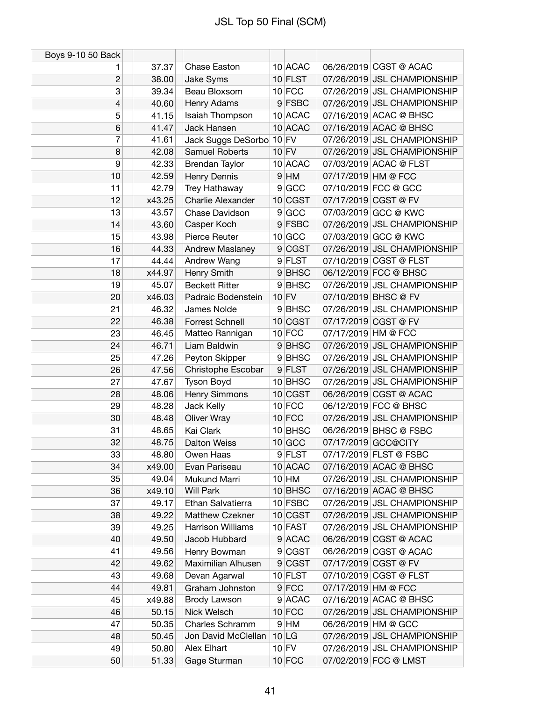| Boys 9-10 50 Back |        |                        |                |           |                     |                             |
|-------------------|--------|------------------------|----------------|-----------|---------------------|-----------------------------|
| 1                 | 37.37  | Chase Easton           |                | 10 ACAC   |                     | 06/26/2019 CGST @ ACAC      |
| $\overline{c}$    | 38.00  | Jake Syms              |                | $10$ FLST |                     | 07/26/2019 JSL CHAMPIONSHIP |
| 3                 | 39.34  | Beau Bloxsom           |                | $10$ FCC  |                     | 07/26/2019 JSL CHAMPIONSHIP |
| 4                 | 40.60  | Henry Adams            |                | 9 FSBC    |                     | 07/26/2019 JSL CHAMPIONSHIP |
| 5                 | 41.15  | Isaiah Thompson        |                | 10 ACAC   |                     | 07/16/2019 ACAC @ BHSC      |
| 6                 | 41.47  | Jack Hansen            |                | 10 ACAC   |                     | 07/16/2019 ACAC @ BHSC      |
| 7                 | 41.61  | Jack Suggs DeSorbo     |                | $10$ FV   |                     | 07/26/2019 JSL CHAMPIONSHIP |
| 8                 | 42.08  | Samuel Roberts         |                | $10$ FV   |                     | 07/26/2019 JSL CHAMPIONSHIP |
| 9                 | 42.33  | <b>Brendan Taylor</b>  |                | 10 ACAC   |                     | 07/03/2019 ACAC @ FLST      |
| 10                | 42.59  | Henry Dennis           |                | $9$ HM    | 07/17/2019 HM @ FCC |                             |
| 11                | 42.79  | Trey Hathaway          | 9 <sup>1</sup> | GCC       |                     | 07/10/2019 FCC @ GCC        |
| 12                | x43.25 | Charlie Alexander      |                | 10 CGST   |                     | 07/17/2019 CGST @ FV        |
| 13                | 43.57  | Chase Davidson         |                | 9 GCC     |                     | 07/03/2019 GCC @ KWC        |
| 14                | 43.60  | Casper Koch            |                | 9 FSBC    |                     | 07/26/2019 JSL CHAMPIONSHIP |
| 15                | 43.98  | Pierce Reuter          |                | $10$ GCC  |                     | 07/03/2019 GCC @ KWC        |
| 16                | 44.33  | Andrew Maslaney        |                | 9 CGST    |                     | 07/26/2019 JSL CHAMPIONSHIP |
| 17                | 44.44  | Andrew Wang            |                | 9 FLST    |                     | 07/10/2019 CGST @ FLST      |
| 18                | x44.97 | Henry Smith            |                | 9BHSC     |                     | 06/12/2019 FCC @ BHSC       |
| 19                | 45.07  | <b>Beckett Ritter</b>  |                | 9BHSC     |                     | 07/26/2019 JSL CHAMPIONSHIP |
| 20                | x46.03 | Padraic Bodenstein     |                | $10$ FV   |                     | 07/10/2019 BHSC @ FV        |
| 21                | 46.32  | James Nolde            |                | 9BHSC     |                     | 07/26/2019 JSL CHAMPIONSHIP |
| 22                | 46.38  | <b>Forrest Schnell</b> |                | 10 CGST   |                     | 07/17/2019 CGST @ FV        |
| 23                | 46.45  | Matteo Rannigan        |                | $10$ FCC  | 07/17/2019 HM @ FCC |                             |
| 24                | 46.71  | Liam Baldwin           |                | 9BHSC     |                     | 07/26/2019 JSL CHAMPIONSHIP |
| 25                | 47.26  | Peyton Skipper         |                | 9 BHSC    |                     | 07/26/2019 JSL CHAMPIONSHIP |
| 26                | 47.56  | Christophe Escobar     |                | 9 FLST    |                     | 07/26/2019 JSL CHAMPIONSHIP |
| 27                | 47.67  | <b>Tyson Boyd</b>      |                | 10 BHSC   |                     | 07/26/2019 JSL CHAMPIONSHIP |
| 28                | 48.06  | Henry Simmons          |                | $10$ CGST |                     | 06/26/2019 CGST @ ACAC      |
| 29                | 48.28  | Jack Kelly             |                | $10$ FCC  |                     | 06/12/2019 FCC @ BHSC       |
| 30                | 48.48  | <b>Oliver Wray</b>     |                | $10$ FCC  |                     | 07/26/2019 JSL CHAMPIONSHIP |
| 31                | 48.65  | Kai Clark              |                | 10 BHSC   |                     | 06/26/2019 BHSC @ FSBC      |
| 32                | 48.75  | <b>Dalton Weiss</b>    |                | $10$ GCC  |                     | 07/17/2019 GCC@CITY         |
| 33                | 48.80  | Owen Haas              |                | 9 FLST    |                     | 07/17/2019 FLST @ FSBC      |
| 34                | x49.00 | Evan Pariseau          |                | 10 ACAC   |                     | 07/16/2019 ACAC @ BHSC      |
| 35                | 49.04  | Mukund Marri           |                | $10$ HM   |                     | 07/26/2019 JSL CHAMPIONSHIP |
| 36                | x49.10 | <b>Will Park</b>       |                | 10 BHSC   |                     | 07/16/2019 ACAC @ BHSC      |
| 37                | 49.17  | Ethan Salvatierra      |                | 10 FSBC   |                     | 07/26/2019 JSL CHAMPIONSHIP |
| 38                | 49.22  | Matthew Czekner        |                | 10 CGST   |                     | 07/26/2019 JSL CHAMPIONSHIP |
| 39                | 49.25  | Harrison Williams      |                | 10 FAST   |                     | 07/26/2019 JSL CHAMPIONSHIP |
| 40                | 49.50  | Jacob Hubbard          |                | 9 ACAC    |                     | 06/26/2019 CGST @ ACAC      |
| 41                | 49.56  | Henry Bowman           |                | 9 CGST    |                     | 06/26/2019 CGST @ ACAC      |
| 42                | 49.62  | Maximilian Alhusen     |                | 9 CGST    |                     | 07/17/2019 CGST @ FV        |
| 43                | 49.68  | Devan Agarwal          |                | $10$ FLST |                     | 07/10/2019 CGST @ FLST      |
| 44                | 49.81  | Graham Johnston        |                | $9$ FCC   | 07/17/2019 HM @ FCC |                             |
| 45                | x49.88 | Brody Lawson           |                | 9 ACAC    |                     | 07/16/2019 ACAC @ BHSC      |
| 46                | 50.15  | Nick Welsch            |                | $10$ FCC  |                     | 07/26/2019 JSL CHAMPIONSHIP |
| 47                | 50.35  | Charles Schramm        |                | $9$ HM    |                     | 06/26/2019 HM @ GCC         |
| 48                | 50.45  | Jon David McClellan    |                | 10 LG     |                     | 07/26/2019 JSL CHAMPIONSHIP |
| 49                | 50.80  | Alex Elhart            |                | $10$ FV   |                     | 07/26/2019 JSL CHAMPIONSHIP |
| 50                | 51.33  | Gage Sturman           |                | $10$ FCC  |                     | 07/02/2019 FCC @ LMST       |
|                   |        |                        |                |           |                     |                             |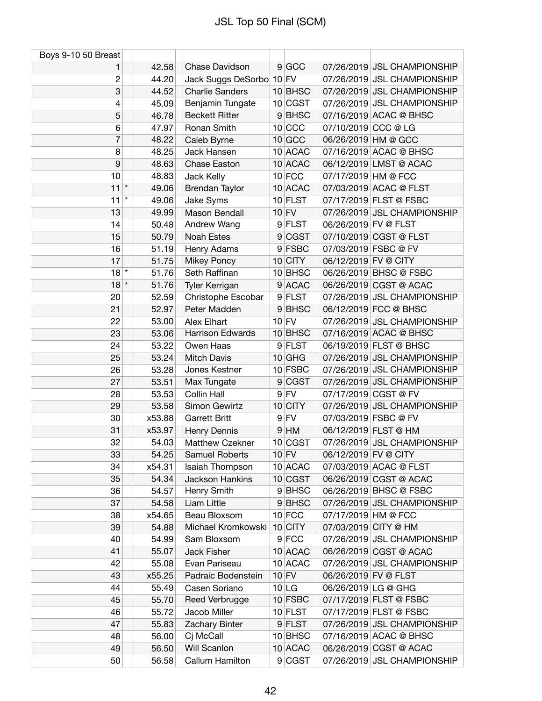| $9$ GCC<br>Chase Davidson<br>07/26/2019 JSL CHAMPIONSHIP<br>42.58<br>1<br>$\overline{c}$<br>44.20<br>Jack Suggs DeSorbo 10 FV<br>07/26/2019 JSL CHAMPIONSHIP<br>3<br>07/26/2019 JSL CHAMPIONSHIP<br>44.52<br><b>Charlie Sanders</b><br>10 BHSC<br>Benjamin Tungate<br>10 CGST<br>07/26/2019 JSL CHAMPIONSHIP<br>4<br>45.09<br><b>Beckett Ritter</b><br>$9$ BHSC<br>07/16/2019 ACAC @ BHSC<br>5<br>46.78<br>6<br>47.97<br>$10$ CCC<br>07/10/2019 CCC @ LG<br>Ronan Smith<br>$\overline{7}$<br>48.22<br>$10$ GCC<br>06/26/2019 HM @ GCC<br>Caleb Byrne<br>8<br>Jack Hansen<br>10 ACAC<br>07/16/2019 ACAC @ BHSC<br>48.25<br>9<br>10 ACAC<br>06/12/2019 LMST @ ACAC<br>48.63<br><b>Chase Easton</b><br>10<br>48.83<br>$10$ FCC<br>07/17/2019 HM @ FCC<br>Jack Kelly<br>$\star$<br>11<br>10 ACAC<br>07/03/2019 ACAC @ FLST<br>49.06<br><b>Brendan Taylor</b><br>$\star$<br>11<br>Jake Syms<br>$10$ FLST<br>07/17/2019 FLST @ FSBC<br>49.06<br>13<br>49.99<br>$10$ FV<br>07/26/2019 JSL CHAMPIONSHIP<br>Mason Bendall<br>9 FLST<br>06/26/2019 FV @ FLST<br>50.48<br>Andrew Wang<br>14<br>50.79<br>9 CGST<br>07/10/2019 CGST @ FLST<br>15<br><b>Noah Estes</b><br>16<br>51.19<br>9 FSBC<br>07/03/2019 FSBC @ FV<br>Henry Adams<br>17<br>$10$ CITY<br>06/12/2019 FV @ CITY<br>51.75<br><b>Mikey Poncy</b><br>$18$ <sup>*</sup><br>51.76<br>Seth Raffinan<br>10 BHSC<br>06/26/2019 BHSC @ FSBC<br>$18$ *<br>51.76<br>9 ACAC<br>06/26/2019 CGST @ ACAC<br>Tyler Kerrigan<br>9 FLST<br>07/26/2019 JSL CHAMPIONSHIP<br>20<br>52.59<br>Christophe Escobar<br>9BHSC<br>06/12/2019 FCC @ BHSC<br>21<br>52.97<br>Peter Madden<br>$10$ FV<br>22<br>53.00<br>Alex Elhart<br>07/26/2019 JSL CHAMPIONSHIP<br>Harrison Edwards<br>07/16/2019 ACAC @ BHSC<br>23<br>10 BHSC<br>53.06<br>53.22<br>Owen Haas<br>9 FLST<br>06/19/2019 FLST @ BHSC<br>24<br>25<br>53.24<br>07/26/2019 JSL CHAMPIONSHIP<br><b>Mitch Davis</b><br>$10$ GHG<br>Jones Kestner<br>10 FSBC<br>07/26/2019 JSL CHAMPIONSHIP<br>26<br>53.28<br>27<br>9 CGST<br>07/26/2019 JSL CHAMPIONSHIP<br>53.51<br>Max Tungate<br><b>Collin Hall</b><br>$9$ FV<br>07/17/2019 CGST @ FV<br>28<br>53.53<br>07/26/2019 JSL CHAMPIONSHIP<br>29<br>Simon Gewirtz<br>$10$ CITY<br>53.58<br>$9$ FV<br>07/03/2019 FSBC @ FV<br><b>Garrett Britt</b><br>x53.88<br>30<br>31<br>x53.97<br>Henry Dennis<br>$9$ HM<br>06/12/2019 FLST @ HM<br>32<br>54.03<br>10 CGST<br>07/26/2019 JSL CHAMPIONSHIP<br><b>Matthew Czekner</b><br>33<br>54.25<br>$10$ FV<br>06/12/2019 FV @ CITY<br>Samuel Roberts<br>34<br>x54.31<br>Isaiah Thompson<br>10 ACAC<br>07/03/2019 ACAC @ FLST<br>35<br>54.34<br><b>Jackson Hankins</b><br>10 CGST<br>06/26/2019 CGST @ ACAC<br>Henry Smith<br>9BHSC<br>06/26/2019 BHSC @ FSBC<br>36<br>54.57<br>37<br>9BHSC<br>07/26/2019 JSL CHAMPIONSHIP<br>54.58<br>Liam Little<br>$10$ FCC<br>38<br>x54.65<br>Beau Bloxsom<br>07/17/2019 HM @ FCC<br>Michael Kromkowski<br>$10$ CITY<br>07/03/2019 CITY @ HM<br>39<br>54.88<br>$9$ FCC<br>07/26/2019 JSL CHAMPIONSHIP<br>40<br>54.99<br>Sam Bloxsom<br>10 ACAC<br>06/26/2019 CGST @ ACAC<br>41<br>55.07<br>Jack Fisher<br>10 ACAC<br>07/26/2019 JSL CHAMPIONSHIP<br>55.08<br>Evan Pariseau<br>42<br>x55.25<br>$10$ FV<br>43<br>Padraic Bodenstein<br>06/26/2019 FV @ FLST<br>44<br>55.49<br>Casen Soriano<br>10 LG<br>06/26/2019 LG @ GHG<br>10 FSBC<br>07/17/2019 FLST @ FSBC<br>Reed Verbrugge<br>45<br>55.70<br>Jacob Miller<br>$10$ FLST<br>07/17/2019 FLST @ FSBC<br>46<br>55.72 | Boys 9-10 50 Breast |       |                |        |                             |
|---------------------------------------------------------------------------------------------------------------------------------------------------------------------------------------------------------------------------------------------------------------------------------------------------------------------------------------------------------------------------------------------------------------------------------------------------------------------------------------------------------------------------------------------------------------------------------------------------------------------------------------------------------------------------------------------------------------------------------------------------------------------------------------------------------------------------------------------------------------------------------------------------------------------------------------------------------------------------------------------------------------------------------------------------------------------------------------------------------------------------------------------------------------------------------------------------------------------------------------------------------------------------------------------------------------------------------------------------------------------------------------------------------------------------------------------------------------------------------------------------------------------------------------------------------------------------------------------------------------------------------------------------------------------------------------------------------------------------------------------------------------------------------------------------------------------------------------------------------------------------------------------------------------------------------------------------------------------------------------------------------------------------------------------------------------------------------------------------------------------------------------------------------------------------------------------------------------------------------------------------------------------------------------------------------------------------------------------------------------------------------------------------------------------------------------------------------------------------------------------------------------------------------------------------------------------------------------------------------------------------------------------------------------------------------------------------------------------------------------------------------------------------------------------------------------------------------------------------------------------------------------------------------------------------------------------------------------------------------------------------------------------------------------------------------------------------------------------------------------------------------------------------------------------------------------------------------------------------------------------------------------------------------------------------------------------------------------------------------------------------------------------------------------------------------------------------------------------------|---------------------|-------|----------------|--------|-----------------------------|
|                                                                                                                                                                                                                                                                                                                                                                                                                                                                                                                                                                                                                                                                                                                                                                                                                                                                                                                                                                                                                                                                                                                                                                                                                                                                                                                                                                                                                                                                                                                                                                                                                                                                                                                                                                                                                                                                                                                                                                                                                                                                                                                                                                                                                                                                                                                                                                                                                                                                                                                                                                                                                                                                                                                                                                                                                                                                                                                                                                                                                                                                                                                                                                                                                                                                                                                                                                                                                                                                           |                     |       |                |        |                             |
|                                                                                                                                                                                                                                                                                                                                                                                                                                                                                                                                                                                                                                                                                                                                                                                                                                                                                                                                                                                                                                                                                                                                                                                                                                                                                                                                                                                                                                                                                                                                                                                                                                                                                                                                                                                                                                                                                                                                                                                                                                                                                                                                                                                                                                                                                                                                                                                                                                                                                                                                                                                                                                                                                                                                                                                                                                                                                                                                                                                                                                                                                                                                                                                                                                                                                                                                                                                                                                                                           |                     |       |                |        |                             |
|                                                                                                                                                                                                                                                                                                                                                                                                                                                                                                                                                                                                                                                                                                                                                                                                                                                                                                                                                                                                                                                                                                                                                                                                                                                                                                                                                                                                                                                                                                                                                                                                                                                                                                                                                                                                                                                                                                                                                                                                                                                                                                                                                                                                                                                                                                                                                                                                                                                                                                                                                                                                                                                                                                                                                                                                                                                                                                                                                                                                                                                                                                                                                                                                                                                                                                                                                                                                                                                                           |                     |       |                |        |                             |
|                                                                                                                                                                                                                                                                                                                                                                                                                                                                                                                                                                                                                                                                                                                                                                                                                                                                                                                                                                                                                                                                                                                                                                                                                                                                                                                                                                                                                                                                                                                                                                                                                                                                                                                                                                                                                                                                                                                                                                                                                                                                                                                                                                                                                                                                                                                                                                                                                                                                                                                                                                                                                                                                                                                                                                                                                                                                                                                                                                                                                                                                                                                                                                                                                                                                                                                                                                                                                                                                           |                     |       |                |        |                             |
|                                                                                                                                                                                                                                                                                                                                                                                                                                                                                                                                                                                                                                                                                                                                                                                                                                                                                                                                                                                                                                                                                                                                                                                                                                                                                                                                                                                                                                                                                                                                                                                                                                                                                                                                                                                                                                                                                                                                                                                                                                                                                                                                                                                                                                                                                                                                                                                                                                                                                                                                                                                                                                                                                                                                                                                                                                                                                                                                                                                                                                                                                                                                                                                                                                                                                                                                                                                                                                                                           |                     |       |                |        |                             |
|                                                                                                                                                                                                                                                                                                                                                                                                                                                                                                                                                                                                                                                                                                                                                                                                                                                                                                                                                                                                                                                                                                                                                                                                                                                                                                                                                                                                                                                                                                                                                                                                                                                                                                                                                                                                                                                                                                                                                                                                                                                                                                                                                                                                                                                                                                                                                                                                                                                                                                                                                                                                                                                                                                                                                                                                                                                                                                                                                                                                                                                                                                                                                                                                                                                                                                                                                                                                                                                                           |                     |       |                |        |                             |
|                                                                                                                                                                                                                                                                                                                                                                                                                                                                                                                                                                                                                                                                                                                                                                                                                                                                                                                                                                                                                                                                                                                                                                                                                                                                                                                                                                                                                                                                                                                                                                                                                                                                                                                                                                                                                                                                                                                                                                                                                                                                                                                                                                                                                                                                                                                                                                                                                                                                                                                                                                                                                                                                                                                                                                                                                                                                                                                                                                                                                                                                                                                                                                                                                                                                                                                                                                                                                                                                           |                     |       |                |        |                             |
|                                                                                                                                                                                                                                                                                                                                                                                                                                                                                                                                                                                                                                                                                                                                                                                                                                                                                                                                                                                                                                                                                                                                                                                                                                                                                                                                                                                                                                                                                                                                                                                                                                                                                                                                                                                                                                                                                                                                                                                                                                                                                                                                                                                                                                                                                                                                                                                                                                                                                                                                                                                                                                                                                                                                                                                                                                                                                                                                                                                                                                                                                                                                                                                                                                                                                                                                                                                                                                                                           |                     |       |                |        |                             |
|                                                                                                                                                                                                                                                                                                                                                                                                                                                                                                                                                                                                                                                                                                                                                                                                                                                                                                                                                                                                                                                                                                                                                                                                                                                                                                                                                                                                                                                                                                                                                                                                                                                                                                                                                                                                                                                                                                                                                                                                                                                                                                                                                                                                                                                                                                                                                                                                                                                                                                                                                                                                                                                                                                                                                                                                                                                                                                                                                                                                                                                                                                                                                                                                                                                                                                                                                                                                                                                                           |                     |       |                |        |                             |
|                                                                                                                                                                                                                                                                                                                                                                                                                                                                                                                                                                                                                                                                                                                                                                                                                                                                                                                                                                                                                                                                                                                                                                                                                                                                                                                                                                                                                                                                                                                                                                                                                                                                                                                                                                                                                                                                                                                                                                                                                                                                                                                                                                                                                                                                                                                                                                                                                                                                                                                                                                                                                                                                                                                                                                                                                                                                                                                                                                                                                                                                                                                                                                                                                                                                                                                                                                                                                                                                           |                     |       |                |        |                             |
|                                                                                                                                                                                                                                                                                                                                                                                                                                                                                                                                                                                                                                                                                                                                                                                                                                                                                                                                                                                                                                                                                                                                                                                                                                                                                                                                                                                                                                                                                                                                                                                                                                                                                                                                                                                                                                                                                                                                                                                                                                                                                                                                                                                                                                                                                                                                                                                                                                                                                                                                                                                                                                                                                                                                                                                                                                                                                                                                                                                                                                                                                                                                                                                                                                                                                                                                                                                                                                                                           |                     |       |                |        |                             |
|                                                                                                                                                                                                                                                                                                                                                                                                                                                                                                                                                                                                                                                                                                                                                                                                                                                                                                                                                                                                                                                                                                                                                                                                                                                                                                                                                                                                                                                                                                                                                                                                                                                                                                                                                                                                                                                                                                                                                                                                                                                                                                                                                                                                                                                                                                                                                                                                                                                                                                                                                                                                                                                                                                                                                                                                                                                                                                                                                                                                                                                                                                                                                                                                                                                                                                                                                                                                                                                                           |                     |       |                |        |                             |
|                                                                                                                                                                                                                                                                                                                                                                                                                                                                                                                                                                                                                                                                                                                                                                                                                                                                                                                                                                                                                                                                                                                                                                                                                                                                                                                                                                                                                                                                                                                                                                                                                                                                                                                                                                                                                                                                                                                                                                                                                                                                                                                                                                                                                                                                                                                                                                                                                                                                                                                                                                                                                                                                                                                                                                                                                                                                                                                                                                                                                                                                                                                                                                                                                                                                                                                                                                                                                                                                           |                     |       |                |        |                             |
|                                                                                                                                                                                                                                                                                                                                                                                                                                                                                                                                                                                                                                                                                                                                                                                                                                                                                                                                                                                                                                                                                                                                                                                                                                                                                                                                                                                                                                                                                                                                                                                                                                                                                                                                                                                                                                                                                                                                                                                                                                                                                                                                                                                                                                                                                                                                                                                                                                                                                                                                                                                                                                                                                                                                                                                                                                                                                                                                                                                                                                                                                                                                                                                                                                                                                                                                                                                                                                                                           |                     |       |                |        |                             |
|                                                                                                                                                                                                                                                                                                                                                                                                                                                                                                                                                                                                                                                                                                                                                                                                                                                                                                                                                                                                                                                                                                                                                                                                                                                                                                                                                                                                                                                                                                                                                                                                                                                                                                                                                                                                                                                                                                                                                                                                                                                                                                                                                                                                                                                                                                                                                                                                                                                                                                                                                                                                                                                                                                                                                                                                                                                                                                                                                                                                                                                                                                                                                                                                                                                                                                                                                                                                                                                                           |                     |       |                |        |                             |
|                                                                                                                                                                                                                                                                                                                                                                                                                                                                                                                                                                                                                                                                                                                                                                                                                                                                                                                                                                                                                                                                                                                                                                                                                                                                                                                                                                                                                                                                                                                                                                                                                                                                                                                                                                                                                                                                                                                                                                                                                                                                                                                                                                                                                                                                                                                                                                                                                                                                                                                                                                                                                                                                                                                                                                                                                                                                                                                                                                                                                                                                                                                                                                                                                                                                                                                                                                                                                                                                           |                     |       |                |        |                             |
|                                                                                                                                                                                                                                                                                                                                                                                                                                                                                                                                                                                                                                                                                                                                                                                                                                                                                                                                                                                                                                                                                                                                                                                                                                                                                                                                                                                                                                                                                                                                                                                                                                                                                                                                                                                                                                                                                                                                                                                                                                                                                                                                                                                                                                                                                                                                                                                                                                                                                                                                                                                                                                                                                                                                                                                                                                                                                                                                                                                                                                                                                                                                                                                                                                                                                                                                                                                                                                                                           |                     |       |                |        |                             |
|                                                                                                                                                                                                                                                                                                                                                                                                                                                                                                                                                                                                                                                                                                                                                                                                                                                                                                                                                                                                                                                                                                                                                                                                                                                                                                                                                                                                                                                                                                                                                                                                                                                                                                                                                                                                                                                                                                                                                                                                                                                                                                                                                                                                                                                                                                                                                                                                                                                                                                                                                                                                                                                                                                                                                                                                                                                                                                                                                                                                                                                                                                                                                                                                                                                                                                                                                                                                                                                                           |                     |       |                |        |                             |
|                                                                                                                                                                                                                                                                                                                                                                                                                                                                                                                                                                                                                                                                                                                                                                                                                                                                                                                                                                                                                                                                                                                                                                                                                                                                                                                                                                                                                                                                                                                                                                                                                                                                                                                                                                                                                                                                                                                                                                                                                                                                                                                                                                                                                                                                                                                                                                                                                                                                                                                                                                                                                                                                                                                                                                                                                                                                                                                                                                                                                                                                                                                                                                                                                                                                                                                                                                                                                                                                           |                     |       |                |        |                             |
|                                                                                                                                                                                                                                                                                                                                                                                                                                                                                                                                                                                                                                                                                                                                                                                                                                                                                                                                                                                                                                                                                                                                                                                                                                                                                                                                                                                                                                                                                                                                                                                                                                                                                                                                                                                                                                                                                                                                                                                                                                                                                                                                                                                                                                                                                                                                                                                                                                                                                                                                                                                                                                                                                                                                                                                                                                                                                                                                                                                                                                                                                                                                                                                                                                                                                                                                                                                                                                                                           |                     |       |                |        |                             |
|                                                                                                                                                                                                                                                                                                                                                                                                                                                                                                                                                                                                                                                                                                                                                                                                                                                                                                                                                                                                                                                                                                                                                                                                                                                                                                                                                                                                                                                                                                                                                                                                                                                                                                                                                                                                                                                                                                                                                                                                                                                                                                                                                                                                                                                                                                                                                                                                                                                                                                                                                                                                                                                                                                                                                                                                                                                                                                                                                                                                                                                                                                                                                                                                                                                                                                                                                                                                                                                                           |                     |       |                |        |                             |
|                                                                                                                                                                                                                                                                                                                                                                                                                                                                                                                                                                                                                                                                                                                                                                                                                                                                                                                                                                                                                                                                                                                                                                                                                                                                                                                                                                                                                                                                                                                                                                                                                                                                                                                                                                                                                                                                                                                                                                                                                                                                                                                                                                                                                                                                                                                                                                                                                                                                                                                                                                                                                                                                                                                                                                                                                                                                                                                                                                                                                                                                                                                                                                                                                                                                                                                                                                                                                                                                           |                     |       |                |        |                             |
|                                                                                                                                                                                                                                                                                                                                                                                                                                                                                                                                                                                                                                                                                                                                                                                                                                                                                                                                                                                                                                                                                                                                                                                                                                                                                                                                                                                                                                                                                                                                                                                                                                                                                                                                                                                                                                                                                                                                                                                                                                                                                                                                                                                                                                                                                                                                                                                                                                                                                                                                                                                                                                                                                                                                                                                                                                                                                                                                                                                                                                                                                                                                                                                                                                                                                                                                                                                                                                                                           |                     |       |                |        |                             |
|                                                                                                                                                                                                                                                                                                                                                                                                                                                                                                                                                                                                                                                                                                                                                                                                                                                                                                                                                                                                                                                                                                                                                                                                                                                                                                                                                                                                                                                                                                                                                                                                                                                                                                                                                                                                                                                                                                                                                                                                                                                                                                                                                                                                                                                                                                                                                                                                                                                                                                                                                                                                                                                                                                                                                                                                                                                                                                                                                                                                                                                                                                                                                                                                                                                                                                                                                                                                                                                                           |                     |       |                |        |                             |
|                                                                                                                                                                                                                                                                                                                                                                                                                                                                                                                                                                                                                                                                                                                                                                                                                                                                                                                                                                                                                                                                                                                                                                                                                                                                                                                                                                                                                                                                                                                                                                                                                                                                                                                                                                                                                                                                                                                                                                                                                                                                                                                                                                                                                                                                                                                                                                                                                                                                                                                                                                                                                                                                                                                                                                                                                                                                                                                                                                                                                                                                                                                                                                                                                                                                                                                                                                                                                                                                           |                     |       |                |        |                             |
|                                                                                                                                                                                                                                                                                                                                                                                                                                                                                                                                                                                                                                                                                                                                                                                                                                                                                                                                                                                                                                                                                                                                                                                                                                                                                                                                                                                                                                                                                                                                                                                                                                                                                                                                                                                                                                                                                                                                                                                                                                                                                                                                                                                                                                                                                                                                                                                                                                                                                                                                                                                                                                                                                                                                                                                                                                                                                                                                                                                                                                                                                                                                                                                                                                                                                                                                                                                                                                                                           |                     |       |                |        |                             |
|                                                                                                                                                                                                                                                                                                                                                                                                                                                                                                                                                                                                                                                                                                                                                                                                                                                                                                                                                                                                                                                                                                                                                                                                                                                                                                                                                                                                                                                                                                                                                                                                                                                                                                                                                                                                                                                                                                                                                                                                                                                                                                                                                                                                                                                                                                                                                                                                                                                                                                                                                                                                                                                                                                                                                                                                                                                                                                                                                                                                                                                                                                                                                                                                                                                                                                                                                                                                                                                                           |                     |       |                |        |                             |
|                                                                                                                                                                                                                                                                                                                                                                                                                                                                                                                                                                                                                                                                                                                                                                                                                                                                                                                                                                                                                                                                                                                                                                                                                                                                                                                                                                                                                                                                                                                                                                                                                                                                                                                                                                                                                                                                                                                                                                                                                                                                                                                                                                                                                                                                                                                                                                                                                                                                                                                                                                                                                                                                                                                                                                                                                                                                                                                                                                                                                                                                                                                                                                                                                                                                                                                                                                                                                                                                           |                     |       |                |        |                             |
|                                                                                                                                                                                                                                                                                                                                                                                                                                                                                                                                                                                                                                                                                                                                                                                                                                                                                                                                                                                                                                                                                                                                                                                                                                                                                                                                                                                                                                                                                                                                                                                                                                                                                                                                                                                                                                                                                                                                                                                                                                                                                                                                                                                                                                                                                                                                                                                                                                                                                                                                                                                                                                                                                                                                                                                                                                                                                                                                                                                                                                                                                                                                                                                                                                                                                                                                                                                                                                                                           |                     |       |                |        |                             |
|                                                                                                                                                                                                                                                                                                                                                                                                                                                                                                                                                                                                                                                                                                                                                                                                                                                                                                                                                                                                                                                                                                                                                                                                                                                                                                                                                                                                                                                                                                                                                                                                                                                                                                                                                                                                                                                                                                                                                                                                                                                                                                                                                                                                                                                                                                                                                                                                                                                                                                                                                                                                                                                                                                                                                                                                                                                                                                                                                                                                                                                                                                                                                                                                                                                                                                                                                                                                                                                                           |                     |       |                |        |                             |
|                                                                                                                                                                                                                                                                                                                                                                                                                                                                                                                                                                                                                                                                                                                                                                                                                                                                                                                                                                                                                                                                                                                                                                                                                                                                                                                                                                                                                                                                                                                                                                                                                                                                                                                                                                                                                                                                                                                                                                                                                                                                                                                                                                                                                                                                                                                                                                                                                                                                                                                                                                                                                                                                                                                                                                                                                                                                                                                                                                                                                                                                                                                                                                                                                                                                                                                                                                                                                                                                           |                     |       |                |        |                             |
|                                                                                                                                                                                                                                                                                                                                                                                                                                                                                                                                                                                                                                                                                                                                                                                                                                                                                                                                                                                                                                                                                                                                                                                                                                                                                                                                                                                                                                                                                                                                                                                                                                                                                                                                                                                                                                                                                                                                                                                                                                                                                                                                                                                                                                                                                                                                                                                                                                                                                                                                                                                                                                                                                                                                                                                                                                                                                                                                                                                                                                                                                                                                                                                                                                                                                                                                                                                                                                                                           |                     |       |                |        |                             |
|                                                                                                                                                                                                                                                                                                                                                                                                                                                                                                                                                                                                                                                                                                                                                                                                                                                                                                                                                                                                                                                                                                                                                                                                                                                                                                                                                                                                                                                                                                                                                                                                                                                                                                                                                                                                                                                                                                                                                                                                                                                                                                                                                                                                                                                                                                                                                                                                                                                                                                                                                                                                                                                                                                                                                                                                                                                                                                                                                                                                                                                                                                                                                                                                                                                                                                                                                                                                                                                                           |                     |       |                |        |                             |
|                                                                                                                                                                                                                                                                                                                                                                                                                                                                                                                                                                                                                                                                                                                                                                                                                                                                                                                                                                                                                                                                                                                                                                                                                                                                                                                                                                                                                                                                                                                                                                                                                                                                                                                                                                                                                                                                                                                                                                                                                                                                                                                                                                                                                                                                                                                                                                                                                                                                                                                                                                                                                                                                                                                                                                                                                                                                                                                                                                                                                                                                                                                                                                                                                                                                                                                                                                                                                                                                           |                     |       |                |        |                             |
|                                                                                                                                                                                                                                                                                                                                                                                                                                                                                                                                                                                                                                                                                                                                                                                                                                                                                                                                                                                                                                                                                                                                                                                                                                                                                                                                                                                                                                                                                                                                                                                                                                                                                                                                                                                                                                                                                                                                                                                                                                                                                                                                                                                                                                                                                                                                                                                                                                                                                                                                                                                                                                                                                                                                                                                                                                                                                                                                                                                                                                                                                                                                                                                                                                                                                                                                                                                                                                                                           |                     |       |                |        |                             |
|                                                                                                                                                                                                                                                                                                                                                                                                                                                                                                                                                                                                                                                                                                                                                                                                                                                                                                                                                                                                                                                                                                                                                                                                                                                                                                                                                                                                                                                                                                                                                                                                                                                                                                                                                                                                                                                                                                                                                                                                                                                                                                                                                                                                                                                                                                                                                                                                                                                                                                                                                                                                                                                                                                                                                                                                                                                                                                                                                                                                                                                                                                                                                                                                                                                                                                                                                                                                                                                                           |                     |       |                |        |                             |
|                                                                                                                                                                                                                                                                                                                                                                                                                                                                                                                                                                                                                                                                                                                                                                                                                                                                                                                                                                                                                                                                                                                                                                                                                                                                                                                                                                                                                                                                                                                                                                                                                                                                                                                                                                                                                                                                                                                                                                                                                                                                                                                                                                                                                                                                                                                                                                                                                                                                                                                                                                                                                                                                                                                                                                                                                                                                                                                                                                                                                                                                                                                                                                                                                                                                                                                                                                                                                                                                           |                     |       |                |        |                             |
|                                                                                                                                                                                                                                                                                                                                                                                                                                                                                                                                                                                                                                                                                                                                                                                                                                                                                                                                                                                                                                                                                                                                                                                                                                                                                                                                                                                                                                                                                                                                                                                                                                                                                                                                                                                                                                                                                                                                                                                                                                                                                                                                                                                                                                                                                                                                                                                                                                                                                                                                                                                                                                                                                                                                                                                                                                                                                                                                                                                                                                                                                                                                                                                                                                                                                                                                                                                                                                                                           |                     |       |                |        |                             |
|                                                                                                                                                                                                                                                                                                                                                                                                                                                                                                                                                                                                                                                                                                                                                                                                                                                                                                                                                                                                                                                                                                                                                                                                                                                                                                                                                                                                                                                                                                                                                                                                                                                                                                                                                                                                                                                                                                                                                                                                                                                                                                                                                                                                                                                                                                                                                                                                                                                                                                                                                                                                                                                                                                                                                                                                                                                                                                                                                                                                                                                                                                                                                                                                                                                                                                                                                                                                                                                                           |                     |       |                |        |                             |
|                                                                                                                                                                                                                                                                                                                                                                                                                                                                                                                                                                                                                                                                                                                                                                                                                                                                                                                                                                                                                                                                                                                                                                                                                                                                                                                                                                                                                                                                                                                                                                                                                                                                                                                                                                                                                                                                                                                                                                                                                                                                                                                                                                                                                                                                                                                                                                                                                                                                                                                                                                                                                                                                                                                                                                                                                                                                                                                                                                                                                                                                                                                                                                                                                                                                                                                                                                                                                                                                           |                     |       |                |        |                             |
|                                                                                                                                                                                                                                                                                                                                                                                                                                                                                                                                                                                                                                                                                                                                                                                                                                                                                                                                                                                                                                                                                                                                                                                                                                                                                                                                                                                                                                                                                                                                                                                                                                                                                                                                                                                                                                                                                                                                                                                                                                                                                                                                                                                                                                                                                                                                                                                                                                                                                                                                                                                                                                                                                                                                                                                                                                                                                                                                                                                                                                                                                                                                                                                                                                                                                                                                                                                                                                                                           |                     |       |                |        |                             |
|                                                                                                                                                                                                                                                                                                                                                                                                                                                                                                                                                                                                                                                                                                                                                                                                                                                                                                                                                                                                                                                                                                                                                                                                                                                                                                                                                                                                                                                                                                                                                                                                                                                                                                                                                                                                                                                                                                                                                                                                                                                                                                                                                                                                                                                                                                                                                                                                                                                                                                                                                                                                                                                                                                                                                                                                                                                                                                                                                                                                                                                                                                                                                                                                                                                                                                                                                                                                                                                                           |                     |       |                |        |                             |
|                                                                                                                                                                                                                                                                                                                                                                                                                                                                                                                                                                                                                                                                                                                                                                                                                                                                                                                                                                                                                                                                                                                                                                                                                                                                                                                                                                                                                                                                                                                                                                                                                                                                                                                                                                                                                                                                                                                                                                                                                                                                                                                                                                                                                                                                                                                                                                                                                                                                                                                                                                                                                                                                                                                                                                                                                                                                                                                                                                                                                                                                                                                                                                                                                                                                                                                                                                                                                                                                           |                     |       |                |        |                             |
|                                                                                                                                                                                                                                                                                                                                                                                                                                                                                                                                                                                                                                                                                                                                                                                                                                                                                                                                                                                                                                                                                                                                                                                                                                                                                                                                                                                                                                                                                                                                                                                                                                                                                                                                                                                                                                                                                                                                                                                                                                                                                                                                                                                                                                                                                                                                                                                                                                                                                                                                                                                                                                                                                                                                                                                                                                                                                                                                                                                                                                                                                                                                                                                                                                                                                                                                                                                                                                                                           |                     |       |                |        |                             |
|                                                                                                                                                                                                                                                                                                                                                                                                                                                                                                                                                                                                                                                                                                                                                                                                                                                                                                                                                                                                                                                                                                                                                                                                                                                                                                                                                                                                                                                                                                                                                                                                                                                                                                                                                                                                                                                                                                                                                                                                                                                                                                                                                                                                                                                                                                                                                                                                                                                                                                                                                                                                                                                                                                                                                                                                                                                                                                                                                                                                                                                                                                                                                                                                                                                                                                                                                                                                                                                                           |                     |       |                |        |                             |
|                                                                                                                                                                                                                                                                                                                                                                                                                                                                                                                                                                                                                                                                                                                                                                                                                                                                                                                                                                                                                                                                                                                                                                                                                                                                                                                                                                                                                                                                                                                                                                                                                                                                                                                                                                                                                                                                                                                                                                                                                                                                                                                                                                                                                                                                                                                                                                                                                                                                                                                                                                                                                                                                                                                                                                                                                                                                                                                                                                                                                                                                                                                                                                                                                                                                                                                                                                                                                                                                           |                     |       |                |        |                             |
|                                                                                                                                                                                                                                                                                                                                                                                                                                                                                                                                                                                                                                                                                                                                                                                                                                                                                                                                                                                                                                                                                                                                                                                                                                                                                                                                                                                                                                                                                                                                                                                                                                                                                                                                                                                                                                                                                                                                                                                                                                                                                                                                                                                                                                                                                                                                                                                                                                                                                                                                                                                                                                                                                                                                                                                                                                                                                                                                                                                                                                                                                                                                                                                                                                                                                                                                                                                                                                                                           | 47                  | 55.83 | Zachary Binter | 9 FLST | 07/26/2019 JSL CHAMPIONSHIP |
| Cj McCall<br>$10$ BHSC<br>07/16/2019 ACAC @ BHSC<br>48<br>56.00                                                                                                                                                                                                                                                                                                                                                                                                                                                                                                                                                                                                                                                                                                                                                                                                                                                                                                                                                                                                                                                                                                                                                                                                                                                                                                                                                                                                                                                                                                                                                                                                                                                                                                                                                                                                                                                                                                                                                                                                                                                                                                                                                                                                                                                                                                                                                                                                                                                                                                                                                                                                                                                                                                                                                                                                                                                                                                                                                                                                                                                                                                                                                                                                                                                                                                                                                                                                           |                     |       |                |        |                             |
| 49<br>Will Scanlon<br>10 ACAC<br>06/26/2019 CGST @ ACAC<br>56.50                                                                                                                                                                                                                                                                                                                                                                                                                                                                                                                                                                                                                                                                                                                                                                                                                                                                                                                                                                                                                                                                                                                                                                                                                                                                                                                                                                                                                                                                                                                                                                                                                                                                                                                                                                                                                                                                                                                                                                                                                                                                                                                                                                                                                                                                                                                                                                                                                                                                                                                                                                                                                                                                                                                                                                                                                                                                                                                                                                                                                                                                                                                                                                                                                                                                                                                                                                                                          |                     |       |                |        |                             |
| 50<br>56.58<br>Callum Hamilton<br>07/26/2019 JSL CHAMPIONSHIP<br>9 CGST                                                                                                                                                                                                                                                                                                                                                                                                                                                                                                                                                                                                                                                                                                                                                                                                                                                                                                                                                                                                                                                                                                                                                                                                                                                                                                                                                                                                                                                                                                                                                                                                                                                                                                                                                                                                                                                                                                                                                                                                                                                                                                                                                                                                                                                                                                                                                                                                                                                                                                                                                                                                                                                                                                                                                                                                                                                                                                                                                                                                                                                                                                                                                                                                                                                                                                                                                                                                   |                     |       |                |        |                             |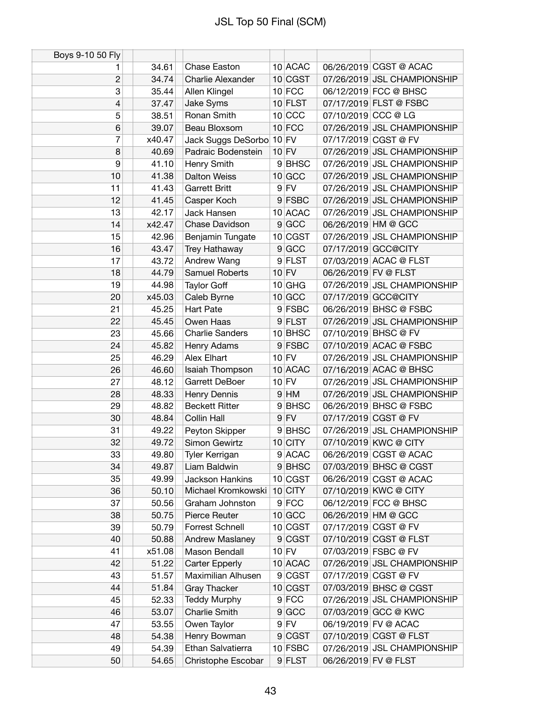| Boys 9-10 50 Fly |        |                          |                |             |                      |                             |
|------------------|--------|--------------------------|----------------|-------------|----------------------|-----------------------------|
| 1                | 34.61  | Chase Easton             |                | 10 ACAC     |                      | 06/26/2019 CGST @ ACAC      |
| $\overline{c}$   | 34.74  | Charlie Alexander        |                | 10 CGST     |                      | 07/26/2019 JSL CHAMPIONSHIP |
| 3                | 35.44  | Allen Klingel            |                | $10$ FCC    |                      | 06/12/2019 FCC @ BHSC       |
| $\overline{4}$   | 37.47  | Jake Syms                |                | $10$ FLST   |                      | 07/17/2019 FLST @ FSBC      |
| 5                | 38.51  | Ronan Smith              |                | 10 CCC      | 07/10/2019 CCC @ LG  |                             |
| 6                | 39.07  | Beau Bloxsom             |                | $10$ FCC    |                      | 07/26/2019 JSL CHAMPIONSHIP |
| 7                | x40.47 | Jack Suggs DeSorbo 10 FV |                |             |                      | 07/17/2019 CGST @ FV        |
| 8                | 40.69  | Padraic Bodenstein       |                | $10$ FV     |                      | 07/26/2019 JSL CHAMPIONSHIP |
| 9                | 41.10  | Henry Smith              |                | 9BHSC       |                      | 07/26/2019 JSL CHAMPIONSHIP |
| 10               | 41.38  | <b>Dalton Weiss</b>      |                | 10 GCC      |                      | 07/26/2019 JSL CHAMPIONSHIP |
| 11               | 41.43  | <b>Garrett Britt</b>     |                | $9$ FV      |                      | 07/26/2019 JSL CHAMPIONSHIP |
| 12               | 41.45  | Casper Koch              |                | 9 FSBC      |                      | 07/26/2019 JSL CHAMPIONSHIP |
| 13               | 42.17  | Jack Hansen              |                | 10 ACAC     |                      | 07/26/2019 JSL CHAMPIONSHIP |
| 14               | x42.47 | Chase Davidson           |                | $9$ GCC     |                      | 06/26/2019 HM @ GCC         |
| 15               | 42.96  | Benjamin Tungate         |                | 10 CGST     |                      | 07/26/2019 JSL CHAMPIONSHIP |
| 16               | 43.47  | Trey Hathaway            |                | 9 GCC       |                      | 07/17/2019 GCC@CITY         |
| 17               | 43.72  | Andrew Wang              |                | 9 FLST      |                      | 07/03/2019 ACAC @ FLST      |
| 18               | 44.79  | <b>Samuel Roberts</b>    |                | $10$ FV     | 06/26/2019 FV @ FLST |                             |
| 19               | 44.98  | <b>Taylor Goff</b>       |                | 10 GHG      |                      | 07/26/2019 JSL CHAMPIONSHIP |
| 20               | x45.03 | Caleb Byrne              |                | $10$ GCC    |                      | 07/17/2019 GCC@CITY         |
| 21               | 45.25  | <b>Hart Pate</b>         |                | 9 FSBC      |                      | 06/26/2019 BHSC @ FSBC      |
| 22               | 45.45  | Owen Haas                |                | $9$ FLST    |                      | 07/26/2019 JSL CHAMPIONSHIP |
| 23               | 45.66  | <b>Charlie Sanders</b>   |                | 10 BHSC     |                      | 07/10/2019 BHSC @ FV        |
| 24               | 45.82  | Henry Adams              |                | 9 FSBC      |                      | 07/10/2019 ACAC @ FSBC      |
| 25               | 46.29  | Alex Elhart              |                | $10$ FV     |                      | 07/26/2019 JSL CHAMPIONSHIP |
| 26               | 46.60  | Isaiah Thompson          |                | 10 ACAC     |                      | 07/16/2019 ACAC @ BHSC      |
| 27               | 48.12  | Garrett DeBoer           |                | $10$ FV     |                      | 07/26/2019 JSL CHAMPIONSHIP |
| 28               | 48.33  | Henry Dennis             |                | $9$ HM      |                      | 07/26/2019 JSL CHAMPIONSHIP |
| 29               | 48.82  | <b>Beckett Ritter</b>    | 9 <sup>°</sup> | <b>BHSC</b> |                      | 06/26/2019 BHSC @ FSBC      |
| 30               | 48.84  | Collin Hall              |                | $9$ FV      |                      | 07/17/2019 CGST @ FV        |
| 31               | 49.22  | Peyton Skipper           |                | 9BHSC       |                      | 07/26/2019 JSL CHAMPIONSHIP |
| 32               | 49.72  | Simon Gewirtz            |                | 10 CITY     |                      | 07/10/2019 KWC @ CITY       |
| 33               | 49.80  | Tyler Kerrigan           |                | 9 ACAC      |                      | 06/26/2019 CGST @ ACAC      |
| 34               | 49.87  | Liam Baldwin             |                | 9BHSC       |                      | 07/03/2019 BHSC @ CGST      |
| 35               | 49.99  | Jackson Hankins          |                | 10 CGST     |                      | 06/26/2019 CGST @ ACAC      |
| 36               | 50.10  | Michael Kromkowski       |                | $10$ CITY   |                      | 07/10/2019 KWC @ CITY       |
| 37               | 50.56  | Graham Johnston          |                | $9$ FCC     |                      | 06/12/2019 FCC @ BHSC       |
| 38               | 50.75  | Pierce Reuter            |                | $10$ GCC    |                      | 06/26/2019 HM @ GCC         |
| 39               | 50.79  | <b>Forrest Schnell</b>   |                | $10$ CGST   |                      | 07/17/2019 CGST @ FV        |
| 40               | 50.88  | Andrew Maslaney          |                | 9 CGST      |                      | 07/10/2019 CGST @ FLST      |
| 41               | x51.08 | Mason Bendall            |                | $10$ FV     |                      | 07/03/2019 FSBC @ FV        |
| 42               | 51.22  | <b>Carter Epperly</b>    |                | 10 ACAC     |                      | 07/26/2019 JSL CHAMPIONSHIP |
| 43               | 51.57  | Maximilian Alhusen       |                | 9 CGST      |                      | 07/17/2019 CGST @ FV        |
| 44               | 51.84  | <b>Gray Thacker</b>      |                | 10 CGST     |                      | 07/03/2019 BHSC @ CGST      |
| 45               | 52.33  | <b>Teddy Murphy</b>      |                | $9$ FCC     |                      | 07/26/2019 JSL CHAMPIONSHIP |
| 46               | 53.07  | Charlie Smith            |                | 9 GCC       |                      | 07/03/2019 GCC @ KWC        |
| 47               | 53.55  | Owen Taylor              |                | $9$ FV      |                      | 06/19/2019 FV @ ACAC        |
| 48               | 54.38  | Henry Bowman             |                | 9 CGST      |                      | 07/10/2019 CGST @ FLST      |
| 49               | 54.39  | Ethan Salvatierra        |                | 10 FSBC     |                      | 07/26/2019 JSL CHAMPIONSHIP |
| 50               | 54.65  | Christophe Escobar       |                | 9 FLST      | 06/26/2019 FV @ FLST |                             |
|                  |        |                          |                |             |                      |                             |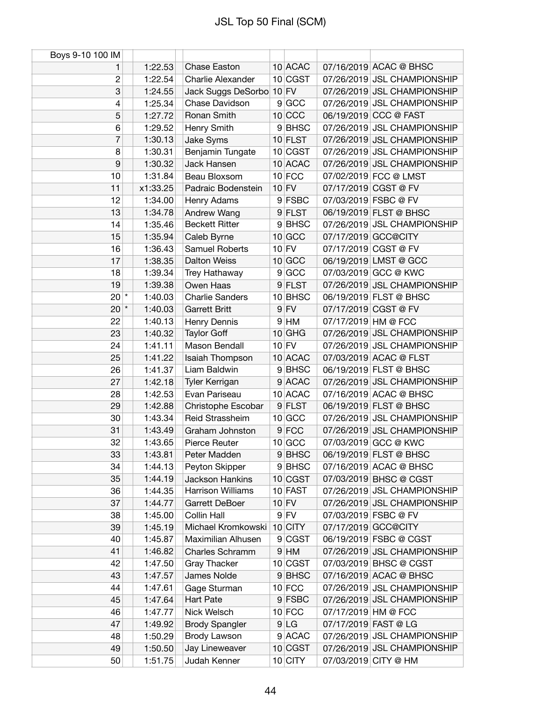| Boys 9-10 100 IM |          |                          |           |                      |                             |
|------------------|----------|--------------------------|-----------|----------------------|-----------------------------|
| 1                | 1:22.53  | <b>Chase Easton</b>      | 10 ACAC   |                      | 07/16/2019 ACAC @ BHSC      |
| $\overline{c}$   | 1:22.54  | Charlie Alexander        | 10 CGST   |                      | 07/26/2019 JSL CHAMPIONSHIP |
| 3                | 1:24.55  | Jack Suggs DeSorbo 10 FV |           |                      | 07/26/2019 JSL CHAMPIONSHIP |
| 4                | 1:25.34  | Chase Davidson           | 9 GCC     |                      | 07/26/2019 JSL CHAMPIONSHIP |
| 5                | 1:27.72  | Ronan Smith              | $10$ CCC  |                      | 06/19/2019 CCC @ FAST       |
| 6                | 1:29.52  | Henry Smith              | 9BHSC     |                      | 07/26/2019 JSL CHAMPIONSHIP |
| $\overline{7}$   | 1:30.13  | Jake Syms                | $10$ FLST |                      | 07/26/2019 JSL CHAMPIONSHIP |
| 8                | 1:30.31  | Benjamin Tungate         | 10 CGST   |                      | 07/26/2019 JSL CHAMPIONSHIP |
| 9                | 1:30.32  | Jack Hansen              | 10 ACAC   |                      | 07/26/2019 JSL CHAMPIONSHIP |
| 10               | 1:31.84  | Beau Bloxsom             | $10$ FCC  |                      | 07/02/2019 FCC @ LMST       |
| 11               | x1:33.25 | Padraic Bodenstein       | $10$ FV   |                      | 07/17/2019 CGST @ FV        |
| 12               | 1:34.00  | Henry Adams              | 9 FSBC    |                      | 07/03/2019 FSBC @ FV        |
| 13               | 1:34.78  | Andrew Wang              | 9 FLST    |                      | 06/19/2019 FLST @ BHSC      |
| 14               | 1:35.46  | <b>Beckett Ritter</b>    | 9BHSC     |                      | 07/26/2019 JSL CHAMPIONSHIP |
| 15               | 1:35.94  | Caleb Byrne              | $10$ GCC  |                      | 07/17/2019 GCC@CITY         |
| 16               | 1:36.43  | <b>Samuel Roberts</b>    | $10$ FV   |                      | 07/17/2019 CGST @ FV        |
| 17               | 1:38.35  | <b>Dalton Weiss</b>      | $10$ GCC  |                      | 06/19/2019 LMST @ GCC       |
| 18               | 1:39.34  | Trey Hathaway            | 9 GCC     |                      | 07/03/2019 GCC @ KWC        |
| 19               | 1:39.38  | Owen Haas                | 9 FLST    |                      | 07/26/2019 JSL CHAMPIONSHIP |
| $20^{*}$         | 1:40.03  | <b>Charlie Sanders</b>   | 10 BHSC   |                      | 06/19/2019 FLST @ BHSC      |
| $20$ $*$         | 1:40.03  | <b>Garrett Britt</b>     | $9$ FV    |                      | 07/17/2019 CGST @ FV        |
| 22               | 1:40.13  | Henry Dennis             | $9$ HM    | 07/17/2019 HM @ FCC  |                             |
| 23               | 1:40.32  | <b>Taylor Goff</b>       | $10$ GHG  |                      | 07/26/2019 JSL CHAMPIONSHIP |
| 24               | 1:41.11  | Mason Bendall            | $10$ FV   |                      | 07/26/2019 JSL CHAMPIONSHIP |
| 25               | 1:41.22  | Isaiah Thompson          | 10 ACAC   |                      | 07/03/2019 ACAC @ FLST      |
| 26               | 1:41.37  | Liam Baldwin             | 9BHSC     |                      | 06/19/2019 FLST @ BHSC      |
| 27               | 1:42.18  | Tyler Kerrigan           | 9 ACAC    |                      | 07/26/2019 JSL CHAMPIONSHIP |
| 28               | 1:42.53  | Evan Pariseau            | 10 ACAC   |                      | 07/16/2019 ACAC @ BHSC      |
| 29               | 1:42.88  | Christophe Escobar       | 9 FLST    |                      | 06/19/2019 FLST @ BHSC      |
| 30               | 1:43.34  | Reid Strassheim          | $10$ GCC  |                      | 07/26/2019 JSL CHAMPIONSHIP |
| 31               | 1:43.49  | Graham Johnston          | $9$ FCC   |                      | 07/26/2019 JSL CHAMPIONSHIP |
| 32               | 1:43.65  | Pierce Reuter            | 10 GCC    |                      | 07/03/2019 GCC @ KWC        |
| 33               | 1:43.81  | Peter Madden             | 9 BHSC    |                      | 06/19/2019 FLST @ BHSC      |
| 34               | 1:44.13  | Peyton Skipper           | 9BHSC     |                      | 07/16/2019 ACAC @ BHSC      |
| 35               | 1:44.19  | Jackson Hankins          | 10 CGST   |                      | 07/03/2019 BHSC @ CGST      |
| 36               | 1:44.35  | Harrison Williams        | 10 FAST   |                      | 07/26/2019 JSL CHAMPIONSHIP |
| 37               | 1:44.77  | Garrett DeBoer           | $10$ FV   |                      | 07/26/2019 JSL CHAMPIONSHIP |
| 38               | 1:45.00  | Collin Hall              | $9$ FV    |                      | 07/03/2019 FSBC @ FV        |
| 39               | 1:45.19  | Michael Kromkowski       | $10$ CITY |                      | 07/17/2019 GCC@CITY         |
| 40               | 1:45.87  | Maximilian Alhusen       | 9 CGST    |                      | 06/19/2019 FSBC @ CGST      |
| 41               | 1:46.82  | Charles Schramm          | $9$ HM    |                      | 07/26/2019 JSL CHAMPIONSHIP |
| 42               | 1:47.50  | <b>Gray Thacker</b>      | $10$ CGST |                      | 07/03/2019 BHSC @ CGST      |
| 43               | 1:47.57  | James Nolde              | 9BHSC     |                      | 07/16/2019 ACAC @ BHSC      |
| 44               | 1:47.61  | Gage Sturman             | $10$ FCC  |                      | 07/26/2019 JSL CHAMPIONSHIP |
| 45               | 1:47.64  | Hart Pate                | 9 FSBC    |                      | 07/26/2019 JSL CHAMPIONSHIP |
| 46               | 1:47.77  | Nick Welsch              | $10$ FCC  | 07/17/2019 HM @ FCC  |                             |
| 47               | 1:49.92  | <b>Brody Spangler</b>    | 9 LG      | 07/17/2019 FAST @ LG |                             |
| 48               | 1:50.29  | Brody Lawson             | 9 ACAC    |                      | 07/26/2019 JSL CHAMPIONSHIP |
| 49               | 1:50.50  | Jay Lineweaver           | 10 CGST   |                      | 07/26/2019 JSL CHAMPIONSHIP |
| 50               | 1:51.75  | Judah Kenner             | $10$ CITY |                      | 07/03/2019 CITY @ HM        |
|                  |          |                          |           |                      |                             |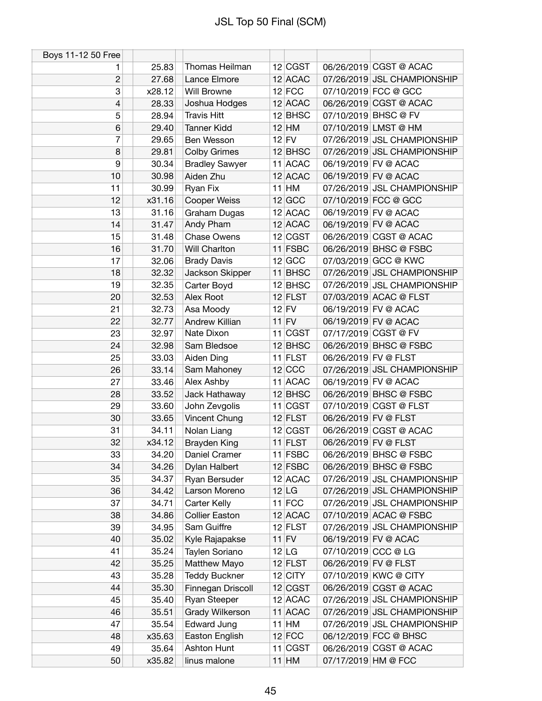| Boys 11-12 50 Free |        |                       |           |                             |
|--------------------|--------|-----------------------|-----------|-----------------------------|
| 1                  | 25.83  | Thomas Heilman        | 12 CGST   | 06/26/2019 CGST @ ACAC      |
| $\mathbf{2}$       | 27.68  | Lance Elmore          | 12 ACAC   | 07/26/2019 JSL CHAMPIONSHIP |
| 3                  | x28.12 | Will Browne           | $12$ FCC  | 07/10/2019 FCC @ GCC        |
| 4                  | 28.33  | Joshua Hodges         | 12 ACAC   | 06/26/2019 CGST @ ACAC      |
| 5                  | 28.94  | <b>Travis Hitt</b>    | $12$ BHSC | 07/10/2019 BHSC @ FV        |
| $6\phantom{1}$     | 29.40  | <b>Tanner Kidd</b>    | $12$ HM   | 07/10/2019 LMST @ HM        |
| 7                  | 29.65  | Ben Wesson            | $12$ FV   | 07/26/2019 JSL CHAMPIONSHIP |
| 8                  | 29.81  | <b>Colby Grimes</b>   | $12$ BHSC | 07/26/2019 JSL CHAMPIONSHIP |
| 9                  | 30.34  | <b>Bradley Sawyer</b> | 11 ACAC   | 06/19/2019 FV @ ACAC        |
| 10                 | 30.98  | Aiden Zhu             | $12$ ACAC | 06/19/2019 FV @ ACAC        |
| 11                 | 30.99  | Ryan Fix              | $11$ HM   | 07/26/2019 JSL CHAMPIONSHIP |
| 12                 | x31.16 | Cooper Weiss          | 12 GCC    | 07/10/2019 FCC @ GCC        |
| 13                 | 31.16  | Graham Dugas          | 12 ACAC   | 06/19/2019 FV @ ACAC        |
| 14                 | 31.47  | Andy Pham             | $12$ ACAC | 06/19/2019 FV @ ACAC        |
| 15                 | 31.48  | <b>Chase Owens</b>    | 12 CGST   | 06/26/2019 CGST @ ACAC      |
| 16                 | 31.70  | Will Charlton         | 11 FSBC   | 06/26/2019 BHSC @ FSBC      |
| 17                 | 32.06  | <b>Brady Davis</b>    | 12 GCC    | 07/03/2019 GCC @ KWC        |
| 18                 | 32.32  | Jackson Skipper       | 11 BHSC   | 07/26/2019 JSL CHAMPIONSHIP |
| 19                 | 32.35  | Carter Boyd           | $12$ BHSC | 07/26/2019 JSL CHAMPIONSHIP |
| 20                 | 32.53  | Alex Root             | $12$ FLST | 07/03/2019 ACAC @ FLST      |
| 21                 | 32.73  | Asa Moody             | $12$ FV   | 06/19/2019 FV @ ACAC        |
| 22                 | 32.77  | Andrew Killian        | $11$ FV   | 06/19/2019 FV @ ACAC        |
| 23                 | 32.97  | Nate Dixon            | $11$ CGST | 07/17/2019 CGST @ FV        |
| 24                 | 32.98  | Sam Bledsoe           | $12$ BHSC | 06/26/2019 BHSC @ FSBC      |
| 25                 | 33.03  | Aiden Ding            | $11$ FLST | 06/26/2019 FV @ FLST        |
| 26                 | 33.14  | Sam Mahoney           | $12$ CCC  | 07/26/2019 JSL CHAMPIONSHIP |
| 27                 | 33.46  | Alex Ashby            | 11 ACAC   | 06/19/2019 FV @ ACAC        |
| 28                 | 33.52  | Jack Hathaway         | $12$ BHSC | 06/26/2019 BHSC @ FSBC      |
| 29                 | 33.60  | John Zevgolis         | $11$ CGST | 07/10/2019 CGST @ FLST      |
| 30                 | 33.65  | Vincent Chung         | $12$ FLST | 06/26/2019 FV @ FLST        |
| 31                 | 34.11  | Nolan Liang           | 12 CGST   | 06/26/2019 CGST @ ACAC      |
| 32                 | x34.12 | <b>Brayden King</b>   | $11$ FLST | 06/26/2019 FV @ FLST        |
| 33                 | 34.20  | Daniel Cramer         | 11 FSBC   | 06/26/2019 BHSC @ FSBC      |
| 34                 | 34.26  | Dylan Halbert         | 12 FSBC   | 06/26/2019 BHSC @ FSBC      |
| 35                 | 34.37  | Ryan Bersuder         | $12$ ACAC | 07/26/2019 JSL CHAMPIONSHIP |
| 36                 | 34.42  | Larson Moreno         | $12$ LG   | 07/26/2019 JSL CHAMPIONSHIP |
| 37                 | 34.71  | Carter Kelly          | $11$ FCC  | 07/26/2019 JSL CHAMPIONSHIP |
| 38                 | 34.86  | <b>Collier Easton</b> | $12$ ACAC | 07/10/2019 ACAC @ FSBC      |
| 39                 | 34.95  | Sam Guiffre           | $12$ FLST | 07/26/2019 JSL CHAMPIONSHIP |
| 40                 | 35.02  | Kyle Rajapakse        | $11$ FV   | 06/19/2019 FV @ ACAC        |
| 41                 | 35.24  | Taylen Soriano        | 12 LG     | 07/10/2019 CCC @ LG         |
| 42                 | 35.25  | Matthew Mayo          | $12$ FLST | 06/26/2019 FV @ FLST        |
| 43                 | 35.28  | <b>Teddy Buckner</b>  | $12$ CITY | 07/10/2019 KWC @ CITY       |
| 44                 | 35.30  | Finnegan Driscoll     | 12 CGST   | 06/26/2019 CGST @ ACAC      |
| 45                 | 35.40  | Ryan Steeper          | 12 ACAC   | 07/26/2019 JSL CHAMPIONSHIP |
| 46                 | 35.51  | Grady Wilkerson       | 11 ACAC   | 07/26/2019 JSL CHAMPIONSHIP |
| 47                 | 35.54  | <b>Edward Jung</b>    | $11$ HM   | 07/26/2019 JSL CHAMPIONSHIP |
| 48                 | x35.63 | Easton English        | $12$ FCC  | 06/12/2019 FCC @ BHSC       |
| 49                 | 35.64  | Ashton Hunt           | 11 CGST   | 06/26/2019 CGST @ ACAC      |
| 50                 | x35.82 | linus malone          | $11$ HM   | 07/17/2019 HM @ FCC         |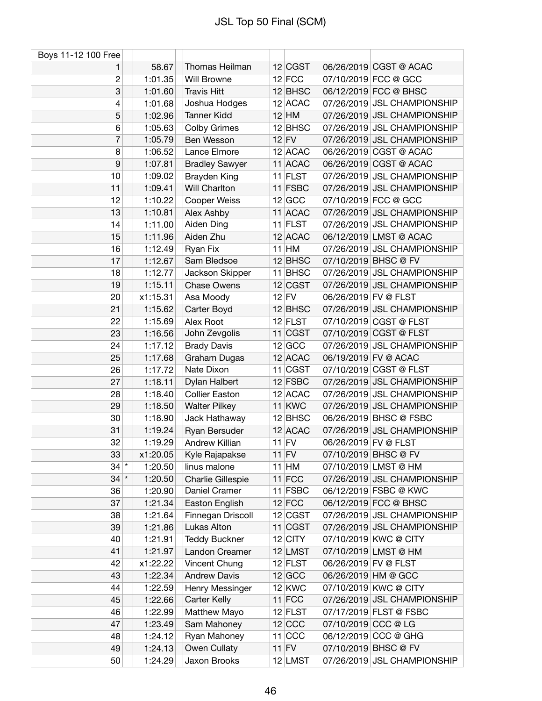| Boys 11-12 100 Free |          |                       |           |                      |                             |
|---------------------|----------|-----------------------|-----------|----------------------|-----------------------------|
| 1                   | 58.67    | Thomas Heilman        | 12 CGST   |                      | 06/26/2019 CGST @ ACAC      |
| $\overline{c}$      | 1:01.35  | <b>Will Browne</b>    | $12$ FCC  |                      | 07/10/2019 FCC @ GCC        |
| 3                   | 1:01.60  | <b>Travis Hitt</b>    | $12$ BHSC |                      | 06/12/2019 FCC @ BHSC       |
| 4                   | 1:01.68  | Joshua Hodges         | 12 ACAC   |                      | 07/26/2019 JSL CHAMPIONSHIP |
| 5                   | 1:02.96  | <b>Tanner Kidd</b>    | $12$ HM   |                      | 07/26/2019 JSL CHAMPIONSHIP |
| 6                   | 1:05.63  | <b>Colby Grimes</b>   | $12$ BHSC |                      | 07/26/2019 JSL CHAMPIONSHIP |
| $\overline{7}$      | 1:05.79  | Ben Wesson            | $12$ FV   |                      | 07/26/2019 JSL CHAMPIONSHIP |
| 8                   | 1:06.52  | Lance Elmore          | 12 ACAC   |                      | 06/26/2019 CGST @ ACAC      |
| 9                   | 1:07.81  | <b>Bradley Sawyer</b> | 11 ACAC   |                      | 06/26/2019 CGST @ ACAC      |
| 10                  | 1:09.02  | <b>Brayden King</b>   | $11$ FLST |                      | 07/26/2019 JSL CHAMPIONSHIP |
| 11                  | 1:09.41  | Will Charlton         | 11 FSBC   |                      | 07/26/2019 JSL CHAMPIONSHIP |
| 12                  | 1:10.22  | Cooper Weiss          | 12 GCC    |                      | 07/10/2019 FCC @ GCC        |
| 13                  | 1:10.81  | Alex Ashby            | 11 ACAC   |                      | 07/26/2019 JSL CHAMPIONSHIP |
| 14                  | 1:11.00  | Aiden Ding            | $11$ FLST |                      | 07/26/2019 JSL CHAMPIONSHIP |
| 15                  | 1:11.96  | Aiden Zhu             | 12 ACAC   |                      | 06/12/2019 LMST @ ACAC      |
| 16                  | 1:12.49  | Ryan Fix              | $11$ HM   |                      | 07/26/2019 JSL CHAMPIONSHIP |
| 17                  | 1:12.67  | Sam Bledsoe           | $12$ BHSC |                      | 07/10/2019 BHSC @ FV        |
| 18                  | 1:12.77  | Jackson Skipper       | $11$ BHSC |                      | 07/26/2019 JSL CHAMPIONSHIP |
| 19                  | 1:15.11  | <b>Chase Owens</b>    | 12 CGST   |                      | 07/26/2019 JSL CHAMPIONSHIP |
|                     |          |                       | $12$ FV   | 06/26/2019 FV @ FLST |                             |
| 20                  | x1:15.31 | Asa Moody             |           |                      |                             |
| 21                  | 1:15.62  | Carter Boyd           | $12$ BHSC |                      | 07/26/2019 JSL CHAMPIONSHIP |
| 22                  | 1:15.69  | Alex Root             | $12$ FLST |                      | 07/10/2019 CGST @ FLST      |
| 23                  | 1:16.56  | John Zevgolis         | $11$ CGST |                      | 07/10/2019 CGST @ FLST      |
| 24                  | 1:17.12  | <b>Brady Davis</b>    | $12$ GCC  |                      | 07/26/2019 JSL CHAMPIONSHIP |
| 25                  | 1:17.68  | Graham Dugas          | 12 ACAC   |                      | 06/19/2019 FV @ ACAC        |
| 26                  | 1:17.72  | Nate Dixon            | 11 CGST   |                      | 07/10/2019 CGST @ FLST      |
| 27                  | 1:18.11  | Dylan Halbert         | 12 FSBC   |                      | 07/26/2019 JSL CHAMPIONSHIP |
| 28                  | 1:18.40  | <b>Collier Easton</b> | $12$ ACAC |                      | 07/26/2019 JSL CHAMPIONSHIP |
| 29                  | 1:18.50  | <b>Walter Pilkey</b>  | $11$ KWC  |                      | 07/26/2019 JSL CHAMPIONSHIP |
| 30                  | 1:18.90  | Jack Hathaway         | $12$ BHSC |                      | 06/26/2019 BHSC @ FSBC      |
| 31                  | 1:19.24  | Ryan Bersuder         | 12 ACAC   |                      | 07/26/2019 JSL CHAMPIONSHIP |
| 32                  | 1:19.29  | Andrew Killian        | $11$ FV   | 06/26/2019 FV @ FLST |                             |
| 33                  | x1:20.05 | Kyle Rajapakse        | $11$ FV   |                      | 07/10/2019 BHSC @ FV        |
| $34$ $*$            | 1:20.50  | linus malone          | $11$ HM   |                      | 07/10/2019 LMST @ HM        |
| $34$ $*$            | 1:20.50  | Charlie Gillespie     | $11$ FCC  |                      | 07/26/2019 JSL CHAMPIONSHIP |
| 36                  | 1:20.90  | Daniel Cramer         | 11 FSBC   |                      | 06/12/2019 FSBC @ KWC       |
| 37                  | 1:21.34  | Easton English        | $12$ FCC  |                      | 06/12/2019 FCC @ BHSC       |
| 38                  | 1:21.64  | Finnegan Driscoll     | 12 CGST   |                      | 07/26/2019 JSL CHAMPIONSHIP |
| 39                  | 1:21.86  | Lukas Alton           | $11$ CGST |                      | 07/26/2019 JSL CHAMPIONSHIP |
| 40                  | 1:21.91  | <b>Teddy Buckner</b>  | $12$ CITY |                      | 07/10/2019 KWC @ CITY       |
| 41                  | 1:21.97  | Landon Creamer        | 12 LMST   |                      | 07/10/2019 LMST @ HM        |
| 42                  | x1:22.22 | Vincent Chung         | $12$ FLST |                      | 06/26/2019 FV @ FLST        |
| 43                  | 1:22.34  | <b>Andrew Davis</b>   | 12 GCC    |                      | 06/26/2019 HM @ GCC         |
| 44                  | 1:22.59  | Henry Messinger       | $12$ KWC  |                      | 07/10/2019 KWC @ CITY       |
| 45                  | 1:22.66  | Carter Kelly          | $11$ FCC  |                      | 07/26/2019 JSL CHAMPIONSHIP |
| 46                  | 1:22.99  | Matthew Mayo          | $12$ FLST |                      | 07/17/2019 FLST @ FSBC      |
| 47                  | 1:23.49  | Sam Mahoney           | $12$ CCC  | 07/10/2019 CCC @ LG  |                             |
| 48                  | 1:24.12  | Ryan Mahoney          | $11$ CCC  |                      | 06/12/2019 CCC @ GHG        |
| 49                  | 1:24.13  | Owen Cullaty          | $11$ FV   |                      | 07/10/2019 BHSC @ FV        |
| 50                  | 1:24.29  | Jaxon Brooks          | $12$ LMST |                      | 07/26/2019 JSL CHAMPIONSHIP |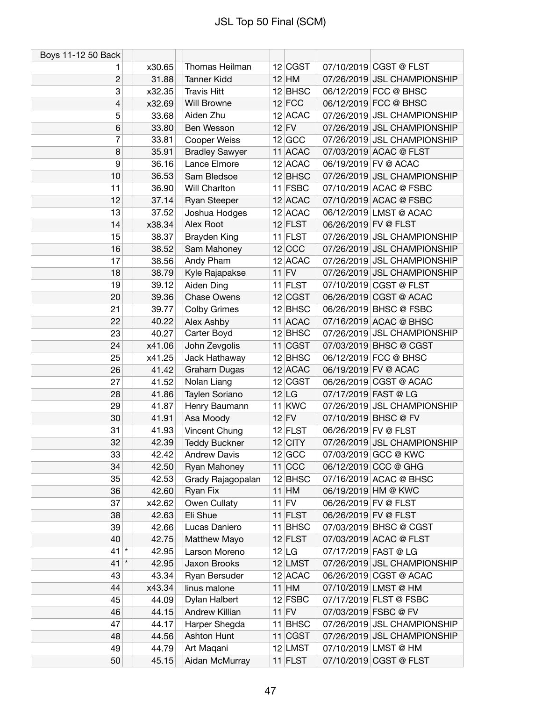| Boys 11-12 50 Back |                 |                               |                      |                      |                                                            |
|--------------------|-----------------|-------------------------------|----------------------|----------------------|------------------------------------------------------------|
| 1                  | x30.65          | Thomas Heilman                | 12 CGST              |                      | 07/10/2019 CGST @ FLST                                     |
| $\overline{c}$     | 31.88           | <b>Tanner Kidd</b>            | $12$ HM              |                      | 07/26/2019 JSL CHAMPIONSHIP                                |
| 3                  | x32.35          | <b>Travis Hitt</b>            | $12$ BHSC            |                      | 06/12/2019 FCC @ BHSC                                      |
| 4                  | x32.69          | Will Browne                   | $12$ FCC             |                      | 06/12/2019 FCC @ BHSC                                      |
| 5                  | 33.68           | Aiden Zhu                     | $12$ ACAC            |                      | 07/26/2019 JSL CHAMPIONSHIP                                |
| 6                  | 33.80           | Ben Wesson                    | $12$ FV              |                      | 07/26/2019 JSL CHAMPIONSHIP                                |
| 7                  | 33.81           | <b>Cooper Weiss</b>           | 12 GCC               |                      | 07/26/2019 JSL CHAMPIONSHIP                                |
| 8                  | 35.91           | <b>Bradley Sawyer</b>         | 11 ACAC              |                      | 07/03/2019 ACAC @ FLST                                     |
| 9                  | 36.16           | Lance Elmore                  | $12$ ACAC            |                      | 06/19/2019 FV @ ACAC                                       |
| 10                 | 36.53           | Sam Bledsoe                   | 12 BHSC              |                      | 07/26/2019 JSL CHAMPIONSHIP                                |
| 11                 | 36.90           | Will Charlton                 | 11 FSBC              |                      | 07/10/2019 ACAC @ FSBC                                     |
| 12                 | 37.14           | <b>Ryan Steeper</b>           | $12$ ACAC            |                      | 07/10/2019 ACAC @ FSBC                                     |
| 13                 | 37.52           | Joshua Hodges                 | 12 ACAC              |                      | 06/12/2019 LMST @ ACAC                                     |
| 14                 | x38.34          | Alex Root                     | $12$ FLST            | 06/26/2019 FV @ FLST |                                                            |
| 15                 | 38.37           | Brayden King                  | $11$ FLST            |                      | 07/26/2019 JSL CHAMPIONSHIP                                |
| 16                 | 38.52           | Sam Mahoney                   | $12$ CCC             |                      | 07/26/2019 JSL CHAMPIONSHIP                                |
| 17                 | 38.56           | Andy Pham                     | 12 ACAC              |                      | 07/26/2019 JSL CHAMPIONSHIP                                |
| 18                 | 38.79           | Kyle Rajapakse                | $11$ FV              |                      | 07/26/2019 JSL CHAMPIONSHIP                                |
| 19                 | 39.12           | Aiden Ding                    | $11$ FLST            |                      | 07/10/2019 CGST @ FLST                                     |
| 20                 | 39.36           | <b>Chase Owens</b>            | 12 CGST              |                      | 06/26/2019 CGST @ ACAC                                     |
| 21                 | 39.77           | <b>Colby Grimes</b>           | $12$ BHSC            |                      | 06/26/2019 BHSC @ FSBC                                     |
| 22                 | 40.22           | Alex Ashby                    | 11 ACAC              |                      | 07/16/2019 ACAC @ BHSC                                     |
| 23                 | 40.27           | Carter Boyd                   | $12$ BHSC            |                      | 07/26/2019 JSL CHAMPIONSHIP                                |
| 24                 | x41.06          | John Zevgolis                 | 11 CGST              |                      | 07/03/2019 BHSC @ CGST                                     |
| 25                 | x41.25          | Jack Hathaway                 | $12$ BHSC            |                      | 06/12/2019 FCC @ BHSC                                      |
| 26                 | 41.42           | Graham Dugas                  | $12$ ACAC            |                      | 06/19/2019 FV @ ACAC                                       |
| 27                 | 41.52           | Nolan Liang                   | 12 CGST              |                      | 06/26/2019 CGST @ ACAC                                     |
| 28                 | 41.86           | Taylen Soriano                | $12$ LG              |                      | 07/17/2019 FAST @ LG                                       |
| 29                 | 41.87           | Henry Baumann                 | $11$ KWC             |                      | 07/26/2019 JSL CHAMPIONSHIP                                |
| 30                 | 41.91           | Asa Moody                     | $12$ FV              |                      | 07/10/2019 BHSC @ FV                                       |
| 31                 | 41.93           | Vincent Chung                 | $12$ FLST            | 06/26/2019 FV @ FLST |                                                            |
| 32                 | 42.39           | <b>Teddy Buckner</b>          | 12 CITY              |                      | 07/26/2019 JSL CHAMPIONSHIP                                |
| 33                 | 42.42           | <b>Andrew Davis</b>           | 12 GCC               |                      | 07/03/2019 GCC @ KWC                                       |
| 34                 | 42.50           | Ryan Mahoney                  | $11$ CCC             |                      | 06/12/2019 CCC @ GHG                                       |
| 35                 | 42.53           | Grady Rajagopalan             | $12$ BHSC            |                      | 07/16/2019 ACAC @ BHSC                                     |
| 36                 | 42.60           | Ryan Fix                      | $11$ HM              |                      | 06/19/2019 HM @ KWC                                        |
| 37                 | x42.62          | Owen Cullaty                  | $11$ FV              |                      | 06/26/2019 FV @ FLST                                       |
| 38                 | 42.63           | Eli Shue                      | $11$ FLST            | 06/26/2019 FV @ FLST |                                                            |
| 39                 | 42.66           | Lucas Daniero                 | 11 BHSC              |                      | 07/03/2019 BHSC @ CGST                                     |
| 40                 | 42.75           | Matthew Mayo                  | $12$ FLST            |                      | 07/03/2019 ACAC @ FLST                                     |
| $41$ $*$           | 42.95           |                               | 12 LG                |                      |                                                            |
| 41                 | $\star$         | Larson Moreno<br>Jaxon Brooks | 12 LMST              |                      | 07/17/2019 FAST @ LG<br>07/26/2019 JSL CHAMPIONSHIP        |
|                    | 42.95           |                               |                      |                      |                                                            |
| 43<br>44           | 43.34<br>x43.34 | Ryan Bersuder<br>linus malone | 12 ACAC<br>$11$ HM   |                      | 06/26/2019 CGST @ ACAC<br>07/10/2019 LMST @ HM             |
|                    |                 |                               |                      |                      |                                                            |
| 45                 | 44.09           | Dylan Halbert                 | $12$ FSBC<br>$11$ FV |                      | 07/17/2019 FLST @ FSBC<br>07/03/2019 FSBC @ FV             |
| 46                 | 44.15           | Andrew Killian                |                      |                      |                                                            |
| 47                 | 44.17           | Harper Shegda<br>Ashton Hunt  | $11$ BHSC            |                      | 07/26/2019 JSL CHAMPIONSHIP<br>07/26/2019 JSL CHAMPIONSHIP |
| 48                 | 44.56           |                               | $11$ CGST            |                      |                                                            |
| 49                 | 44.79           | Art Maqani                    | 12 LMST              |                      | 07/10/2019 LMST @ HM                                       |
| 50                 | 45.15           | Aidan McMurray                | $11$ FLST            |                      | 07/10/2019 CGST @ FLST                                     |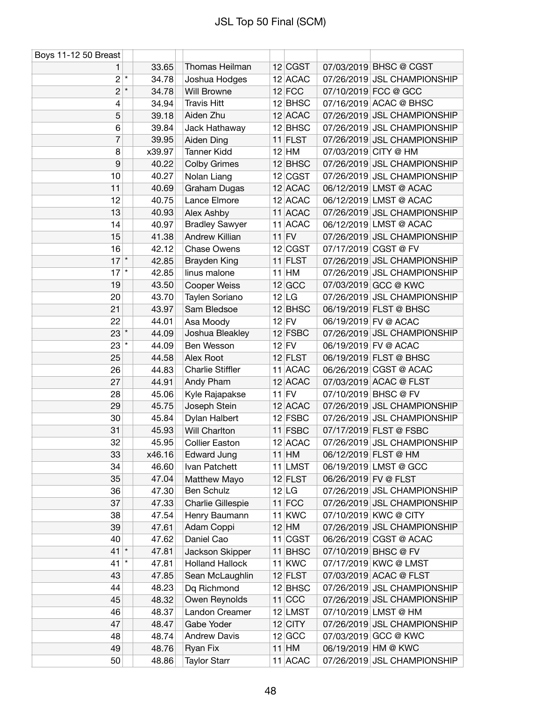| Boys 11-12 50 Breast |         |        |                         |           |                      |                             |
|----------------------|---------|--------|-------------------------|-----------|----------------------|-----------------------------|
| 1                    |         | 33.65  | Thomas Heilman          | 12 CGST   |                      | 07/03/2019 BHSC @ CGST      |
| $\boldsymbol{2}$     | $\star$ | 34.78  | Joshua Hodges           | $12$ ACAC |                      | 07/26/2019 JSL CHAMPIONSHIP |
| $\overline{c}$       | $\star$ | 34.78  | Will Browne             | $12$ FCC  |                      | 07/10/2019 FCC @ GCC        |
| 4                    |         | 34.94  | <b>Travis Hitt</b>      | $12$ BHSC |                      | 07/16/2019 ACAC @ BHSC      |
| 5                    |         | 39.18  | Aiden Zhu               | $12$ ACAC |                      | 07/26/2019 JSL CHAMPIONSHIP |
| 6                    |         | 39.84  | Jack Hathaway           | $12$ BHSC |                      | 07/26/2019 JSL CHAMPIONSHIP |
| 7                    |         | 39.95  | Aiden Ding              | 11 FLST   |                      | 07/26/2019 JSL CHAMPIONSHIP |
| 8                    |         | x39.97 | <b>Tanner Kidd</b>      | $12$ HM   |                      | 07/03/2019 CITY @ HM        |
| 9                    |         | 40.22  | <b>Colby Grimes</b>     | $12$ BHSC |                      | 07/26/2019 JSL CHAMPIONSHIP |
| 10                   |         | 40.27  | Nolan Liang             | 12 CGST   |                      | 07/26/2019 JSL CHAMPIONSHIP |
| 11                   |         | 40.69  | Graham Dugas            | $12$ ACAC |                      | 06/12/2019 LMST @ ACAC      |
| 12                   |         | 40.75  | Lance Elmore            | 12 ACAC   |                      | 06/12/2019 LMST @ ACAC      |
| 13                   |         | 40.93  | Alex Ashby              | 11 ACAC   |                      | 07/26/2019 JSL CHAMPIONSHIP |
| 14                   |         | 40.97  | <b>Bradley Sawyer</b>   | 11 ACAC   |                      | 06/12/2019 LMST @ ACAC      |
| 15                   |         | 41.38  | Andrew Killian          | $11$ FV   |                      | 07/26/2019 JSL CHAMPIONSHIP |
| 16                   |         | 42.12  | <b>Chase Owens</b>      | 12 CGST   |                      | 07/17/2019 CGST @ FV        |
| $17$ *               |         | 42.85  | Brayden King            | $11$ FLST |                      | 07/26/2019 JSL CHAMPIONSHIP |
| $17$ $*$             |         | 42.85  | linus malone            | $11$ HM   |                      | 07/26/2019 JSL CHAMPIONSHIP |
| 19                   |         | 43.50  | Cooper Weiss            | $12$ GCC  |                      | 07/03/2019 GCC @ KWC        |
| 20                   |         | 43.70  | Taylen Soriano          | $12$ LG   |                      | 07/26/2019 JSL CHAMPIONSHIP |
| 21                   |         | 43.97  | Sam Bledsoe             | $12$ BHSC |                      | 06/19/2019 FLST @ BHSC      |
| 22                   |         | 44.01  | Asa Moody               | $12$ FV   |                      | 06/19/2019 FV @ ACAC        |
| $23$ $*$             |         | 44.09  | Joshua Bleakley         | $12$ FSBC |                      | 07/26/2019 JSL CHAMPIONSHIP |
| $23$ $^*$            |         | 44.09  | Ben Wesson              | $12$ FV   |                      | 06/19/2019 FV @ ACAC        |
| 25                   |         | 44.58  | Alex Root               | $12$ FLST |                      | 06/19/2019 FLST @ BHSC      |
| 26                   |         | 44.83  | <b>Charlie Stiffler</b> | 11 ACAC   |                      | 06/26/2019 CGST @ ACAC      |
| 27                   |         | 44.91  | Andy Pham               | 12 ACAC   |                      | 07/03/2019 ACAC @ FLST      |
| 28                   |         | 45.06  | Kyle Rajapakse          | $11$ FV   |                      | 07/10/2019 BHSC @ FV        |
| 29                   |         | 45.75  | Joseph Stein            | $12$ ACAC |                      | 07/26/2019 JSL CHAMPIONSHIP |
| 30                   |         | 45.84  | Dylan Halbert           | $12$ FSBC |                      | 07/26/2019 JSL CHAMPIONSHIP |
| 31                   |         | 45.93  | Will Charlton           | 11 FSBC   |                      | 07/17/2019 FLST @ FSBC      |
| 32                   |         | 45.95  | <b>Collier Easton</b>   | 12 ACAC   |                      | 07/26/2019 JSL CHAMPIONSHIP |
| 33                   |         | x46.16 | Edward Jung             | $11$ HM   |                      | 06/12/2019 FLST @ HM        |
| 34                   |         | 46.60  | Ivan Patchett           | 11 LMST   |                      | 06/19/2019 LMST @ GCC       |
| 35                   |         | 47.04  | Matthew Mayo            | $12$ FLST | 06/26/2019 FV @ FLST |                             |
| 36                   |         | 47.30  | Ben Schulz              | 12 LG     |                      | 07/26/2019 JSL CHAMPIONSHIP |
| 37                   |         | 47.33  | Charlie Gillespie       | $11$ FCC  |                      | 07/26/2019 JSL CHAMPIONSHIP |
| 38                   |         | 47.54  | Henry Baumann           | $11$ KWC  |                      | 07/10/2019 KWC @ CITY       |
| 39                   |         | 47.61  | Adam Coppi              | $12$ HM   |                      | 07/26/2019 JSL CHAMPIONSHIP |
| 40                   |         | 47.62  | Daniel Cao              | $11$ CGST |                      | 06/26/2019 CGST @ ACAC      |
| $41$ *               |         | 47.81  | Jackson Skipper         | 11 BHSC   |                      | 07/10/2019 BHSC @ FV        |
| 41                   | $\star$ | 47.81  | <b>Holland Hallock</b>  | $11$ KWC  |                      | 07/17/2019 KWC @ LMST       |
| 43                   |         | 47.85  | Sean McLaughlin         | $12$ FLST |                      | 07/03/2019 ACAC @ FLST      |
| 44                   |         | 48.23  | Dq Richmond             | $12$ BHSC |                      | 07/26/2019 JSL CHAMPIONSHIP |
| 45                   |         | 48.32  | Owen Reynolds           | $11$ CCC  |                      | 07/26/2019 JSL CHAMPIONSHIP |
| 46                   |         | 48.37  | Landon Creamer          | 12 LMST   |                      | 07/10/2019 LMST @ HM        |
| 47                   |         | 48.47  | Gabe Yoder              | $12$ CITY |                      | 07/26/2019 JSL CHAMPIONSHIP |
| 48                   |         | 48.74  | <b>Andrew Davis</b>     | 12 GCC    |                      | 07/03/2019 GCC @ KWC        |
| 49                   |         | 48.76  | Ryan Fix                | $11$ HM   |                      | 06/19/2019 HM @ KWC         |
| 50                   |         | 48.86  | <b>Taylor Starr</b>     | 11 ACAC   |                      | 07/26/2019 JSL CHAMPIONSHIP |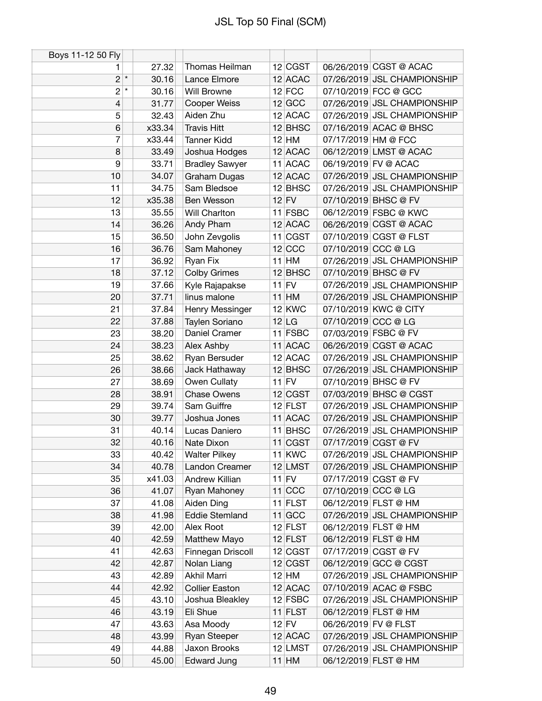| Boys 11-12 50 Fly |                  |                       |         |           |                      |                             |
|-------------------|------------------|-----------------------|---------|-----------|----------------------|-----------------------------|
| 1                 | 27.32            | Thomas Heilman        |         | 12 CGST   |                      | 06/26/2019 CGST @ ACAC      |
| $2^{\star}$       | 30.16            | Lance Elmore          |         | 12 ACAC   |                      | 07/26/2019 JSL CHAMPIONSHIP |
| $\overline{c}$    | $\star$<br>30.16 | <b>Will Browne</b>    |         | $12$ FCC  |                      | 07/10/2019 FCC @ GCC        |
| 4                 | 31.77            | Cooper Weiss          |         | $12$ GCC  |                      | 07/26/2019 JSL CHAMPIONSHIP |
| 5                 | 32.43            | Aiden Zhu             |         | 12 ACAC   |                      | 07/26/2019 JSL CHAMPIONSHIP |
| 6                 | x33.34           | <b>Travis Hitt</b>    |         | $12$ BHSC |                      | 07/16/2019 ACAC @ BHSC      |
| 7                 | x33.44           | <b>Tanner Kidd</b>    |         | $12$ HM   | 07/17/2019 HM @ FCC  |                             |
| 8                 | 33.49            | Joshua Hodges         |         | $12$ ACAC |                      | 06/12/2019 LMST @ ACAC      |
| 9                 | 33.71            | <b>Bradley Sawyer</b> |         | 11 ACAC   |                      | 06/19/2019 FV @ ACAC        |
| 10                | 34.07            | Graham Dugas          |         | 12 ACAC   |                      | 07/26/2019 JSL CHAMPIONSHIP |
| 11                | 34.75            | Sam Bledsoe           |         | $12$ BHSC |                      | 07/26/2019 JSL CHAMPIONSHIP |
| 12                | x35.38           | Ben Wesson            | $12$ FV |           |                      | 07/10/2019 BHSC @ FV        |
| 13                | 35.55            | Will Charlton         |         | $11$ FSBC |                      | 06/12/2019 FSBC @ KWC       |
| 14                | 36.26            | Andy Pham             |         | 12 ACAC   |                      | 06/26/2019 CGST @ ACAC      |
| 15                | 36.50            | John Zevgolis         |         | $11$ CGST |                      | 07/10/2019 CGST @ FLST      |
| 16                | 36.76            | Sam Mahoney           |         | $12$ CCC  | 07/10/2019 CCC @ LG  |                             |
| 17                | 36.92            | Ryan Fix              |         | $11$ HM   |                      | 07/26/2019 JSL CHAMPIONSHIP |
| 18                | 37.12            | <b>Colby Grimes</b>   |         | 12 BHSC   |                      | 07/10/2019 BHSC @ FV        |
| 19                | 37.66            | Kyle Rajapakse        | $11$ FV |           |                      | 07/26/2019 JSL CHAMPIONSHIP |
| 20                | 37.71            | linus malone          |         | $11$ HM   |                      | 07/26/2019 JSL CHAMPIONSHIP |
| 21                | 37.84            | Henry Messinger       |         | $12$ KWC  |                      | 07/10/2019 KWC @ CITY       |
| 22                | 37.88            | Taylen Soriano        |         | $12$ LG   | 07/10/2019 CCC @ LG  |                             |
| 23                | 38.20            | Daniel Cramer         |         | $11$ FSBC |                      | 07/03/2019 FSBC @ FV        |
| 24                | 38.23            | Alex Ashby            |         | 11 ACAC   |                      | 06/26/2019 CGST @ ACAC      |
| 25                | 38.62            | Ryan Bersuder         |         | 12 ACAC   |                      | 07/26/2019 JSL CHAMPIONSHIP |
| 26                | 38.66            | Jack Hathaway         |         | $12$ BHSC |                      | 07/26/2019 JSL CHAMPIONSHIP |
| 27                | 38.69            | Owen Cullaty          | $11$ FV |           |                      | 07/10/2019 BHSC @ FV        |
| 28                | 38.91            | <b>Chase Owens</b>    |         | 12 CGST   |                      | 07/03/2019 BHSC @ CGST      |
| 29                | 39.74            | Sam Guiffre           |         | $12$ FLST |                      | 07/26/2019 JSL CHAMPIONSHIP |
| 30                | 39.77            | Joshua Jones          |         | 11 ACAC   |                      | 07/26/2019 JSL CHAMPIONSHIP |
| 31                | 40.14            | Lucas Daniero         |         | 11 BHSC   |                      | 07/26/2019 JSL CHAMPIONSHIP |
| 32                | 40.16            | Nate Dixon            |         | 11 CGST   |                      | 07/17/2019 CGST @ FV        |
| 33                | 40.42            | <b>Walter Pilkey</b>  |         | $11$ KWC  |                      | 07/26/2019 JSL CHAMPIONSHIP |
| 34                | 40.78            | Landon Creamer        |         | 12 LMST   |                      | 07/26/2019 JSL CHAMPIONSHIP |
| 35                | x41.03           | Andrew Killian        | $11$ FV |           |                      | 07/17/2019 CGST @ FV        |
| 36                | 41.07            | Ryan Mahoney          |         | $11$ CCC  | 07/10/2019 CCC @ LG  |                             |
| 37                | 41.08            | Aiden Ding            |         | $11$ FLST |                      | 06/12/2019 FLST @ HM        |
| 38                | 41.98            | <b>Eddie Stemland</b> |         | $11$ GCC  |                      | 07/26/2019 JSL CHAMPIONSHIP |
| 39                | 42.00            | Alex Root             |         | $12$ FLST |                      | 06/12/2019 FLST @ HM        |
| 40                | 42.59            | Matthew Mayo          |         | $12$ FLST |                      | 06/12/2019 FLST @ HM        |
| 41                | 42.63            | Finnegan Driscoll     |         | 12 CGST   |                      | 07/17/2019 CGST @ FV        |
| 42                | 42.87            | Nolan Liang           |         | 12 CGST   |                      | 06/12/2019 GCC @ CGST       |
| 43                | 42.89            | Akhil Marri           |         | $12$ HM   |                      | 07/26/2019 JSL CHAMPIONSHIP |
| 44                | 42.92            | <b>Collier Easton</b> |         | 12 ACAC   |                      | 07/10/2019 ACAC @ FSBC      |
| 45                | 43.10            | Joshua Bleakley       |         | $12$ FSBC |                      | 07/26/2019 JSL CHAMPIONSHIP |
| 46                | 43.19            | Eli Shue              |         | $11$ FLST |                      | 06/12/2019 FLST @ HM        |
| 47                | 43.63            | Asa Moody             | $12$ FV |           | 06/26/2019 FV @ FLST |                             |
| 48                | 43.99            | <b>Ryan Steeper</b>   |         | 12 ACAC   |                      | 07/26/2019 JSL CHAMPIONSHIP |
| 49                | 44.88            | Jaxon Brooks          |         | 12 LMST   |                      | 07/26/2019 JSL CHAMPIONSHIP |
| 50                | 45.00            | <b>Edward Jung</b>    |         | $11$ HM   |                      | 06/12/2019 FLST @ HM        |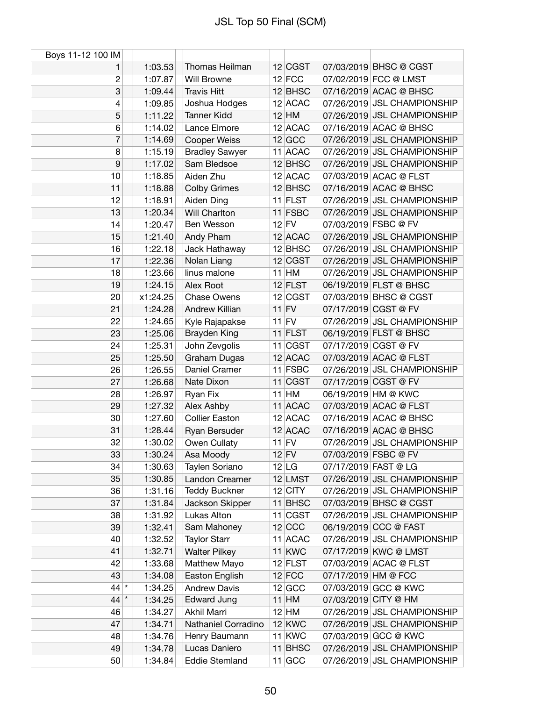| Boys 11-12 100 IM |          |                       |           |                     |                             |
|-------------------|----------|-----------------------|-----------|---------------------|-----------------------------|
| 1                 | 1:03.53  | Thomas Heilman        | 12 CGST   |                     | 07/03/2019 BHSC @ CGST      |
| $\overline{c}$    | 1:07.87  | <b>Will Browne</b>    | $12$ FCC  |                     | 07/02/2019 FCC @ LMST       |
| 3                 | 1:09.44  | <b>Travis Hitt</b>    | $12$ BHSC |                     | 07/16/2019 ACAC @ BHSC      |
| 4                 | 1:09.85  | Joshua Hodges         | 12 ACAC   |                     | 07/26/2019 JSL CHAMPIONSHIP |
| 5                 | 1:11.22  | <b>Tanner Kidd</b>    | $12$ HM   |                     | 07/26/2019 JSL CHAMPIONSHIP |
| 6                 | 1:14.02  | Lance Elmore          | 12 ACAC   |                     | 07/16/2019 ACAC @ BHSC      |
| $\overline{7}$    | 1:14.69  | <b>Cooper Weiss</b>   | $12$ GCC  |                     | 07/26/2019 JSL CHAMPIONSHIP |
| 8                 | 1:15.19  | <b>Bradley Sawyer</b> | 11 ACAC   |                     | 07/26/2019 JSL CHAMPIONSHIP |
| 9                 | 1:17.02  | Sam Bledsoe           | $12$ BHSC |                     | 07/26/2019 JSL CHAMPIONSHIP |
| 10                | 1:18.85  | Aiden Zhu             | 12 ACAC   |                     | 07/03/2019 ACAC @ FLST      |
| 11                | 1:18.88  | <b>Colby Grimes</b>   | $12$ BHSC |                     | 07/16/2019 ACAC @ BHSC      |
| 12                | 1:18.91  | Aiden Ding            | $11$ FLST |                     | 07/26/2019 JSL CHAMPIONSHIP |
| 13                | 1:20.34  | Will Charlton         | 11 FSBC   |                     | 07/26/2019 JSL CHAMPIONSHIP |
| 14                | 1:20.47  | Ben Wesson            | $12$ FV   |                     | 07/03/2019 FSBC @ FV        |
| 15                | 1:21.40  | Andy Pham             | $12$ ACAC |                     | 07/26/2019 JSL CHAMPIONSHIP |
| 16                | 1:22.18  | Jack Hathaway         | $12$ BHSC |                     | 07/26/2019 JSL CHAMPIONSHIP |
| 17                | 1:22.36  | Nolan Liang           | 12 CGST   |                     | 07/26/2019 JSL CHAMPIONSHIP |
| 18                | 1:23.66  | linus malone          | $11$ HM   |                     | 07/26/2019 JSL CHAMPIONSHIP |
| 19                | 1:24.15  | Alex Root             | $12$ FLST |                     | 06/19/2019 FLST @ BHSC      |
| 20                | x1:24.25 | <b>Chase Owens</b>    | $12$ CGST |                     | 07/03/2019 BHSC @ CGST      |
| 21                | 1:24.28  | Andrew Killian        | $11$ FV   |                     | 07/17/2019 CGST @ FV        |
| 22                | 1:24.65  | Kyle Rajapakse        | $11$ FV   |                     | 07/26/2019 JSL CHAMPIONSHIP |
| 23                | 1:25.06  | <b>Brayden King</b>   | $11$ FLST |                     | 06/19/2019 FLST @ BHSC      |
| 24                | 1:25.31  | John Zevgolis         | $11$ CGST |                     | 07/17/2019 CGST @ FV        |
| 25                | 1:25.50  | Graham Dugas          | 12 ACAC   |                     | 07/03/2019 ACAC @ FLST      |
| 26                | 1:26.55  | Daniel Cramer         | 11 FSBC   |                     | 07/26/2019 JSL CHAMPIONSHIP |
| 27                | 1:26.68  | Nate Dixon            | $11$ CGST |                     | 07/17/2019 CGST @ FV        |
| 28                | 1:26.97  | Ryan Fix              | $11$ HM   |                     | 06/19/2019 HM @ KWC         |
| 29                | 1:27.32  | Alex Ashby            | 11 ACAC   |                     | 07/03/2019 ACAC @ FLST      |
| 30                | 1:27.60  | <b>Collier Easton</b> | 12 ACAC   |                     | 07/16/2019 ACAC @ BHSC      |
| 31                | 1:28.44  | Ryan Bersuder         | 12 ACAC   |                     | 07/16/2019 ACAC @ BHSC      |
| 32                | 1:30.02  | Owen Cullaty          | $11$ FV   |                     | 07/26/2019 JSL CHAMPIONSHIP |
| 33                | 1:30.24  | Asa Moody             | $12$ FV   |                     | 07/03/2019 FSBC @ FV        |
| 34                | 1:30.63  | Taylen Soriano        | 12 LG     |                     | 07/17/2019 FAST @ LG        |
| 35                | 1:30.85  | Landon Creamer        | 12 LMST   |                     | 07/26/2019 JSL CHAMPIONSHIP |
| 36                | 1:31.16  | <b>Teddy Buckner</b>  | $12$ CITY |                     | 07/26/2019 JSL CHAMPIONSHIP |
| 37                | 1:31.84  | Jackson Skipper       | $11$ BHSC |                     | 07/03/2019 BHSC @ CGST      |
| 38                | 1:31.92  | Lukas Alton           | $11$ CGST |                     | 07/26/2019 JSL CHAMPIONSHIP |
| 39                | 1:32.41  | Sam Mahoney           | $12$ CCC  |                     | 06/19/2019 CCC @ FAST       |
| 40                | 1:32.52  | <b>Taylor Starr</b>   | 11 ACAC   |                     | 07/26/2019 JSL CHAMPIONSHIP |
| 41                | 1:32.71  | <b>Walter Pilkey</b>  | 11 KWC    |                     | 07/17/2019 KWC @ LMST       |
| 42                | 1:33.68  | Matthew Mayo          | $12$ FLST |                     | 07/03/2019 ACAC @ FLST      |
| 43                | 1:34.08  | Easton English        | $12$ FCC  | 07/17/2019 HM @ FCC |                             |
| $44$ *            | 1:34.25  | <b>Andrew Davis</b>   | $12$ GCC  |                     | 07/03/2019 GCC @ KWC        |
| $44$ $*$          | 1:34.25  | Edward Jung           | $11$ HM   |                     | 07/03/2019 CITY @ HM        |
| 46                | 1:34.27  | Akhil Marri           | $12$ HM   |                     | 07/26/2019 JSL CHAMPIONSHIP |
| 47                | 1:34.71  | Nathaniel Corradino   | $12$ KWC  |                     | 07/26/2019 JSL CHAMPIONSHIP |
| 48                | 1:34.76  | Henry Baumann         | $11$ KWC  |                     | 07/03/2019 GCC @ KWC        |
| 49                | 1:34.78  | Lucas Daniero         | 11 BHSC   |                     | 07/26/2019 JSL CHAMPIONSHIP |
| 50                | 1:34.84  | <b>Eddie Stemland</b> | $11$ GCC  |                     | 07/26/2019 JSL CHAMPIONSHIP |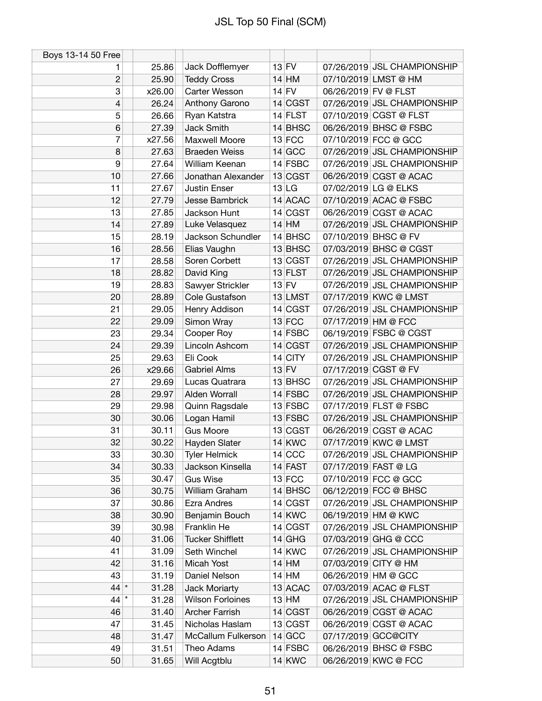| Boys 13-14 50 Free |                  |                         |           |                      |                             |
|--------------------|------------------|-------------------------|-----------|----------------------|-----------------------------|
| 1                  | 25.86            | Jack Dofflemyer         | $13$ FV   |                      | 07/26/2019 JSL CHAMPIONSHIP |
| $\overline{2}$     | 25.90            | <b>Teddy Cross</b>      | $14$ HM   |                      | 07/10/2019 LMST @ HM        |
| 3                  | x26.00           | Carter Wesson           | $14$ FV   | 06/26/2019 FV @ FLST |                             |
| 4                  | 26.24            | Anthony Garono          | 14 CGST   |                      | 07/26/2019 JSL CHAMPIONSHIP |
| 5                  | 26.66            | Ryan Katstra            | $14$ FLST |                      | 07/10/2019 CGST @ FLST      |
| 6                  | 27.39            | Jack Smith              | $14$ BHSC |                      | 06/26/2019 BHSC @ FSBC      |
| 7                  | x27.56           | Maxwell Moore           | $13$ FCC  |                      | 07/10/2019 FCC @ GCC        |
| 8                  | 27.63            | <b>Braeden Weiss</b>    | $14$ GCC  |                      | 07/26/2019 JSL CHAMPIONSHIP |
| 9                  | 27.64            | William Keenan          | 14 FSBC   |                      | 07/26/2019 JSL CHAMPIONSHIP |
| 10                 | 27.66            | Jonathan Alexander      | 13 CGST   |                      | 06/26/2019 CGST @ ACAC      |
| 11                 | 27.67            | <b>Justin Enser</b>     | 13 LG     |                      | 07/02/2019 LG @ ELKS        |
| 12                 | 27.79            | Jesse Bambrick          | 14 ACAC   |                      | 07/10/2019 ACAC @ FSBC      |
| 13                 | 27.85            | Jackson Hunt            | 14 CGST   |                      | 06/26/2019 CGST @ ACAC      |
| 14                 | 27.89            | Luke Velasquez          | $14$ HM   |                      | 07/26/2019 JSL CHAMPIONSHIP |
| 15                 | 28.19            | Jackson Schundler       | $14$ BHSC |                      | 07/10/2019 BHSC @ FV        |
| 16                 | 28.56            | Elias Vaughn            | $13$ BHSC |                      | 07/03/2019 BHSC @ CGST      |
| 17                 | 28.58            | Soren Corbett           | 13 CGST   |                      | 07/26/2019 JSL CHAMPIONSHIP |
| 18                 | 28.82            | David King              | $13$ FLST |                      | 07/26/2019 JSL CHAMPIONSHIP |
| 19                 | 28.83            | Sawyer Strickler        | $13$ FV   |                      | 07/26/2019 JSL CHAMPIONSHIP |
| 20                 | 28.89            | Cole Gustafson          | 13 LMST   |                      | 07/17/2019 KWC @ LMST       |
| 21                 | 29.05            | Henry Addison           | 14 CGST   |                      | 07/26/2019 JSL CHAMPIONSHIP |
| 22                 | 29.09            | Simon Wray              | $13$ FCC  | 07/17/2019 HM @ FCC  |                             |
| 23                 | 29.34            | Cooper Roy              | $14$ FSBC |                      | 06/19/2019 FSBC @ CGST      |
| 24                 | 29.39            | Lincoln Ashcom          | 14 CGST   |                      | 07/26/2019 JSL CHAMPIONSHIP |
| 25                 | 29.63            | Eli Cook                | $14$ CITY |                      | 07/26/2019 JSL CHAMPIONSHIP |
| 26                 | x29.66           | <b>Gabriel Alms</b>     | $13$ FV   |                      | 07/17/2019 CGST @ FV        |
| 27                 | 29.69            | Lucas Quatrara          | $13$ BHSC |                      | 07/26/2019 JSL CHAMPIONSHIP |
| 28                 | 29.97            | Alden Worrall           | 14 FSBC   |                      | 07/26/2019 JSL CHAMPIONSHIP |
| 29                 | 29.98            | Quinn Ragsdale          | $13$ FSBC |                      | 07/17/2019 FLST @ FSBC      |
| 30                 | 30.06            | Logan Hamil             | 13 FSBC   |                      | 07/26/2019 JSL CHAMPIONSHIP |
| 31                 | 30.11            | <b>Gus Moore</b>        | 13 CGST   |                      | 06/26/2019 CGST @ ACAC      |
| 32                 | 30.22            | Hayden Slater           | $14$ KWC  |                      | 07/17/2019 KWC @ LMST       |
| 33                 | 30.30            | <b>Tyler Helmick</b>    | $14$ CCC  |                      | 07/26/2019 JSL CHAMPIONSHIP |
| 34                 | 30.33            | Jackson Kinsella        | $14$ FAST |                      | 07/17/2019 FAST @ LG        |
| 35                 | 30.47            | <b>Gus Wise</b>         | $13$ FCC  |                      | 07/10/2019 FCC @ GCC        |
| 36                 | 30.75            | William Graham          | $14$ BHSC |                      | 06/12/2019 FCC @ BHSC       |
| 37                 | 30.86            | Ezra Andres             | 14 CGST   |                      | 07/26/2019 JSL CHAMPIONSHIP |
| 38                 | 30.90            | Benjamin Bouch          | $14$ KWC  |                      | 06/19/2019 HM @ KWC         |
| 39                 | 30.98            | Franklin He             | 14 CGST   |                      | 07/26/2019 JSL CHAMPIONSHIP |
| 40                 | 31.06            | <b>Tucker Shifflett</b> | $14$ GHG  |                      | 07/03/2019 GHG @ CCC        |
| 41                 | 31.09            | Seth Winchel            | $14$ KWC  |                      | 07/26/2019 JSL CHAMPIONSHIP |
| 42                 | 31.16            | Micah Yost              | $14$ HM   |                      | 07/03/2019 CITY @ HM        |
| 43                 | 31.19            | Daniel Nelson           | $14$ HM   |                      | 06/26/2019 HM @ GCC         |
| $44$ *             | 31.28            | <b>Jack Moriarty</b>    | 13 ACAC   |                      | 07/03/2019 ACAC @ FLST      |
| 44                 | $\star$<br>31.28 | <b>Wilson Forloines</b> | $13$ HM   |                      | 07/26/2019 JSL CHAMPIONSHIP |
| 46                 | 31.40            | <b>Archer Farrish</b>   | 14 CGST   |                      | 06/26/2019 CGST @ ACAC      |
| 47                 | 31.45            | Nicholas Haslam         | 13 CGST   |                      | 06/26/2019 CGST @ ACAC      |
| 48                 | 31.47            | McCallum Fulkerson      | $14$ GCC  |                      | 07/17/2019 GCC@CITY         |
| 49                 | 31.51            | Theo Adams              | $14$ FSBC |                      | 06/26/2019 BHSC @ FSBC      |
| 50                 | 31.65            | Will Acgtblu            | $14$ KWC  |                      | 06/26/2019 KWC @ FCC        |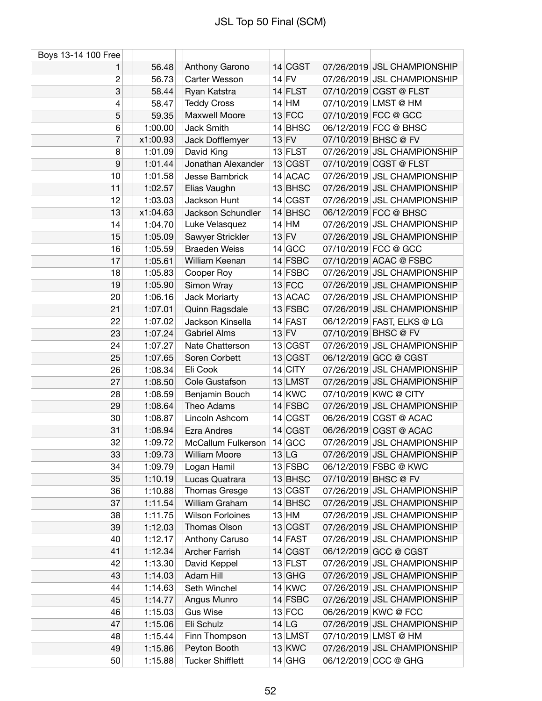| Boys 13-14 100 Free |          |                         |           |                             |
|---------------------|----------|-------------------------|-----------|-----------------------------|
| 1                   | 56.48    | Anthony Garono          | 14 CGST   | 07/26/2019 JSL CHAMPIONSHIP |
| $\overline{c}$      | 56.73    | Carter Wesson           | $14$ FV   | 07/26/2019 JSL CHAMPIONSHIP |
| 3                   | 58.44    | Ryan Katstra            | $14$ FLST | 07/10/2019 CGST @ FLST      |
| 4                   | 58.47    | <b>Teddy Cross</b>      | $14$ HM   | 07/10/2019 LMST @ HM        |
| 5                   | 59.35    | Maxwell Moore           | $13$ FCC  | 07/10/2019 FCC @ GCC        |
| 6                   | 1:00.00  | Jack Smith              | 14 BHSC   | 06/12/2019 FCC @ BHSC       |
| 7                   | x1:00.93 | Jack Dofflemyer         | $13$ FV   | 07/10/2019 BHSC @ FV        |
| 8                   | 1:01.09  | David King              | $13$ FLST | 07/26/2019 JSL CHAMPIONSHIP |
| 9                   | 1:01.44  | Jonathan Alexander      | 13 CGST   | 07/10/2019 CGST @ FLST      |
| 10                  | 1:01.58  | Jesse Bambrick          | 14 ACAC   | 07/26/2019 JSL CHAMPIONSHIP |
| 11                  | 1:02.57  | Elias Vaughn            | $13$ BHSC | 07/26/2019 JSL CHAMPIONSHIP |
| 12                  | 1:03.03  | Jackson Hunt            | 14 CGST   | 07/26/2019 JSL CHAMPIONSHIP |
| 13                  | x1:04.63 | Jackson Schundler       | 14 BHSC   | 06/12/2019 FCC @ BHSC       |
| 14                  | 1:04.70  | Luke Velasquez          | $14$ HM   | 07/26/2019 JSL CHAMPIONSHIP |
| 15                  | 1:05.09  | Sawyer Strickler        | $13$ FV   | 07/26/2019 JSL CHAMPIONSHIP |
| 16                  | 1:05.59  | <b>Braeden Weiss</b>    | $14$ GCC  | 07/10/2019 FCC @ GCC        |
| 17                  | 1:05.61  | William Keenan          | $14$ FSBC | 07/10/2019 ACAC @ FSBC      |
| 18                  | 1:05.83  | Cooper Roy              | 14 FSBC   | 07/26/2019 JSL CHAMPIONSHIP |
| 19                  | 1:05.90  | Simon Wray              | $13$ FCC  | 07/26/2019 JSL CHAMPIONSHIP |
| 20                  | 1:06.16  | Jack Moriarty           | 13 ACAC   | 07/26/2019 JSL CHAMPIONSHIP |
| 21                  | 1:07.01  | Quinn Ragsdale          | 13 FSBC   | 07/26/2019 JSL CHAMPIONSHIP |
| 22                  | 1:07.02  | Jackson Kinsella        | $14$ FAST | 06/12/2019 FAST, ELKS @ LG  |
| 23                  | 1:07.24  | <b>Gabriel Alms</b>     | $13$ FV   | 07/10/2019 BHSC @ FV        |
| 24                  | 1:07.27  | Nate Chatterson         | 13 CGST   | 07/26/2019 JSL CHAMPIONSHIP |
| 25                  | 1:07.65  | Soren Corbett           | 13 CGST   | 06/12/2019 GCC @ CGST       |
| 26                  | 1:08.34  | Eli Cook                | $14$ CITY | 07/26/2019 JSL CHAMPIONSHIP |
| 27                  | 1:08.50  | Cole Gustafson          | 13 LMST   | 07/26/2019 JSL CHAMPIONSHIP |
| 28                  | 1:08.59  | Benjamin Bouch          | $14$ KWC  | 07/10/2019 KWC @ CITY       |
| 29                  | 1:08.64  | Theo Adams              | $14$ FSBC | 07/26/2019 JSL CHAMPIONSHIP |
| 30                  | 1:08.87  | Lincoln Ashcom          | 14 CGST   | 06/26/2019 CGST @ ACAC      |
| 31                  | 1:08.94  | <b>Ezra Andres</b>      | 14 CGST   | 06/26/2019 CGST @ ACAC      |
| 32                  | 1:09.72  | McCallum Fulkerson      | 14 GCC    | 07/26/2019 JSL CHAMPIONSHIP |
| 33                  | 1:09.73  | William Moore           | 13 LG     | 07/26/2019 JSL CHAMPIONSHIP |
| 34                  | 1:09.79  | Logan Hamil             | 13 FSBC   | 06/12/2019 FSBC @ KWC       |
| 35                  | 1:10.19  | Lucas Quatrara          | $13$ BHSC | 07/10/2019 BHSC @ FV        |
| 36                  | 1:10.88  | Thomas Gresge           | 13 CGST   | 07/26/2019 JSL CHAMPIONSHIP |
| 37                  | 1:11.54  | William Graham          | $14$ BHSC | 07/26/2019 JSL CHAMPIONSHIP |
| 38                  | 1:11.75  | <b>Wilson Forloines</b> | $13$ HM   | 07/26/2019 JSL CHAMPIONSHIP |
| 39                  | 1:12.03  | Thomas Olson            | 13 CGST   | 07/26/2019 JSL CHAMPIONSHIP |
|                     |          |                         |           | 07/26/2019 JSL CHAMPIONSHIP |
| 40<br>41            | 1:12.17  | Anthony Caruso          | $14$ FAST |                             |
|                     | 1:12.34  | <b>Archer Farrish</b>   | 14 CGST   | 06/12/2019 GCC @ CGST       |
| 42                  | 1:13.30  | David Keppel            | $13$ FLST | 07/26/2019 JSL CHAMPIONSHIP |
| 43                  | 1:14.03  | Adam Hill               | $13$ GHG  | 07/26/2019 JSL CHAMPIONSHIP |
| 44                  | 1:14.63  | Seth Winchel            | 14 KWC    | 07/26/2019 JSL CHAMPIONSHIP |
| 45                  | 1:14.77  | Angus Munro             | $14$ FSBC | 07/26/2019 JSL CHAMPIONSHIP |
| 46                  | 1:15.03  | <b>Gus Wise</b>         | $13$ FCC  | 06/26/2019 KWC @ FCC        |
| 47                  | 1:15.06  | Eli Schulz              | $14$ LG   | 07/26/2019 JSL CHAMPIONSHIP |
| 48                  | 1:15.44  | Finn Thompson           | 13 LMST   | 07/10/2019 LMST @ HM        |
| 49                  | 1:15.86  | Peyton Booth            | $13$ KWC  | 07/26/2019 JSL CHAMPIONSHIP |
| 50                  | 1:15.88  | <b>Tucker Shifflett</b> | $14$ GHG  | 06/12/2019 CCC @ GHG        |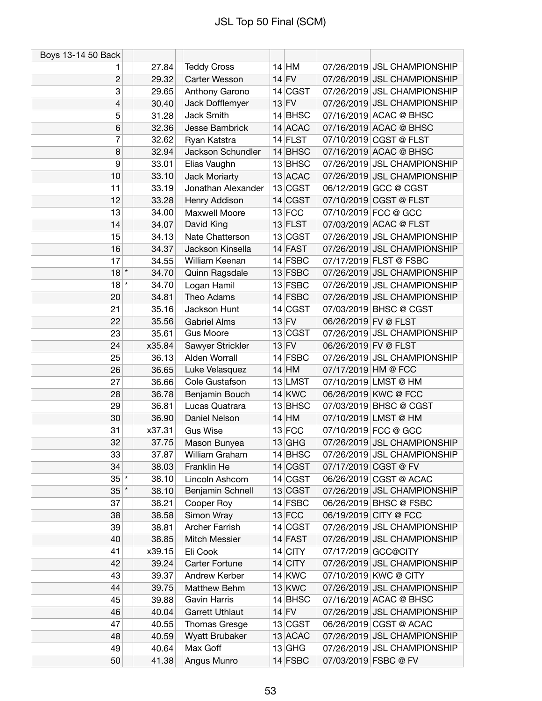| Boys 13-14 50 Back |        |                        |           |                      |                             |
|--------------------|--------|------------------------|-----------|----------------------|-----------------------------|
| 1                  | 27.84  | <b>Teddy Cross</b>     | $14$ HM   |                      | 07/26/2019 JSL CHAMPIONSHIP |
| $\overline{c}$     | 29.32  | Carter Wesson          | $14$ FV   |                      | 07/26/2019 JSL CHAMPIONSHIP |
| 3                  | 29.65  | Anthony Garono         | 14 CGST   |                      | 07/26/2019 JSL CHAMPIONSHIP |
| 4                  | 30.40  | Jack Dofflemyer        | $13$ FV   |                      | 07/26/2019 JSL CHAMPIONSHIP |
| 5                  | 31.28  | Jack Smith             | $14$ BHSC |                      | 07/16/2019 ACAC @ BHSC      |
| 6                  | 32.36  | Jesse Bambrick         | 14 ACAC   |                      | 07/16/2019 ACAC @ BHSC      |
| 7                  | 32.62  | Ryan Katstra           | $14$ FLST |                      | 07/10/2019 CGST @ FLST      |
| 8                  | 32.94  | Jackson Schundler      | 14 BHSC   |                      | 07/16/2019 ACAC @ BHSC      |
| 9                  | 33.01  | Elias Vaughn           | $13$ BHSC |                      | 07/26/2019 JSL CHAMPIONSHIP |
| 10                 | 33.10  | Jack Moriarty          | 13 ACAC   |                      | 07/26/2019 JSL CHAMPIONSHIP |
| 11                 | 33.19  | Jonathan Alexander     | 13 CGST   |                      | 06/12/2019 GCC @ CGST       |
| 12                 | 33.28  | Henry Addison          | 14 CGST   |                      | 07/10/2019 CGST @ FLST      |
| 13                 | 34.00  | Maxwell Moore          | $13$ FCC  |                      | 07/10/2019 FCC @ GCC        |
| 14                 | 34.07  | David King             | 13 FLST   |                      | 07/03/2019 ACAC @ FLST      |
| 15                 | 34.13  | Nate Chatterson        | 13 CGST   |                      | 07/26/2019 JSL CHAMPIONSHIP |
| 16                 | 34.37  | Jackson Kinsella       | 14 FAST   |                      | 07/26/2019 JSL CHAMPIONSHIP |
| 17                 | 34.55  | William Keenan         | $14$ FSBC |                      | 07/17/2019 FLST @ FSBC      |
| $18$ *             | 34.70  | Quinn Ragsdale         | 13 FSBC   |                      | 07/26/2019 JSL CHAMPIONSHIP |
| $18$ *             | 34.70  | Logan Hamil            | 13 FSBC   |                      | 07/26/2019 JSL CHAMPIONSHIP |
| 20                 | 34.81  | Theo Adams             | 14 FSBC   |                      | 07/26/2019 JSL CHAMPIONSHIP |
| 21                 | 35.16  | Jackson Hunt           | 14 CGST   |                      | 07/03/2019 BHSC @ CGST      |
| 22                 | 35.56  | <b>Gabriel Alms</b>    | $13$ FV   | 06/26/2019 FV @ FLST |                             |
| 23                 | 35.61  | <b>Gus Moore</b>       | 13 CGST   |                      | 07/26/2019 JSL CHAMPIONSHIP |
| 24                 | x35.84 | Sawyer Strickler       | $13$ FV   | 06/26/2019 FV @ FLST |                             |
| 25                 | 36.13  | Alden Worrall          | $14$ FSBC |                      | 07/26/2019 JSL CHAMPIONSHIP |
| 26                 | 36.65  | Luke Velasquez         | $14$ HM   | 07/17/2019 HM @ FCC  |                             |
| 27                 | 36.66  | Cole Gustafson         | 13 LMST   |                      | 07/10/2019 LMST @ HM        |
| 28                 | 36.78  | Benjamin Bouch         | $14$ KWC  |                      | 06/26/2019 KWC @ FCC        |
| 29                 | 36.81  | Lucas Quatrara         | $13$ BHSC |                      | 07/03/2019 BHSC @ CGST      |
| 30                 | 36.90  | Daniel Nelson          | $14$ HM   |                      | 07/10/2019 LMST @ HM        |
| 31                 | x37.31 | <b>Gus Wise</b>        | $13$ FCC  |                      | 07/10/2019 FCC @ GCC        |
| 32                 | 37.75  | Mason Bunyea           | $13$ GHG  |                      | 07/26/2019 JSL CHAMPIONSHIP |
| 33                 | 37.87  | William Graham         | $14$ BHSC |                      | 07/26/2019 JSL CHAMPIONSHIP |
| 34                 | 38.03  | Franklin He            | 14 CGST   |                      | 07/17/2019 CGST @ FV        |
| $35$ $*$           | 38.10  | Lincoln Ashcom         | 14 CGST   |                      | 06/26/2019 CGST @ ACAC      |
| $35$ $*$           | 38.10  | Benjamin Schnell       | 13 CGST   |                      | 07/26/2019 JSL CHAMPIONSHIP |
| 37                 | 38.21  | Cooper Roy             | $14$ FSBC |                      | 06/26/2019 BHSC @ FSBC      |
| 38                 | 38.58  | Simon Wray             | $13$ FCC  |                      | 06/19/2019 CITY @ FCC       |
| 39                 | 38.81  | Archer Farrish         | 14 CGST   |                      | 07/26/2019 JSL CHAMPIONSHIP |
| 40                 | 38.85  | Mitch Messier          | $14$ FAST |                      | 07/26/2019 JSL CHAMPIONSHIP |
| 41                 | x39.15 | Eli Cook               | $14$ CITY |                      | 07/17/2019 GCC@CITY         |
| 42                 | 39.24  | Carter Fortune         | $14$ CITY |                      | 07/26/2019 JSL CHAMPIONSHIP |
| 43                 | 39.37  | Andrew Kerber          | $14$ KWC  |                      | 07/10/2019 KWC @ CITY       |
| 44                 | 39.75  | Matthew Behm           | $13$ KWC  |                      | 07/26/2019 JSL CHAMPIONSHIP |
| 45                 | 39.88  | <b>Gavin Harris</b>    | $14$ BHSC |                      | 07/16/2019 ACAC @ BHSC      |
| 46                 | 40.04  | <b>Garrett Uthlaut</b> | $14$ FV   |                      | 07/26/2019 JSL CHAMPIONSHIP |
| 47                 | 40.55  | Thomas Gresge          | 13 CGST   |                      | 06/26/2019 CGST @ ACAC      |
| 48                 | 40.59  | Wyatt Brubaker         | $13$ ACAC |                      | 07/26/2019 JSL CHAMPIONSHIP |
| 49                 | 40.64  | Max Goff               | $13$ GHG  |                      | 07/26/2019 JSL CHAMPIONSHIP |
| 50                 | 41.38  | Angus Munro            | 14 FSBC   |                      | 07/03/2019 FSBC @ FV        |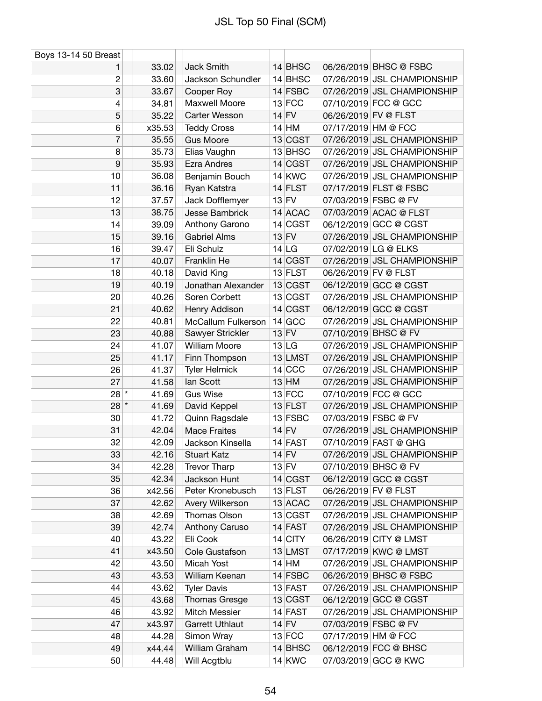| Boys 13-14 50 Breast |        |                        |           |                      |                             |
|----------------------|--------|------------------------|-----------|----------------------|-----------------------------|
| 1                    | 33.02  | Jack Smith             | 14 BHSC   |                      | 06/26/2019 BHSC @ FSBC      |
| $\overline{c}$       | 33.60  | Jackson Schundler      | 14 BHSC   |                      | 07/26/2019 JSL CHAMPIONSHIP |
| 3                    | 33.67  | Cooper Roy             | 14 FSBC   |                      | 07/26/2019 JSL CHAMPIONSHIP |
| 4                    | 34.81  | Maxwell Moore          | $13$ FCC  |                      | 07/10/2019 FCC @ GCC        |
| 5                    | 35.22  | Carter Wesson          | $14$ FV   | 06/26/2019 FV @ FLST |                             |
| 6                    | x35.53 | <b>Teddy Cross</b>     | $14$ HM   | 07/17/2019 HM @ FCC  |                             |
| 7                    | 35.55  | <b>Gus Moore</b>       | 13 CGST   |                      | 07/26/2019 JSL CHAMPIONSHIP |
| 8                    | 35.73  | Elias Vaughn           | 13 BHSC   |                      | 07/26/2019 JSL CHAMPIONSHIP |
| 9                    | 35.93  | <b>Ezra Andres</b>     | 14 CGST   |                      | 07/26/2019 JSL CHAMPIONSHIP |
| 10                   | 36.08  | Benjamin Bouch         | $14$ KWC  |                      | 07/26/2019 JSL CHAMPIONSHIP |
| 11                   | 36.16  | Ryan Katstra           | $14$ FLST |                      | 07/17/2019 FLST @ FSBC      |
| 12                   | 37.57  | Jack Dofflemyer        | $13$ FV   |                      | 07/03/2019 FSBC @ FV        |
| 13                   | 38.75  | Jesse Bambrick         | 14 ACAC   |                      | 07/03/2019 ACAC @ FLST      |
| 14                   | 39.09  | Anthony Garono         | 14 CGST   |                      | 06/12/2019 GCC @ CGST       |
| 15                   | 39.16  | <b>Gabriel Alms</b>    | $13$ FV   |                      | 07/26/2019 JSL CHAMPIONSHIP |
| 16                   | 39.47  | Eli Schulz             | 14 LG     |                      | 07/02/2019 LG @ ELKS        |
| 17                   | 40.07  | Franklin He            | 14 CGST   |                      | 07/26/2019 JSL CHAMPIONSHIP |
| 18                   | 40.18  | David King             | $13$ FLST | 06/26/2019 FV @ FLST |                             |
| 19                   | 40.19  | Jonathan Alexander     | 13 CGST   |                      | 06/12/2019 GCC @ CGST       |
| 20                   | 40.26  | Soren Corbett          | 13 CGST   |                      | 07/26/2019 JSL CHAMPIONSHIP |
| 21                   | 40.62  | Henry Addison          | 14 CGST   |                      | 06/12/2019 GCC @ CGST       |
| 22                   | 40.81  | McCallum Fulkerson     | 14 GCC    |                      | 07/26/2019 JSL CHAMPIONSHIP |
| 23                   | 40.88  | Sawyer Strickler       | $13$ FV   |                      | 07/10/2019 BHSC @ FV        |
| 24                   | 41.07  | <b>William Moore</b>   | 13 LG     |                      | 07/26/2019 JSL CHAMPIONSHIP |
| 25                   | 41.17  | Finn Thompson          | 13 LMST   |                      | 07/26/2019 JSL CHAMPIONSHIP |
| 26                   | 41.37  | <b>Tyler Helmick</b>   | 14 CCC    |                      | 07/26/2019 JSL CHAMPIONSHIP |
| 27                   | 41.58  | lan Scott              | $13$ HM   |                      | 07/26/2019 JSL CHAMPIONSHIP |
| $28*$                | 41.69  | <b>Gus Wise</b>        | $13$ FCC  |                      | 07/10/2019 FCC @ GCC        |
| $28$ $*$             | 41.69  | David Keppel           | $13$ FLST |                      | 07/26/2019 JSL CHAMPIONSHIP |
| 30                   | 41.72  | Quinn Ragsdale         | $13$ FSBC |                      | 07/03/2019 FSBC @ FV        |
| 31                   | 42.04  | <b>Mace Fraites</b>    | $14$ FV   |                      | 07/26/2019 JSL CHAMPIONSHIP |
| 32                   | 42.09  | Jackson Kinsella       | 14 FAST   |                      | 07/10/2019 FAST @ GHG       |
| 33                   | 42.16  | <b>Stuart Katz</b>     | $14$ FV   |                      | 07/26/2019 JSL CHAMPIONSHIP |
| 34                   | 42.28  | <b>Trevor Tharp</b>    | $13$ FV   |                      | 07/10/2019 BHSC @ FV        |
| 35                   | 42.34  | Jackson Hunt           | 14 CGST   |                      | 06/12/2019 GCC @ CGST       |
| 36                   | x42.56 | Peter Kronebusch       | $13$ FLST | 06/26/2019 FV @ FLST |                             |
| 37                   | 42.62  | Avery Wilkerson        | 13 ACAC   |                      | 07/26/2019 JSL CHAMPIONSHIP |
| 38                   | 42.69  | Thomas Olson           | 13 CGST   |                      | 07/26/2019 JSL CHAMPIONSHIP |
| 39                   | 42.74  | Anthony Caruso         | $14$ FAST |                      | 07/26/2019 JSL CHAMPIONSHIP |
| 40                   | 43.22  | Eli Cook               | $14$ CITY |                      | 06/26/2019 CITY @ LMST      |
| 41                   | x43.50 | Cole Gustafson         | 13 LMST   |                      | 07/17/2019 KWC @ LMST       |
| 42                   | 43.50  | Micah Yost             | $14$ HM   |                      | 07/26/2019 JSL CHAMPIONSHIP |
| 43                   | 43.53  | William Keenan         | $14$ FSBC |                      | 06/26/2019 BHSC @ FSBC      |
| 44                   | 43.62  | <b>Tyler Davis</b>     | $13$ FAST |                      | 07/26/2019 JSL CHAMPIONSHIP |
| 45                   | 43.68  | Thomas Gresge          | 13 CGST   |                      | 06/12/2019 GCC @ CGST       |
| 46                   | 43.92  | Mitch Messier          | $14$ FAST |                      | 07/26/2019 JSL CHAMPIONSHIP |
| 47                   | x43.97 | <b>Garrett Uthlaut</b> | $14$ FV   |                      | 07/03/2019 FSBC @ FV        |
| 48                   | 44.28  | Simon Wray             | $13$ FCC  | 07/17/2019 HM @ FCC  |                             |
| 49                   | x44.44 | William Graham         | $14$ BHSC |                      | 06/12/2019 FCC @ BHSC       |
| 50                   | 44.48  | Will Acgtblu           | 14 KWC    |                      | 07/03/2019 GCC @ KWC        |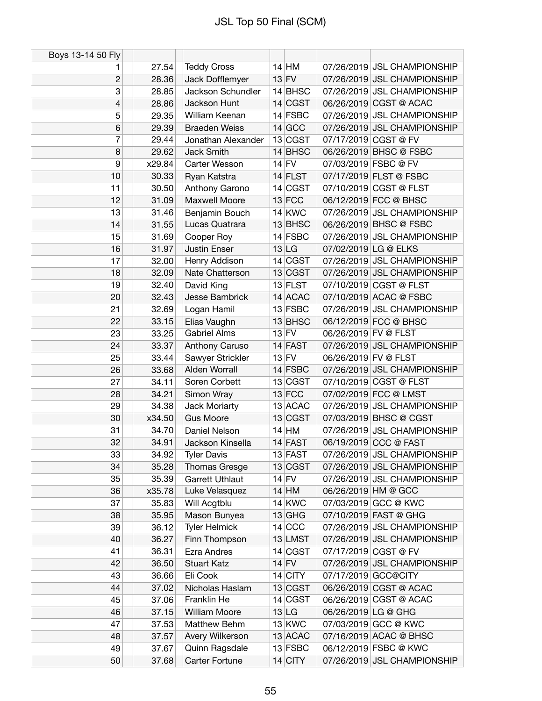| Boys 13-14 50 Fly |        |                        |           |                      |                             |
|-------------------|--------|------------------------|-----------|----------------------|-----------------------------|
| 1                 | 27.54  | <b>Teddy Cross</b>     | $14$ HM   |                      | 07/26/2019 JSL CHAMPIONSHIP |
| $\overline{c}$    | 28.36  | Jack Dofflemyer        | $13$ FV   |                      | 07/26/2019 JSL CHAMPIONSHIP |
| 3                 | 28.85  | Jackson Schundler      | $14$ BHSC |                      | 07/26/2019 JSL CHAMPIONSHIP |
| 4                 | 28.86  | Jackson Hunt           | 14 CGST   |                      | 06/26/2019 CGST @ ACAC      |
| 5                 | 29.35  | William Keenan         | $14$ FSBC |                      | 07/26/2019 JSL CHAMPIONSHIP |
| $6\phantom{1}$    | 29.39  | <b>Braeden Weiss</b>   | $14$ GCC  |                      | 07/26/2019 JSL CHAMPIONSHIP |
| 7                 | 29.44  | Jonathan Alexander     | 13 CGST   |                      | 07/17/2019 CGST @ FV        |
| 8                 | 29.62  | Jack Smith             | 14 BHSC   |                      | 06/26/2019 BHSC @ FSBC      |
| 9                 | x29.84 | Carter Wesson          | $14$ FV   |                      | 07/03/2019 FSBC @ FV        |
| 10                | 30.33  | Ryan Katstra           | 14 FLST   |                      | 07/17/2019 FLST @ FSBC      |
| 11                | 30.50  | Anthony Garono         | 14 CGST   |                      | 07/10/2019 CGST @ FLST      |
| 12                | 31.09  | Maxwell Moore          | $13$ FCC  |                      | 06/12/2019 FCC @ BHSC       |
| 13                | 31.46  | Benjamin Bouch         | $14$ KWC  |                      | 07/26/2019 JSL CHAMPIONSHIP |
| 14                | 31.55  | Lucas Quatrara         | 13 BHSC   |                      | 06/26/2019 BHSC @ FSBC      |
| 15                | 31.69  | Cooper Roy             | $14$ FSBC |                      | 07/26/2019 JSL CHAMPIONSHIP |
| 16                | 31.97  | <b>Justin Enser</b>    | 13 LG     |                      | 07/02/2019 LG @ ELKS        |
| 17                | 32.00  | Henry Addison          | 14 CGST   |                      | 07/26/2019 JSL CHAMPIONSHIP |
| 18                | 32.09  | Nate Chatterson        | 13 CGST   |                      | 07/26/2019 JSL CHAMPIONSHIP |
| 19                | 32.40  | David King             | $13$ FLST |                      | 07/10/2019 CGST @ FLST      |
| 20                | 32.43  | Jesse Bambrick         | 14 ACAC   |                      | 07/10/2019 ACAC @ FSBC      |
| 21                | 32.69  | Logan Hamil            | $13$ FSBC |                      | 07/26/2019 JSL CHAMPIONSHIP |
| 22                | 33.15  | Elias Vaughn           | 13 BHSC   |                      | 06/12/2019 FCC @ BHSC       |
| 23                | 33.25  | <b>Gabriel Alms</b>    | $13$ FV   | 06/26/2019 FV @ FLST |                             |
| 24                | 33.37  | Anthony Caruso         | $14$ FAST |                      | 07/26/2019 JSL CHAMPIONSHIP |
| 25                | 33.44  | Sawyer Strickler       | $13$ FV   | 06/26/2019 FV @ FLST |                             |
| 26                | 33.68  | Alden Worrall          | $14$ FSBC |                      | 07/26/2019 JSL CHAMPIONSHIP |
| 27                | 34.11  | Soren Corbett          | 13 CGST   |                      | 07/10/2019 CGST @ FLST      |
| 28                | 34.21  | Simon Wray             | $13$ FCC  |                      | 07/02/2019 FCC @ LMST       |
| 29                | 34.38  | Jack Moriarty          | 13 ACAC   |                      | 07/26/2019 JSL CHAMPIONSHIP |
| 30                | x34.50 | <b>Gus Moore</b>       | 13 CGST   |                      | 07/03/2019 BHSC @ CGST      |
| 31                | 34.70  | Daniel Nelson          | $14$ HM   |                      | 07/26/2019 JSL CHAMPIONSHIP |
| 32                | 34.91  | Jackson Kinsella       | 14 FAST   |                      | 06/19/2019 CCC @ FAST       |
| 33                | 34.92  | <b>Tyler Davis</b>     | 13 FAST   |                      | 07/26/2019 JSL CHAMPIONSHIP |
| 34                | 35.28  | <b>Thomas Gresge</b>   | 13 CGST   |                      | 07/26/2019 JSL CHAMPIONSHIP |
| 35                | 35.39  | <b>Garrett Uthlaut</b> | $14$ FV   |                      | 07/26/2019 JSL CHAMPIONSHIP |
| 36                | x35.78 | Luke Velasquez         | $14$ HM   |                      | 06/26/2019 HM @ GCC         |
| 37                | 35.83  | Will Acgtblu           | $14$ KWC  |                      | 07/03/2019 GCC @ KWC        |
| 38                | 35.95  | Mason Bunyea           | $13$ GHG  |                      | 07/10/2019 FAST @ GHG       |
| 39                | 36.12  | <b>Tyler Helmick</b>   | $14$ CCC  |                      | 07/26/2019 JSL CHAMPIONSHIP |
| 40                | 36.27  | Finn Thompson          | 13 LMST   |                      | 07/26/2019 JSL CHAMPIONSHIP |
| 41                | 36.31  | <b>Ezra Andres</b>     | 14 CGST   |                      | 07/17/2019 CGST @ FV        |
| 42                | 36.50  | <b>Stuart Katz</b>     | $14$ FV   |                      | 07/26/2019 JSL CHAMPIONSHIP |
| 43                | 36.66  | Eli Cook               | $14$ CITY |                      | 07/17/2019 GCC@CITY         |
| 44                | 37.02  | Nicholas Haslam        | 13 CGST   |                      | 06/26/2019 CGST @ ACAC      |
| 45                | 37.06  | Franklin He            | 14 CGST   |                      | 06/26/2019 CGST @ ACAC      |
| 46                | 37.15  | <b>William Moore</b>   | 13 LG     | 06/26/2019 LG @ GHG  |                             |
| 47                | 37.53  | Matthew Behm           | $13$ KWC  |                      | 07/03/2019 GCC @ KWC        |
| 48                | 37.57  | Avery Wilkerson        | 13 ACAC   |                      | 07/16/2019 ACAC @ BHSC      |
| 49                | 37.67  | Quinn Ragsdale         | $13$ FSBC |                      | 06/12/2019 FSBC @ KWC       |
| 50                | 37.68  | Carter Fortune         | $14$ CITY |                      | 07/26/2019 JSL CHAMPIONSHIP |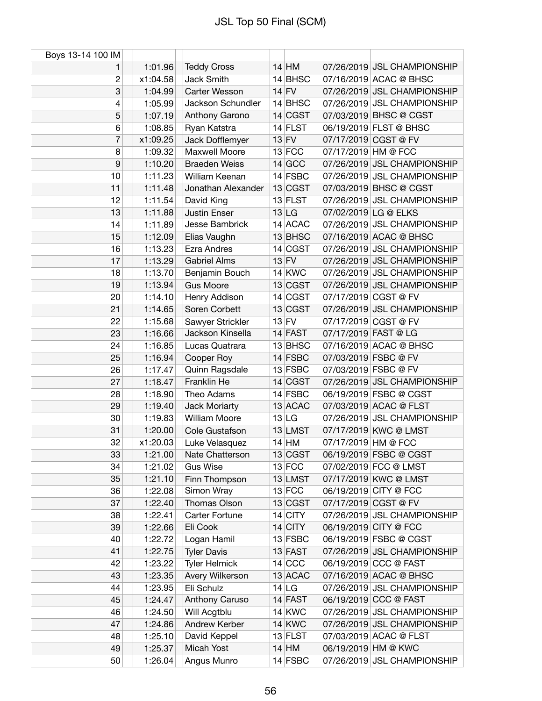| Boys 13-14 100 IM |          |                      |           |                     |                             |
|-------------------|----------|----------------------|-----------|---------------------|-----------------------------|
| 1                 | 1:01.96  | <b>Teddy Cross</b>   | $14$ HM   |                     | 07/26/2019 JSL CHAMPIONSHIP |
| 2                 | x1:04.58 | Jack Smith           | $14$ BHSC |                     | 07/16/2019 ACAC @ BHSC      |
| 3                 | 1:04.99  | Carter Wesson        | $14$ FV   |                     | 07/26/2019 JSL CHAMPIONSHIP |
| 4                 | 1:05.99  | Jackson Schundler    | $14$ BHSC |                     | 07/26/2019 JSL CHAMPIONSHIP |
| 5                 | 1:07.19  | Anthony Garono       | $14$ CGST |                     | 07/03/2019 BHSC @ CGST      |
| 6                 | 1:08.85  | Ryan Katstra         | $14$ FLST |                     | 06/19/2019 FLST @ BHSC      |
| 7                 | x1:09.25 | Jack Dofflemyer      | $13$ FV   |                     | 07/17/2019 CGST @ FV        |
| 8                 | 1:09.32  | Maxwell Moore        | $13$ FCC  | 07/17/2019 HM @ FCC |                             |
| 9                 | 1:10.20  | <b>Braeden Weiss</b> | $14$ GCC  |                     | 07/26/2019 JSL CHAMPIONSHIP |
| 10                | 1:11.23  | William Keenan       | $14$ FSBC |                     | 07/26/2019 JSL CHAMPIONSHIP |
| 11                | 1:11.48  | Jonathan Alexander   | 13 CGST   |                     | 07/03/2019 BHSC @ CGST      |
| 12                | 1:11.54  | David King           | 13 FLST   |                     | 07/26/2019 JSL CHAMPIONSHIP |
| 13                | 1:11.88  | <b>Justin Enser</b>  | 13 LG     |                     | 07/02/2019 LG @ ELKS        |
| 14                | 1:11.89  | Jesse Bambrick       | 14 ACAC   |                     | 07/26/2019 JSL CHAMPIONSHIP |
| 15                | 1:12.09  | Elias Vaughn         | 13 BHSC   |                     | 07/16/2019 ACAC @ BHSC      |
| 16                | 1:13.23  | <b>Ezra Andres</b>   | 14 CGST   |                     | 07/26/2019 JSL CHAMPIONSHIP |
| 17                | 1:13.29  | <b>Gabriel Alms</b>  | $13$ FV   |                     | 07/26/2019 JSL CHAMPIONSHIP |
| 18                | 1:13.70  | Benjamin Bouch       | $14$ KWC  |                     | 07/26/2019 JSL CHAMPIONSHIP |
| 19                | 1:13.94  | <b>Gus Moore</b>     | 13 CGST   |                     | 07/26/2019 JSL CHAMPIONSHIP |
| 20                | 1:14.10  | Henry Addison        | 14 CGST   |                     | 07/17/2019 CGST @ FV        |
| 21                | 1:14.65  | Soren Corbett        | 13 CGST   |                     | 07/26/2019 JSL CHAMPIONSHIP |
| 22                | 1:15.68  | Sawyer Strickler     | $13$ FV   |                     | 07/17/2019 CGST @ FV        |
| 23                | 1:16.66  | Jackson Kinsella     | $14$ FAST |                     | 07/17/2019 FAST @ LG        |
| 24                | 1:16.85  | Lucas Quatrara       | 13 BHSC   |                     | 07/16/2019 ACAC @ BHSC      |
| 25                | 1:16.94  | Cooper Roy           | 14 FSBC   |                     | 07/03/2019 FSBC @ FV        |
| 26                | 1:17.47  | Quinn Ragsdale       | $13$ FSBC |                     | 07/03/2019 FSBC @ FV        |
| 27                | 1:18.47  | Franklin He          | 14 CGST   |                     | 07/26/2019 JSL CHAMPIONSHIP |
| 28                | 1:18.90  | Theo Adams           | $14$ FSBC |                     | 06/19/2019 FSBC @ CGST      |
| 29                | 1:19.40  | Jack Moriarty        | 13 ACAC   |                     | 07/03/2019 ACAC @ FLST      |
| 30                | 1:19.83  | <b>William Moore</b> | 13 LG     |                     | 07/26/2019 JSL CHAMPIONSHIP |
| 31                | 1:20.00  | Cole Gustafson       | 13 LMST   |                     | 07/17/2019 KWC @ LMST       |
| 32                | x1:20.03 | Luke Velasquez       | $14$ HM   | 07/17/2019 HM @ FCC |                             |
| 33                | 1:21.00  | Nate Chatterson      | 13 CGST   |                     | 06/19/2019 FSBC @ CGST      |
| 34                | 1:21.02  | <b>Gus Wise</b>      | $13$ FCC  |                     | 07/02/2019 FCC @ LMST       |
| 35                | 1:21.10  | Finn Thompson        | 13 LMST   |                     | 07/17/2019 KWC @ LMST       |
| 36                | 1:22.08  | Simon Wray           | $13$ FCC  |                     | 06/19/2019 CITY @ FCC       |
| 37                | 1:22.40  | Thomas Olson         | 13 CGST   |                     | 07/17/2019 CGST @ FV        |
| 38                | 1:22.41  | Carter Fortune       | $14$ CITY |                     | 07/26/2019 JSL CHAMPIONSHIP |
| 39                | 1:22.66  | Eli Cook             | $14$ CITY |                     | 06/19/2019 CITY @ FCC       |
| 40                | 1:22.72  | Logan Hamil          | $13$ FSBC |                     | 06/19/2019 FSBC @ CGST      |
| 41                | 1:22.75  | <b>Tyler Davis</b>   | $13$ FAST |                     | 07/26/2019 JSL CHAMPIONSHIP |
| 42                | 1:23.22  | <b>Tyler Helmick</b> | $14$ CCC  |                     | 06/19/2019 CCC @ FAST       |
| 43                | 1:23.35  | Avery Wilkerson      | 13 ACAC   |                     | 07/16/2019 ACAC @ BHSC      |
| 44                | 1:23.95  | Eli Schulz           | 14 LG     |                     | 07/26/2019 JSL CHAMPIONSHIP |
| 45                | 1:24.47  | Anthony Caruso       | $14$ FAST |                     | 06/19/2019 CCC @ FAST       |
| 46                | 1:24.50  | Will Acgtblu         | $14$ KWC  |                     | 07/26/2019 JSL CHAMPIONSHIP |
| 47                | 1:24.86  | Andrew Kerber        | $14$ KWC  |                     | 07/26/2019 JSL CHAMPIONSHIP |
| 48                | 1:25.10  | David Keppel         | $13$ FLST |                     | 07/03/2019 ACAC @ FLST      |
| 49                | 1:25.37  | Micah Yost           | $14$ HM   |                     | 06/19/2019 HM @ KWC         |
| 50                | 1:26.04  | Angus Munro          | $14$ FSBC |                     | 07/26/2019 JSL CHAMPIONSHIP |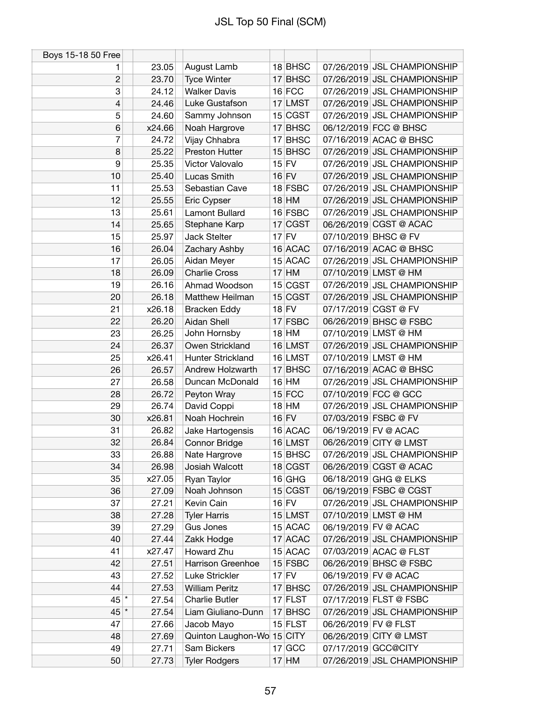| Boys 15-18 50 Free |        |                                          |           |                      |                             |
|--------------------|--------|------------------------------------------|-----------|----------------------|-----------------------------|
| 1                  | 23.05  | August Lamb                              | 18 BHSC   |                      | 07/26/2019 JSL CHAMPIONSHIP |
| $\overline{c}$     | 23.70  | <b>Tyce Winter</b>                       | $17$ BHSC |                      | 07/26/2019 JSL CHAMPIONSHIP |
| 3                  | 24.12  | <b>Walker Davis</b>                      | $16$ FCC  |                      | 07/26/2019 JSL CHAMPIONSHIP |
| 4                  | 24.46  | Luke Gustafson                           | 17 LMST   |                      | 07/26/2019 JSL CHAMPIONSHIP |
| 5                  | 24.60  | Sammy Johnson                            | 15 CGST   |                      | 07/26/2019 JSL CHAMPIONSHIP |
| 6                  | x24.66 | Noah Hargrove                            | 17 BHSC   |                      | 06/12/2019 FCC @ BHSC       |
| 7                  | 24.72  | Vijay Chhabra                            | 17 BHSC   |                      | 07/16/2019 ACAC @ BHSC      |
| 8                  | 25.22  | Preston Hutter                           | 15 BHSC   |                      | 07/26/2019 JSL CHAMPIONSHIP |
| 9                  | 25.35  | Victor Valovalo                          | $15$ FV   |                      | 07/26/2019 JSL CHAMPIONSHIP |
| 10                 | 25.40  | Lucas Smith                              | $16$ FV   |                      | 07/26/2019 JSL CHAMPIONSHIP |
| 11                 | 25.53  | Sebastian Cave                           | 18 FSBC   |                      | 07/26/2019 JSL CHAMPIONSHIP |
| 12                 | 25.55  | Eric Cypser                              | $18$ HM   |                      | 07/26/2019 JSL CHAMPIONSHIP |
| 13                 | 25.61  | Lamont Bullard                           | 16 FSBC   |                      | 07/26/2019 JSL CHAMPIONSHIP |
| 14                 | 25.65  | Stephane Karp                            | 17 CGST   |                      | 06/26/2019 CGST @ ACAC      |
| 15                 | 25.97  | Jack Stelter                             | $17$ FV   |                      | 07/10/2019 BHSC @ FV        |
| 16                 | 26.04  | Zachary Ashby                            | 16 ACAC   |                      | 07/16/2019 ACAC @ BHSC      |
| 17                 | 26.05  | Aidan Meyer                              | 15 ACAC   |                      | 07/26/2019 JSL CHAMPIONSHIP |
| 18                 | 26.09  | <b>Charlie Cross</b>                     | $17$ HM   |                      | 07/10/2019 LMST @ HM        |
| 19                 | 26.16  | Ahmad Woodson                            | 15 CGST   |                      | 07/26/2019 JSL CHAMPIONSHIP |
| 20                 | 26.18  | Matthew Heilman                          | 15 CGST   |                      | 07/26/2019 JSL CHAMPIONSHIP |
| 21                 | x26.18 | <b>Bracken Eddy</b>                      | $18$ FV   |                      | 07/17/2019 CGST @ FV        |
| 22                 | 26.20  | Aidan Shell                              | 17 FSBC   |                      | 06/26/2019 BHSC @ FSBC      |
| 23                 | 26.25  | John Hornsby                             | $18$ HM   |                      | 07/10/2019 LMST @ HM        |
| 24                 | 26.37  | Owen Strickland                          | 16 LMST   |                      | 07/26/2019 JSL CHAMPIONSHIP |
| 25                 | x26.41 | Hunter Strickland                        | 16 LMST   |                      | 07/10/2019 LMST @ HM        |
| 26                 | 26.57  | Andrew Holzwarth                         | 17 BHSC   |                      | 07/16/2019 ACAC @ BHSC      |
| 27                 | 26.58  | Duncan McDonald                          | $16$ HM   |                      | 07/26/2019 JSL CHAMPIONSHIP |
| 28                 | 26.72  | Peyton Wray                              | $15$ FCC  |                      | 07/10/2019 FCC @ GCC        |
| 29                 | 26.74  | David Coppi                              | $18$ HM   |                      | 07/26/2019 JSL CHAMPIONSHIP |
| 30                 | x26.81 | Noah Hochrein                            | $16$ FV   |                      | 07/03/2019 FSBC @ FV        |
| 31                 | 26.82  | Jake Hartogensis                         | 16 ACAC   |                      | 06/19/2019 FV @ ACAC        |
| 32                 | 26.84  | Connor Bridge                            | 16 LMST   |                      | 06/26/2019 CITY @ LMST      |
| 33                 | 26.88  | Nate Hargrove                            | 15 BHSC   |                      | 07/26/2019 JSL CHAMPIONSHIP |
| 34                 | 26.98  | Josiah Walcott                           | 18 CGST   |                      | 06/26/2019 CGST @ ACAC      |
| 35                 | x27.05 | Ryan Taylor                              | $16$ GHG  |                      | 06/18/2019 GHG @ ELKS       |
| 36                 | 27.09  | Noah Johnson                             | 15 CGST   |                      | 06/19/2019 FSBC @ CGST      |
| 37                 | 27.21  | Kevin Cain                               | $16$ FV   |                      | 07/26/2019 JSL CHAMPIONSHIP |
| 38                 | 27.28  | <b>Tyler Harris</b>                      | 15 LMST   |                      | 07/10/2019 LMST @ HM        |
| 39                 | 27.29  | Gus Jones                                | 15 ACAC   |                      | 06/19/2019 FV @ ACAC        |
| 40                 | 27.44  | Zakk Hodge                               | 17 ACAC   |                      | 07/26/2019 JSL CHAMPIONSHIP |
| 41                 | x27.47 | Howard Zhu                               | 15 ACAC   |                      | 07/03/2019 ACAC @ FLST      |
| 42                 | 27.51  | Harrison Greenhoe                        | $15$ FSBC |                      | 06/26/2019 BHSC @ FSBC      |
| 43                 | 27.52  | Luke Strickler                           | $17$ FV   |                      | 06/19/2019 FV @ ACAC        |
| 44                 | 27.53  | <b>William Peritz</b>                    | $17$ BHSC |                      | 07/26/2019 JSL CHAMPIONSHIP |
| 45 *               | 27.54  | <b>Charlie Butler</b>                    | $17$ FLST |                      | 07/17/2019 FLST @ FSBC      |
| $45$ *             | 27.54  | Liam Giuliano-Dunn                       | $17$ BHSC |                      | 07/26/2019 JSL CHAMPIONSHIP |
| 47                 | 27.66  |                                          | $15$ FLST | 06/26/2019 FV @ FLST |                             |
| 48                 | 27.69  | Jacob Mayo<br>Quinton Laughon-Wo 15 CITY |           |                      | 06/26/2019 CITY @ LMST      |
| 49                 | 27.71  | Sam Bickers                              | 17 GCC    |                      | 07/17/2019 GCC@CITY         |
| 50                 | 27.73  |                                          | $17$ HM   |                      | 07/26/2019 JSL CHAMPIONSHIP |
|                    |        | <b>Tyler Rodgers</b>                     |           |                      |                             |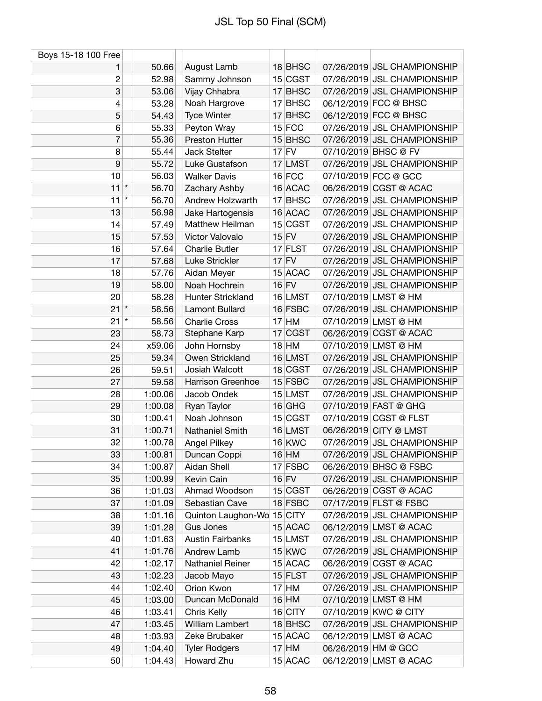| Boys 15-18 100 Free |               |         |                                 |         |           |                                                       |
|---------------------|---------------|---------|---------------------------------|---------|-----------|-------------------------------------------------------|
| 1                   |               | 50.66   | August Lamb                     |         | 18 BHSC   | 07/26/2019 JSL CHAMPIONSHIP                           |
| $\overline{c}$      |               | 52.98   | Sammy Johnson                   |         | 15 CGST   | 07/26/2019 JSL CHAMPIONSHIP                           |
| 3                   |               | 53.06   | Vijay Chhabra                   |         | 17 BHSC   | 07/26/2019 JSL CHAMPIONSHIP                           |
| 4                   |               | 53.28   | Noah Hargrove                   |         | $17$ BHSC | 06/12/2019 FCC @ BHSC                                 |
| 5                   |               | 54.43   | <b>Tyce Winter</b>              |         | 17 BHSC   | 06/12/2019 FCC @ BHSC                                 |
| 6                   |               | 55.33   | Peyton Wray                     |         | $15$ FCC  | 07/26/2019 JSL CHAMPIONSHIP                           |
| 7                   |               | 55.36   | Preston Hutter                  |         | 15 BHSC   | 07/26/2019 JSL CHAMPIONSHIP                           |
| 8                   |               | 55.44   | Jack Stelter                    | $17$ FV |           | 07/10/2019 BHSC @ FV                                  |
| 9                   |               | 55.72   | Luke Gustafson                  |         | 17 LMST   | 07/26/2019 JSL CHAMPIONSHIP                           |
| 10                  |               | 56.03   | <b>Walker Davis</b>             |         | $16$ FCC  | 07/10/2019 FCC @ GCC                                  |
| 11                  | $\vert \star$ | 56.70   | Zachary Ashby                   |         | 16 ACAC   | 06/26/2019 CGST @ ACAC                                |
| 11                  | $\star$       | 56.70   | Andrew Holzwarth                |         | 17 BHSC   | 07/26/2019 JSL CHAMPIONSHIP                           |
| 13                  |               | 56.98   | Jake Hartogensis                |         | 16 ACAC   | 07/26/2019 JSL CHAMPIONSHIP                           |
| 14                  |               | 57.49   | Matthew Heilman                 |         | 15 CGST   | 07/26/2019 JSL CHAMPIONSHIP                           |
| 15                  |               | 57.53   | Victor Valovalo                 | $15$ FV |           | 07/26/2019 JSL CHAMPIONSHIP                           |
| 16                  |               | 57.64   | <b>Charlie Butler</b>           |         | $17$ FLST | 07/26/2019 JSL CHAMPIONSHIP                           |
| 17                  |               | 57.68   | Luke Strickler                  |         | $17$ FV   | 07/26/2019 JSL CHAMPIONSHIP                           |
| 18                  |               | 57.76   | Aidan Meyer                     |         | 15 ACAC   | 07/26/2019 JSL CHAMPIONSHIP                           |
| 19                  |               | 58.00   | Noah Hochrein                   | $16$ FV |           | 07/26/2019 JSL CHAMPIONSHIP                           |
| 20                  |               | 58.28   | <b>Hunter Strickland</b>        |         | 16 LMST   | 07/10/2019 LMST @ HM                                  |
| 21                  | $\vert \star$ | 58.56   | <b>Lamont Bullard</b>           |         | 16 FSBC   | 07/26/2019 JSL CHAMPIONSHIP                           |
| 21                  | $\star$       | 58.56   | <b>Charlie Cross</b>            |         | $17$ HM   | 07/10/2019 LMST @ HM                                  |
| 23                  |               | 58.73   | Stephane Karp                   |         | 17 CGST   | 06/26/2019 CGST @ ACAC                                |
| 24                  |               | x59.06  | John Hornsby                    |         | $18$ HM   | 07/10/2019 LMST @ HM                                  |
| 25                  |               | 59.34   | Owen Strickland                 |         | 16 LMST   | 07/26/2019 JSL CHAMPIONSHIP                           |
| 26                  |               | 59.51   | Josiah Walcott                  |         | 18 CGST   | 07/26/2019 JSL CHAMPIONSHIP                           |
| 27                  |               | 59.58   | Harrison Greenhoe               |         | $15$ FSBC | 07/26/2019 JSL CHAMPIONSHIP                           |
| 28                  |               | 1:00.06 | Jacob Ondek                     |         | 15 LMST   | 07/26/2019 JSL CHAMPIONSHIP                           |
| 29                  |               | 1:00.08 | Ryan Taylor                     |         | $16$ GHG  | 07/10/2019 FAST @ GHG                                 |
| 30                  |               | 1:00.41 | Noah Johnson                    |         | 15 CGST   | 07/10/2019 CGST @ FLST                                |
| 31                  |               | 1:00.71 | Nathaniel Smith                 |         | 16 LMST   | 06/26/2019 CITY @ LMST                                |
| 32                  |               | 1:00.78 | Angel Pilkey                    |         | $16$ KWC  | 07/26/2019 JSL CHAMPIONSHIP                           |
| 33                  |               | 1:00.81 | Duncan Coppi                    |         | $16$ HM   | 07/26/2019 JSL CHAMPIONSHIP                           |
| 34                  |               | 1:00.87 | Aidan Shell                     |         | $17$ FSBC | 06/26/2019 BHSC @ FSBC                                |
| 35                  |               | 1:00.99 | Kevin Cain                      |         | $16$ FV   | 07/26/2019 JSL CHAMPIONSHIP                           |
|                     |               |         | Ahmad Woodson                   |         |           | 06/26/2019 CGST @ ACAC                                |
| 36                  |               | 1:01.03 | Sebastian Cave                  |         | 15 CGST   |                                                       |
| 37                  |               | 1:01.09 |                                 |         | 18 FSBC   | 07/17/2019 FLST @ FSBC                                |
| 38                  |               | 1:01.16 | Quinton Laughon-Wo<br>Gus Jones |         | $15$ CITY | 07/26/2019 JSL CHAMPIONSHIP<br>06/12/2019 LMST @ ACAC |
| 39                  |               | 1:01.28 |                                 |         | $15$ ACAC |                                                       |
| 40                  |               | 1:01.63 | <b>Austin Fairbanks</b>         |         | 15 LMST   | 07/26/2019 JSL CHAMPIONSHIP                           |
| 41                  |               | 1:01.76 | Andrew Lamb                     |         | $15$ KWC  | 07/26/2019 JSL CHAMPIONSHIP                           |
| 42                  |               | 1:02.17 | Nathaniel Reiner                |         | 15 ACAC   | 06/26/2019 CGST @ ACAC                                |
| 43                  |               | 1:02.23 | Jacob Mayo                      |         | $15$ FLST | 07/26/2019 JSL CHAMPIONSHIP                           |
| 44                  |               | 1:02.40 | Orion Kwon                      |         | $17$ HM   | 07/26/2019 JSL CHAMPIONSHIP                           |
| 45                  |               | 1:03.00 | Duncan McDonald                 |         | $16$ HM   | 07/10/2019 LMST @ HM                                  |
| 46                  |               | 1:03.41 | Chris Kelly                     |         | $16$ CITY | 07/10/2019 KWC @ CITY                                 |
| 47                  |               | 1:03.45 | William Lambert                 |         | 18 BHSC   | 07/26/2019 JSL CHAMPIONSHIP                           |
| 48                  |               | 1:03.93 | Zeke Brubaker                   |         | 15 ACAC   | 06/12/2019 LMST @ ACAC                                |
| 49                  |               | 1:04.40 | <b>Tyler Rodgers</b>            |         | $17$ HM   | 06/26/2019 HM @ GCC                                   |
| 50                  |               | 1:04.43 | Howard Zhu                      |         | $15$ ACAC | 06/12/2019 LMST @ ACAC                                |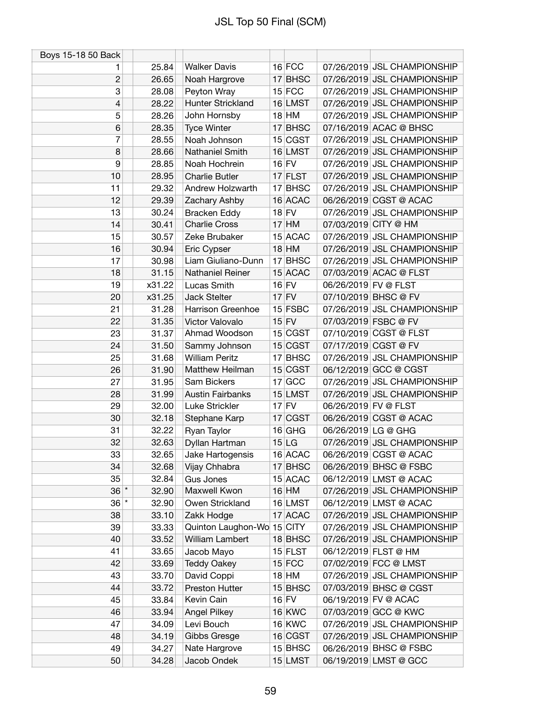| Boys 15-18 50 Back |        |                            |         |               |                      |                             |
|--------------------|--------|----------------------------|---------|---------------|----------------------|-----------------------------|
| 1                  | 25.84  | <b>Walker Davis</b>        |         | $16$ FCC      |                      | 07/26/2019 JSL CHAMPIONSHIP |
| $\overline{2}$     | 26.65  | Noah Hargrove              |         | 17 BHSC       |                      | 07/26/2019 JSL CHAMPIONSHIP |
| 3                  | 28.08  | Peyton Wray                |         | $15$ FCC      |                      | 07/26/2019 JSL CHAMPIONSHIP |
| 4                  | 28.22  | <b>Hunter Strickland</b>   |         | 16 LMST       |                      | 07/26/2019 JSL CHAMPIONSHIP |
| 5                  | 28.26  | John Hornsby               |         | $18$ HM       |                      | 07/26/2019 JSL CHAMPIONSHIP |
| 6                  | 28.35  | <b>Tyce Winter</b>         |         | $17$ BHSC     |                      | 07/16/2019 ACAC @ BHSC      |
| 7                  | 28.55  | Noah Johnson               |         | 15 CGST       |                      | 07/26/2019 JSL CHAMPIONSHIP |
| 8                  | 28.66  | Nathaniel Smith            |         | 16 LMST       |                      | 07/26/2019 JSL CHAMPIONSHIP |
| 9                  | 28.85  | Noah Hochrein              | $16$ FV |               |                      | 07/26/2019 JSL CHAMPIONSHIP |
| 10                 | 28.95  | <b>Charlie Butler</b>      |         | $17$ FLST     |                      | 07/26/2019 JSL CHAMPIONSHIP |
| 11                 | 29.32  | Andrew Holzwarth           |         | 17 BHSC       |                      | 07/26/2019 JSL CHAMPIONSHIP |
| 12                 | 29.39  | Zachary Ashby              |         | 16 ACAC       |                      | 06/26/2019 CGST @ ACAC      |
| 13                 | 30.24  | <b>Bracken Eddy</b>        | $18$ FV |               |                      | 07/26/2019 JSL CHAMPIONSHIP |
| 14                 | 30.41  | <b>Charlie Cross</b>       |         | $17$ HM       |                      | 07/03/2019 CITY @ HM        |
| 15                 | 30.57  | Zeke Brubaker              |         | 15 ACAC       |                      | 07/26/2019 JSL CHAMPIONSHIP |
| 16                 | 30.94  | Eric Cypser                |         | $18$ HM       |                      | 07/26/2019 JSL CHAMPIONSHIP |
| 17                 | 30.98  | Liam Giuliano-Dunn         |         | $17$ BHSC     |                      | 07/26/2019 JSL CHAMPIONSHIP |
| 18                 | 31.15  | <b>Nathaniel Reiner</b>    |         | 15 ACAC       |                      | 07/03/2019 ACAC @ FLST      |
| 19                 | x31.22 | Lucas Smith                | $16$ FV |               | 06/26/2019 FV @ FLST |                             |
| 20                 | x31.25 | <b>Jack Stelter</b>        | $17$ FV |               |                      | 07/10/2019 BHSC @ FV        |
| 21                 | 31.28  | Harrison Greenhoe          |         | $15$ FSBC     |                      | 07/26/2019 JSL CHAMPIONSHIP |
| 22                 | 31.35  | Victor Valovalo            | $15$ FV |               |                      | 07/03/2019 FSBC @ FV        |
| 23                 | 31.37  | Ahmad Woodson              |         | 15 CGST       |                      | 07/10/2019 CGST @ FLST      |
| 24                 | 31.50  | Sammy Johnson              |         | 15 CGST       |                      | 07/17/2019 CGST @ FV        |
| 25                 | 31.68  | <b>William Peritz</b>      |         | 17 BHSC       |                      | 07/26/2019 JSL CHAMPIONSHIP |
| 26                 | 31.90  | Matthew Heilman            |         | 15 CGST       |                      | 06/12/2019 GCC @ CGST       |
| 27                 | 31.95  | Sam Bickers                |         | $17$ GCC      |                      | 07/26/2019 JSL CHAMPIONSHIP |
| 28                 | 31.99  | <b>Austin Fairbanks</b>    |         | 15 LMST       |                      | 07/26/2019 JSL CHAMPIONSHIP |
| 29                 | 32.00  | Luke Strickler             | $17$ FV |               | 06/26/2019 FV @ FLST |                             |
| 30                 | 32.18  | Stephane Karp              |         | 17 CGST       |                      | 06/26/2019 CGST @ ACAC      |
| 31                 | 32.22  | Ryan Taylor                |         | $16$ GHG      | 06/26/2019 LG @ GHG  |                             |
| 32                 | 32.63  | Dyllan Hartman             |         | 15 LG         |                      | 07/26/2019 JSL CHAMPIONSHIP |
| 33                 | 32.65  | Jake Hartogensis           |         | 16 ACAC       |                      | 06/26/2019 CGST @ ACAC      |
| 34                 | 32.68  | Vijay Chhabra              |         | 17 BHSC       |                      | 06/26/2019 BHSC @ FSBC      |
| 35                 | 32.84  | <b>Gus Jones</b>           |         | 15 ACAC       |                      | 06/12/2019 LMST @ ACAC      |
| $36$ $*$           | 32.90  | Maxwell Kwon               |         | $16$ HM       |                      | 07/26/2019 JSL CHAMPIONSHIP |
| $36$ $*$           | 32.90  | Owen Strickland            |         | 16 LMST       |                      | 06/12/2019 LMST @ ACAC      |
| 38                 | 33.10  | Zakk Hodge                 |         | 17 ACAC       |                      | 07/26/2019 JSL CHAMPIONSHIP |
| 39                 | 33.33  | Quinton Laughon-Wo 15 CITY |         |               |                      | 07/26/2019 JSL CHAMPIONSHIP |
| 40                 | 33.52  | William Lambert            |         | 18 BHSC       |                      | 07/26/2019 JSL CHAMPIONSHIP |
| 41                 | 33.65  | Jacob Mayo                 |         | $15$ FLST     |                      | 06/12/2019 FLST @ HM        |
| 42                 | 33.69  | <b>Teddy Oakey</b>         |         | $15$ FCC      |                      | 07/02/2019 FCC @ LMST       |
| 43                 | 33.70  | David Coppi                |         | $18$ HM       |                      | 07/26/2019 JSL CHAMPIONSHIP |
| 44                 | 33.72  | Preston Hutter             |         | 15 BHSC       |                      | 07/03/2019 BHSC @ CGST      |
| 45                 | 33.84  | Kevin Cain                 |         | $16$ FV       |                      | 06/19/2019 FV @ ACAC        |
| 46                 | 33.94  | <b>Angel Pilkey</b>        |         | <b>16 KWC</b> |                      | 07/03/2019 GCC @ KWC        |
| 47                 | 34.09  | Levi Bouch                 |         | 16 KWC        |                      | 07/26/2019 JSL CHAMPIONSHIP |
| 48                 | 34.19  | Gibbs Gresge               |         | 16 CGST       |                      | 07/26/2019 JSL CHAMPIONSHIP |
| 49                 | 34.27  | Nate Hargrove              |         | 15 BHSC       |                      | 06/26/2019 BHSC @ FSBC      |
| 50                 | 34.28  | Jacob Ondek                |         | 15 LMST       |                      | 06/19/2019 LMST @ GCC       |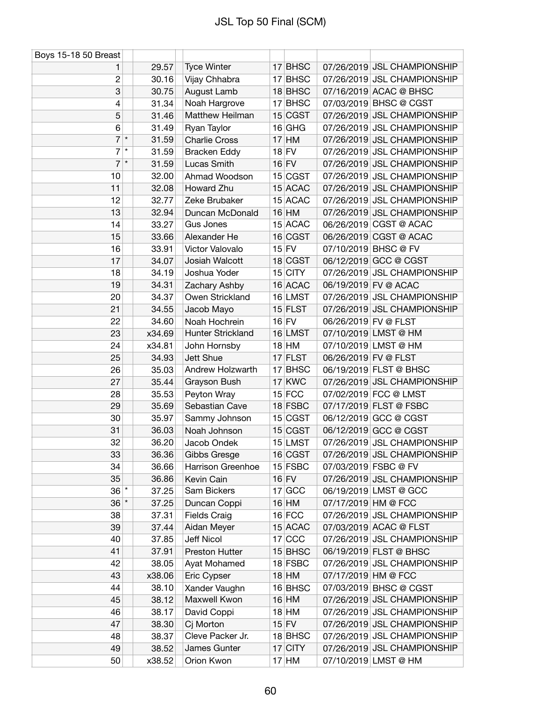| Boys 15-18 50 Breast |        |                      |           |                      |                             |
|----------------------|--------|----------------------|-----------|----------------------|-----------------------------|
| 1                    | 29.57  | <b>Tyce Winter</b>   | $17$ BHSC |                      | 07/26/2019 JSL CHAMPIONSHIP |
| $\overline{c}$       | 30.16  | Vijay Chhabra        | $17$ BHSC |                      | 07/26/2019 JSL CHAMPIONSHIP |
| 3                    | 30.75  | August Lamb          | 18 BHSC   |                      | 07/16/2019 ACAC @ BHSC      |
| 4                    | 31.34  | Noah Hargrove        | $17$ BHSC |                      | 07/03/2019 BHSC @ CGST      |
| 5                    | 31.46  | Matthew Heilman      | 15 CGST   |                      | 07/26/2019 JSL CHAMPIONSHIP |
| 6                    | 31.49  | Ryan Taylor          | $16$ GHG  |                      | 07/26/2019 JSL CHAMPIONSHIP |
| 7<br>$\vert \star$   | 31.59  | <b>Charlie Cross</b> | $17$ HM   |                      | 07/26/2019 JSL CHAMPIONSHIP |
| $\star$<br>7         | 31.59  | <b>Bracken Eddy</b>  | $18$ FV   |                      | 07/26/2019 JSL CHAMPIONSHIP |
| $7$ *                | 31.59  | Lucas Smith          | $16$ FV   |                      | 07/26/2019 JSL CHAMPIONSHIP |
| 10                   | 32.00  | Ahmad Woodson        | 15 CGST   |                      | 07/26/2019 JSL CHAMPIONSHIP |
| 11                   | 32.08  | Howard Zhu           | 15 ACAC   |                      | 07/26/2019 JSL CHAMPIONSHIP |
| 12                   | 32.77  | Zeke Brubaker        | 15 ACAC   |                      | 07/26/2019 JSL CHAMPIONSHIP |
| 13                   | 32.94  | Duncan McDonald      | $16$ HM   |                      | 07/26/2019 JSL CHAMPIONSHIP |
| 14                   | 33.27  | <b>Gus Jones</b>     | 15 ACAC   |                      | 06/26/2019 CGST @ ACAC      |
| 15                   | 33.66  | Alexander He         | 16 CGST   |                      | 06/26/2019 CGST @ ACAC      |
| 16                   | 33.91  | Victor Valovalo      | $15$ FV   |                      | 07/10/2019 BHSC @ FV        |
| 17                   | 34.07  | Josiah Walcott       | 18 CGST   |                      | 06/12/2019 GCC @ CGST       |
| 18                   | 34.19  | Joshua Yoder         | $15$ CITY |                      | 07/26/2019 JSL CHAMPIONSHIP |
| 19                   | 34.31  | Zachary Ashby        | 16 ACAC   |                      | 06/19/2019 FV @ ACAC        |
| 20                   | 34.37  | Owen Strickland      | 16 LMST   |                      | 07/26/2019 JSL CHAMPIONSHIP |
| 21                   | 34.55  | Jacob Mayo           | $15$ FLST |                      | 07/26/2019 JSL CHAMPIONSHIP |
| 22                   | 34.60  | Noah Hochrein        | $16$ FV   | 06/26/2019 FV @ FLST |                             |
| 23                   | x34.69 | Hunter Strickland    | 16 LMST   |                      | 07/10/2019 LMST @ HM        |
| 24                   | x34.81 | John Hornsby         | $18$ HM   |                      | 07/10/2019 LMST @ HM        |
| 25                   | 34.93  | Jett Shue            | $17$ FLST | 06/26/2019 FV @ FLST |                             |
| 26                   | 35.03  | Andrew Holzwarth     | $17$ BHSC |                      | 06/19/2019 FLST @ BHSC      |
| 27                   | 35.44  | Grayson Bush         | $17$ KWC  |                      | 07/26/2019 JSL CHAMPIONSHIP |
| 28                   | 35.53  | Peyton Wray          | $15$ FCC  |                      | 07/02/2019 FCC @ LMST       |
| 29                   | 35.69  | Sebastian Cave       | 18 FSBC   |                      | 07/17/2019 FLST @ FSBC      |
| 30                   | 35.97  | Sammy Johnson        | 15 CGST   |                      | 06/12/2019 GCC @ CGST       |
| 31                   | 36.03  | Noah Johnson         | 15 CGST   |                      | 06/12/2019 GCC @ CGST       |
| 32                   | 36.20  | Jacob Ondek          | 15 LMST   |                      | 07/26/2019 JSL CHAMPIONSHIP |
| 33                   | 36.36  | Gibbs Gresge         | 16 CGST   |                      | 07/26/2019 JSL CHAMPIONSHIP |
| 34                   | 36.66  | Harrison Greenhoe    | $15$ FSBC |                      | 07/03/2019 FSBC @ FV        |
| 35                   | 36.86  | Kevin Cain           | $16$ FV   |                      | 07/26/2019 JSL CHAMPIONSHIP |
| $36$ <sup>*</sup>    | 37.25  | Sam Bickers          | $17$ GCC  |                      | 06/19/2019 LMST @ GCC       |
| $36$ *               | 37.25  | Duncan Coppi         | $16$ HM   | 07/17/2019 HM @ FCC  |                             |
| 38                   | 37.31  | <b>Fields Craig</b>  | $16$ FCC  |                      | 07/26/2019 JSL CHAMPIONSHIP |
| 39                   | 37.44  | Aidan Meyer          | 15 ACAC   |                      | 07/03/2019 ACAC @ FLST      |
| 40                   | 37.85  | Jeff Nicol           | $17$ CCC  |                      | 07/26/2019 JSL CHAMPIONSHIP |
| 41                   | 37.91  | Preston Hutter       | $15$ BHSC |                      | 06/19/2019 FLST @ BHSC      |
| 42                   | 38.05  | Ayat Mohamed         | 18 FSBC   |                      | 07/26/2019 JSL CHAMPIONSHIP |
| 43                   | x38.06 | Eric Cypser          | $18$ HM   | 07/17/2019 HM @ FCC  |                             |
| 44                   | 38.10  | Xander Vaughn        | 16 BHSC   |                      | 07/03/2019 BHSC @ CGST      |
| 45                   | 38.12  | Maxwell Kwon         | $16$ HM   |                      | 07/26/2019 JSL CHAMPIONSHIP |
| 46                   | 38.17  | David Coppi          | $18$ HM   |                      | 07/26/2019 JSL CHAMPIONSHIP |
| 47                   | 38.30  | Cj Morton            | $15$ FV   |                      | 07/26/2019 JSL CHAMPIONSHIP |
| 48                   | 38.37  | Cleve Packer Jr.     | 18 BHSC   |                      | 07/26/2019 JSL CHAMPIONSHIP |
| 49                   | 38.52  | James Gunter         | 17 CITY   |                      | 07/26/2019 JSL CHAMPIONSHIP |
| 50                   | x38.52 | Orion Kwon           | $17$ HM   |                      | 07/10/2019 LMST @ HM        |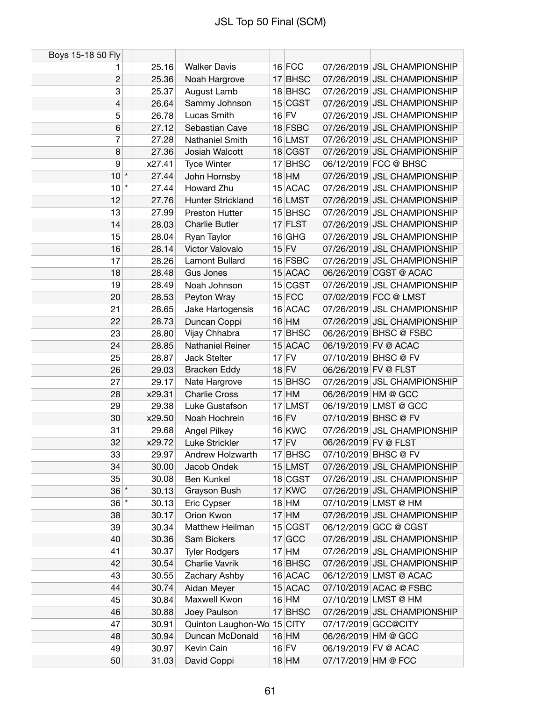| Boys 15-18 50 Fly |         |        |                            |         |           |                      |                             |
|-------------------|---------|--------|----------------------------|---------|-----------|----------------------|-----------------------------|
| 1                 |         | 25.16  | <b>Walker Davis</b>        |         | $16$ FCC  |                      | 07/26/2019 JSL CHAMPIONSHIP |
| $\overline{c}$    |         | 25.36  | Noah Hargrove              |         | 17 BHSC   |                      | 07/26/2019 JSL CHAMPIONSHIP |
| 3                 |         | 25.37  | August Lamb                |         | 18 BHSC   |                      | 07/26/2019 JSL CHAMPIONSHIP |
| 4                 |         | 26.64  | Sammy Johnson              |         | 15 CGST   |                      | 07/26/2019 JSL CHAMPIONSHIP |
| 5                 |         | 26.78  | Lucas Smith                | $16$ FV |           |                      | 07/26/2019 JSL CHAMPIONSHIP |
| 6                 |         | 27.12  | Sebastian Cave             |         | 18 FSBC   |                      | 07/26/2019 JSL CHAMPIONSHIP |
| 7                 |         | 27.28  | <b>Nathaniel Smith</b>     |         | 16 LMST   |                      | 07/26/2019 JSL CHAMPIONSHIP |
| 8                 |         | 27.36  | Josiah Walcott             |         | 18 CGST   |                      | 07/26/2019 JSL CHAMPIONSHIP |
| 9                 |         | x27.41 | <b>Tyce Winter</b>         |         | $17$ BHSC |                      | 06/12/2019 FCC @ BHSC       |
| $10^*$            |         | 27.44  | John Hornsby               |         | $18$ HM   |                      | 07/26/2019 JSL CHAMPIONSHIP |
| 10                | $\star$ | 27.44  | Howard Zhu                 |         | 15 ACAC   |                      | 07/26/2019 JSL CHAMPIONSHIP |
| 12                |         | 27.76  | Hunter Strickland          |         | 16 LMST   |                      | 07/26/2019 JSL CHAMPIONSHIP |
| 13                |         | 27.99  | <b>Preston Hutter</b>      |         | 15 BHSC   |                      | 07/26/2019 JSL CHAMPIONSHIP |
| 14                |         | 28.03  | <b>Charlie Butler</b>      |         | 17 FLST   |                      | 07/26/2019 JSL CHAMPIONSHIP |
| 15                |         | 28.04  | Ryan Taylor                |         | $16$ GHG  |                      | 07/26/2019 JSL CHAMPIONSHIP |
| 16                |         | 28.14  | Victor Valovalo            |         | $15$ FV   |                      | 07/26/2019 JSL CHAMPIONSHIP |
| 17                |         | 28.26  | Lamont Bullard             |         | 16 FSBC   |                      | 07/26/2019 JSL CHAMPIONSHIP |
| 18                |         | 28.48  | <b>Gus Jones</b>           |         | 15 ACAC   |                      | 06/26/2019 CGST @ ACAC      |
| 19                |         | 28.49  | Noah Johnson               |         | 15 CGST   |                      | 07/26/2019 JSL CHAMPIONSHIP |
| 20                |         | 28.53  | Peyton Wray                |         | $15$ FCC  |                      | 07/02/2019 FCC @ LMST       |
| 21                |         | 28.65  | Jake Hartogensis           |         | 16 ACAC   |                      | 07/26/2019 JSL CHAMPIONSHIP |
| 22                |         | 28.73  | Duncan Coppi               |         | $16$ HM   |                      | 07/26/2019 JSL CHAMPIONSHIP |
| 23                |         | 28.80  | Vijay Chhabra              |         | $17$ BHSC |                      | 06/26/2019 BHSC @ FSBC      |
| 24                |         | 28.85  | <b>Nathaniel Reiner</b>    |         | 15 ACAC   |                      | 06/19/2019 FV @ ACAC        |
| 25                |         | 28.87  | Jack Stelter               |         | $17$ FV   |                      | 07/10/2019 BHSC @ FV        |
| 26                |         | 29.03  | <b>Bracken Eddy</b>        |         | $18$ FV   | 06/26/2019 FV @ FLST |                             |
| 27                |         | 29.17  | Nate Hargrove              |         | 15 BHSC   |                      | 07/26/2019 JSL CHAMPIONSHIP |
| 28                |         | x29.31 | <b>Charlie Cross</b>       |         | $17$ HM   |                      | 06/26/2019 HM @ GCC         |
| 29                |         | 29.38  | Luke Gustafson             |         | $17$ LMST |                      | 06/19/2019 LMST @ GCC       |
| 30                |         | x29.50 | Noah Hochrein              |         | $16$ FV   |                      | 07/10/2019 BHSC @ FV        |
| 31                |         | 29.68  | <b>Angel Pilkey</b>        |         | $16$ KWC  |                      | 07/26/2019 JSL CHAMPIONSHIP |
| 32                |         | x29.72 | Luke Strickler             | $17$ FV |           | 06/26/2019 FV @ FLST |                             |
| 33                |         | 29.97  | Andrew Holzwarth           |         | 17 BHSC   |                      | 07/10/2019 BHSC @ FV        |
| 34                |         | 30.00  | Jacob Ondek                |         | 15 LMST   |                      | 07/26/2019 JSL CHAMPIONSHIP |
| 35                |         | 30.08  | <b>Ben Kunkel</b>          |         | 18 CGST   |                      | 07/26/2019 JSL CHAMPIONSHIP |
| $36$ $*$          |         | 30.13  | Grayson Bush               |         | 17 KWC    |                      | 07/26/2019 JSL CHAMPIONSHIP |
| $36$ $*$          |         | 30.13  | Eric Cypser                |         | $18$ HM   |                      | 07/10/2019 LMST @ HM        |
| 38                |         | 30.17  | Orion Kwon                 |         | $17$ HM   |                      | 07/26/2019 JSL CHAMPIONSHIP |
| 39                |         | 30.34  | Matthew Heilman            |         | 15 CGST   |                      | 06/12/2019 GCC @ CGST       |
| 40                |         | 30.36  | Sam Bickers                |         | 17 GCC    |                      | 07/26/2019 JSL CHAMPIONSHIP |
| 41                |         | 30.37  | <b>Tyler Rodgers</b>       |         | $17$ HM   |                      | 07/26/2019 JSL CHAMPIONSHIP |
| 42                |         | 30.54  | Charlie Vavrik             |         | 16 BHSC   |                      | 07/26/2019 JSL CHAMPIONSHIP |
| 43                |         | 30.55  | Zachary Ashby              |         | 16 ACAC   |                      | 06/12/2019 LMST @ ACAC      |
| 44                |         | 30.74  | Aidan Meyer                |         | 15 ACAC   |                      | 07/10/2019 ACAC @ FSBC      |
| 45                |         | 30.84  | Maxwell Kwon               |         | $16$ HM   |                      | 07/10/2019 LMST @ HM        |
| 46                |         | 30.88  | Joey Paulson               |         | 17 BHSC   |                      | 07/26/2019 JSL CHAMPIONSHIP |
| 47                |         | 30.91  | Quinton Laughon-Wo 15 CITY |         |           |                      | 07/17/2019 GCC@CITY         |
| 48                |         | 30.94  | Duncan McDonald            |         | $16$ HM   |                      | 06/26/2019 HM @ GCC         |
| 49                |         | 30.97  | Kevin Cain                 |         | $16$ FV   |                      | 06/19/2019 FV @ ACAC        |
| 50                |         | 31.03  | David Coppi                |         | $18$ HM   | 07/17/2019 HM @ FCC  |                             |